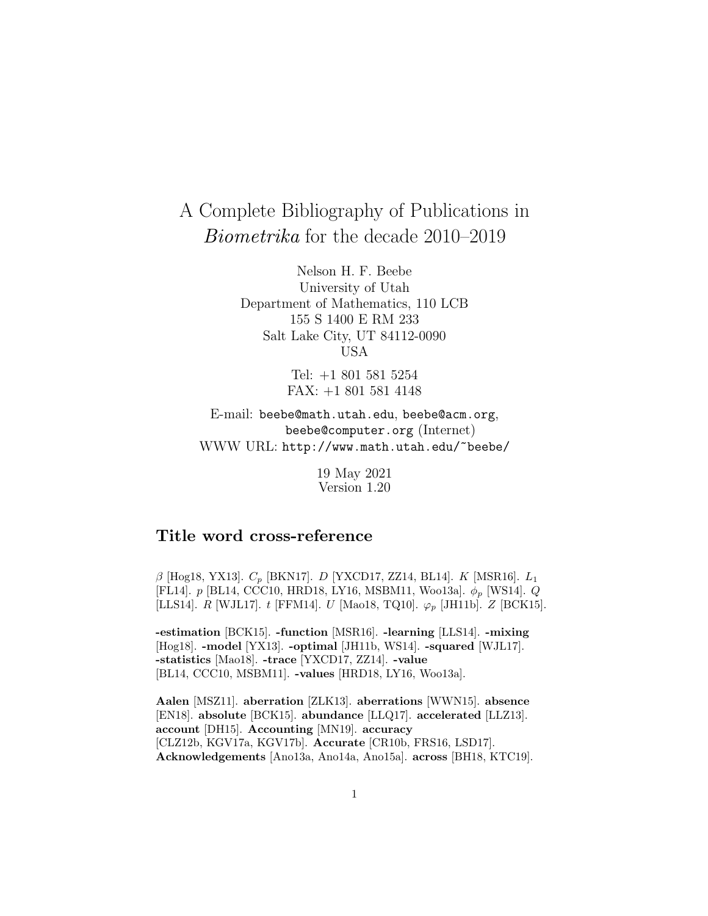# A Complete Bibliography of Publications in Biometrika for the decade 2010–2019

Nelson H. F. Beebe University of Utah Department of Mathematics, 110 LCB 155 S 1400 E RM 233 Salt Lake City, UT 84112-0090 USA

> Tel: +1 801 581 5254 FAX: +1 801 581 4148

E-mail: beebe@math.utah.edu, beebe@acm.org, beebe@computer.org (Internet) WWW URL: http://www.math.utah.edu/~beebe/

> 19 May 2021 Version 1.20

# **Title word cross-reference**

 $β$  [Hog18, YX13].  $C_p$  [BKN17]. D [YXCD17, ZZ14, BL14]. K [MSR16].  $L_1$ [FL14].  $p$  [BL14, CCC10, HRD18, LY16, MSBM11, Woo13a].  $\phi_p$  [WS14]. Q [LLS14]. R [WJL17]. t [FFM14]. U [Mao18, TQ10].  $\varphi_p$  [JH11b]. Z [BCK15].

**-estimation** [BCK15]. **-function** [MSR16]. **-learning** [LLS14]. **-mixing** [Hog18]. **-model** [YX13]. **-optimal** [JH11b, WS14]. **-squared** [WJL17]. **-statistics** [Mao18]. **-trace** [YXCD17, ZZ14]. **-value** [BL14, CCC10, MSBM11]. **-values** [HRD18, LY16, Woo13a].

**Aalen** [MSZ11]. **aberration** [ZLK13]. **aberrations** [WWN15]. **absence** [EN18]. **absolute** [BCK15]. **abundance** [LLQ17]. **accelerated** [LLZ13]. **account** [DH15]. **Accounting** [MN19]. **accuracy** [CLZ12b, KGV17a, KGV17b]. **Accurate** [CR10b, FRS16, LSD17]. **Acknowledgements** [Ano13a, Ano14a, Ano15a]. **across** [BH18, KTC19].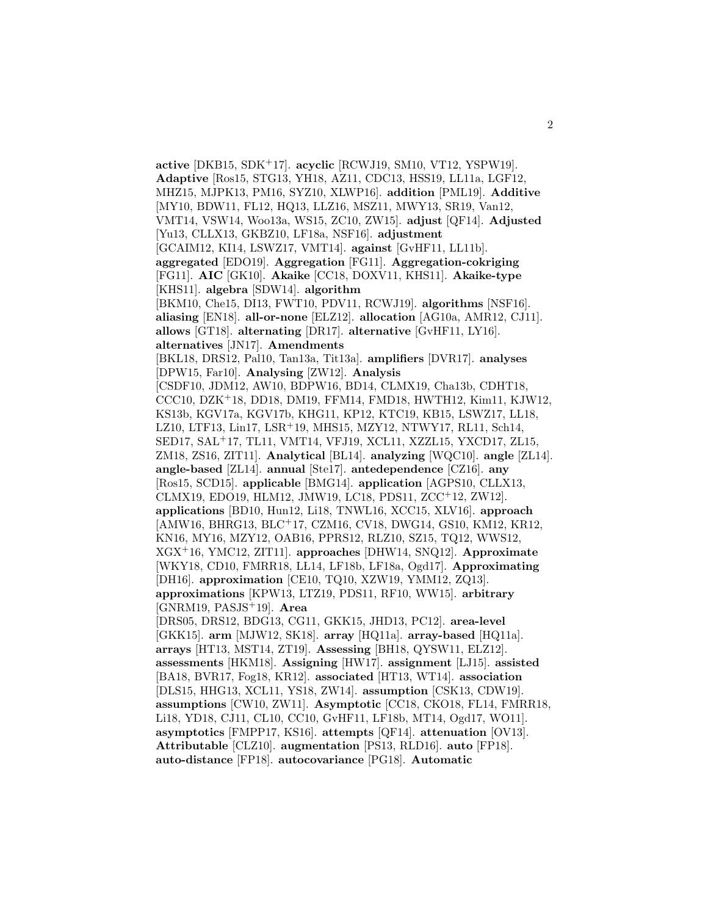**active** [DKB15, SDK<sup>+</sup>17]. **acyclic** [RCWJ19, SM10, VT12, YSPW19]. **Adaptive** [Ros15, STG13, YH18, AZ11, CDC13, HSS19, LL11a, LGF12, MHZ15, MJPK13, PM16, SYZ10, XLWP16]. **addition** [PML19]. **Additive** [MY10, BDW11, FL12, HQ13, LLZ16, MSZ11, MWY13, SR19, Van12, VMT14, VSW14, Woo13a, WS15, ZC10, ZW15]. **adjust** [QF14]. **Adjusted** [Yu13, CLLX13, GKBZ10, LF18a, NSF16]. **adjustment** [GCAIM12, KI14, LSWZ17, VMT14]. **against** [GvHF11, LL11b]. **aggregated** [EDO19]. **Aggregation** [FG11]. **Aggregation-cokriging** [FG11]. **AIC** [GK10]. **Akaike** [CC18, DOXV11, KHS11]. **Akaike-type** [KHS11]. **algebra** [SDW14]. **algorithm** [BKM10, Che15, DI13, FWT10, PDV11, RCWJ19]. **algorithms** [NSF16]. **aliasing** [EN18]. **all-or-none** [ELZ12]. **allocation** [AG10a, AMR12, CJ11]. **allows** [GT18]. **alternating** [DR17]. **alternative** [GvHF11, LY16]. **alternatives** [JN17]. **Amendments** [BKL18, DRS12, Pal10, Tan13a, Tit13a]. **amplifiers** [DVR17]. **analyses** [DPW15, Far10]. **Analysing** [ZW12]. **Analysis** [CSDF10, JDM12, AW10, BDPW16, BD14, CLMX19, Cha13b, CDHT18, CCC10, DZK<sup>+</sup>18, DD18, DM19, FFM14, FMD18, HWTH12, Kim11, KJW12, KS13b, KGV17a, KGV17b, KHG11, KP12, KTC19, KB15, LSWZ17, LL18, LZ10, LTF13, Lin17, LSR<sup>+</sup>19, MHS15, MZY12, NTWY17, RL11, Sch14, SED17, SAL<sup>+</sup>17, TL11, VMT14, VFJ19, XCL11, XZZL15, YXCD17, ZL15, ZM18, ZS16, ZIT11]. **Analytical** [BL14]. **analyzing** [WQC10]. **angle** [ZL14]. **angle-based** [ZL14]. **annual** [Ste17]. **antedependence** [CZ16]. **any** [Ros15, SCD15]. **applicable** [BMG14]. **application** [AGPS10, CLLX13, CLMX19, EDO19, HLM12, JMW19, LC18, PDS11, ZCC<sup>+</sup>12, ZW12]. **applications** [BD10, Hun12, Li18, TNWL16, XCC15, XLV16]. **approach** [AMW16, BHRG13, BLC<sup>+</sup>17, CZM16, CV18, DWG14, GS10, KM12, KR12, KN16, MY16, MZY12, OAB16, PPRS12, RLZ10, SZ15, TQ12, WWS12, XGX<sup>+</sup>16, YMC12, ZIT11]. **approaches** [DHW14, SNQ12]. **Approximate** [WKY18, CD10, FMRR18, LŁ14, LF18b, LF18a, Ogd17]. **Approximating** [DH16]. **approximation** [CE10, TQ10, XZW19, YMM12, ZQ13]. **approximations** [KPW13, LTZ19, PDS11, RF10, WW15]. **arbitrary** [GNRM19, PASJS<sup>+</sup>19]. **Area** [DRS05, DRS12, BDG13, CG11, GKK15, JHD13, PC12]. **area-level** [GKK15]. **arm** [MJW12, SK18]. **array** [HQ11a]. **array-based** [HQ11a]. **arrays** [HT13, MST14, ZT19]. **Assessing** [BH18, QYSW11, ELZ12]. **assessments** [HKM18]. **Assigning** [HW17]. **assignment** [LJ15]. **assisted** [BA18, BVR17, Fog18, KR12]. **associated** [HT13, WT14]. **association** [DLS15, HHG13, XCL11, YS18, ZW14]. **assumption** [CSK13, CDW19]. **assumptions** [CW10, ZW11]. **Asymptotic** [CC18, CKO18, FL14, FMRR18, Li18, YD18, CJ11, CL10, CC10, GvHF11, LF18b, MT14, Ogd17, WO11]. **asymptotics** [FMPP17, KS16]. **attempts** [QF14]. **attenuation** [OV13]. **Attributable** [CLZ10]. **augmentation** [PS13, RLD16]. **auto** [FP18]. **auto-distance** [FP18]. **autocovariance** [PG18]. **Automatic**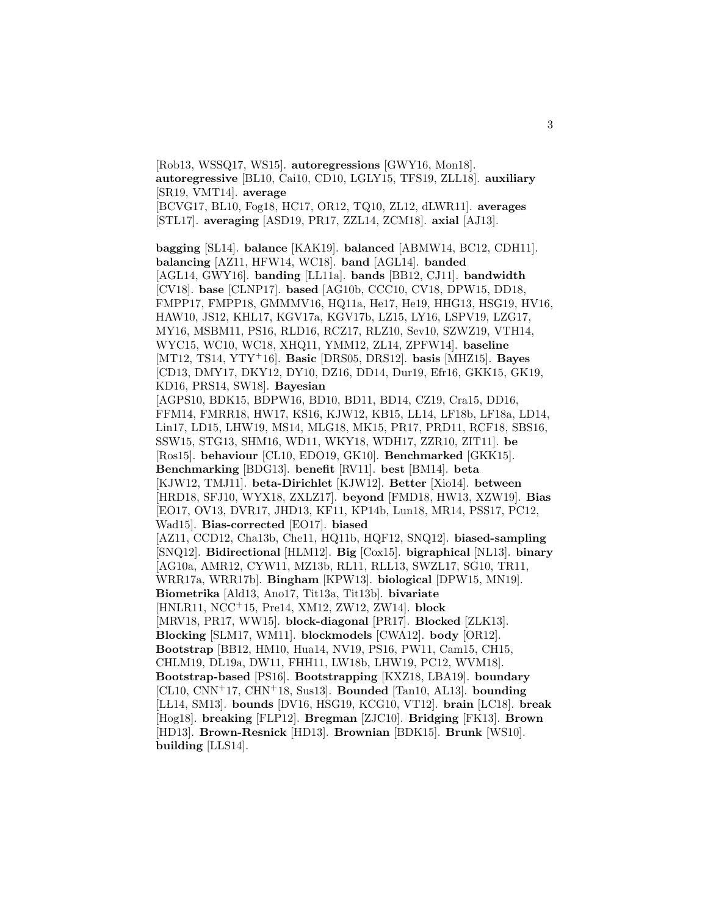[Rob13, WSSQ17, WS15]. **autoregressions** [GWY16, Mon18]. **autoregressive** [BL10, Cai10, CD10, LGLY15, TFS19, ZLL18]. **auxiliary** [SR19, VMT14]. **average** [BCVG17, BL10, Fog18, HC17, OR12, TQ10, ZL12, dLWR11]. **averages**

[STL17]. **averaging** [ASD19, PR17, ZZL14, ZCM18]. **axial** [AJ13].

**bagging** [SL14]. **balance** [KAK19]. **balanced** [ABMW14, BC12, CDH11]. **balancing** [AZ11, HFW14, WC18]. **band** [AGL14]. **banded** [AGL14, GWY16]. **banding** [LL11a]. **bands** [BB12, CJ11]. **bandwidth** [CV18]. **base** [CLNP17]. **based** [AG10b, CCC10, CV18, DPW15, DD18, FMPP17, FMPP18, GMMMV16, HQ11a, He17, He19, HHG13, HSG19, HV16, HAW10, JS12, KHL17, KGV17a, KGV17b, LZ15, LY16, LSPV19, LZG17, MY16, MSBM11, PS16, RLD16, RCZ17, RLZ10, Sev10, SZWZ19, VTH14, WYC15, WC10, WC18, XHQ11, YMM12, ZL14, ZPFW14]. **baseline** [MT12, TS14, YTY<sup>+</sup>16]. **Basic** [DRS05, DRS12]. **basis** [MHZ15]. **Bayes** [CD13, DMY17, DKY12, DY10, DZ16, DD14, Dur19, Efr16, GKK15, GK19, KD16, PRS14, SW18]. **Bayesian** [AGPS10, BDK15, BDPW16, BD10, BD11, BD14, CZ19, Cra15, DD16, FFM14, FMRR18, HW17, KS16, KJW12, KB15, LŁ14, LF18b, LF18a, LD14, Lin17, LD15, LHW19, MS14, MLG18, MK15, PR17, PRD11, RCF18, SBS16, SSW15, STG13, SHM16, WD11, WKY18, WDH17, ZZR10, ZIT11]. **be** [Ros15]. **behaviour** [CL10, EDO19, GK10]. **Benchmarked** [GKK15]. **Benchmarking** [BDG13]. **benefit** [RV11]. **best** [BM14]. **beta** [KJW12, TMJ11]. **beta-Dirichlet** [KJW12]. **Better** [Xio14]. **between** [HRD18, SFJ10, WYX18, ZXLZ17]. **beyond** [FMD18, HW13, XZW19]. **Bias** [EO17, OV13, DVR17, JHD13, KF11, KP14b, Lun18, MR14, PSS17, PC12, Wad15]. **Bias-corrected** [EO17]. **biased** [AZ11, CCD12, Cha13b, Che11, HQ11b, HQF12, SNQ12]. **biased-sampling** [SNQ12]. **Bidirectional** [HLM12]. **Big** [Cox15]. **bigraphical** [NL13]. **binary** [AG10a, AMR12, CYW11, MZ13b, RL11, RLL13, SWZL17, SG10, TR11, WRR17a, WRR17b]. **Bingham** [KPW13]. **biological** [DPW15, MN19]. **Biometrika** [Ald13, Ano17, Tit13a, Tit13b]. **bivariate** [HNLR11, NCC<sup>+</sup>15, Pre14, XM12, ZW12, ZW14]. **block** [MRV18, PR17, WW15]. **block-diagonal** [PR17]. **Blocked** [ZLK13]. **Blocking** [SLM17, WM11]. **blockmodels** [CWA12]. **body** [OR12]. **Bootstrap** [BB12, HM10, Hua14, NV19, PS16, PW11, Cam15, CH15, CHLM19, DL19a, DW11, FHH11, LW18b, LHW19, PC12, WVM18]. **Bootstrap-based** [PS16]. **Bootstrapping** [KXZ18, LBA19]. **boundary** [CL10, CNN<sup>+</sup>17, CHN<sup>+</sup>18, Sus13]. **Bounded** [Tan10, AL13]. **bounding** [L L14, SM13]. **bounds** [DV16, HSG19, KCG10, VT12]. **brain** [LC18]. **break** [Hog18]. **breaking** [FLP12]. **Bregman** [ZJC10]. **Bridging** [FK13]. **Brown** [HD13]. **Brown-Resnick** [HD13]. **Brownian** [BDK15]. **Brunk** [WS10]. **building** [LLS14].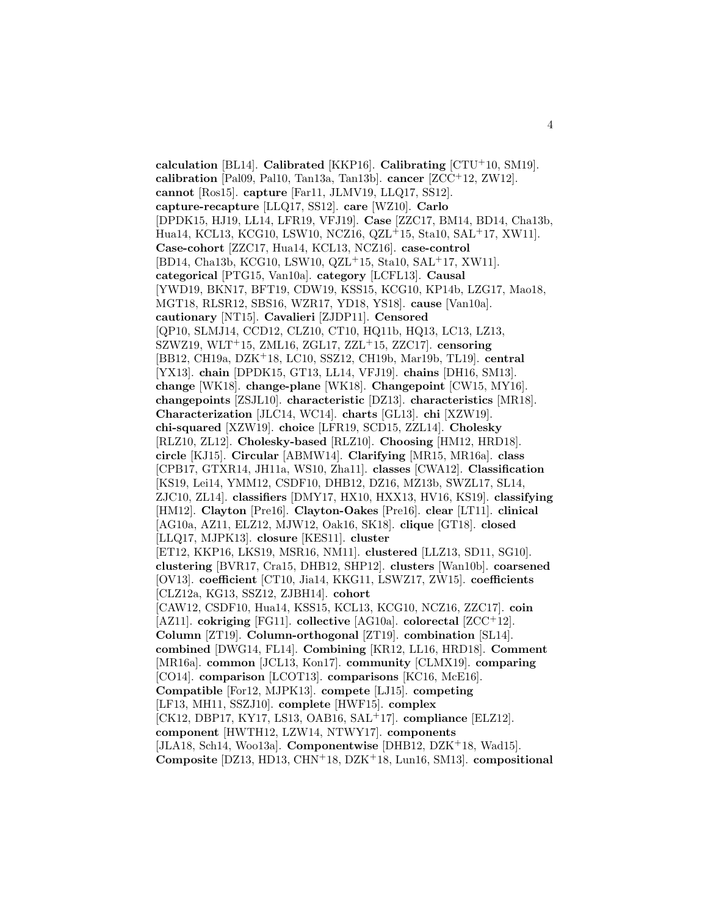**calculation** [BL14]. **Calibrated** [KKP16]. **Calibrating** [CTU<sup>+</sup>10, SM19]. **calibration** [Pal09, Pal10, Tan13a, Tan13b]. **cancer** [ZCC<sup>+</sup>12, ZW12]. **cannot** [Ros15]. **capture** [Far11, JLMV19, LLQ17, SS12]. **capture-recapture** [LLQ17, SS12]. **care** [WZ10]. **Carlo** [DPDK15, HJ19, L L14, LFR19, VFJ19]. **Case** [ZZC17, BM14, BD14, Cha13b, Hua14, KCL13, KCG10, LSW10, NCZ16, QZL<sup>+</sup>15, Sta10, SAL<sup>+</sup>17, XW11]. **Case-cohort** [ZZC17, Hua14, KCL13, NCZ16]. **case-control** [BD14, Cha13b, KCG10, LSW10, QZL<sup>+</sup>15, Sta10, SAL<sup>+</sup>17, XW11]. **categorical** [PTG15, Van10a]. **category** [LCFL13]. **Causal** [YWD19, BKN17, BFT19, CDW19, KSS15, KCG10, KP14b, LZG17, Mao18, MGT18, RLSR12, SBS16, WZR17, YD18, YS18]. **cause** [Van10a]. **cautionary** [NT15]. **Cavalieri** [ZJDP11]. **Censored** [QP10, SLMJ14, CCD12, CLZ10, CT10, HQ11b, HQ13, LC13, LZ13, SZWZ19, WLT<sup>+</sup>15, ZML16, ZGL17, ZZL<sup>+</sup>15, ZZC17]. **censoring** [BB12, CH19a, DZK<sup>+</sup>18, LC10, SSZ12, CH19b, Mar19b, TL19]. **central** [YX13]. **chain** [DPDK15, GT13, LL14, VFJ19]. **chains** [DH16, SM13]. **change** [WK18]. **change-plane** [WK18]. **Changepoint** [CW15, MY16]. **changepoints** [ZSJL10]. **characteristic** [DZ13]. **characteristics** [MR18]. **Characterization** [JLC14, WC14]. **charts** [GL13]. **chi** [XZW19]. **chi-squared** [XZW19]. **choice** [LFR19, SCD15, ZZL14]. **Cholesky** [RLZ10, ZL12]. **Cholesky-based** [RLZ10]. **Choosing** [HM12, HRD18]. **circle** [KJ15]. **Circular** [ABMW14]. **Clarifying** [MR15, MR16a]. **class** [CPB17, GTXR14, JH11a, WS10, Zha11]. **classes** [CWA12]. **Classification** [KS19, Lei14, YMM12, CSDF10, DHB12, DZ16, MZ13b, SWZL17, SL14, ZJC10, ZL14]. **classifiers** [DMY17, HX10, HXX13, HV16, KS19]. **classifying** [HM12]. **Clayton** [Pre16]. **Clayton-Oakes** [Pre16]. **clear** [LT11]. **clinical** [AG10a, AZ11, ELZ12, MJW12, Oak16, SK18]. **clique** [GT18]. **closed** [LLQ17, MJPK13]. **closure** [KES11]. **cluster** [ET12, KKP16, LKS19, MSR16, NM11]. **clustered** [LLZ13, SD11, SG10]. **clustering** [BVR17, Cra15, DHB12, SHP12]. **clusters** [Wan10b]. **coarsened** [OV13]. **coefficient** [CT10, Jia14, KKG11, LSWZ17, ZW15]. **coefficients** [CLZ12a, KG13, SSZ12, ZJBH14]. **cohort** [CAW12, CSDF10, Hua14, KSS15, KCL13, KCG10, NCZ16, ZZC17]. **coin** [AZ11]. **cokriging** [FG11]. **collective** [AG10a]. **colorectal** [ZCC<sup>+</sup>12]. **Column** [ZT19]. **Column-orthogonal** [ZT19]. **combination** [SL14]. **combined** [DWG14, FL14]. **Combining** [KR12, LL16, HRD18]. **Comment** [MR16a]. **common** [JCL13, Kon17]. **community** [CLMX19]. **comparing** [CO14]. **comparison** [LCOT13]. **comparisons** [KC16, McE16]. **Compatible** [For12, MJPK13]. **compete** [LJ15]. **competing** [LF13, MH11, SSZJ10]. **complete** [HWF15]. **complex** [CK12, DBP17, KY17, LS13, OAB16, SAL<sup>+</sup>17]. **compliance** [ELZ12]. **component** [HWTH12, LZW14, NTWY17]. **components** [JLA18, Sch14, Woo13a]. **Componentwise** [DHB12, DZK<sup>+</sup>18, Wad15]. **Composite** [DZ13, HD13, CHN<sup>+</sup>18, DZK<sup>+</sup>18, Lun16, SM13]. **compositional**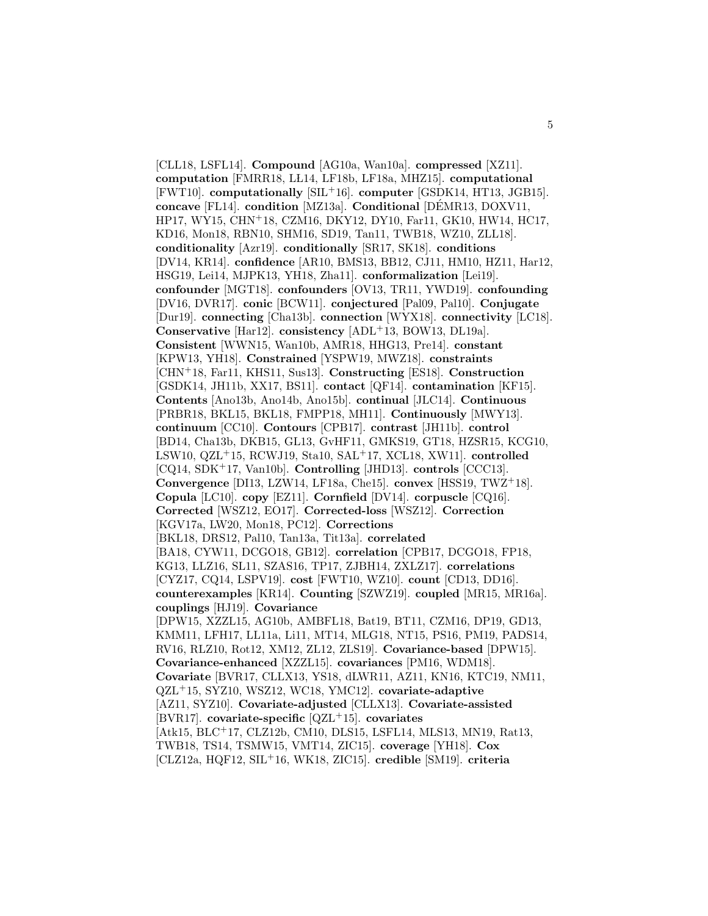[CLL18, LSFL14]. **Compound** [AG10a, Wan10a]. **compressed** [XZ11]. **computation** [FMRR18, LŁ14, LF18b, LF18a, MHZ15]. **computational** [FWT10]. **computationally** [SIL<sup>+</sup>16]. **computer** [GSDK14, HT13, JGB15]. **concave** [FL14]. **condition** [MZ13a]. **Conditional** [DÉMR13, DOXV11, HP17, WY15, CHN<sup>+</sup>18, CZM16, DKY12, DY10, Far11, GK10, HW14, HC17, KD16, Mon18, RBN10, SHM16, SD19, Tan11, TWB18, WZ10, ZLL18]. **conditionality** [Azr19]. **conditionally** [SR17, SK18]. **conditions** [DV14, KR14]. **confidence** [AR10, BMS13, BB12, CJ11, HM10, HZ11, Har12, HSG19, Lei14, MJPK13, YH18, Zha11]. **conformalization** [Lei19]. **confounder** [MGT18]. **confounders** [OV13, TR11, YWD19]. **confounding** [DV16, DVR17]. **conic** [BCW11]. **conjectured** [Pal09, Pal10]. **Conjugate** [Dur19]. **connecting** [Cha13b]. **connection** [WYX18]. **connectivity** [LC18]. **Conservative** [Har12]. **consistency** [ADL<sup>+</sup>13, BOW13, DL19a]. **Consistent** [WWN15, Wan10b, AMR18, HHG13, Pre14]. **constant** [KPW13, YH18]. **Constrained** [YSPW19, MWZ18]. **constraints** [CHN<sup>+</sup>18, Far11, KHS11, Sus13]. **Constructing** [ES18]. **Construction** [GSDK14, JH11b, XX17, BS11]. **contact** [QF14]. **contamination** [KF15]. **Contents** [Ano13b, Ano14b, Ano15b]. **continual** [JLC14]. **Continuous** [PRBR18, BKL15, BKL18, FMPP18, MH11]. **Continuously** [MWY13]. **continuum** [CC10]. **Contours** [CPB17]. **contrast** [JH11b]. **control** [BD14, Cha13b, DKB15, GL13, GvHF11, GMKS19, GT18, HZSR15, KCG10, LSW10, QZL<sup>+</sup>15, RCWJ19, Sta10, SAL<sup>+</sup>17, XCL18, XW11]. **controlled** [CQ14, SDK<sup>+</sup>17, Van10b]. **Controlling** [JHD13]. **controls** [CCC13]. **Convergence** [DI13, LZW14, LF18a, Che15]. **convex** [HSS19, TWZ<sup>+</sup>18]. **Copula** [LC10]. **copy** [EZ11]. **Cornfield** [DV14]. **corpuscle** [CQ16]. **Corrected** [WSZ12, EO17]. **Corrected-loss** [WSZ12]. **Correction** [KGV17a, LW20, Mon18, PC12]. **Corrections** [BKL18, DRS12, Pal10, Tan13a, Tit13a]. **correlated** [BA18, CYW11, DCGO18, GB12]. **correlation** [CPB17, DCGO18, FP18, KG13, LLZ16, SL11, SZAS16, TP17, ZJBH14, ZXLZ17]. **correlations** [CYZ17, CQ14, LSPV19]. **cost** [FWT10, WZ10]. **count** [CD13, DD16]. **counterexamples** [KR14]. **Counting** [SZWZ19]. **coupled** [MR15, MR16a]. **couplings** [HJ19]. **Covariance** [DPW15, XZZL15, AG10b, AMBFL18, Bat19, BT11, CZM16, DP19, GD13, KMM11, LFH17, LL11a, Li11, MT14, MLG18, NT15, PS16, PM19, PADS14, RV16, RLZ10, Rot12, XM12, ZL12, ZLS19]. **Covariance-based** [DPW15]. **Covariance-enhanced** [XZZL15]. **covariances** [PM16, WDM18]. **Covariate** [BVR17, CLLX13, YS18, dLWR11, AZ11, KN16, KTC19, NM11, QZL<sup>+</sup>15, SYZ10, WSZ12, WC18, YMC12]. **covariate-adaptive** [AZ11, SYZ10]. **Covariate-adjusted** [CLLX13]. **Covariate-assisted** [BVR17]. **covariate-specific** [QZL<sup>+</sup>15]. **covariates** [Atk15, BLC<sup>+</sup>17, CLZ12b, CM10, DLS15, LSFL14, MLS13, MN19, Rat13, TWB18, TS14, TSMW15, VMT14, ZIC15]. **coverage** [YH18]. **Cox** [CLZ12a, HQF12, SIL<sup>+</sup>16, WK18, ZIC15]. **credible** [SM19]. **criteria**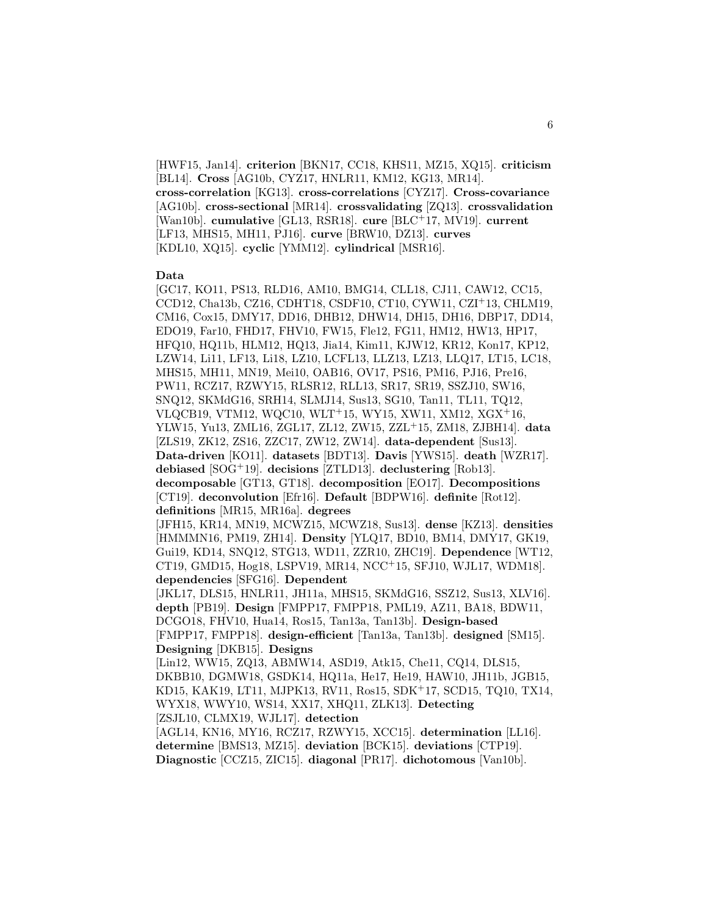[HWF15, Jan14]. **criterion** [BKN17, CC18, KHS11, MZ15, XQ15]. **criticism** [BL14]. **Cross** [AG10b, CYZ17, HNLR11, KM12, KG13, MR14]. **cross-correlation** [KG13]. **cross-correlations** [CYZ17]. **Cross-covariance** [AG10b]. **cross-sectional** [MR14]. **crossvalidating** [ZQ13]. **crossvalidation** [Wan10b]. **cumulative** [GL13, RSR18]. **cure** [BLC<sup>+</sup>17, MV19]. **current** [LF13, MHS15, MH11, PJ16]. **curve** [BRW10, DZ13]. **curves** [KDL10, XQ15]. **cyclic** [YMM12]. **cylindrical** [MSR16].

#### **Data**

[GC17, KO11, PS13, RLD16, AM10, BMG14, CLL18, CJ11, CAW12, CC15, CCD12, Cha13b, CZ16, CDHT18, CSDF10, CT10, CYW11, CZI<sup>+</sup>13, CHLM19, CM16, Cox15, DMY17, DD16, DHB12, DHW14, DH15, DH16, DBP17, DD14, EDO19, Far10, FHD17, FHV10, FW15, Fle12, FG11, HM12, HW13, HP17, HFQ10, HQ11b, HLM12, HQ13, Jia14, Kim11, KJW12, KR12, Kon17, KP12, LZW14, Li11, LF13, Li18, LZ10, LCFL13, LLZ13, LZ13, LLQ17, LT15, LC18, MHS15, MH11, MN19, Mei10, OAB16, OV17, PS16, PM16, PJ16, Pre16, PW11, RCZ17, RZWY15, RLSR12, RLL13, SR17, SR19, SSZJ10, SW16, SNQ12, SKMdG16, SRH14, SLMJ14, Sus13, SG10, Tan11, TL11, TQ12, VLQCB19, VTM12, WQC10, WLT<sup>+</sup>15, WY15, XW11, XM12, XGX<sup>+</sup>16, YLW15, Yu13, ZML16, ZGL17, ZL12, ZW15, ZZL<sup>+</sup>15, ZM18, ZJBH14]. **data** [ZLS19, ZK12, ZS16, ZZC17, ZW12, ZW14]. **data-dependent** [Sus13]. **Data-driven** [KO11]. **datasets** [BDT13]. **Davis** [YWS15]. **death** [WZR17]. **debiased** [SOG<sup>+</sup>19]. **decisions** [ZTLD13]. **declustering** [Rob13]. **decomposable** [GT13, GT18]. **decomposition** [EO17]. **Decompositions** [CT19]. **deconvolution** [Efr16]. **Default** [BDPW16]. **definite** [Rot12]. **definitions** [MR15, MR16a]. **degrees** [JFH15, KR14, MN19, MCWZ15, MCWZ18, Sus13]. **dense** [KZ13]. **densities** [HMMMN16, PM19, ZH14]. **Density** [YLQ17, BD10, BM14, DMY17, GK19, Gui19, KD14, SNQ12, STG13, WD11, ZZR10, ZHC19]. **Dependence** [WT12, CT19, GMD15, Hog18, LSPV19, MR14, NCC<sup>+</sup>15, SFJ10, WJL17, WDM18]. **dependencies** [SFG16]. **Dependent** [JKL17, DLS15, HNLR11, JH11a, MHS15, SKMdG16, SSZ12, Sus13, XLV16]. **depth** [PB19]. **Design** [FMPP17, FMPP18, PML19, AZ11, BA18, BDW11, DCGO18, FHV10, Hua14, Ros15, Tan13a, Tan13b]. **Design-based** [FMPP17, FMPP18]. **design-efficient** [Tan13a, Tan13b]. **designed** [SM15]. **Designing** [DKB15]. **Designs** [Lin12, WW15, ZQ13, ABMW14, ASD19, Atk15, Che11, CQ14, DLS15,

DKBB10, DGMW18, GSDK14, HQ11a, He17, He19, HAW10, JH11b, JGB15, KD15, KAK19, LT11, MJPK13, RV11, Ros15, SDK<sup>+</sup>17, SCD15, TQ10, TX14, WYX18, WWY10, WS14, XX17, XHQ11, ZLK13]. **Detecting** [ZSJL10, CLMX19, WJL17]. **detection**

[AGL14, KN16, MY16, RCZ17, RZWY15, XCC15]. **determination** [LL16]. **determine** [BMS13, MZ15]. **deviation** [BCK15]. **deviations** [CTP19]. **Diagnostic** [CCZ15, ZIC15]. **diagonal** [PR17]. **dichotomous** [Van10b].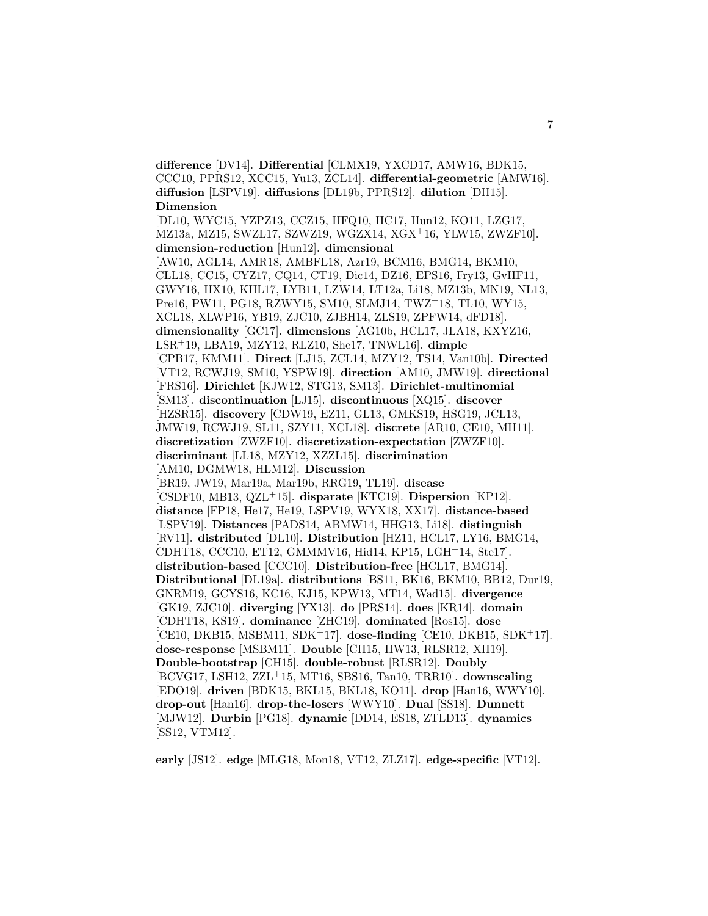**difference** [DV14]. **Differential** [CLMX19, YXCD17, AMW16, BDK15, CCC10, PPRS12, XCC15, Yu13, ZCL14]. **differential-geometric** [AMW16]. **diffusion** [LSPV19]. **diffusions** [DL19b, PPRS12]. **dilution** [DH15]. **Dimension**

[DL10, WYC15, YZPZ13, CCZ15, HFQ10, HC17, Hun12, KO11, LZG17, MZ13a, MZ15, SWZL17, SZWZ19, WGZX14, XGX<sup>+</sup>16, YLW15, ZWZF10]. **dimension-reduction** [Hun12]. **dimensional** [AW10, AGL14, AMR18, AMBFL18, Azr19, BCM16, BMG14, BKM10, CLL18, CC15, CYZ17, CQ14, CT19, Dic14, DZ16, EPS16, Fry13, GvHF11, GWY16, HX10, KHL17, LYB11, LZW14, LT12a, Li18, MZ13b, MN19, NL13, Pre16, PW11, PG18, RZWY15, SM10, SLMJ14, TWZ<sup>+</sup>18, TL10, WY15, XCL18, XLWP16, YB19, ZJC10, ZJBH14, ZLS19, ZPFW14, dFD18]. **dimensionality** [GC17]. **dimensions** [AG10b, HCL17, JLA18, KXYZ16, LSR<sup>+</sup>19, LBA19, MZY12, RLZ10, She17, TNWL16]. **dimple** [CPB17, KMM11]. **Direct** [LJ15, ZCL14, MZY12, TS14, Van10b]. **Directed** [VT12, RCWJ19, SM10, YSPW19]. **direction** [AM10, JMW19]. **directional** [FRS16]. **Dirichlet** [KJW12, STG13, SM13]. **Dirichlet-multinomial** [SM13]. **discontinuation** [LJ15]. **discontinuous** [XQ15]. **discover** [HZSR15]. **discovery** [CDW19, EZ11, GL13, GMKS19, HSG19, JCL13, JMW19, RCWJ19, SL11, SZY11, XCL18]. **discrete** [AR10, CE10, MH11]. **discretization** [ZWZF10]. **discretization-expectation** [ZWZF10]. **discriminant** [LL18, MZY12, XZZL15]. **discrimination** [AM10, DGMW18, HLM12]. **Discussion** [BR19, JW19, Mar19a, Mar19b, RRG19, TL19]. **disease** [CSDF10, MB13, QZL<sup>+</sup>15]. **disparate** [KTC19]. **Dispersion** [KP12]. **distance** [FP18, He17, He19, LSPV19, WYX18, XX17]. **distance-based** [LSPV19]. **Distances** [PADS14, ABMW14, HHG13, Li18]. **distinguish** [RV11]. **distributed** [DL10]. **Distribution** [HZ11, HCL17, LY16, BMG14, CDHT18, CCC10, ET12, GMMMV16, Hid14, KP15, LGH<sup>+</sup>14, Ste17]. **distribution-based** [CCC10]. **Distribution-free** [HCL17, BMG14]. **Distributional** [DL19a]. **distributions** [BS11, BK16, BKM10, BB12, Dur19, GNRM19, GCYS16, KC16, KJ15, KPW13, MT14, Wad15]. **divergence** [GK19, ZJC10]. **diverging** [YX13]. **do** [PRS14]. **does** [KR14]. **domain** [CDHT18, KS19]. **dominance** [ZHC19]. **dominated** [Ros15]. **dose** [CE10, DKB15, MSBM11, SDK<sup>+</sup>17]. **dose-finding** [CE10, DKB15, SDK<sup>+</sup>17]. **dose-response** [MSBM11]. **Double** [CH15, HW13, RLSR12, XH19]. **Double-bootstrap** [CH15]. **double-robust** [RLSR12]. **Doubly** [BCVG17, LSH12, ZZL<sup>+</sup>15, MT16, SBS16, Tan10, TRR10]. **downscaling** [EDO19]. **driven** [BDK15, BKL15, BKL18, KO11]. **drop** [Han16, WWY10]. **drop-out** [Han16]. **drop-the-losers** [WWY10]. **Dual** [SS18]. **Dunnett** [MJW12]. **Durbin** [PG18]. **dynamic** [DD14, ES18, ZTLD13]. **dynamics** [SS12, VTM12].

**early** [JS12]. **edge** [MLG18, Mon18, VT12, ZLZ17]. **edge-specific** [VT12].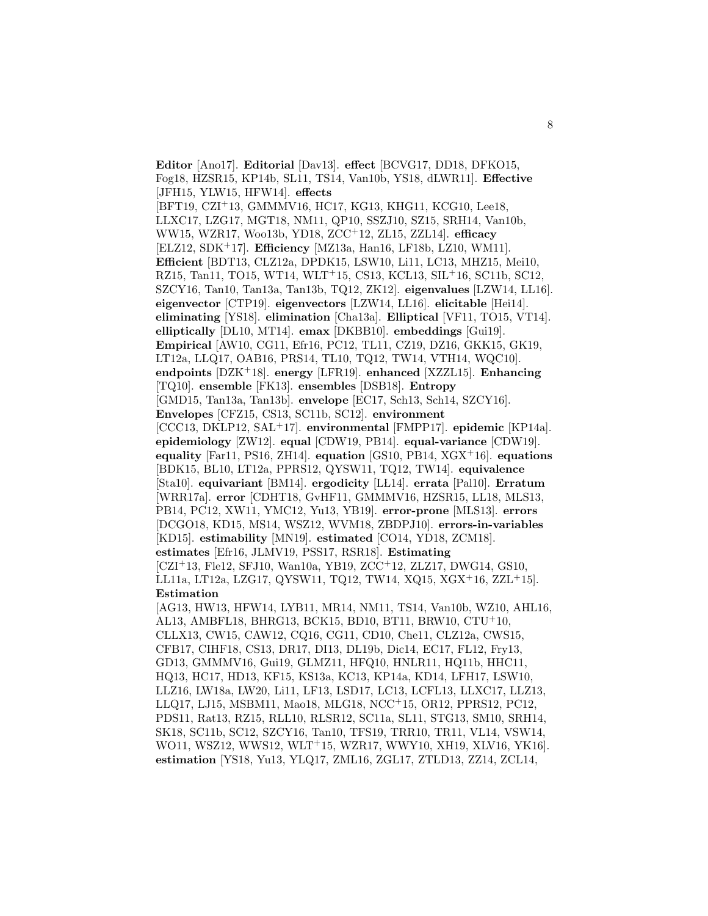**Editor** [Ano17]. **Editorial** [Dav13]. **effect** [BCVG17, DD18, DFKO15, Fog18, HZSR15, KP14b, SL11, TS14, Van10b, YS18, dLWR11]. **Effective** [JFH15, YLW15, HFW14]. **effects** [BFT19, CZI<sup>+</sup>13, GMMMV16, HC17, KG13, KHG11, KCG10, Lee18, LLXC17, LZG17, MGT18, NM11, QP10, SSZJ10, SZ15, SRH14, Van10b, WW15, WZR17, Woo13b, YD18, ZCC<sup>+</sup>12, ZL15, ZZL14]. **efficacy** [ELZ12, SDK<sup>+</sup>17]. **Efficiency** [MZ13a, Han16, LF18b, LZ10, WM11]. **Efficient** [BDT13, CLZ12a, DPDK15, LSW10, Li11, LC13, MHZ15, Mei10, RZ15, Tan11, TO15, WT14, WLT<sup>+</sup>15, CS13, KCL13, SIL<sup>+</sup>16, SC11b, SC12, SZCY16, Tan10, Tan13a, Tan13b, TQ12, ZK12]. **eigenvalues** [LZW14, LL16]. **eigenvector** [CTP19]. **eigenvectors** [LZW14, LL16]. **elicitable** [Hei14]. **eliminating** [YS18]. **elimination** [Cha13a]. **Elliptical** [VF11, TO15, VT14]. **elliptically** [DL10, MT14]. **emax** [DKBB10]. **embeddings** [Gui19]. **Empirical** [AW10, CG11, Efr16, PC12, TL11, CZ19, DZ16, GKK15, GK19, LT12a, LLQ17, OAB16, PRS14, TL10, TQ12, TW14, VTH14, WQC10]. **endpoints** [DZK<sup>+</sup>18]. **energy** [LFR19]. **enhanced** [XZZL15]. **Enhancing** [TQ10]. **ensemble** [FK13]. **ensembles** [DSB18]. **Entropy** [GMD15, Tan13a, Tan13b]. **envelope** [EC17, Sch13, Sch14, SZCY16]. **Envelopes** [CFZ15, CS13, SC11b, SC12]. **environment** [CCC13, DKLP12, SAL<sup>+</sup>17]. **environmental** [FMPP17]. **epidemic** [KP14a]. **epidemiology** [ZW12]. **equal** [CDW19, PB14]. **equal-variance** [CDW19]. **equality** [Far11, PS16, ZH14]. **equation** [GS10, PB14, XGX<sup>+</sup>16]. **equations** [BDK15, BL10, LT12a, PPRS12, QYSW11, TQ12, TW14]. **equivalence** [Sta10]. **equivariant** [BM14]. **ergodicity** [L L14]. **errata** [Pal10]. **Erratum** [WRR17a]. **error** [CDHT18, GvHF11, GMMMV16, HZSR15, LL18, MLS13, PB14, PC12, XW11, YMC12, Yu13, YB19]. **error-prone** [MLS13]. **errors** [DCGO18, KD15, MS14, WSZ12, WVM18, ZBDPJ10]. **errors-in-variables** [KD15]. **estimability** [MN19]. **estimated** [CO14, YD18, ZCM18]. **estimates** [Efr16, JLMV19, PSS17, RSR18]. **Estimating** [CZI<sup>+</sup>13, Fle12, SFJ10, Wan10a, YB19, ZCC<sup>+</sup>12, ZLZ17, DWG14, GS10, LL11a, LT12a, LZG17, QYSW11, TQ12, TW14, XQ15, XGX<sup>+</sup>16, ZZL<sup>+</sup>15]. **Estimation** [AG13, HW13, HFW14, LYB11, MR14, NM11, TS14, Van10b, WZ10, AHL16, AL13, AMBFL18, BHRG13, BCK15, BD10, BT11, BRW10, CTU<sup>+</sup>10, CLLX13, CW15, CAW12, CQ16, CG11, CD10, Che11, CLZ12a, CWS15, CFB17, CIHF18, CS13, DR17, DI13, DL19b, Dic14, EC17, FL12, Fry13, GD13, GMMMV16, Gui19, GLMZ11, HFQ10, HNLR11, HQ11b, HHC11, HQ13, HC17, HD13, KF15, KS13a, KC13, KP14a, KD14, LFH17, LSW10, LLZ16, LW18a, LW20, Li11, LF13, LSD17, LC13, LCFL13, LLXC17, LLZ13, LLQ17, LJ15, MSBM11, Mao18, MLG18, NCC<sup>+</sup>15, OR12, PPRS12, PC12, PDS11, Rat13, RZ15, RLL10, RLSR12, SC11a, SL11, STG13, SM10, SRH14, SK18, SC11b, SC12, SZCY16, Tan10, TFS19, TRR10, TR11, VL14, VSW14, WO11, WSZ12, WWS12, WLT<sup>+</sup>15, WZR17, WWY10, XH19, XLV16, YK16].

**estimation** [YS18, Yu13, YLQ17, ZML16, ZGL17, ZTLD13, ZZ14, ZCL14,

8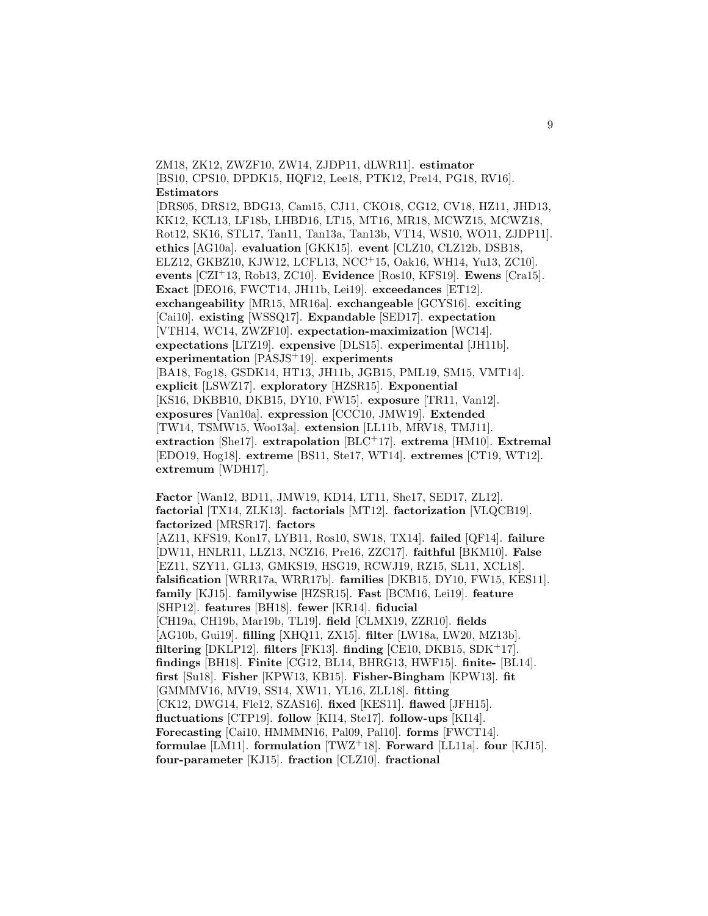ZM18, ZK12, ZWZF10, ZW14, ZJDP11, dLWR11]. **estimator** [BS10, CPS10, DPDK15, HQF12, Lee18, PTK12, Pre14, PG18, RV16]. **Estimators**

[DRS05, DRS12, BDG13, Cam15, CJ11, CKO18, CG12, CV18, HZ11, JHD13, KK12, KCL13, LF18b, LHBD16, LT15, MT16, MR18, MCWZ15, MCWZ18, Rot12, SK16, STL17, Tan11, Tan13a, Tan13b, VT14, WS10, WO11, ZJDP11]. **ethics** [AG10a]. **evaluation** [GKK15]. **event** [CLZ10, CLZ12b, DSB18, ELZ12, GKBZ10, KJW12, LCFL13, NCC<sup>+</sup>15, Oak16, WH14, Yu13, ZC10]. **events** [CZI<sup>+</sup>13, Rob13, ZC10]. **Evidence** [Ros10, KFS19]. **Ewens** [Cra15]. **Exact** [DEO16, FWCT14, JH11b, Lei19]. **exceedances** [ET12]. **exchangeability** [MR15, MR16a]. **exchangeable** [GCYS16]. **exciting** [Cai10]. **existing** [WSSQ17]. **Expandable** [SED17]. **expectation** [VTH14, WC14, ZWZF10]. **expectation-maximization** [WC14]. **expectations** [LTZ19]. **expensive** [DLS15]. **experimental** [JH11b]. **experimentation** [PASJS<sup>+</sup>19]. **experiments** [BA18, Fog18, GSDK14, HT13, JH11b, JGB15, PML19, SM15, VMT14]. **explicit** [LSWZ17]. **exploratory** [HZSR15]. **Exponential** [KS16, DKBB10, DKB15, DY10, FW15]. **exposure** [TR11, Van12]. **exposures** [Van10a]. **expression** [CCC10, JMW19]. **Extended** [TW14, TSMW15, Woo13a]. **extension** [LL11b, MRV18, TMJ11]. **extraction** [She17]. **extrapolation** [BLC<sup>+</sup>17]. **extrema** [HM10]. **Extremal** [EDO19, Hog18]. **extreme** [BS11, Ste17, WT14]. **extremes** [CT19, WT12]. **extremum** [WDH17].

**Factor** [Wan12, BD11, JMW19, KD14, LT11, She17, SED17, ZL12]. **factorial** [TX14, ZLK13]. **factorials** [MT12]. **factorization** [VLQCB19]. **factorized** [MRSR17]. **factors** [AZ11, KFS19, Kon17, LYB11, Ros10, SW18, TX14]. **failed** [QF14]. **failure** [DW11, HNLR11, LLZ13, NCZ16, Pre16, ZZC17]. **faithful** [BKM10]. **False** [EZ11, SZY11, GL13, GMKS19, HSG19, RCWJ19, RZ15, SL11, XCL18]. **falsification** [WRR17a, WRR17b]. **families** [DKB15, DY10, FW15, KES11]. **family** [KJ15]. **familywise** [HZSR15]. **Fast** [BCM16, Lei19]. **feature** [SHP12]. **features** [BH18]. **fewer** [KR14]. **fiducial** [CH19a, CH19b, Mar19b, TL19]. **field** [CLMX19, ZZR10]. **fields**

[AG10b, Gui19]. **filling** [XHQ11, ZX15]. **filter** [LW18a, LW20, MZ13b]. **filtering** [DKLP12]. **filters** [FK13]. **finding** [CE10, DKB15, SDK<sup>+</sup>17]. **findings** [BH18]. **Finite** [CG12, BL14, BHRG13, HWF15]. **finite-** [BL14]. **first** [Su18]. **Fisher** [KPW13, KB15]. **Fisher-Bingham** [KPW13]. **fit** [GMMMV16, MV19, SS14, XW11, YL16, ZLL18]. **fitting** [CK12, DWG14, Fle12, SZAS16]. **fixed** [KES11]. **flawed** [JFH15]. **fluctuations** [CTP19]. **follow** [KI14, Ste17]. **follow-ups** [KI14]. **Forecasting** [Cai10, HMMMN16, Pal09, Pal10]. **forms** [FWCT14]. **formulae** [LM11]. **formulation** [TWZ<sup>+</sup>18]. **Forward** [LL11a]. **four** [KJ15]. **four-parameter** [KJ15]. **fraction** [CLZ10]. **fractional**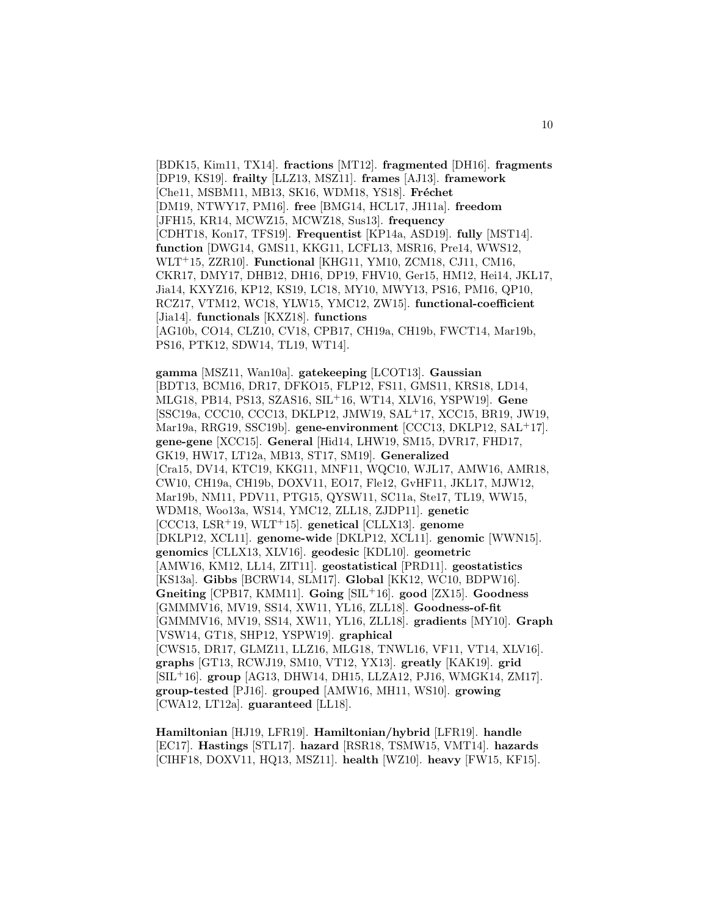[BDK15, Kim11, TX14]. **fractions** [MT12]. **fragmented** [DH16]. **fragments** [DP19, KS19]. **frailty** [LLZ13, MSZ11]. **frames** [AJ13]. **framework** [Che11, MSBM11, MB13, SK16, WDM18, YS18]. **Fréchet** [DM19, NTWY17, PM16]. **free** [BMG14, HCL17, JH11a]. **freedom** [JFH15, KR14, MCWZ15, MCWZ18, Sus13]. **frequency** [CDHT18, Kon17, TFS19]. **Frequentist** [KP14a, ASD19]. **fully** [MST14]. **function** [DWG14, GMS11, KKG11, LCFL13, MSR16, Pre14, WWS12, WLT<sup>+</sup>15, ZZR10]. **Functional** [KHG11, YM10, ZCM18, CJ11, CM16, CKR17, DMY17, DHB12, DH16, DP19, FHV10, Ger15, HM12, Hei14, JKL17, Jia14, KXYZ16, KP12, KS19, LC18, MY10, MWY13, PS16, PM16, QP10, RCZ17, VTM12, WC18, YLW15, YMC12, ZW15]. **functional-coefficient** [Jia14]. **functionals** [KXZ18]. **functions** [AG10b, CO14, CLZ10, CV18, CPB17, CH19a, CH19b, FWCT14, Mar19b, PS16, PTK12, SDW14, TL19, WT14].

**gamma** [MSZ11, Wan10a]. **gatekeeping** [LCOT13]. **Gaussian** [BDT13, BCM16, DR17, DFKO15, FLP12, FS11, GMS11, KRS18, LD14, MLG18, PB14, PS13, SZAS16, SIL<sup>+</sup>16, WT14, XLV16, YSPW19]. **Gene** [SSC19a, CCC10, CCC13, DKLP12, JMW19, SAL<sup>+</sup>17, XCC15, BR19, JW19, Mar19a, RRG19, SSC19b]. **gene-environment** [CCC13, DKLP12, SAL<sup>+</sup>17]. **gene-gene** [XCC15]. **General** [Hid14, LHW19, SM15, DVR17, FHD17, GK19, HW17, LT12a, MB13, ST17, SM19]. **Generalized** [Cra15, DV14, KTC19, KKG11, MNF11, WQC10, WJL17, AMW16, AMR18, CW10, CH19a, CH19b, DOXV11, EO17, Fle12, GvHF11, JKL17, MJW12, Mar19b, NM11, PDV11, PTG15, QYSW11, SC11a, Ste17, TL19, WW15, WDM18, Woo13a, WS14, YMC12, ZLL18, ZJDP11]. **genetic** [CCC13, LSR<sup>+</sup>19, WLT<sup>+</sup>15]. **genetical** [CLLX13]. **genome** [DKLP12, XCL11]. **genome-wide** [DKLP12, XCL11]. **genomic** [WWN15]. **genomics** [CLLX13, XLV16]. **geodesic** [KDL10]. **geometric** [AMW16, KM12, LL14, ZIT11]. geostatistical [PRD11]. geostatistics [KS13a]. **Gibbs** [BCRW14, SLM17]. **Global** [KK12, WC10, BDPW16]. **Gneiting** [CPB17, KMM11]. **Going** [SIL<sup>+</sup>16]. **good** [ZX15]. **Goodness** [GMMMV16, MV19, SS14, XW11, YL16, ZLL18]. **Goodness-of-fit** [GMMMV16, MV19, SS14, XW11, YL16, ZLL18]. **gradients** [MY10]. **Graph** [VSW14, GT18, SHP12, YSPW19]. **graphical** [CWS15, DR17, GLMZ11, LLZ16, MLG18, TNWL16, VF11, VT14, XLV16]. **graphs** [GT13, RCWJ19, SM10, VT12, YX13]. **greatly** [KAK19]. **grid** [SIL<sup>+</sup>16]. **group** [AG13, DHW14, DH15, LLZA12, PJ16, WMGK14, ZM17]. **group-tested** [PJ16]. **grouped** [AMW16, MH11, WS10]. **growing** [CWA12, LT12a]. **guaranteed** [LL18].

**Hamiltonian** [HJ19, LFR19]. **Hamiltonian/hybrid** [LFR19]. **handle** [EC17]. **Hastings** [STL17]. **hazard** [RSR18, TSMW15, VMT14]. **hazards** [CIHF18, DOXV11, HQ13, MSZ11]. **health** [WZ10]. **heavy** [FW15, KF15].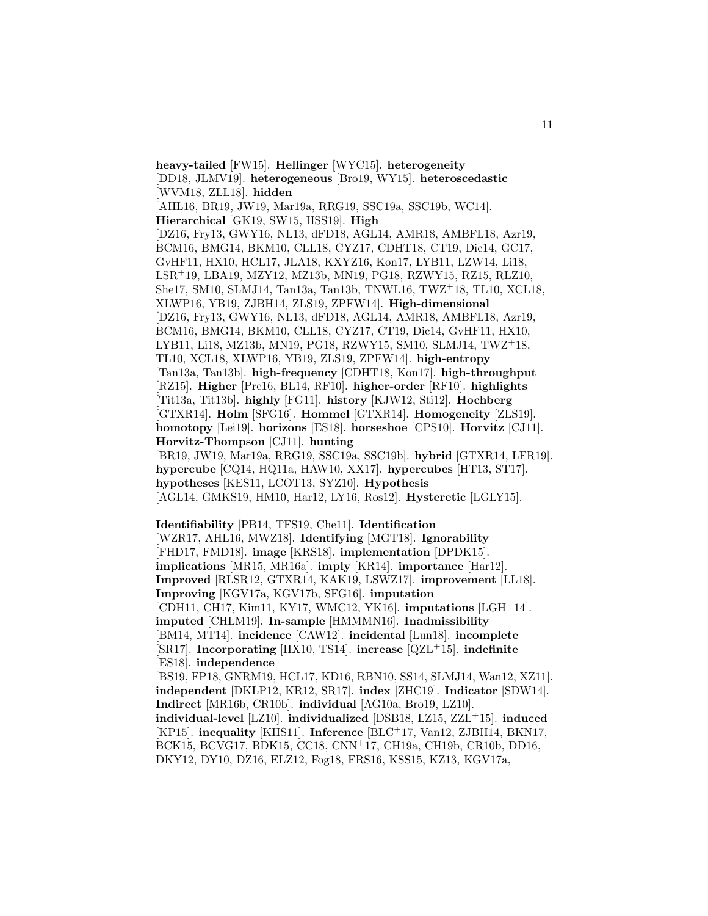**heavy-tailed** [FW15]. **Hellinger** [WYC15]. **heterogeneity** [DD18, JLMV19]. **heterogeneous** [Bro19, WY15]. **heteroscedastic** [WVM18, ZLL18]. **hidden** [AHL16, BR19, JW19, Mar19a, RRG19, SSC19a, SSC19b, WC14]. **Hierarchical** [GK19, SW15, HSS19]. **High** [DZ16, Fry13, GWY16, NL13, dFD18, AGL14, AMR18, AMBFL18, Azr19, BCM16, BMG14, BKM10, CLL18, CYZ17, CDHT18, CT19, Dic14, GC17, GvHF11, HX10, HCL17, JLA18, KXYZ16, Kon17, LYB11, LZW14, Li18, LSR<sup>+</sup>19, LBA19, MZY12, MZ13b, MN19, PG18, RZWY15, RZ15, RLZ10, She17, SM10, SLMJ14, Tan13a, Tan13b, TNWL16, TWZ<sup>+</sup>18, TL10, XCL18, XLWP16, YB19, ZJBH14, ZLS19, ZPFW14]. **High-dimensional** [DZ16, Fry13, GWY16, NL13, dFD18, AGL14, AMR18, AMBFL18, Azr19, BCM16, BMG14, BKM10, CLL18, CYZ17, CT19, Dic14, GvHF11, HX10, LYB11, Li18, MZ13b, MN19, PG18, RZWY15, SM10, SLMJ14, TWZ<sup>+</sup>18, TL10, XCL18, XLWP16, YB19, ZLS19, ZPFW14]. **high-entropy** [Tan13a, Tan13b]. **high-frequency** [CDHT18, Kon17]. **high-throughput** [RZ15]. **Higher** [Pre16, BL14, RF10]. **higher-order** [RF10]. **highlights** [Tit13a, Tit13b]. **highly** [FG11]. **history** [KJW12, Sti12]. **Hochberg** [GTXR14]. **Holm** [SFG16]. **Hommel** [GTXR14]. **Homogeneity** [ZLS19]. **homotopy** [Lei19]. **horizons** [ES18]. **horseshoe** [CPS10]. **Horvitz** [CJ11]. **Horvitz-Thompson** [CJ11]. **hunting** [BR19, JW19, Mar19a, RRG19, SSC19a, SSC19b]. **hybrid** [GTXR14, LFR19]. **hypercube** [CQ14, HQ11a, HAW10, XX17]. **hypercubes** [HT13, ST17]. **hypotheses** [KES11, LCOT13, SYZ10]. **Hypothesis** [AGL14, GMKS19, HM10, Har12, LY16, Ros12]. **Hysteretic** [LGLY15].

**Identifiability** [PB14, TFS19, Che11]. **Identification** [WZR17, AHL16, MWZ18]. **Identifying** [MGT18]. **Ignorability** [FHD17, FMD18]. **image** [KRS18]. **implementation** [DPDK15]. **implications** [MR15, MR16a]. **imply** [KR14]. **importance** [Har12]. **Improved** [RLSR12, GTXR14, KAK19, LSWZ17]. **improvement** [LL18]. **Improving** [KGV17a, KGV17b, SFG16]. **imputation** [CDH11, CH17, Kim11, KY17, WMC12, YK16]. **imputations** [LGH<sup>+</sup>14]. **imputed** [CHLM19]. **In-sample** [HMMMN16]. **Inadmissibility** [BM14, MT14]. **incidence** [CAW12]. **incidental** [Lun18]. **incomplete** [SR17]. **Incorporating** [HX10, TS14]. **increase** [QZL<sup>+</sup>15]. **indefinite** [ES18]. **independence** [BS19, FP18, GNRM19, HCL17, KD16, RBN10, SS14, SLMJ14, Wan12, XZ11]. **independent** [DKLP12, KR12, SR17]. **index** [ZHC19]. **Indicator** [SDW14]. **Indirect** [MR16b, CR10b]. **individual** [AG10a, Bro19, LZ10]. **individual-level** [LZ10]. **individualized** [DSB18, LZ15, ZZL<sup>+</sup>15]. **induced** [KP15]. **inequality** [KHS11]. **Inference** [BLC<sup>+</sup>17, Van12, ZJBH14, BKN17, BCK15, BCVG17, BDK15, CC18, CNN<sup>+</sup>17, CH19a, CH19b, CR10b, DD16, DKY12, DY10, DZ16, ELZ12, Fog18, FRS16, KSS15, KZ13, KGV17a,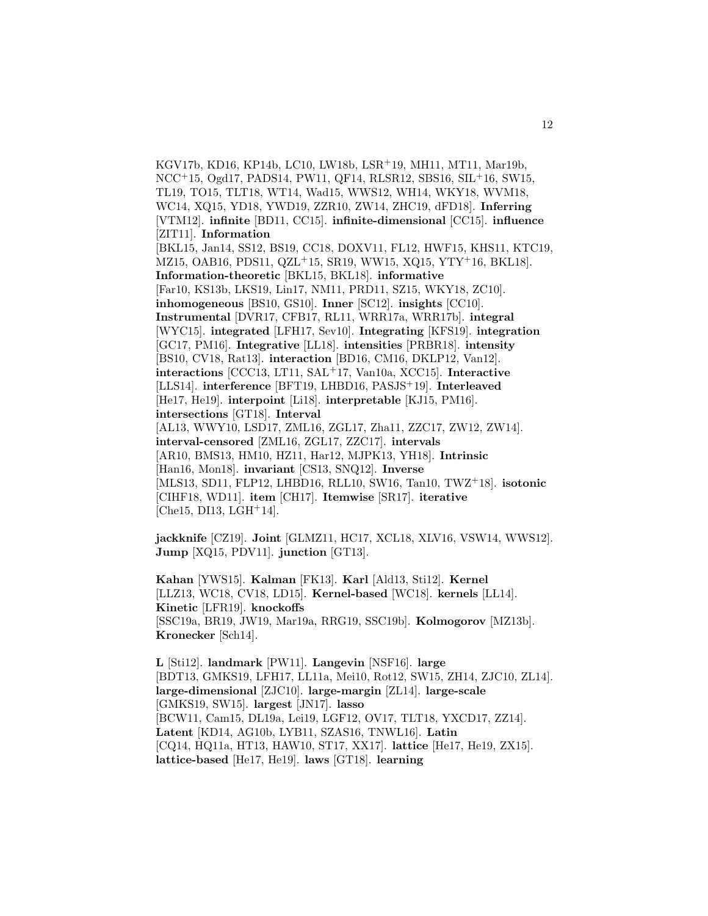KGV17b, KD16, KP14b, LC10, LW18b, LSR<sup>+</sup>19, MH11, MT11, Mar19b, NCC<sup>+</sup>15, Ogd17, PADS14, PW11, QF14, RLSR12, SBS16, SIL<sup>+</sup>16, SW15, TL19, TO15, TLT18, WT14, Wad15, WWS12, WH14, WKY18, WVM18, WC14, XQ15, YD18, YWD19, ZZR10, ZW14, ZHC19, dFD18]. **Inferring** [VTM12]. **infinite** [BD11, CC15]. **infinite-dimensional** [CC15]. **influence** [ZIT11]. **Information** [BKL15, Jan14, SS12, BS19, CC18, DOXV11, FL12, HWF15, KHS11, KTC19, MZ15, OAB16, PDS11, QZL<sup>+</sup>15, SR19, WW15, XQ15, YTY<sup>+</sup>16, BKL18]. **Information-theoretic** [BKL15, BKL18]. **informative** [Far10, KS13b, LKS19, Lin17, NM11, PRD11, SZ15, WKY18, ZC10]. **inhomogeneous** [BS10, GS10]. **Inner** [SC12]. **insights** [CC10]. **Instrumental** [DVR17, CFB17, RL11, WRR17a, WRR17b]. **integral** [WYC15]. **integrated** [LFH17, Sev10]. **Integrating** [KFS19]. **integration** [GC17, PM16]. **Integrative** [LL18]. **intensities** [PRBR18]. **intensity** [BS10, CV18, Rat13]. **interaction** [BD16, CM16, DKLP12, Van12]. **interactions** [CCC13, LT11, SAL<sup>+</sup>17, Van10a, XCC15]. **Interactive** [LLS14]. **interference** [BFT19, LHBD16, PASJS<sup>+</sup>19]. **Interleaved** [He17, He19]. **interpoint** [Li18]. **interpretable** [KJ15, PM16]. **intersections** [GT18]. **Interval** [AL13, WWY10, LSD17, ZML16, ZGL17, Zha11, ZZC17, ZW12, ZW14]. **interval-censored** [ZML16, ZGL17, ZZC17]. **intervals** [AR10, BMS13, HM10, HZ11, Har12, MJPK13, YH18]. **Intrinsic** [Han16, Mon18]. **invariant** [CS13, SNQ12]. **Inverse** [MLS13, SD11, FLP12, LHBD16, RLL10, SW16, Tan10, TWZ<sup>+</sup>18]. **isotonic** [CIHF18, WD11]. **item** [CH17]. **Itemwise** [SR17]. **iterative**  $[Che15, D113, LGH<sup>+</sup>14].$ 

**jackknife** [CZ19]. **Joint** [GLMZ11, HC17, XCL18, XLV16, VSW14, WWS12]. **Jump** [XQ15, PDV11]. **junction** [GT13].

**Kahan** [YWS15]. **Kalman** [FK13]. **Karl** [Ald13, Sti12]. **Kernel** [LLZ13, WC18, CV18, LD15]. **Kernel-based** [WC18]. **kernels** [LL14]. **Kinetic** [LFR19]. **knockoffs** [SSC19a, BR19, JW19, Mar19a, RRG19, SSC19b]. **Kolmogorov** [MZ13b]. **Kronecker** [Sch14].

**L** [Sti12]. **landmark** [PW11]. **Langevin** [NSF16]. **large** [BDT13, GMKS19, LFH17, LL11a, Mei10, Rot12, SW15, ZH14, ZJC10, ZL14]. **large-dimensional** [ZJC10]. **large-margin** [ZL14]. **large-scale** [GMKS19, SW15]. **largest** [JN17]. **lasso** [BCW11, Cam15, DL19a, Lei19, LGF12, OV17, TLT18, YXCD17, ZZ14]. **Latent** [KD14, AG10b, LYB11, SZAS16, TNWL16]. **Latin** [CQ14, HQ11a, HT13, HAW10, ST17, XX17]. **lattice** [He17, He19, ZX15]. **lattice-based** [He17, He19]. **laws** [GT18]. **learning**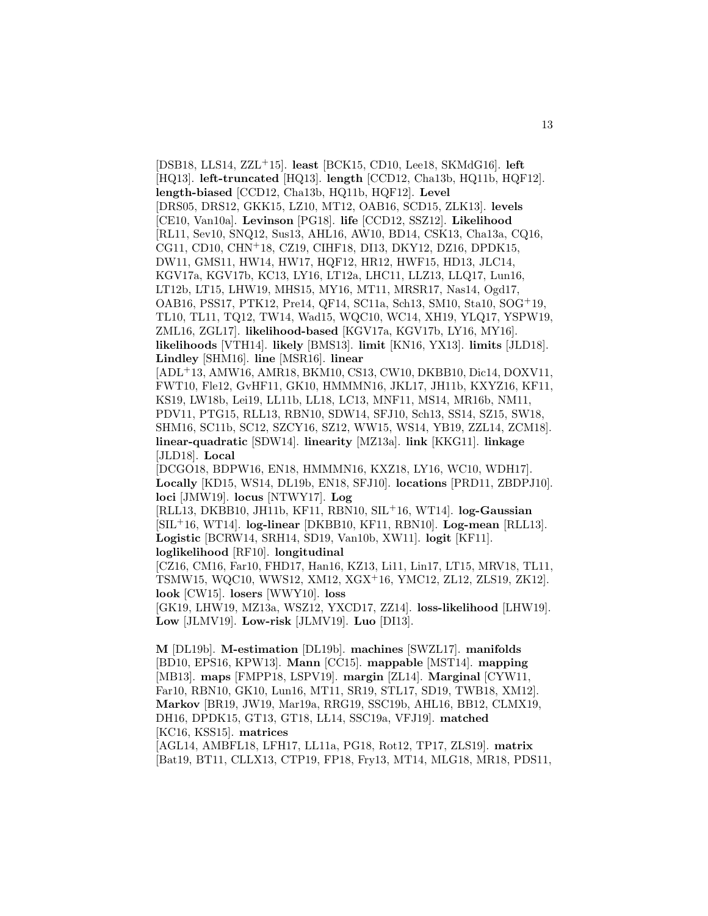[DSB18, LLS14, ZZL<sup>+</sup>15]. **least** [BCK15, CD10, Lee18, SKMdG16]. **left** [HQ13]. **left-truncated** [HQ13]. **length** [CCD12, Cha13b, HQ11b, HQF12]. **length-biased** [CCD12, Cha13b, HQ11b, HQF12]. **Level** [DRS05, DRS12, GKK15, LZ10, MT12, OAB16, SCD15, ZLK13]. **levels** [CE10, Van10a]. **Levinson** [PG18]. **life** [CCD12, SSZ12]. **Likelihood** [RL11, Sev10, SNQ12, Sus13, AHL16, AW10, BD14, CSK13, Cha13a, CQ16, CG11, CD10, CHN<sup>+</sup>18, CZ19, CIHF18, DI13, DKY12, DZ16, DPDK15, DW11, GMS11, HW14, HW17, HQF12, HR12, HWF15, HD13, JLC14, KGV17a, KGV17b, KC13, LY16, LT12a, LHC11, LLZ13, LLQ17, Lun16, LT12b, LT15, LHW19, MHS15, MY16, MT11, MRSR17, Nas14, Ogd17, OAB16, PSS17, PTK12, Pre14, QF14, SC11a, Sch13, SM10, Sta10, SOG<sup>+</sup>19, TL10, TL11, TQ12, TW14, Wad15, WQC10, WC14, XH19, YLQ17, YSPW19, ZML16, ZGL17]. **likelihood-based** [KGV17a, KGV17b, LY16, MY16]. **likelihoods** [VTH14]. **likely** [BMS13]. **limit** [KN16, YX13]. **limits** [JLD18]. **Lindley** [SHM16]. **line** [MSR16]. **linear**

[ADL<sup>+</sup>13, AMW16, AMR18, BKM10, CS13, CW10, DKBB10, Dic14, DOXV11, FWT10, Fle12, GvHF11, GK10, HMMMN16, JKL17, JH11b, KXYZ16, KF11, KS19, LW18b, Lei19, LL11b, LL18, LC13, MNF11, MS14, MR16b, NM11, PDV11, PTG15, RLL13, RBN10, SDW14, SFJ10, Sch13, SS14, SZ15, SW18, SHM16, SC11b, SC12, SZCY16, SZ12, WW15, WS14, YB19, ZZL14, ZCM18]. **linear-quadratic** [SDW14]. **linearity** [MZ13a]. **link** [KKG11]. **linkage** [JLD18]. **Local**

[DCGO18, BDPW16, EN18, HMMMN16, KXZ18, LY16, WC10, WDH17]. **Locally** [KD15, WS14, DL19b, EN18, SFJ10]. **locations** [PRD11, ZBDPJ10]. **loci** [JMW19]. **locus** [NTWY17]. **Log**

[RLL13, DKBB10, JH11b, KF11, RBN10, SIL<sup>+</sup>16, WT14]. **log-Gaussian** [SIL<sup>+</sup>16, WT14]. **log-linear** [DKBB10, KF11, RBN10]. **Log-mean** [RLL13]. **Logistic** [BCRW14, SRH14, SD19, Van10b, XW11]. **logit** [KF11]. **loglikelihood** [RF10]. **longitudinal**

[CZ16, CM16, Far10, FHD17, Han16, KZ13, Li11, Lin17, LT15, MRV18, TL11, TSMW15, WQC10, WWS12, XM12, XGX<sup>+</sup>16, YMC12, ZL12, ZLS19, ZK12]. **look** [CW15]. **losers** [WWY10]. **loss**

[GK19, LHW19, MZ13a, WSZ12, YXCD17, ZZ14]. **loss-likelihood** [LHW19]. **Low** [JLMV19]. **Low-risk** [JLMV19]. **Luo** [DI13].

**M** [DL19b]. **M-estimation** [DL19b]. **machines** [SWZL17]. **manifolds** [BD10, EPS16, KPW13]. **Mann** [CC15]. **mappable** [MST14]. **mapping** [MB13]. **maps** [FMPP18, LSPV19]. **margin** [ZL14]. **Marginal** [CYW11, Far10, RBN10, GK10, Lun16, MT11, SR19, STL17, SD19, TWB18, XM12]. **Markov** [BR19, JW19, Mar19a, RRG19, SSC19b, AHL16, BB12, CLMX19, DH16, DPDK15, GT13, GT18, LL14, SSC19a, VFJ19]. matched [KC16, KSS15]. **matrices**

[AGL14, AMBFL18, LFH17, LL11a, PG18, Rot12, TP17, ZLS19]. **matrix** [Bat19, BT11, CLLX13, CTP19, FP18, Fry13, MT14, MLG18, MR18, PDS11,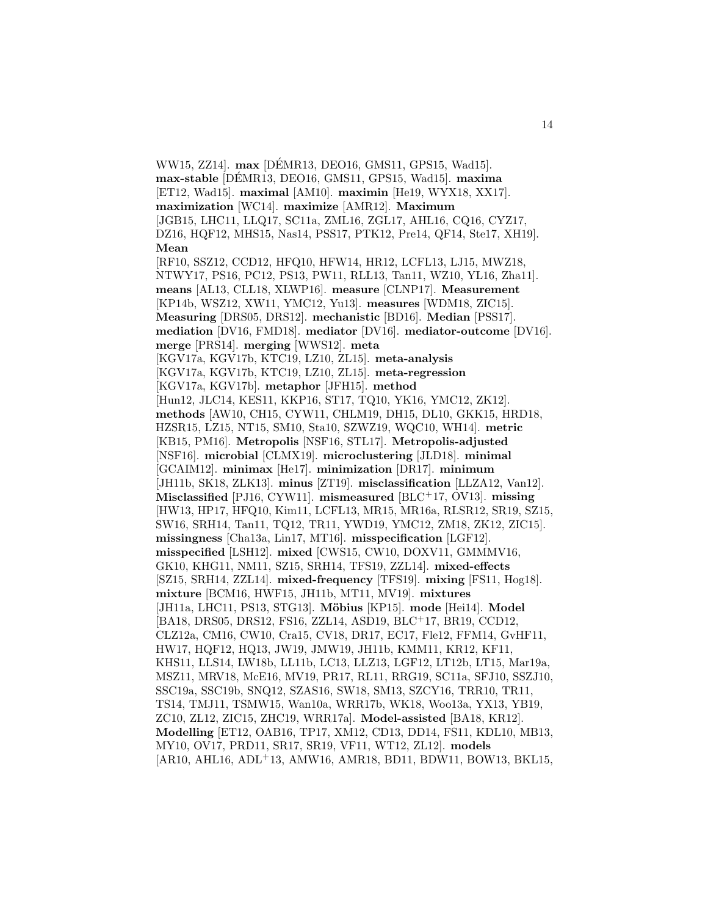WW15, ZZ14]. **max** [DEMR13, DEO16, GMS11, GPS15, Wad15]. ´ **max-stable** [DEMR13, DEO16, GMS11, GPS15, Wad15]. ´ **maxima** [ET12, Wad15]. **maximal** [AM10]. **maximin** [He19, WYX18, XX17]. **maximization** [WC14]. **maximize** [AMR12]. **Maximum** [JGB15, LHC11, LLQ17, SC11a, ZML16, ZGL17, AHL16, CQ16, CYZ17, DZ16, HQF12, MHS15, Nas14, PSS17, PTK12, Pre14, QF14, Ste17, XH19]. **Mean** [RF10, SSZ12, CCD12, HFQ10, HFW14, HR12, LCFL13, LJ15, MWZ18, NTWY17, PS16, PC12, PS13, PW11, RLL13, Tan11, WZ10, YL16, Zha11]. **means** [AL13, CLL18, XLWP16]. **measure** [CLNP17]. **Measurement** [KP14b, WSZ12, XW11, YMC12, Yu13]. **measures** [WDM18, ZIC15]. **Measuring** [DRS05, DRS12]. **mechanistic** [BD16]. **Median** [PSS17]. **mediation** [DV16, FMD18]. **mediator** [DV16]. **mediator-outcome** [DV16]. **merge** [PRS14]. **merging** [WWS12]. **meta** [KGV17a, KGV17b, KTC19, LZ10, ZL15]. **meta-analysis** [KGV17a, KGV17b, KTC19, LZ10, ZL15]. **meta-regression** [KGV17a, KGV17b]. **metaphor** [JFH15]. **method** [Hun12, JLC14, KES11, KKP16, ST17, TQ10, YK16, YMC12, ZK12]. **methods** [AW10, CH15, CYW11, CHLM19, DH15, DL10, GKK15, HRD18, HZSR15, LZ15, NT15, SM10, Sta10, SZWZ19, WQC10, WH14]. **metric** [KB15, PM16]. **Metropolis** [NSF16, STL17]. **Metropolis-adjusted** [NSF16]. **microbial** [CLMX19]. **microclustering** [JLD18]. **minimal** [GCAIM12]. **minimax** [He17]. **minimization** [DR17]. **minimum** [JH11b, SK18, ZLK13]. **minus** [ZT19]. **misclassification** [LLZA12, Van12]. **Misclassified** [PJ16, CYW11]. **mismeasured** [BLC<sup>+</sup>17, OV13]. **missing** [HW13, HP17, HFQ10, Kim11, LCFL13, MR15, MR16a, RLSR12, SR19, SZ15, SW16, SRH14, Tan11, TQ12, TR11, YWD19, YMC12, ZM18, ZK12, ZIC15]. **missingness** [Cha13a, Lin17, MT16]. **misspecification** [LGF12]. **misspecified** [LSH12]. **mixed** [CWS15, CW10, DOXV11, GMMMV16, GK10, KHG11, NM11, SZ15, SRH14, TFS19, ZZL14]. **mixed-effects** [SZ15, SRH14, ZZL14]. **mixed-frequency** [TFS19]. **mixing** [FS11, Hog18]. **mixture** [BCM16, HWF15, JH11b, MT11, MV19]. **mixtures** [JH11a, LHC11, PS13, STG13]. **M¨obius** [KP15]. **mode** [Hei14]. **Model** [BA18, DRS05, DRS12, FS16, ZZL14, ASD19, BLC<sup>+</sup>17, BR19, CCD12, CLZ12a, CM16, CW10, Cra15, CV18, DR17, EC17, Fle12, FFM14, GvHF11, HW17, HQF12, HQ13, JW19, JMW19, JH11b, KMM11, KR12, KF11, KHS11, LLS14, LW18b, LL11b, LC13, LLZ13, LGF12, LT12b, LT15, Mar19a, MSZ11, MRV18, McE16, MV19, PR17, RL11, RRG19, SC11a, SFJ10, SSZJ10, SSC19a, SSC19b, SNQ12, SZAS16, SW18, SM13, SZCY16, TRR10, TR11, TS14, TMJ11, TSMW15, Wan10a, WRR17b, WK18, Woo13a, YX13, YB19, ZC10, ZL12, ZIC15, ZHC19, WRR17a]. **Model-assisted** [BA18, KR12]. **Modelling** [ET12, OAB16, TP17, XM12, CD13, DD14, FS11, KDL10, MB13, MY10, OV17, PRD11, SR17, SR19, VF11, WT12, ZL12]. **models** [AR10, AHL16, ADL<sup>+</sup>13, AMW16, AMR18, BD11, BDW11, BOW13, BKL15,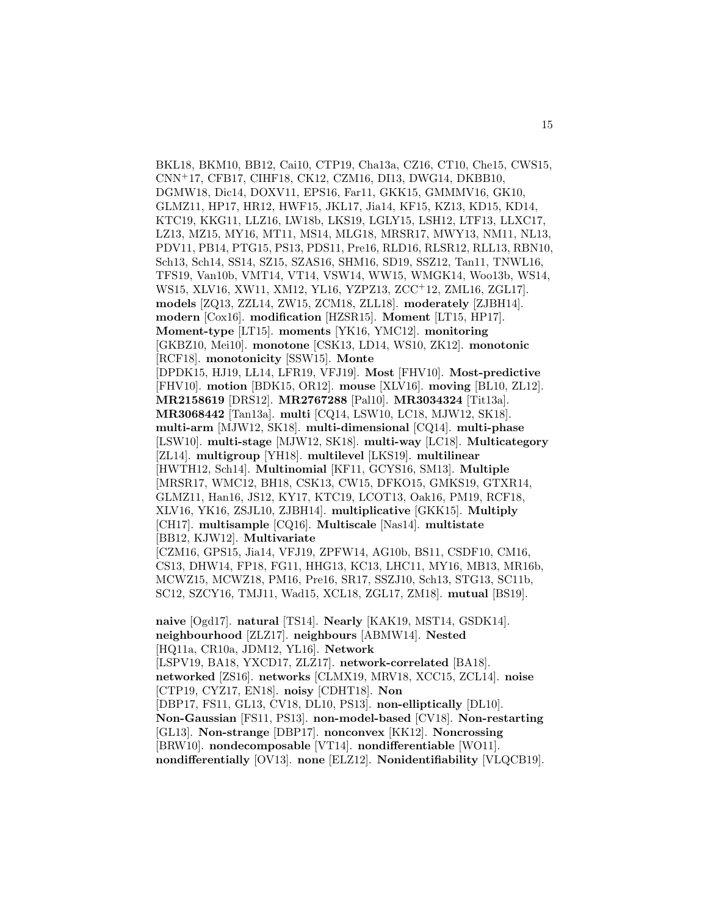BKL18, BKM10, BB12, Cai10, CTP19, Cha13a, CZ16, CT10, Che15, CWS15, CNN<sup>+</sup>17, CFB17, CIHF18, CK12, CZM16, DI13, DWG14, DKBB10, DGMW18, Dic14, DOXV11, EPS16, Far11, GKK15, GMMMV16, GK10, GLMZ11, HP17, HR12, HWF15, JKL17, Jia14, KF15, KZ13, KD15, KD14, KTC19, KKG11, LLZ16, LW18b, LKS19, LGLY15, LSH12, LTF13, LLXC17, LZ13, MZ15, MY16, MT11, MS14, MLG18, MRSR17, MWY13, NM11, NL13, PDV11, PB14, PTG15, PS13, PDS11, Pre16, RLD16, RLSR12, RLL13, RBN10, Sch13, Sch14, SS14, SZ15, SZAS16, SHM16, SD19, SSZ12, Tan11, TNWL16, TFS19, Van10b, VMT14, VT14, VSW14, WW15, WMGK14, Woo13b, WS14, WS15, XLV16, XW11, XM12, YL16, YZPZ13, ZCC<sup>+</sup>12, ZML16, ZGL17]. **models** [ZQ13, ZZL14, ZW15, ZCM18, ZLL18]. **moderately** [ZJBH14]. **modern** [Cox16]. **modification** [HZSR15]. **Moment** [LT15, HP17]. **Moment-type** [LT15]. **moments** [YK16, YMC12]. **monitoring** [GKBZ10, Mei10]. **monotone** [CSK13, LD14, WS10, ZK12]. **monotonic** [RCF18]. **monotonicity** [SSW15]. **Monte** [DPDK15, HJ19, LŁ14, LFR19, VFJ19]. **Most** [FHV10]. **Most-predictive** [FHV10]. **motion** [BDK15, OR12]. **mouse** [XLV16]. **moving** [BL10, ZL12]. **MR2158619** [DRS12]. **MR2767288** [Pal10]. **MR3034324** [Tit13a]. **MR3068442** [Tan13a]. **multi** [CQ14, LSW10, LC18, MJW12, SK18]. **multi-arm** [MJW12, SK18]. **multi-dimensional** [CQ14]. **multi-phase** [LSW10]. **multi-stage** [MJW12, SK18]. **multi-way** [LC18]. **Multicategory** [ZL14]. **multigroup** [YH18]. **multilevel** [LKS19]. **multilinear** [HWTH12, Sch14]. **Multinomial** [KF11, GCYS16, SM13]. **Multiple** [MRSR17, WMC12, BH18, CSK13, CW15, DFKO15, GMKS19, GTXR14, GLMZ11, Han16, JS12, KY17, KTC19, LCOT13, Oak16, PM19, RCF18, XLV16, YK16, ZSJL10, ZJBH14]. **multiplicative** [GKK15]. **Multiply** [CH17]. **multisample** [CQ16]. **Multiscale** [Nas14]. **multistate** [BB12, KJW12]. **Multivariate** [CZM16, GPS15, Jia14, VFJ19, ZPFW14, AG10b, BS11, CSDF10, CM16, CS13, DHW14, FP18, FG11, HHG13, KC13, LHC11, MY16, MB13, MR16b, MCWZ15, MCWZ18, PM16, Pre16, SR17, SSZJ10, Sch13, STG13, SC11b, SC12, SZCY16, TMJ11, Wad15, XCL18, ZGL17, ZM18]. **mutual** [BS19]. **naive** [Ogd17]. **natural** [TS14]. **Nearly** [KAK19, MST14, GSDK14]. **neighbourhood** [ZLZ17]. **neighbours** [ABMW14]. **Nested**

[HQ11a, CR10a, JDM12, YL16]. **Network** [LSPV19, BA18, YXCD17, ZLZ17]. **network-correlated** [BA18]. **networked** [ZS16]. **networks** [CLMX19, MRV18, XCC15, ZCL14]. **noise** [CTP19, CYZ17, EN18]. **noisy** [CDHT18]. **Non** [DBP17, FS11, GL13, CV18, DL10, PS13]. **non-elliptically** [DL10]. **Non-Gaussian** [FS11, PS13]. **non-model-based** [CV18]. **Non-restarting** [GL13]. **Non-strange** [DBP17]. **nonconvex** [KK12]. **Noncrossing** [BRW10]. **nondecomposable** [VT14]. **nondifferentiable** [WO11]. **nondifferentially** [OV13]. **none** [ELZ12]. **Nonidentifiability** [VLQCB19].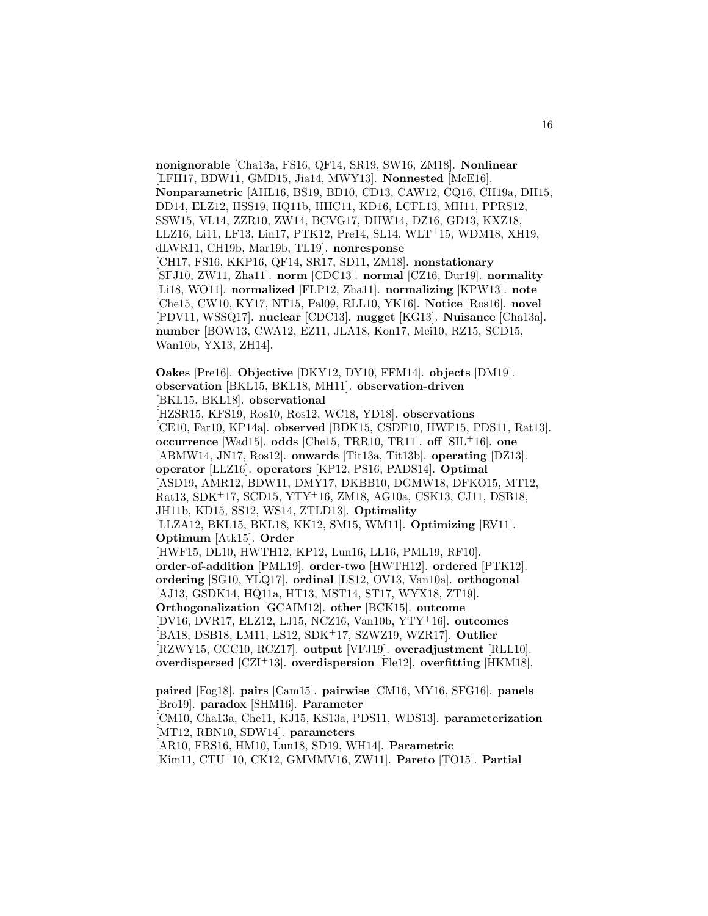**nonignorable** [Cha13a, FS16, QF14, SR19, SW16, ZM18]. **Nonlinear** [LFH17, BDW11, GMD15, Jia14, MWY13]. **Nonnested** [McE16]. **Nonparametric** [AHL16, BS19, BD10, CD13, CAW12, CQ16, CH19a, DH15, DD14, ELZ12, HSS19, HQ11b, HHC11, KD16, LCFL13, MH11, PPRS12, SSW15, VL14, ZZR10, ZW14, BCVG17, DHW14, DZ16, GD13, KXZ18, LLZ16, Li11, LF13, Lin17, PTK12, Pre14, SL14, WLT<sup>+</sup>15, WDM18, XH19, dLWR11, CH19b, Mar19b, TL19]. **nonresponse** [CH17, FS16, KKP16, QF14, SR17, SD11, ZM18]. **nonstationary** [SFJ10, ZW11, Zha11]. **norm** [CDC13]. **normal** [CZ16, Dur19]. **normality** [Li18, WO11]. **normalized** [FLP12, Zha11]. **normalizing** [KPW13]. **note** [Che15, CW10, KY17, NT15, Pal09, RLL10, YK16]. **Notice** [Ros16]. **novel** [PDV11, WSSQ17]. **nuclear** [CDC13]. **nugget** [KG13]. **Nuisance** [Cha13a]. **number** [BOW13, CWA12, EZ11, JLA18, Kon17, Mei10, RZ15, SCD15, Wan10b, YX13, ZH14].

**Oakes** [Pre16]. **Objective** [DKY12, DY10, FFM14]. **objects** [DM19]. **observation** [BKL15, BKL18, MH11]. **observation-driven** [BKL15, BKL18]. **observational**

[HZSR15, KFS19, Ros10, Ros12, WC18, YD18]. **observations** [CE10, Far10, KP14a]. **observed** [BDK15, CSDF10, HWF15, PDS11, Rat13]. **occurrence** [Wad15]. **odds** [Che15, TRR10, TR11]. **off** [SIL<sup>+</sup>16]. **one** [ABMW14, JN17, Ros12]. **onwards** [Tit13a, Tit13b]. **operating** [DZ13]. **operator** [LLZ16]. **operators** [KP12, PS16, PADS14]. **Optimal** [ASD19, AMR12, BDW11, DMY17, DKBB10, DGMW18, DFKO15, MT12, Rat13, SDK<sup>+</sup>17, SCD15, YTY<sup>+</sup>16, ZM18, AG10a, CSK13, CJ11, DSB18, JH11b, KD15, SS12, WS14, ZTLD13]. **Optimality** [LLZA12, BKL15, BKL18, KK12, SM15, WM11]. **Optimizing** [RV11]. **Optimum** [Atk15]. **Order** [HWF15, DL10, HWTH12, KP12, Lun16, LL16, PML19, RF10]. **order-of-addition** [PML19]. **order-two** [HWTH12]. **ordered** [PTK12]. **ordering** [SG10, YLQ17]. **ordinal** [LS12, OV13, Van10a]. **orthogonal** [AJ13, GSDK14, HQ11a, HT13, MST14, ST17, WYX18, ZT19]. **Orthogonalization** [GCAIM12]. **other** [BCK15]. **outcome** [DV16, DVR17, ELZ12, LJ15, NCZ16, Van10b, YTY<sup>+</sup>16]. **outcomes** [BA18, DSB18, LM11, LS12, SDK<sup>+</sup>17, SZWZ19, WZR17]. **Outlier**

[RZWY15, CCC10, RCZ17]. **output** [VFJ19]. **overadjustment** [RLL10]. **overdispersed** [CZI<sup>+</sup>13]. **overdispersion** [Fle12]. **overfitting** [HKM18].

**paired** [Fog18]. **pairs** [Cam15]. **pairwise** [CM16, MY16, SFG16]. **panels** [Bro19]. **paradox** [SHM16]. **Parameter**

[CM10, Cha13a, Che11, KJ15, KS13a, PDS11, WDS13]. **parameterization** [MT12, RBN10, SDW14]. **parameters**

[AR10, FRS16, HM10, Lun18, SD19, WH14]. **Parametric**

[Kim11, CTU<sup>+</sup>10, CK12, GMMMV16, ZW11]. **Pareto** [TO15]. **Partial**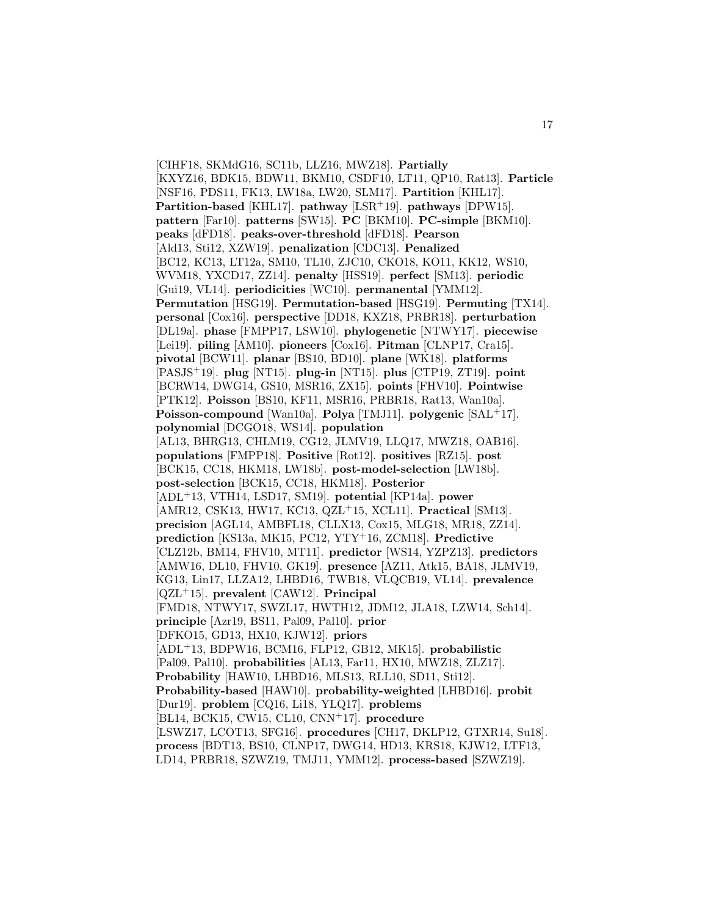[CIHF18, SKMdG16, SC11b, LLZ16, MWZ18]. **Partially** [KXYZ16, BDK15, BDW11, BKM10, CSDF10, LT11, QP10, Rat13]. **Particle** [NSF16, PDS11, FK13, LW18a, LW20, SLM17]. **Partition** [KHL17]. **Partition-based** [KHL17]. **pathway** [LSR<sup>+</sup>19]. **pathways** [DPW15]. **pattern** [Far10]. **patterns** [SW15]. **PC** [BKM10]. **PC-simple** [BKM10]. **peaks** [dFD18]. **peaks-over-threshold** [dFD18]. **Pearson** [Ald13, Sti12, XZW19]. **penalization** [CDC13]. **Penalized** [BC12, KC13, LT12a, SM10, TL10, ZJC10, CKO18, KO11, KK12, WS10, WVM18, YXCD17, ZZ14]. **penalty** [HSS19]. **perfect** [SM13]. **periodic** [Gui19, VL14]. **periodicities** [WC10]. **permanental** [YMM12]. **Permutation** [HSG19]. **Permutation-based** [HSG19]. **Permuting** [TX14]. **personal** [Cox16]. **perspective** [DD18, KXZ18, PRBR18]. **perturbation** [DL19a]. **phase** [FMPP17, LSW10]. **phylogenetic** [NTWY17]. **piecewise** [Lei19]. **piling** [AM10]. **pioneers** [Cox16]. **Pitman** [CLNP17, Cra15]. **pivotal** [BCW11]. **planar** [BS10, BD10]. **plane** [WK18]. **platforms** [PASJS<sup>+</sup>19]. **plug** [NT15]. **plug-in** [NT15]. **plus** [CTP19, ZT19]. **point** [BCRW14, DWG14, GS10, MSR16, ZX15]. **points** [FHV10]. **Pointwise** [PTK12]. **Poisson** [BS10, KF11, MSR16, PRBR18, Rat13, Wan10a]. **Poisson-compound** [Wan10a]. **Polya** [TMJ11]. **polygenic** [SAL<sup>+</sup>17]. **polynomial** [DCGO18, WS14]. **population** [AL13, BHRG13, CHLM19, CG12, JLMV19, LLQ17, MWZ18, OAB16]. **populations** [FMPP18]. **Positive** [Rot12]. **positives** [RZ15]. **post** [BCK15, CC18, HKM18, LW18b]. **post-model-selection** [LW18b]. **post-selection** [BCK15, CC18, HKM18]. **Posterior** [ADL<sup>+</sup>13, VTH14, LSD17, SM19]. **potential** [KP14a]. **power** [AMR12, CSK13, HW17, KC13, QZL<sup>+</sup>15, XCL11]. **Practical** [SM13]. **precision** [AGL14, AMBFL18, CLLX13, Cox15, MLG18, MR18, ZZ14]. **prediction** [KS13a, MK15, PC12, YTY<sup>+</sup>16, ZCM18]. **Predictive** [CLZ12b, BM14, FHV10, MT11]. **predictor** [WS14, YZPZ13]. **predictors** [AMW16, DL10, FHV10, GK19]. **presence** [AZ11, Atk15, BA18, JLMV19, KG13, Lin17, LLZA12, LHBD16, TWB18, VLQCB19, VL14]. **prevalence** [QZL<sup>+</sup>15]. **prevalent** [CAW12]. **Principal** [FMD18, NTWY17, SWZL17, HWTH12, JDM12, JLA18, LZW14, Sch14]. **principle** [Azr19, BS11, Pal09, Pal10]. **prior** [DFKO15, GD13, HX10, KJW12]. **priors** [ADL<sup>+</sup>13, BDPW16, BCM16, FLP12, GB12, MK15]. **probabilistic** [Pal09, Pal10]. **probabilities** [AL13, Far11, HX10, MWZ18, ZLZ17]. **Probability** [HAW10, LHBD16, MLS13, RLL10, SD11, Sti12]. **Probability-based** [HAW10]. **probability-weighted** [LHBD16]. **probit** [Dur19]. **problem** [CQ16, Li18, YLQ17]. **problems** [BL14, BCK15, CW15, CL10, CNN<sup>+</sup>17]. **procedure** [LSWZ17, LCOT13, SFG16]. **procedures** [CH17, DKLP12, GTXR14, Su18]. **process** [BDT13, BS10, CLNP17, DWG14, HD13, KRS18, KJW12, LTF13, LD14, PRBR18, SZWZ19, TMJ11, YMM12]. **process-based** [SZWZ19].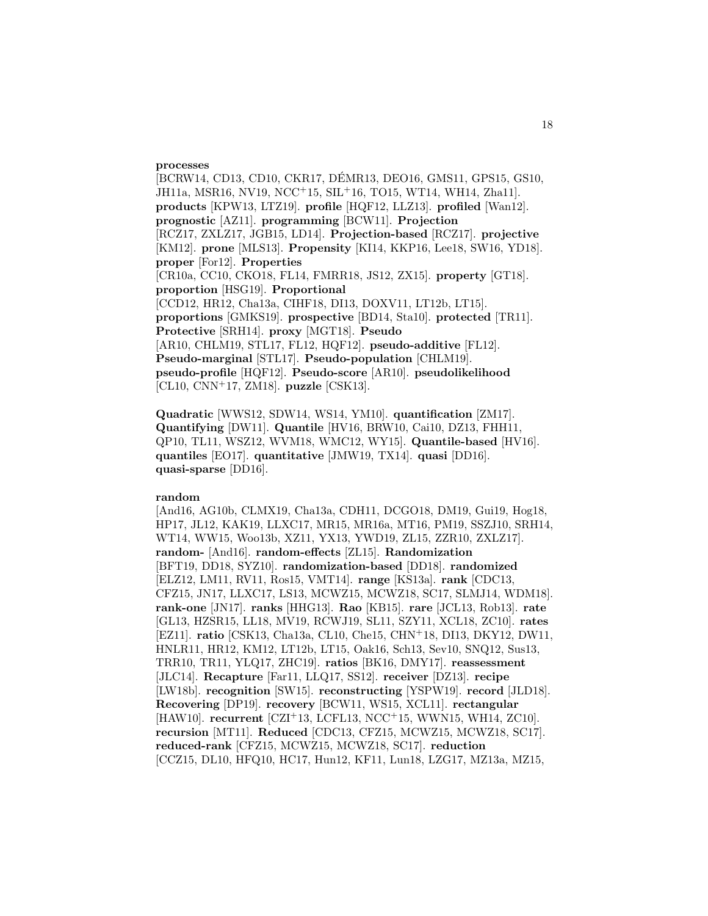#### **processes**

[BCRW14, CD13, CD10, CKR17, DÉMR13, DEO16, GMS11, GPS15, GS10, JH11a, MSR16, NV19, NCC<sup>+</sup>15, SIL<sup>+</sup>16, TO15, WT14, WH14, Zha11]. **products** [KPW13, LTZ19]. **profile** [HQF12, LLZ13]. **profiled** [Wan12]. **prognostic** [AZ11]. **programming** [BCW11]. **Projection** [RCZ17, ZXLZ17, JGB15, LD14]. **Projection-based** [RCZ17]. **projective** [KM12]. **prone** [MLS13]. **Propensity** [KI14, KKP16, Lee18, SW16, YD18]. **proper** [For12]. **Properties** [CR10a, CC10, CKO18, FL14, FMRR18, JS12, ZX15]. **property** [GT18]. **proportion** [HSG19]. **Proportional** [CCD12, HR12, Cha13a, CIHF18, DI13, DOXV11, LT12b, LT15]. **proportions** [GMKS19]. **prospective** [BD14, Sta10]. **protected** [TR11]. **Protective** [SRH14]. **proxy** [MGT18]. **Pseudo** [AR10, CHLM19, STL17, FL12, HQF12]. **pseudo-additive** [FL12]. **Pseudo-marginal** [STL17]. **Pseudo-population** [CHLM19]. **pseudo-profile** [HQF12]. **Pseudo-score** [AR10]. **pseudolikelihood** [CL10, CNN<sup>+</sup>17, ZM18]. **puzzle** [CSK13].

**Quadratic** [WWS12, SDW14, WS14, YM10]. **quantification** [ZM17]. **Quantifying** [DW11]. **Quantile** [HV16, BRW10, Cai10, DZ13, FHH11, QP10, TL11, WSZ12, WVM18, WMC12, WY15]. **Quantile-based** [HV16]. **quantiles** [EO17]. **quantitative** [JMW19, TX14]. **quasi** [DD16]. **quasi-sparse** [DD16].

#### **random**

[And16, AG10b, CLMX19, Cha13a, CDH11, DCGO18, DM19, Gui19, Hog18, HP17, JL12, KAK19, LLXC17, MR15, MR16a, MT16, PM19, SSZJ10, SRH14, WT14, WW15, Woo13b, XZ11, YX13, YWD19, ZL15, ZZR10, ZXLZ17]. **random-** [And16]. **random-effects** [ZL15]. **Randomization** [BFT19, DD18, SYZ10]. **randomization-based** [DD18]. **randomized** [ELZ12, LM11, RV11, Ros15, VMT14]. **range** [KS13a]. **rank** [CDC13, CFZ15, JN17, LLXC17, LS13, MCWZ15, MCWZ18, SC17, SLMJ14, WDM18]. **rank-one** [JN17]. **ranks** [HHG13]. **Rao** [KB15]. **rare** [JCL13, Rob13]. **rate** [GL13, HZSR15, LL18, MV19, RCWJ19, SL11, SZY11, XCL18, ZC10]. **rates** [EZ11]. **ratio** [CSK13, Cha13a, CL10, Che15, CHN<sup>+</sup>18, DI13, DKY12, DW11, HNLR11, HR12, KM12, LT12b, LT15, Oak16, Sch13, Sev10, SNQ12, Sus13, TRR10, TR11, YLQ17, ZHC19]. **ratios** [BK16, DMY17]. **reassessment** [JLC14]. **Recapture** [Far11, LLQ17, SS12]. **receiver** [DZ13]. **recipe** [LW18b]. **recognition** [SW15]. **reconstructing** [YSPW19]. **record** [JLD18]. **Recovering** [DP19]. **recovery** [BCW11, WS15, XCL11]. **rectangular** [HAW10]. **recurrent** [CZI<sup>+</sup>13, LCFL13, NCC<sup>+</sup>15, WWN15, WH14, ZC10]. **recursion** [MT11]. **Reduced** [CDC13, CFZ15, MCWZ15, MCWZ18, SC17]. **reduced-rank** [CFZ15, MCWZ15, MCWZ18, SC17]. **reduction** [CCZ15, DL10, HFQ10, HC17, Hun12, KF11, Lun18, LZG17, MZ13a, MZ15,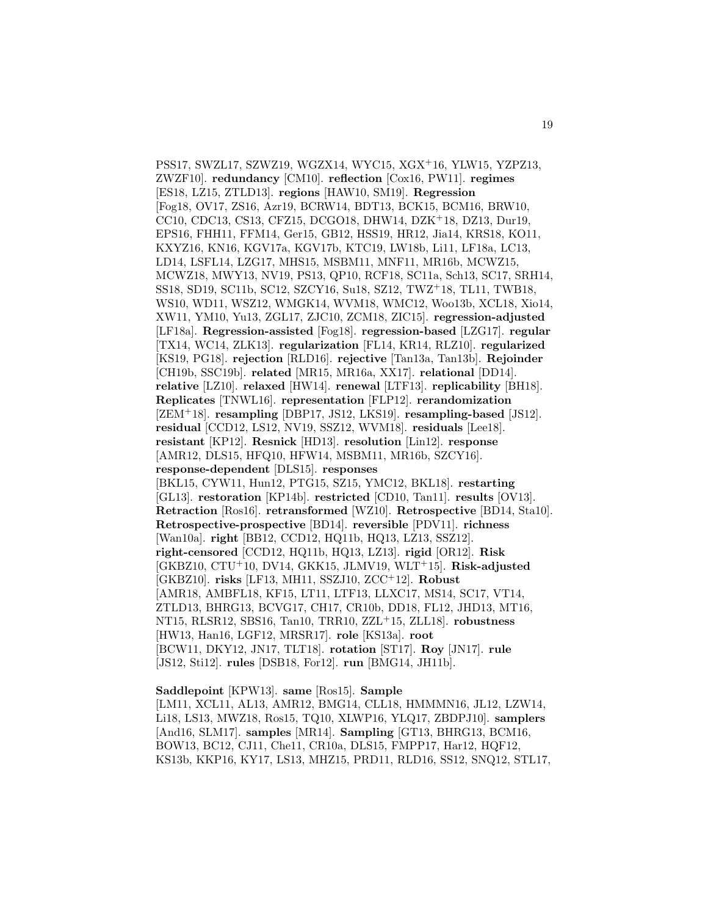PSS17, SWZL17, SZWZ19, WGZX14, WYC15, XGX<sup>+</sup>16, YLW15, YZPZ13, ZWZF10]. **redundancy** [CM10]. **reflection** [Cox16, PW11]. **regimes** [ES18, LZ15, ZTLD13]. **regions** [HAW10, SM19]. **Regression** [Fog18, OV17, ZS16, Azr19, BCRW14, BDT13, BCK15, BCM16, BRW10, CC10, CDC13, CS13, CFZ15, DCGO18, DHW14, DZK<sup>+</sup>18, DZ13, Dur19, EPS16, FHH11, FFM14, Ger15, GB12, HSS19, HR12, Jia14, KRS18, KO11, KXYZ16, KN16, KGV17a, KGV17b, KTC19, LW18b, Li11, LF18a, LC13, LD14, LSFL14, LZG17, MHS15, MSBM11, MNF11, MR16b, MCWZ15, MCWZ18, MWY13, NV19, PS13, QP10, RCF18, SC11a, Sch13, SC17, SRH14, SS18, SD19, SC11b, SC12, SZCY16, Su18, SZ12, TWZ<sup>+</sup>18, TL11, TWB18, WS10, WD11, WSZ12, WMGK14, WVM18, WMC12, Woo13b, XCL18, Xio14, XW11, YM10, Yu13, ZGL17, ZJC10, ZCM18, ZIC15]. **regression-adjusted** [LF18a]. **Regression-assisted** [Fog18]. **regression-based** [LZG17]. **regular** [TX14, WC14, ZLK13]. **regularization** [FL14, KR14, RLZ10]. **regularized** [KS19, PG18]. **rejection** [RLD16]. **rejective** [Tan13a, Tan13b]. **Rejoinder** [CH19b, SSC19b]. **related** [MR15, MR16a, XX17]. **relational** [DD14]. **relative** [LZ10]. **relaxed** [HW14]. **renewal** [LTF13]. **replicability** [BH18]. **Replicates** [TNWL16]. **representation** [FLP12]. **rerandomization** [ZEM<sup>+</sup>18]. **resampling** [DBP17, JS12, LKS19]. **resampling-based** [JS12]. **residual** [CCD12, LS12, NV19, SSZ12, WVM18]. **residuals** [Lee18]. **resistant** [KP12]. **Resnick** [HD13]. **resolution** [Lin12]. **response** [AMR12, DLS15, HFQ10, HFW14, MSBM11, MR16b, SZCY16]. **response-dependent** [DLS15]. **responses** [BKL15, CYW11, Hun12, PTG15, SZ15, YMC12, BKL18]. **restarting** [GL13]. **restoration** [KP14b]. **restricted** [CD10, Tan11]. **results** [OV13]. **Retraction** [Ros16]. **retransformed** [WZ10]. **Retrospective** [BD14, Sta10]. **Retrospective-prospective** [BD14]. **reversible** [PDV11]. **richness** [Wan10a]. **right** [BB12, CCD12, HQ11b, HQ13, LZ13, SSZ12]. **right-censored** [CCD12, HQ11b, HQ13, LZ13]. **rigid** [OR12]. **Risk** [GKBZ10, CTU<sup>+</sup>10, DV14, GKK15, JLMV19, WLT<sup>+</sup>15]. **Risk-adjusted** [GKBZ10]. **risks** [LF13, MH11, SSZJ10, ZCC<sup>+</sup>12]. **Robust** [AMR18, AMBFL18, KF15, LT11, LTF13, LLXC17, MS14, SC17, VT14, ZTLD13, BHRG13, BCVG17, CH17, CR10b, DD18, FL12, JHD13, MT16, NT15, RLSR12, SBS16, Tan10, TRR10, ZZL<sup>+</sup>15, ZLL18]. **robustness** [HW13, Han16, LGF12, MRSR17]. **role** [KS13a]. **root** [BCW11, DKY12, JN17, TLT18]. **rotation** [ST17]. **Roy** [JN17]. **rule** [JS12, Sti12]. **rules** [DSB18, For12]. **run** [BMG14, JH11b].

## **Saddlepoint** [KPW13]. **same** [Ros15]. **Sample**

[LM11, XCL11, AL13, AMR12, BMG14, CLL18, HMMMN16, JL12, LZW14, Li18, LS13, MWZ18, Ros15, TQ10, XLWP16, YLQ17, ZBDPJ10]. **samplers** [And16, SLM17]. **samples** [MR14]. **Sampling** [GT13, BHRG13, BCM16, BOW13, BC12, CJ11, Che11, CR10a, DLS15, FMPP17, Har12, HQF12, KS13b, KKP16, KY17, LS13, MHZ15, PRD11, RLD16, SS12, SNQ12, STL17,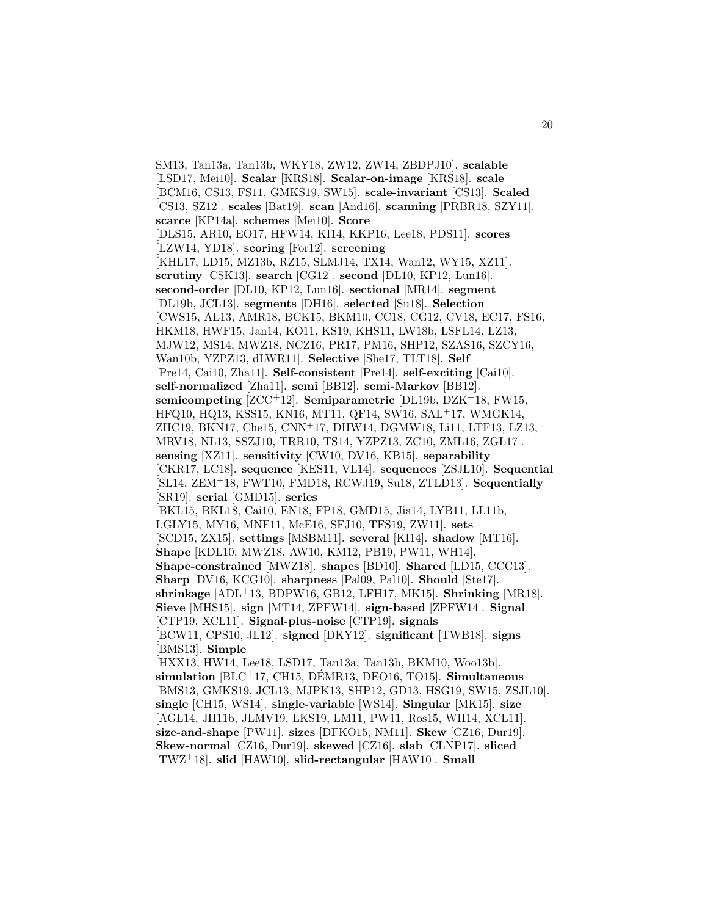SM13, Tan13a, Tan13b, WKY18, ZW12, ZW14, ZBDPJ10]. **scalable** [LSD17, Mei10]. **Scalar** [KRS18]. **Scalar-on-image** [KRS18]. **scale** [BCM16, CS13, FS11, GMKS19, SW15]. **scale-invariant** [CS13]. **Scaled** [CS13, SZ12]. **scales** [Bat19]. **scan** [And16]. **scanning** [PRBR18, SZY11]. **scarce** [KP14a]. **schemes** [Mei10]. **Score** [DLS15, AR10, EO17, HFW14, KI14, KKP16, Lee18, PDS11]. **scores** [LZW14, YD18]. **scoring** [For12]. **screening** [KHL17, LD15, MZ13b, RZ15, SLMJ14, TX14, Wan12, WY15, XZ11]. **scrutiny** [CSK13]. **search** [CG12]. **second** [DL10, KP12, Lun16]. **second-order** [DL10, KP12, Lun16]. **sectional** [MR14]. **segment** [DL19b, JCL13]. **segments** [DH16]. **selected** [Su18]. **Selection** [CWS15, AL13, AMR18, BCK15, BKM10, CC18, CG12, CV18, EC17, FS16, HKM18, HWF15, Jan14, KO11, KS19, KHS11, LW18b, LSFL14, LZ13, MJW12, MS14, MWZ18, NCZ16, PR17, PM16, SHP12, SZAS16, SZCY16, Wan10b, YZPZ13, dLWR11]. **Selective** [She17, TLT18]. **Self** [Pre14, Cai10, Zha11]. **Self-consistent** [Pre14]. **self-exciting** [Cai10]. **self-normalized** [Zha11]. **semi** [BB12]. **semi-Markov** [BB12]. **semicompeting** [ZCC<sup>+</sup>12]. **Semiparametric** [DL19b, DZK<sup>+</sup>18, FW15, HFQ10, HQ13, KSS15, KN16, MT11, QF14, SW16, SAL<sup>+</sup>17, WMGK14, ZHC19, BKN17, Che15, CNN<sup>+</sup>17, DHW14, DGMW18, Li11, LTF13, LZ13, MRV18, NL13, SSZJ10, TRR10, TS14, YZPZ13, ZC10, ZML16, ZGL17]. **sensing** [XZ11]. **sensitivity** [CW10, DV16, KB15]. **separability** [CKR17, LC18]. **sequence** [KES11, VL14]. **sequences** [ZSJL10]. **Sequential** [SL14, ZEM<sup>+</sup>18, FWT10, FMD18, RCWJ19, Su18, ZTLD13]. **Sequentially** [SR19]. **serial** [GMD15]. **series** [BKL15, BKL18, Cai10, EN18, FP18, GMD15, Jia14, LYB11, LL11b, LGLY15, MY16, MNF11, McE16, SFJ10, TFS19, ZW11]. **sets** [SCD15, ZX15]. **settings** [MSBM11]. **several** [KI14]. **shadow** [MT16]. **Shape** [KDL10, MWZ18, AW10, KM12, PB19, PW11, WH14]. **Shape-constrained** [MWZ18]. **shapes** [BD10]. **Shared** [LD15, CCC13]. **Sharp** [DV16, KCG10]. **sharpness** [Pal09, Pal10]. **Should** [Ste17]. **shrinkage** [ADL<sup>+</sup>13, BDPW16, GB12, LFH17, MK15]. **Shrinking** [MR18]. **Sieve** [MHS15]. **sign** [MT14, ZPFW14]. **sign-based** [ZPFW14]. **Signal** [CTP19, XCL11]. **Signal-plus-noise** [CTP19]. **signals** [BCW11, CPS10, JL12]. **signed** [DKY12]. **significant** [TWB18]. **signs** [BMS13]. **Simple** [HXX13, HW14, Lee18, LSD17, Tan13a, Tan13b, BKM10, Woo13b]. **simulation** [BLC<sup>+</sup>17, CH15, DEMR13, DEO16, TO15]. **Simultaneous** [BMS13, GMKS19, JCL13, MJPK13, SHP12, GD13, HSG19, SW15, ZSJL10]. **single** [CH15, WS14]. **single-variable** [WS14]. **Singular** [MK15]. **size** [AGL14, JH11b, JLMV19, LKS19, LM11, PW11, Ros15, WH14, XCL11]. **size-and-shape** [PW11]. **sizes** [DFKO15, NM11]. **Skew** [CZ16, Dur19]. **Skew-normal** [CZ16, Dur19]. **skewed** [CZ16]. **slab** [CLNP17]. **sliced** [TWZ<sup>+</sup>18]. **slid** [HAW10]. **slid-rectangular** [HAW10]. **Small**

20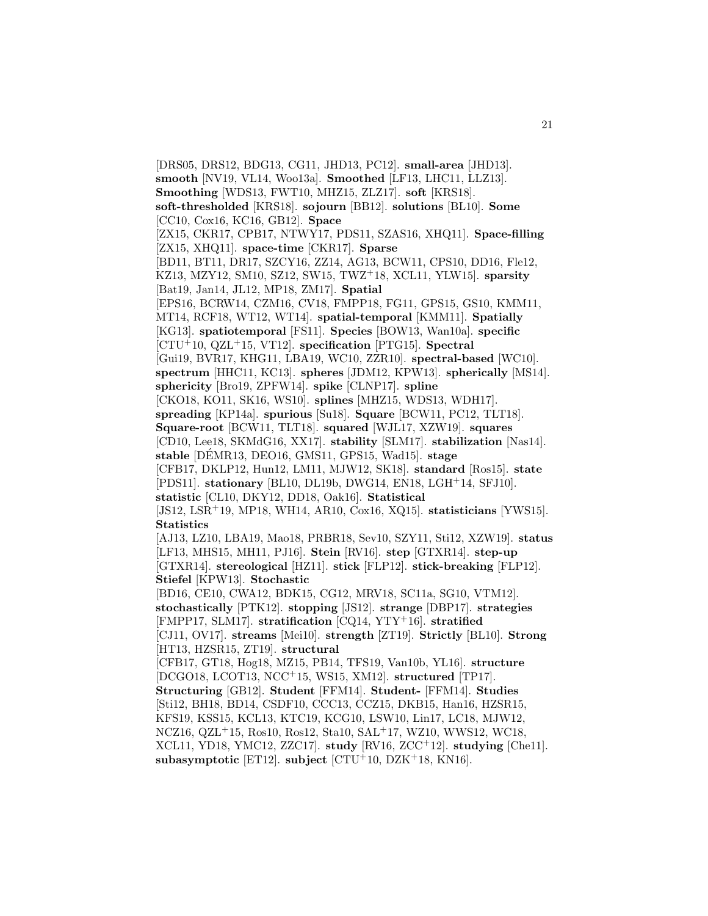[DRS05, DRS12, BDG13, CG11, JHD13, PC12]. **small-area** [JHD13]. **smooth** [NV19, VL14, Woo13a]. **Smoothed** [LF13, LHC11, LLZ13]. **Smoothing** [WDS13, FWT10, MHZ15, ZLZ17]. **soft** [KRS18]. **soft-thresholded** [KRS18]. **sojourn** [BB12]. **solutions** [BL10]. **Some** [CC10, Cox16, KC16, GB12]. **Space** [ZX15, CKR17, CPB17, NTWY17, PDS11, SZAS16, XHQ11]. **Space-filling** [ZX15, XHQ11]. **space-time** [CKR17]. **Sparse** [BD11, BT11, DR17, SZCY16, ZZ14, AG13, BCW11, CPS10, DD16, Fle12, KZ13, MZY12, SM10, SZ12, SW15, TWZ<sup>+</sup>18, XCL11, YLW15]. **sparsity** [Bat19, Jan14, JL12, MP18, ZM17]. **Spatial** [EPS16, BCRW14, CZM16, CV18, FMPP18, FG11, GPS15, GS10, KMM11, MT14, RCF18, WT12, WT14]. **spatial-temporal** [KMM11]. **Spatially** [KG13]. **spatiotemporal** [FS11]. **Species** [BOW13, Wan10a]. **specific** [CTU<sup>+</sup>10, QZL<sup>+</sup>15, VT12]. **specification** [PTG15]. **Spectral** [Gui19, BVR17, KHG11, LBA19, WC10, ZZR10]. **spectral-based** [WC10]. **spectrum** [HHC11, KC13]. **spheres** [JDM12, KPW13]. **spherically** [MS14]. **sphericity** [Bro19, ZPFW14]. **spike** [CLNP17]. **spline** [CKO18, KO11, SK16, WS10]. **splines** [MHZ15, WDS13, WDH17]. **spreading** [KP14a]. **spurious** [Su18]. **Square** [BCW11, PC12, TLT18]. **Square-root** [BCW11, TLT18]. **squared** [WJL17, XZW19]. **squares** [CD10, Lee18, SKMdG16, XX17]. **stability** [SLM17]. **stabilization** [Nas14]. **stable** [DEMR13, DEO16, GMS11, GPS15, Wad15]. ´ **stage** [CFB17, DKLP12, Hun12, LM11, MJW12, SK18]. **standard** [Ros15]. **state** [PDS11]. **stationary** [BL10, DL19b, DWG14, EN18, LGH<sup>+</sup>14, SFJ10]. **statistic** [CL10, DKY12, DD18, Oak16]. **Statistical** [JS12, LSR<sup>+</sup>19, MP18, WH14, AR10, Cox16, XQ15]. **statisticians** [YWS15]. **Statistics** [AJ13, LZ10, LBA19, Mao18, PRBR18, Sev10, SZY11, Sti12, XZW19]. **status** [LF13, MHS15, MH11, PJ16]. **Stein** [RV16]. **step** [GTXR14]. **step-up** [GTXR14]. **stereological** [HZ11]. **stick** [FLP12]. **stick-breaking** [FLP12]. **Stiefel** [KPW13]. **Stochastic** [BD16, CE10, CWA12, BDK15, CG12, MRV18, SC11a, SG10, VTM12]. **stochastically** [PTK12]. **stopping** [JS12]. **strange** [DBP17]. **strategies** [FMPP17, SLM17]. **stratification** [CQ14, YTY<sup>+</sup>16]. **stratified** [CJ11, OV17]. **streams** [Mei10]. **strength** [ZT19]. **Strictly** [BL10]. **Strong** [HT13, HZSR15, ZT19]. **structural** [CFB17, GT18, Hog18, MZ15, PB14, TFS19, Van10b, YL16]. **structure** [DCGO18, LCOT13, NCC<sup>+</sup>15, WS15, XM12]. **structured** [TP17]. **Structuring** [GB12]. **Student** [FFM14]. **Student-** [FFM14]. **Studies** [Sti12, BH18, BD14, CSDF10, CCC13, CCZ15, DKB15, Han16, HZSR15, KFS19, KSS15, KCL13, KTC19, KCG10, LSW10, Lin17, LC18, MJW12, NCZ16, QZL<sup>+</sup>15, Ros10, Ros12, Sta10, SAL<sup>+</sup>17, WZ10, WWS12, WC18, XCL11, YD18, YMC12, ZZC17]. **study** [RV16, ZCC<sup>+</sup>12]. **studying** [Che11]. **subasymptotic** [ET12]. **subject** [CTU<sup>+</sup>10, DZK<sup>+</sup>18, KN16].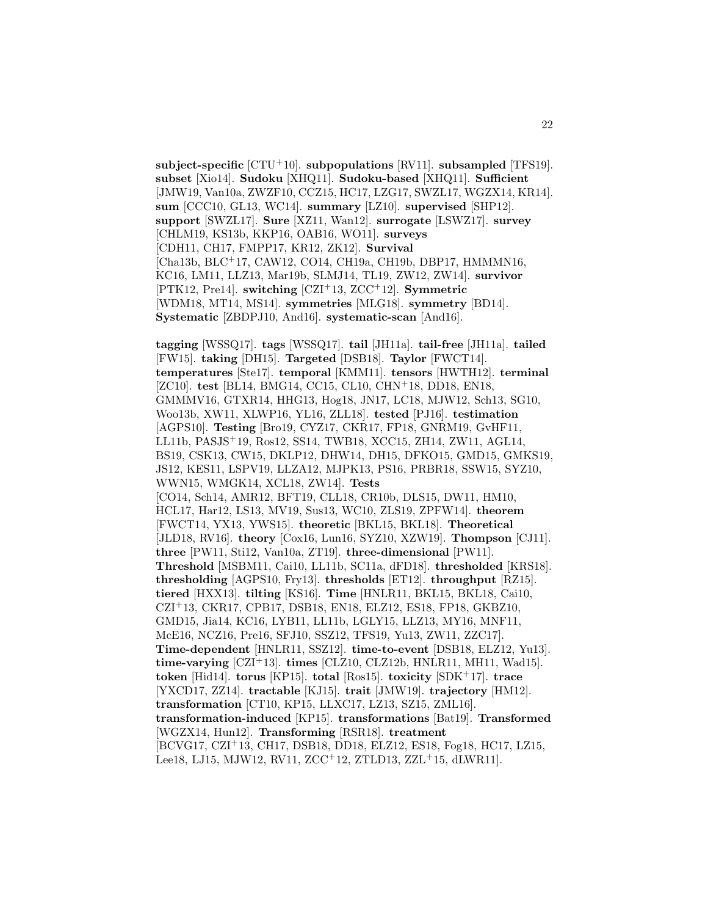**subject-specific** [CTU<sup>+</sup>10]. **subpopulations** [RV11]. **subsampled** [TFS19]. **subset** [Xio14]. **Sudoku** [XHQ11]. **Sudoku-based** [XHQ11]. **Sufficient** [JMW19, Van10a, ZWZF10, CCZ15, HC17, LZG17, SWZL17, WGZX14, KR14]. **sum** [CCC10, GL13, WC14]. **summary** [LZ10]. **supervised** [SHP12]. **support** [SWZL17]. **Sure** [XZ11, Wan12]. **surrogate** [LSWZ17]. **survey** [CHLM19, KS13b, KKP16, OAB16, WO11]. **surveys** [CDH11, CH17, FMPP17, KR12, ZK12]. **Survival** [Cha13b, BLC<sup>+</sup>17, CAW12, CO14, CH19a, CH19b, DBP17, HMMMN16, KC16, LM11, LLZ13, Mar19b, SLMJ14, TL19, ZW12, ZW14]. **survivor** [PTK12, Pre14]. **switching** [CZI<sup>+</sup>13, ZCC<sup>+</sup>12]. **Symmetric** [WDM18, MT14, MS14]. **symmetries** [MLG18]. **symmetry** [BD14]. **Systematic** [ZBDPJ10, And16]. **systematic-scan** [And16].

**tagging** [WSSQ17]. **tags** [WSSQ17]. **tail** [JH11a]. **tail-free** [JH11a]. **tailed** [FW15]. **taking** [DH15]. **Targeted** [DSB18]. **Taylor** [FWCT14]. **temperatures** [Ste17]. **temporal** [KMM11]. **tensors** [HWTH12]. **terminal** [ZC10]. **test** [BL14, BMG14, CC15, CL10, CHN<sup>+</sup>18, DD18, EN18, GMMMV16, GTXR14, HHG13, Hog18, JN17, LC18, MJW12, Sch13, SG10, Woo13b, XW11, XLWP16, YL16, ZLL18]. **tested** [PJ16]. **testimation** [AGPS10]. **Testing** [Bro19, CYZ17, CKR17, FP18, GNRM19, GvHF11, LL11b, PASJS<sup>+</sup>19, Ros12, SS14, TWB18, XCC15, ZH14, ZW11, AGL14, BS19, CSK13, CW15, DKLP12, DHW14, DH15, DFKO15, GMD15, GMKS19, JS12, KES11, LSPV19, LLZA12, MJPK13, PS16, PRBR18, SSW15, SYZ10, WWN15, WMGK14, XCL18, ZW14]. **Tests** [CO14, Sch14, AMR12, BFT19, CLL18, CR10b, DLS15, DW11, HM10, HCL17, Har12, LS13, MV19, Sus13, WC10, ZLS19, ZPFW14]. **theorem** [FWCT14, YX13, YWS15]. **theoretic** [BKL15, BKL18]. **Theoretical** [JLD18, RV16]. **theory** [Cox16, Lun16, SYZ10, XZW19]. **Thompson** [CJ11]. **three** [PW11, Sti12, Van10a, ZT19]. **three-dimensional** [PW11]. **Threshold** [MSBM11, Cai10, LL11b, SC11a, dFD18]. **thresholded** [KRS18]. **thresholding** [AGPS10, Fry13]. **thresholds** [ET12]. **throughput** [RZ15]. **tiered** [HXX13]. **tilting** [KS16]. **Time** [HNLR11, BKL15, BKL18, Cai10, CZI<sup>+</sup>13, CKR17, CPB17, DSB18, EN18, ELZ12, ES18, FP18, GKBZ10, GMD15, Jia14, KC16, LYB11, LL11b, LGLY15, LLZ13, MY16, MNF11, McE16, NCZ16, Pre16, SFJ10, SSZ12, TFS19, Yu13, ZW11, ZZC17]. **Time-dependent** [HNLR11, SSZ12]. **time-to-event** [DSB18, ELZ12, Yu13]. **time-varying** [CZI<sup>+</sup>13]. **times** [CLZ10, CLZ12b, HNLR11, MH11, Wad15]. **token** [Hid14]. **torus** [KP15]. **total** [Ros15]. **toxicity** [SDK<sup>+</sup>17]. **trace** [YXCD17, ZZ14]. **tractable** [KJ15]. **trait** [JMW19]. **trajectory** [HM12]. **transformation** [CT10, KP15, LLXC17, LZ13, SZ15, ZML16]. **transformation-induced** [KP15]. **transformations** [Bat19]. **Transformed** [WGZX14, Hun12]. **Transforming** [RSR18]. **treatment** [BCVG17, CZI<sup>+</sup>13, CH17, DSB18, DD18, ELZ12, ES18, Fog18, HC17, LZ15, Lee18, LJ15, MJW12, RV11, ZCC<sup>+</sup>12, ZTLD13, ZZL<sup>+</sup>15, dLWR11].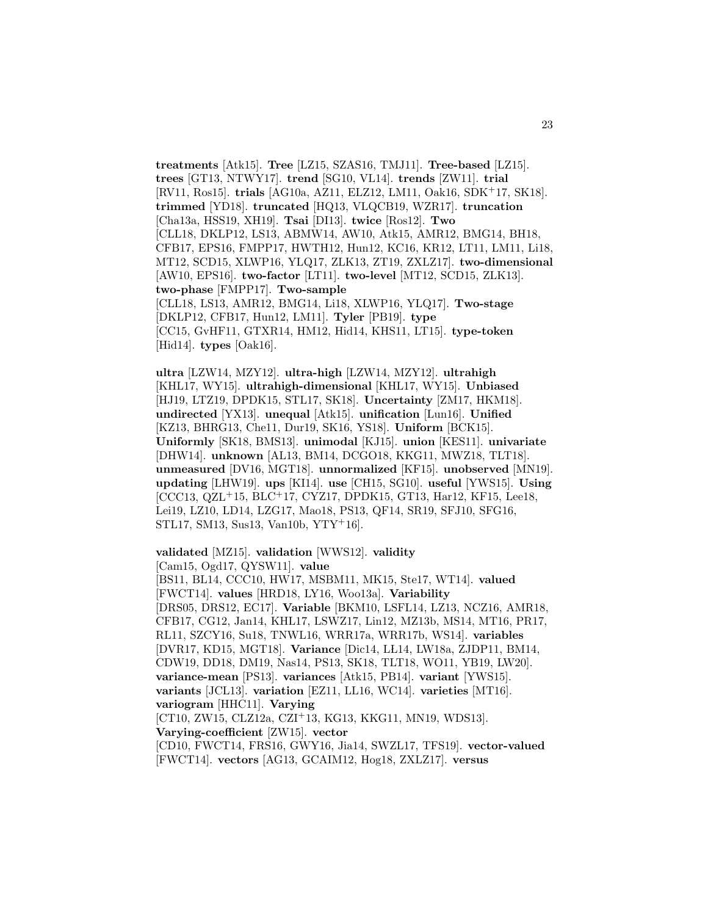**treatments** [Atk15]. **Tree** [LZ15, SZAS16, TMJ11]. **Tree-based** [LZ15]. **trees** [GT13, NTWY17]. **trend** [SG10, VL14]. **trends** [ZW11]. **trial** [RV11, Ros15]. **trials** [AG10a, AZ11, ELZ12, LM11, Oak16, SDK<sup>+</sup>17, SK18]. **trimmed** [YD18]. **truncated** [HQ13, VLQCB19, WZR17]. **truncation** [Cha13a, HSS19, XH19]. **Tsai** [DI13]. **twice** [Ros12]. **Two** [CLL18, DKLP12, LS13, ABMW14, AW10, Atk15, AMR12, BMG14, BH18, CFB17, EPS16, FMPP17, HWTH12, Hun12, KC16, KR12, LT11, LM11, Li18, MT12, SCD15, XLWP16, YLQ17, ZLK13, ZT19, ZXLZ17]. **two-dimensional** [AW10, EPS16]. **two-factor** [LT11]. **two-level** [MT12, SCD15, ZLK13]. **two-phase** [FMPP17]. **Two-sample** [CLL18, LS13, AMR12, BMG14, Li18, XLWP16, YLQ17]. **Two-stage** [DKLP12, CFB17, Hun12, LM11]. **Tyler** [PB19]. **type** [CC15, GvHF11, GTXR14, HM12, Hid14, KHS11, LT15]. **type-token** [Hid14]. **types** [Oak16].

**ultra** [LZW14, MZY12]. **ultra-high** [LZW14, MZY12]. **ultrahigh** [KHL17, WY15]. **ultrahigh-dimensional** [KHL17, WY15]. **Unbiased** [HJ19, LTZ19, DPDK15, STL17, SK18]. **Uncertainty** [ZM17, HKM18]. **undirected** [YX13]. **unequal** [Atk15]. **unification** [Lun16]. **Unified** [KZ13, BHRG13, Che11, Dur19, SK16, YS18]. **Uniform** [BCK15]. **Uniformly** [SK18, BMS13]. **unimodal** [KJ15]. **union** [KES11]. **univariate** [DHW14]. **unknown** [AL13, BM14, DCGO18, KKG11, MWZ18, TLT18]. **unmeasured** [DV16, MGT18]. **unnormalized** [KF15]. **unobserved** [MN19]. **updating** [LHW19]. **ups** [KI14]. **use** [CH15, SG10]. **useful** [YWS15]. **Using** [CCC13, QZL<sup>+</sup>15, BLC<sup>+</sup>17, CYZ17, DPDK15, GT13, Har12, KF15, Lee18, Lei19, LZ10, LD14, LZG17, Mao18, PS13, QF14, SR19, SFJ10, SFG16, STL17, SM13, Sus13, Van10b, YTY<sup>+</sup>16].

**validated** [MZ15]. **validation** [WWS12]. **validity** [Cam15, Ogd17, QYSW11]. **value**

[BS11, BL14, CCC10, HW17, MSBM11, MK15, Ste17, WT14]. **valued** [FWCT14]. **values** [HRD18, LY16, Woo13a]. **Variability** [DRS05, DRS12, EC17]. **Variable** [BKM10, LSFL14, LZ13, NCZ16, AMR18, CFB17, CG12, Jan14, KHL17, LSWZ17, Lin12, MZ13b, MS14, MT16, PR17, RL11, SZCY16, Su18, TNWL16, WRR17a, WRR17b, WS14]. **variables** [DVR17, KD15, MGT18]. **Variance** [Dic14, LL14, LW18a, ZJDP11, BM14, CDW19, DD18, DM19, Nas14, PS13, SK18, TLT18, WO11, YB19, LW20]. **variance-mean** [PS13]. **variances** [Atk15, PB14]. **variant** [YWS15]. **variants** [JCL13]. **variation** [EZ11, LL16, WC14]. **varieties** [MT16]. **variogram** [HHC11]. **Varying** [CT10, ZW15, CLZ12a, CZI<sup>+</sup>13, KG13, KKG11, MN19, WDS13]. **Varying-coefficient** [ZW15]. **vector**

[CD10, FWCT14, FRS16, GWY16, Jia14, SWZL17, TFS19]. **vector-valued** [FWCT14]. **vectors** [AG13, GCAIM12, Hog18, ZXLZ17]. **versus**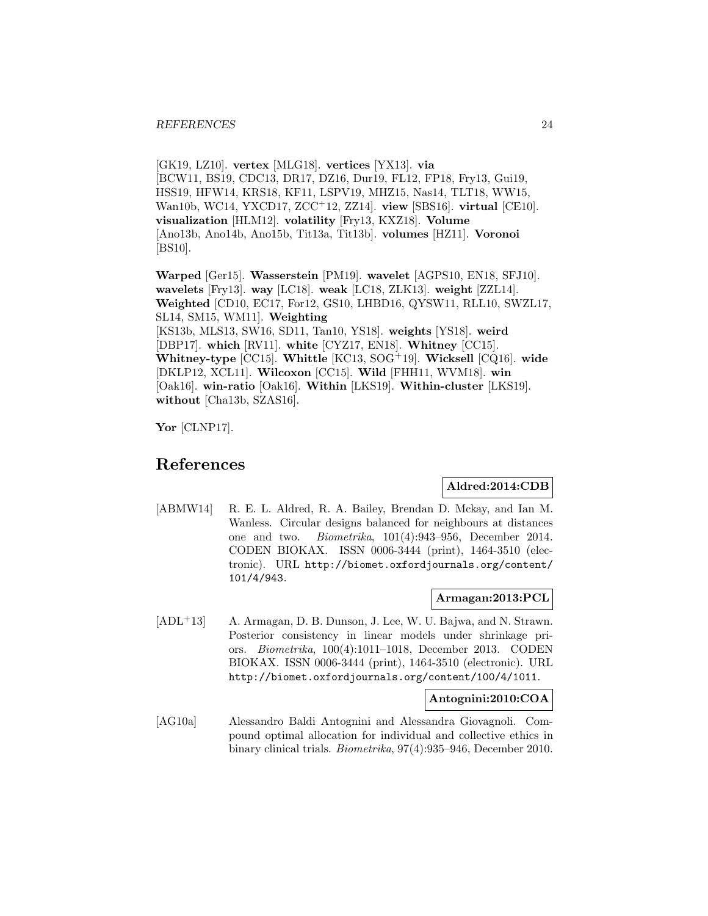[GK19, LZ10]. **vertex** [MLG18]. **vertices** [YX13]. **via** [BCW11, BS19, CDC13, DR17, DZ16, Dur19, FL12, FP18, Fry13, Gui19, HSS19, HFW14, KRS18, KF11, LSPV19, MHZ15, Nas14, TLT18, WW15, Wan10b, WC14, YXCD17, ZCC<sup>+</sup>12, ZZ14]. **view** [SBS16]. **virtual** [CE10]. **visualization** [HLM12]. **volatility** [Fry13, KXZ18]. **Volume** [Ano13b, Ano14b, Ano15b, Tit13a, Tit13b]. **volumes** [HZ11]. **Voronoi** [BS10].

**Warped** [Ger15]. **Wasserstein** [PM19]. **wavelet** [AGPS10, EN18, SFJ10]. **wavelets** [Fry13]. **way** [LC18]. **weak** [LC18, ZLK13]. **weight** [ZZL14]. **Weighted** [CD10, EC17, For12, GS10, LHBD16, QYSW11, RLL10, SWZL17, SL14, SM15, WM11]. **Weighting** [KS13b, MLS13, SW16, SD11, Tan10, YS18]. **weights** [YS18]. **weird** [DBP17]. **which** [RV11]. **white** [CYZ17, EN18]. **Whitney** [CC15]. **Whitney-type** [CC15]. **Whittle** [KC13, SOG<sup>+</sup>19]. **Wicksell** [CQ16]. **wide** [DKLP12, XCL11]. **Wilcoxon** [CC15]. **Wild** [FHH11, WVM18]. **win** [Oak16]. **win-ratio** [Oak16]. **Within** [LKS19]. **Within-cluster** [LKS19]. **without** [Cha13b, SZAS16].

**Yor** [CLNP17].

## **References**

#### **Aldred:2014:CDB**

[ABMW14] R. E. L. Aldred, R. A. Bailey, Brendan D. Mckay, and Ian M. Wanless. Circular designs balanced for neighbours at distances one and two. Biometrika, 101(4):943–956, December 2014. CODEN BIOKAX. ISSN 0006-3444 (print), 1464-3510 (electronic). URL http://biomet.oxfordjournals.org/content/ 101/4/943.

#### **Armagan:2013:PCL**

[ADL<sup>+</sup>13] A. Armagan, D. B. Dunson, J. Lee, W. U. Bajwa, and N. Strawn. Posterior consistency in linear models under shrinkage priors. Biometrika, 100(4):1011–1018, December 2013. CODEN BIOKAX. ISSN 0006-3444 (print), 1464-3510 (electronic). URL http://biomet.oxfordjournals.org/content/100/4/1011.

#### **Antognini:2010:COA**

[AG10a] Alessandro Baldi Antognini and Alessandra Giovagnoli. Compound optimal allocation for individual and collective ethics in binary clinical trials. Biometrika, 97(4):935–946, December 2010.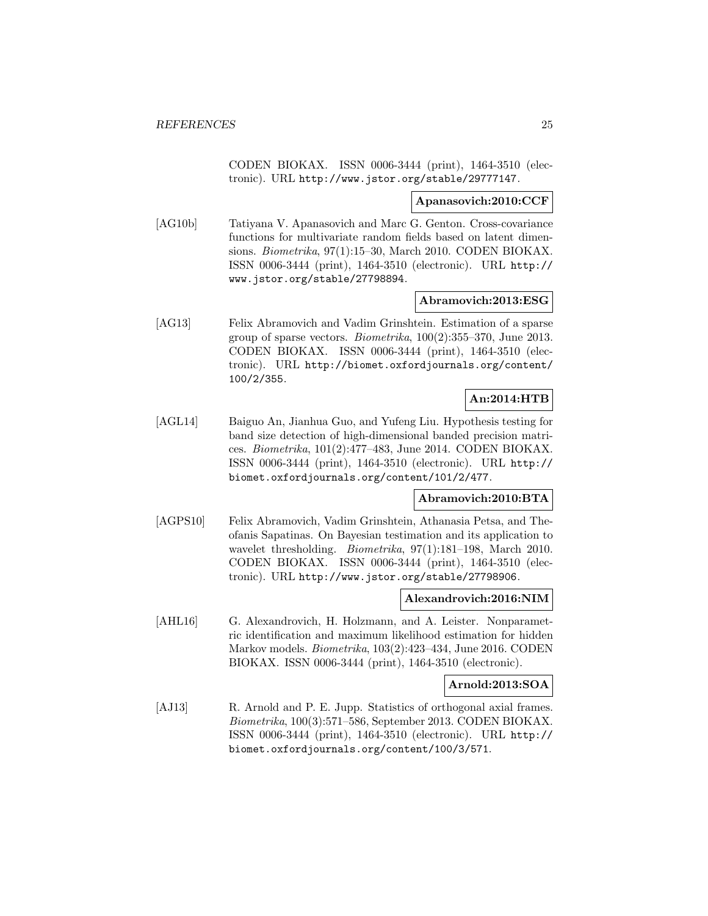CODEN BIOKAX. ISSN 0006-3444 (print), 1464-3510 (electronic). URL http://www.jstor.org/stable/29777147.

#### **Apanasovich:2010:CCF**

[AG10b] Tatiyana V. Apanasovich and Marc G. Genton. Cross-covariance functions for multivariate random fields based on latent dimensions. Biometrika, 97(1):15–30, March 2010. CODEN BIOKAX. ISSN 0006-3444 (print), 1464-3510 (electronic). URL http:// www.jstor.org/stable/27798894.

#### **Abramovich:2013:ESG**

[AG13] Felix Abramovich and Vadim Grinshtein. Estimation of a sparse group of sparse vectors. Biometrika, 100(2):355–370, June 2013. CODEN BIOKAX. ISSN 0006-3444 (print), 1464-3510 (electronic). URL http://biomet.oxfordjournals.org/content/ 100/2/355.

## **An:2014:HTB**

[AGL14] Baiguo An, Jianhua Guo, and Yufeng Liu. Hypothesis testing for band size detection of high-dimensional banded precision matrices. Biometrika, 101(2):477–483, June 2014. CODEN BIOKAX. ISSN 0006-3444 (print), 1464-3510 (electronic). URL http:// biomet.oxfordjournals.org/content/101/2/477.

#### **Abramovich:2010:BTA**

[AGPS10] Felix Abramovich, Vadim Grinshtein, Athanasia Petsa, and Theofanis Sapatinas. On Bayesian testimation and its application to wavelet thresholding. Biometrika, 97(1):181–198, March 2010. CODEN BIOKAX. ISSN 0006-3444 (print), 1464-3510 (electronic). URL http://www.jstor.org/stable/27798906.

#### **Alexandrovich:2016:NIM**

[AHL16] G. Alexandrovich, H. Holzmann, and A. Leister. Nonparametric identification and maximum likelihood estimation for hidden Markov models. Biometrika, 103(2):423–434, June 2016. CODEN BIOKAX. ISSN 0006-3444 (print), 1464-3510 (electronic).

#### **Arnold:2013:SOA**

[AJ13] R. Arnold and P. E. Jupp. Statistics of orthogonal axial frames. Biometrika, 100(3):571–586, September 2013. CODEN BIOKAX. ISSN 0006-3444 (print), 1464-3510 (electronic). URL http:// biomet.oxfordjournals.org/content/100/3/571.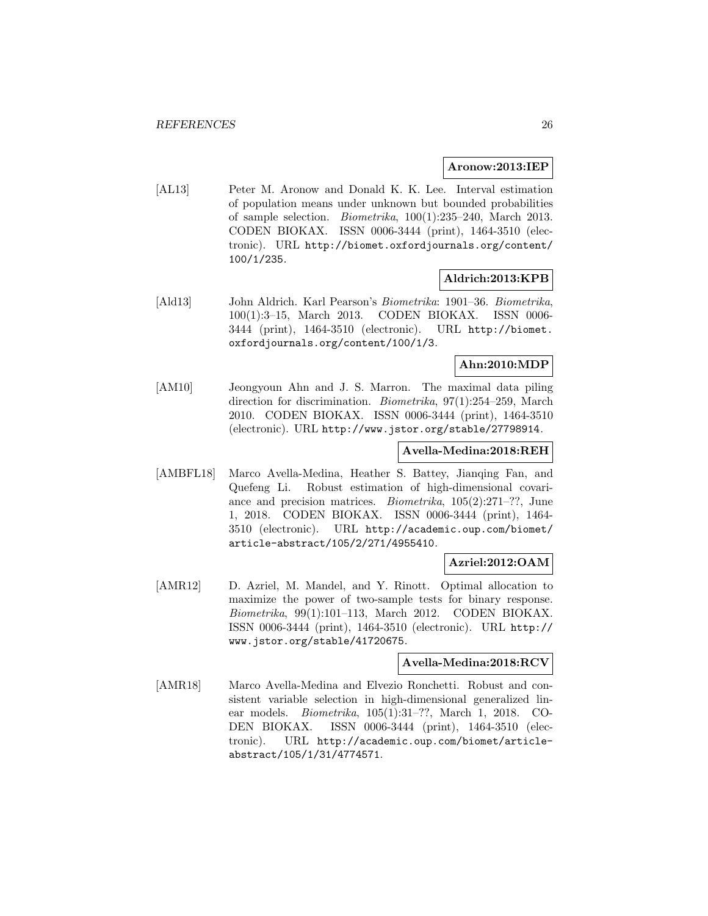#### **Aronow:2013:IEP**

[AL13] Peter M. Aronow and Donald K. K. Lee. Interval estimation of population means under unknown but bounded probabilities of sample selection. Biometrika, 100(1):235–240, March 2013. CODEN BIOKAX. ISSN 0006-3444 (print), 1464-3510 (electronic). URL http://biomet.oxfordjournals.org/content/ 100/1/235.

#### **Aldrich:2013:KPB**

[Ald13] John Aldrich. Karl Pearson's Biometrika: 1901–36. Biometrika, 100(1):3–15, March 2013. CODEN BIOKAX. ISSN 0006- 3444 (print), 1464-3510 (electronic). URL http://biomet. oxfordjournals.org/content/100/1/3.

#### **Ahn:2010:MDP**

[AM10] Jeongyoun Ahn and J. S. Marron. The maximal data piling direction for discrimination. Biometrika, 97(1):254–259, March 2010. CODEN BIOKAX. ISSN 0006-3444 (print), 1464-3510 (electronic). URL http://www.jstor.org/stable/27798914.

#### **Avella-Medina:2018:REH**

[AMBFL18] Marco Avella-Medina, Heather S. Battey, Jianqing Fan, and Quefeng Li. Robust estimation of high-dimensional covariance and precision matrices. Biometrika, 105(2):271–??, June 1, 2018. CODEN BIOKAX. ISSN 0006-3444 (print), 1464- 3510 (electronic). URL http://academic.oup.com/biomet/ article-abstract/105/2/271/4955410.

#### **Azriel:2012:OAM**

[AMR12] D. Azriel, M. Mandel, and Y. Rinott. Optimal allocation to maximize the power of two-sample tests for binary response. Biometrika, 99(1):101–113, March 2012. CODEN BIOKAX. ISSN 0006-3444 (print), 1464-3510 (electronic). URL http:// www.jstor.org/stable/41720675.

#### **Avella-Medina:2018:RCV**

[AMR18] Marco Avella-Medina and Elvezio Ronchetti. Robust and consistent variable selection in high-dimensional generalized linear models. Biometrika, 105(1):31–??, March 1, 2018. CO-DEN BIOKAX. ISSN 0006-3444 (print), 1464-3510 (electronic). URL http://academic.oup.com/biomet/articleabstract/105/1/31/4774571.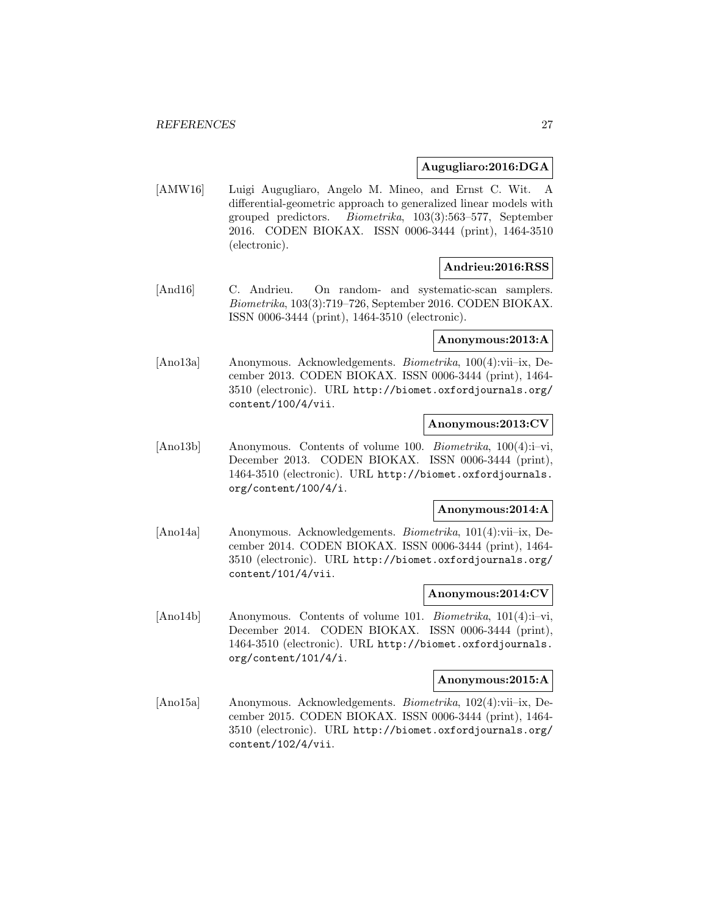#### **Augugliaro:2016:DGA**

[AMW16] Luigi Augugliaro, Angelo M. Mineo, and Ernst C. Wit. A differential-geometric approach to generalized linear models with grouped predictors. Biometrika, 103(3):563–577, September 2016. CODEN BIOKAX. ISSN 0006-3444 (print), 1464-3510 (electronic).

#### **Andrieu:2016:RSS**

[And16] C. Andrieu. On random- and systematic-scan samplers. Biometrika, 103(3):719–726, September 2016. CODEN BIOKAX. ISSN 0006-3444 (print), 1464-3510 (electronic).

#### **Anonymous:2013:A**

[Ano13a] Anonymous. Acknowledgements. Biometrika, 100(4):vii–ix, December 2013. CODEN BIOKAX. ISSN 0006-3444 (print), 1464- 3510 (electronic). URL http://biomet.oxfordjournals.org/ content/100/4/vii.

#### **Anonymous:2013:CV**

[Ano13b] Anonymous. Contents of volume 100. Biometrika, 100(4):i-vi, December 2013. CODEN BIOKAX. ISSN 0006-3444 (print), 1464-3510 (electronic). URL http://biomet.oxfordjournals. org/content/100/4/i.

### **Anonymous:2014:A**

[Ano14a] Anonymous. Acknowledgements. Biometrika, 101(4):vii–ix, December 2014. CODEN BIOKAX. ISSN 0006-3444 (print), 1464- 3510 (electronic). URL http://biomet.oxfordjournals.org/ content/101/4/vii.

#### **Anonymous:2014:CV**

[Ano14b] Anonymous. Contents of volume 101. Biometrika, 101(4):i-vi, December 2014. CODEN BIOKAX. ISSN 0006-3444 (print), 1464-3510 (electronic). URL http://biomet.oxfordjournals. org/content/101/4/i.

#### **Anonymous:2015:A**

[Ano15a] Anonymous. Acknowledgements. Biometrika, 102(4):vii–ix, December 2015. CODEN BIOKAX. ISSN 0006-3444 (print), 1464- 3510 (electronic). URL http://biomet.oxfordjournals.org/ content/102/4/vii.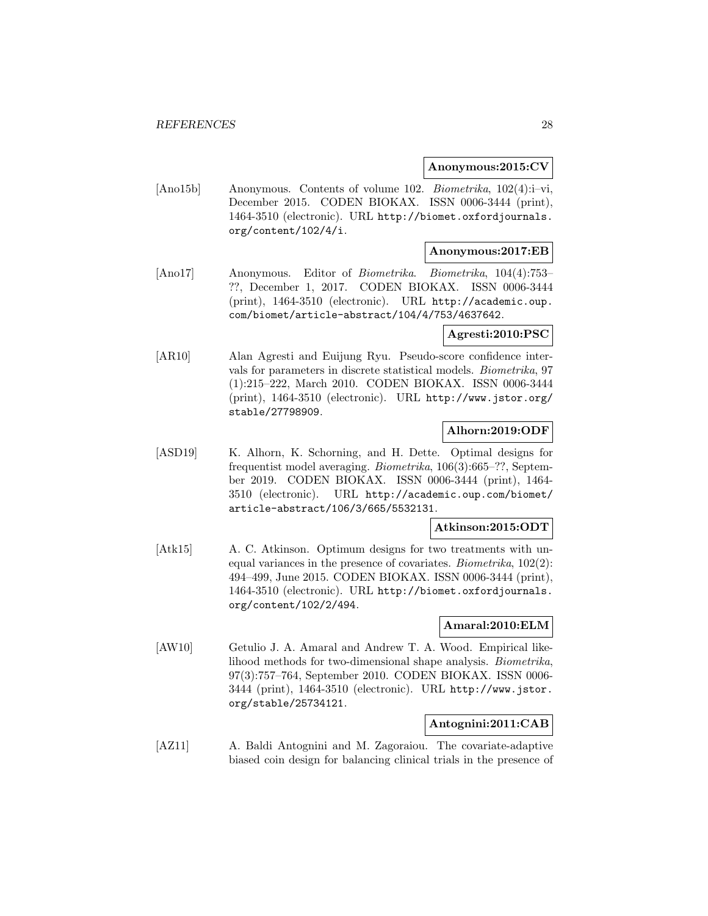#### **Anonymous:2015:CV**

[Ano15b] Anonymous. Contents of volume 102. Biometrika, 102(4):i–vi, December 2015. CODEN BIOKAX. ISSN 0006-3444 (print), 1464-3510 (electronic). URL http://biomet.oxfordjournals. org/content/102/4/i.

#### **Anonymous:2017:EB**

[Ano17] Anonymous. Editor of Biometrika. Biometrika, 104(4):753– ??, December 1, 2017. CODEN BIOKAX. ISSN 0006-3444 (print), 1464-3510 (electronic). URL http://academic.oup. com/biomet/article-abstract/104/4/753/4637642.

#### **Agresti:2010:PSC**

[AR10] Alan Agresti and Euijung Ryu. Pseudo-score confidence intervals for parameters in discrete statistical models. Biometrika, 97 (1):215–222, March 2010. CODEN BIOKAX. ISSN 0006-3444 (print), 1464-3510 (electronic). URL http://www.jstor.org/ stable/27798909.

#### **Alhorn:2019:ODF**

[ASD19] K. Alhorn, K. Schorning, and H. Dette. Optimal designs for frequentist model averaging. Biometrika, 106(3):665–??, September 2019. CODEN BIOKAX. ISSN 0006-3444 (print), 1464- 3510 (electronic). URL http://academic.oup.com/biomet/ article-abstract/106/3/665/5532131.

### **Atkinson:2015:ODT**

[Atk15] A. C. Atkinson. Optimum designs for two treatments with unequal variances in the presence of covariates. Biometrika, 102(2): 494–499, June 2015. CODEN BIOKAX. ISSN 0006-3444 (print), 1464-3510 (electronic). URL http://biomet.oxfordjournals. org/content/102/2/494.

#### **Amaral:2010:ELM**

[AW10] Getulio J. A. Amaral and Andrew T. A. Wood. Empirical likelihood methods for two-dimensional shape analysis. Biometrika, 97(3):757–764, September 2010. CODEN BIOKAX. ISSN 0006- 3444 (print), 1464-3510 (electronic). URL http://www.jstor. org/stable/25734121.

### **Antognini:2011:CAB**

[AZ11] A. Baldi Antognini and M. Zagoraiou. The covariate-adaptive biased coin design for balancing clinical trials in the presence of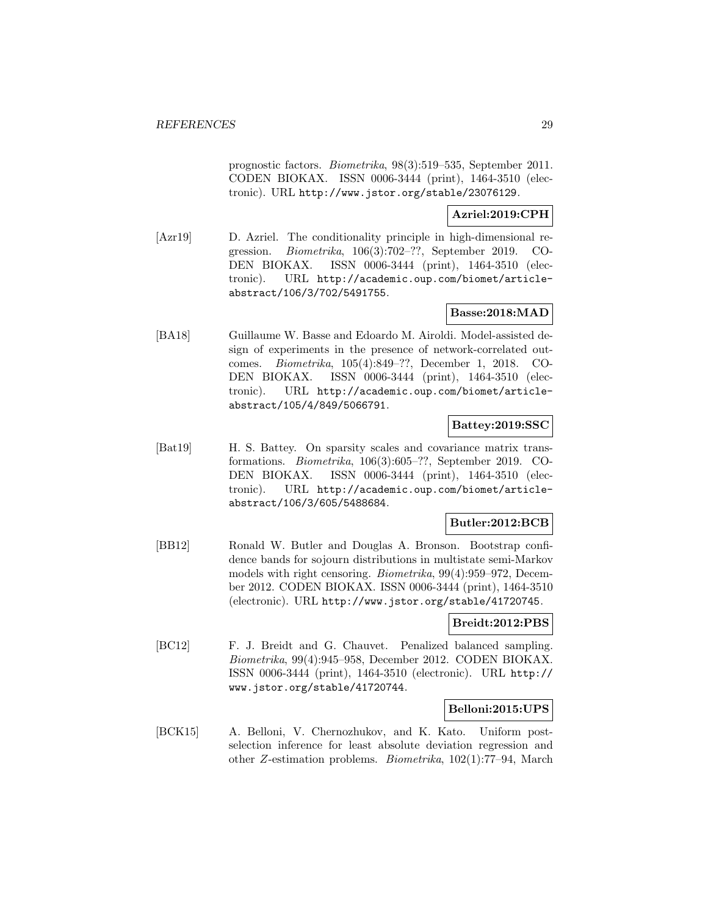prognostic factors. Biometrika, 98(3):519–535, September 2011. CODEN BIOKAX. ISSN 0006-3444 (print), 1464-3510 (electronic). URL http://www.jstor.org/stable/23076129.

#### **Azriel:2019:CPH**

[Azr19] D. Azriel. The conditionality principle in high-dimensional regression. Biometrika, 106(3):702–??, September 2019. CO-DEN BIOKAX. ISSN 0006-3444 (print), 1464-3510 (electronic). URL http://academic.oup.com/biomet/articleabstract/106/3/702/5491755.

## **Basse:2018:MAD**

[BA18] Guillaume W. Basse and Edoardo M. Airoldi. Model-assisted design of experiments in the presence of network-correlated outcomes. Biometrika, 105(4):849–??, December 1, 2018. CO-DEN BIOKAX. ISSN 0006-3444 (print), 1464-3510 (electronic). URL http://academic.oup.com/biomet/articleabstract/105/4/849/5066791.

## **Battey:2019:SSC**

[Bat19] H. S. Battey. On sparsity scales and covariance matrix transformations. Biometrika, 106(3):605–??, September 2019. CO-DEN BIOKAX. ISSN 0006-3444 (print), 1464-3510 (electronic). URL http://academic.oup.com/biomet/articleabstract/106/3/605/5488684.

## **Butler:2012:BCB**

[BB12] Ronald W. Butler and Douglas A. Bronson. Bootstrap confidence bands for sojourn distributions in multistate semi-Markov models with right censoring. Biometrika, 99(4):959–972, December 2012. CODEN BIOKAX. ISSN 0006-3444 (print), 1464-3510 (electronic). URL http://www.jstor.org/stable/41720745.

## **Breidt:2012:PBS**

[BC12] F. J. Breidt and G. Chauvet. Penalized balanced sampling. Biometrika, 99(4):945–958, December 2012. CODEN BIOKAX. ISSN 0006-3444 (print), 1464-3510 (electronic). URL http:// www.jstor.org/stable/41720744.

## **Belloni:2015:UPS**

[BCK15] A. Belloni, V. Chernozhukov, and K. Kato. Uniform postselection inference for least absolute deviation regression and other Z-estimation problems. Biometrika, 102(1):77–94, March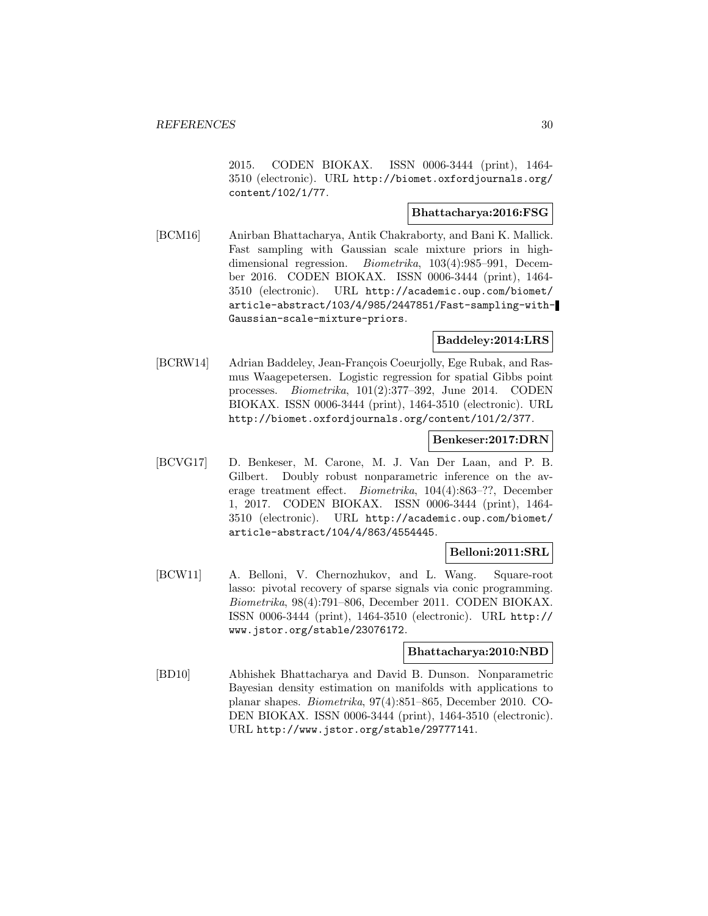2015. CODEN BIOKAX. ISSN 0006-3444 (print), 1464- 3510 (electronic). URL http://biomet.oxfordjournals.org/ content/102/1/77.

#### **Bhattacharya:2016:FSG**

[BCM16] Anirban Bhattacharya, Antik Chakraborty, and Bani K. Mallick. Fast sampling with Gaussian scale mixture priors in highdimensional regression. Biometrika, 103(4):985–991, December 2016. CODEN BIOKAX. ISSN 0006-3444 (print), 1464- 3510 (electronic). URL http://academic.oup.com/biomet/ article-abstract/103/4/985/2447851/Fast-sampling-with-Gaussian-scale-mixture-priors.

## **Baddeley:2014:LRS**

[BCRW14] Adrian Baddeley, Jean-François Coeurjolly, Ege Rubak, and Rasmus Waagepetersen. Logistic regression for spatial Gibbs point processes. Biometrika, 101(2):377–392, June 2014. CODEN BIOKAX. ISSN 0006-3444 (print), 1464-3510 (electronic). URL http://biomet.oxfordjournals.org/content/101/2/377.

#### **Benkeser:2017:DRN**

[BCVG17] D. Benkeser, M. Carone, M. J. Van Der Laan, and P. B. Gilbert. Doubly robust nonparametric inference on the average treatment effect. Biometrika, 104(4):863–??, December 1, 2017. CODEN BIOKAX. ISSN 0006-3444 (print), 1464- 3510 (electronic). URL http://academic.oup.com/biomet/ article-abstract/104/4/863/4554445.

#### **Belloni:2011:SRL**

[BCW11] A. Belloni, V. Chernozhukov, and L. Wang. Square-root lasso: pivotal recovery of sparse signals via conic programming. Biometrika, 98(4):791–806, December 2011. CODEN BIOKAX. ISSN 0006-3444 (print), 1464-3510 (electronic). URL http:// www.jstor.org/stable/23076172.

#### **Bhattacharya:2010:NBD**

[BD10] Abhishek Bhattacharya and David B. Dunson. Nonparametric Bayesian density estimation on manifolds with applications to planar shapes. Biometrika, 97(4):851–865, December 2010. CO-DEN BIOKAX. ISSN 0006-3444 (print), 1464-3510 (electronic). URL http://www.jstor.org/stable/29777141.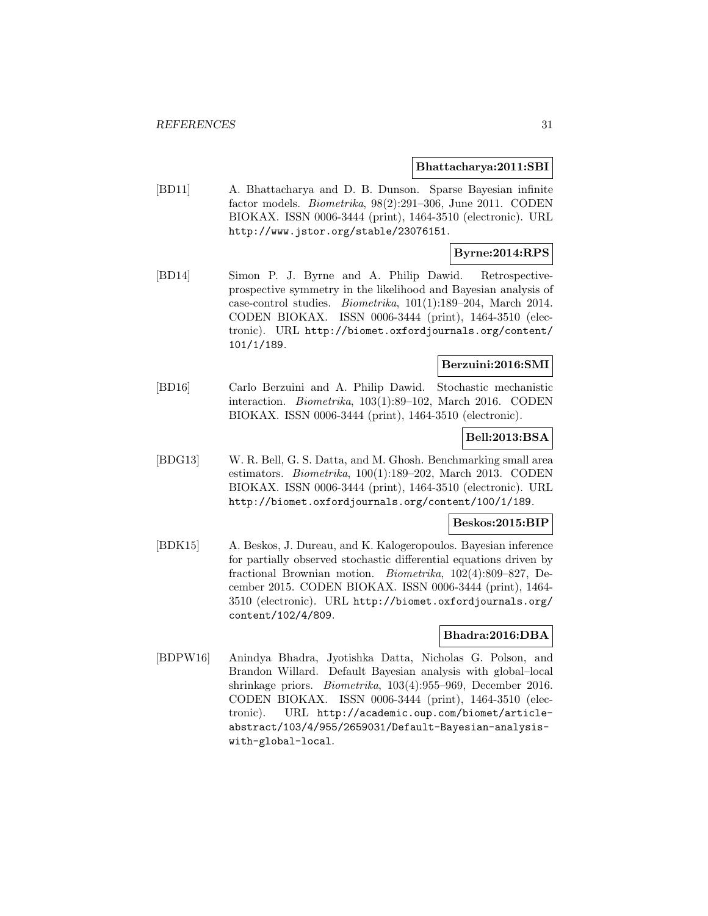#### **Bhattacharya:2011:SBI**

[BD11] A. Bhattacharya and D. B. Dunson. Sparse Bayesian infinite factor models. Biometrika, 98(2):291–306, June 2011. CODEN BIOKAX. ISSN 0006-3444 (print), 1464-3510 (electronic). URL http://www.jstor.org/stable/23076151.

#### **Byrne:2014:RPS**

[BD14] Simon P. J. Byrne and A. Philip Dawid. Retrospectiveprospective symmetry in the likelihood and Bayesian analysis of case-control studies. Biometrika, 101(1):189–204, March 2014. CODEN BIOKAX. ISSN 0006-3444 (print), 1464-3510 (electronic). URL http://biomet.oxfordjournals.org/content/ 101/1/189.

#### **Berzuini:2016:SMI**

[BD16] Carlo Berzuini and A. Philip Dawid. Stochastic mechanistic interaction. Biometrika, 103(1):89–102, March 2016. CODEN BIOKAX. ISSN 0006-3444 (print), 1464-3510 (electronic).

### **Bell:2013:BSA**

[BDG13] W. R. Bell, G. S. Datta, and M. Ghosh. Benchmarking small area estimators. Biometrika, 100(1):189–202, March 2013. CODEN BIOKAX. ISSN 0006-3444 (print), 1464-3510 (electronic). URL http://biomet.oxfordjournals.org/content/100/1/189.

### **Beskos:2015:BIP**

[BDK15] A. Beskos, J. Dureau, and K. Kalogeropoulos. Bayesian inference for partially observed stochastic differential equations driven by fractional Brownian motion. Biometrika, 102(4):809–827, December 2015. CODEN BIOKAX. ISSN 0006-3444 (print), 1464- 3510 (electronic). URL http://biomet.oxfordjournals.org/ content/102/4/809.

#### **Bhadra:2016:DBA**

[BDPW16] Anindya Bhadra, Jyotishka Datta, Nicholas G. Polson, and Brandon Willard. Default Bayesian analysis with global–local shrinkage priors. Biometrika, 103(4):955–969, December 2016. CODEN BIOKAX. ISSN 0006-3444 (print), 1464-3510 (electronic). URL http://academic.oup.com/biomet/articleabstract/103/4/955/2659031/Default-Bayesian-analysiswith-global-local.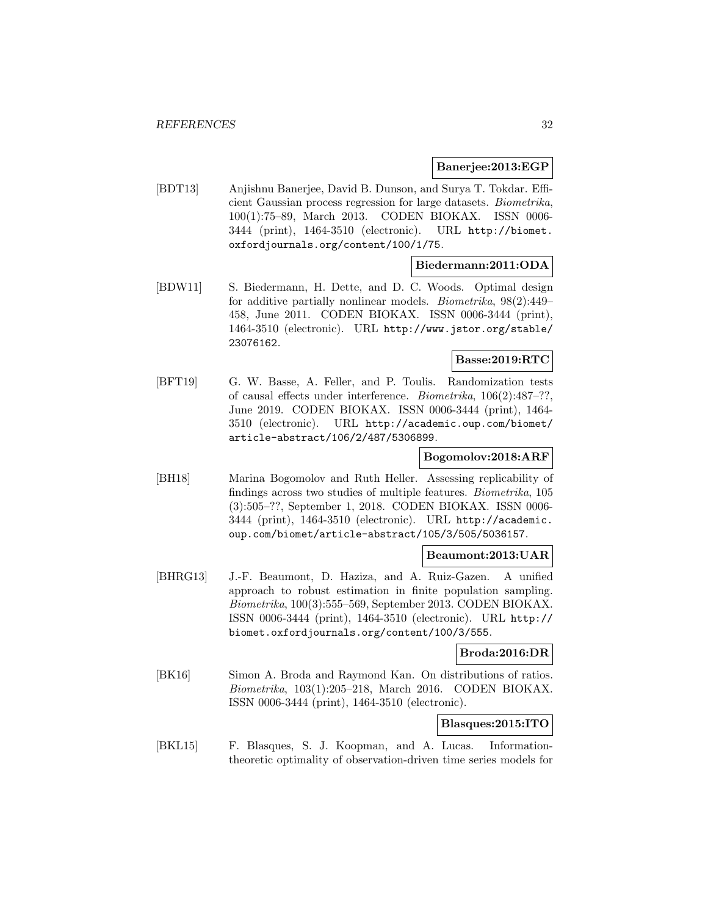#### **Banerjee:2013:EGP**

[BDT13] Anjishnu Banerjee, David B. Dunson, and Surya T. Tokdar. Efficient Gaussian process regression for large datasets. Biometrika, 100(1):75–89, March 2013. CODEN BIOKAX. ISSN 0006- 3444 (print), 1464-3510 (electronic). URL http://biomet. oxfordjournals.org/content/100/1/75.

#### **Biedermann:2011:ODA**

[BDW11] S. Biedermann, H. Dette, and D. C. Woods. Optimal design for additive partially nonlinear models. Biometrika, 98(2):449– 458, June 2011. CODEN BIOKAX. ISSN 0006-3444 (print), 1464-3510 (electronic). URL http://www.jstor.org/stable/ 23076162.

#### **Basse:2019:RTC**

[BFT19] G. W. Basse, A. Feller, and P. Toulis. Randomization tests of causal effects under interference. Biometrika, 106(2):487–??, June 2019. CODEN BIOKAX. ISSN 0006-3444 (print), 1464- 3510 (electronic). URL http://academic.oup.com/biomet/ article-abstract/106/2/487/5306899.

#### **Bogomolov:2018:ARF**

[BH18] Marina Bogomolov and Ruth Heller. Assessing replicability of findings across two studies of multiple features. Biometrika, 105 (3):505–??, September 1, 2018. CODEN BIOKAX. ISSN 0006- 3444 (print), 1464-3510 (electronic). URL http://academic. oup.com/biomet/article-abstract/105/3/505/5036157.

#### **Beaumont:2013:UAR**

[BHRG13] J.-F. Beaumont, D. Haziza, and A. Ruiz-Gazen. A unified approach to robust estimation in finite population sampling. Biometrika, 100(3):555–569, September 2013. CODEN BIOKAX. ISSN 0006-3444 (print), 1464-3510 (electronic). URL http:// biomet.oxfordjournals.org/content/100/3/555.

#### **Broda:2016:DR**

[BK16] Simon A. Broda and Raymond Kan. On distributions of ratios. Biometrika, 103(1):205–218, March 2016. CODEN BIOKAX. ISSN 0006-3444 (print), 1464-3510 (electronic).

### **Blasques:2015:ITO**

[BKL15] F. Blasques, S. J. Koopman, and A. Lucas. Informationtheoretic optimality of observation-driven time series models for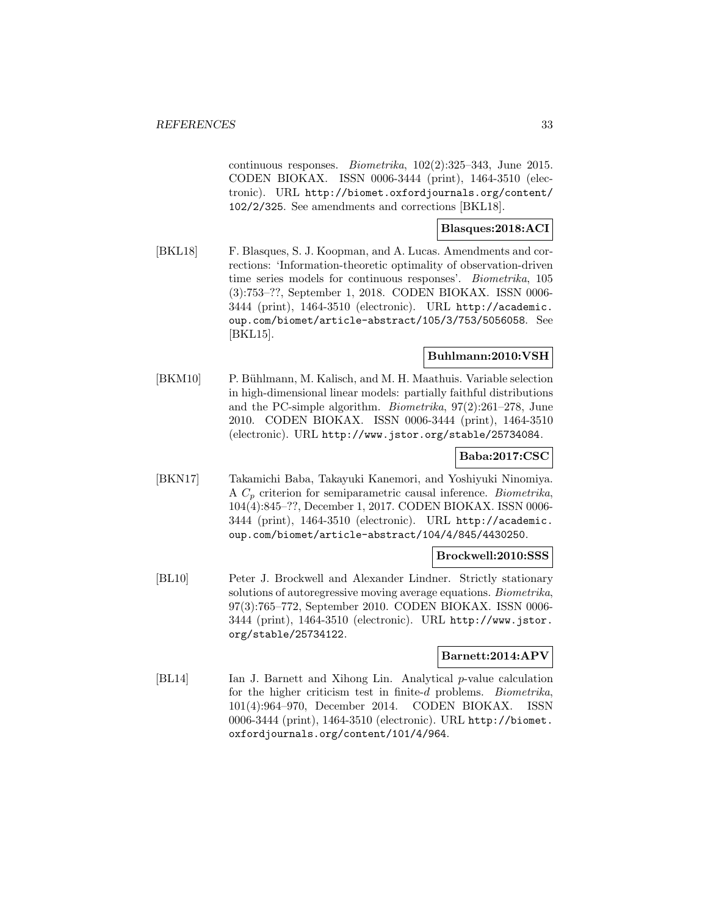continuous responses. Biometrika, 102(2):325–343, June 2015. CODEN BIOKAX. ISSN 0006-3444 (print), 1464-3510 (electronic). URL http://biomet.oxfordjournals.org/content/ 102/2/325. See amendments and corrections [BKL18].

## **Blasques:2018:ACI**

[BKL18] F. Blasques, S. J. Koopman, and A. Lucas. Amendments and corrections: 'Information-theoretic optimality of observation-driven time series models for continuous responses'. Biometrika, 105 (3):753–??, September 1, 2018. CODEN BIOKAX. ISSN 0006- 3444 (print), 1464-3510 (electronic). URL http://academic. oup.com/biomet/article-abstract/105/3/753/5056058. See [BKL15].

#### **Buhlmann:2010:VSH**

[BKM10] P. Bühlmann, M. Kalisch, and M. H. Maathuis. Variable selection in high-dimensional linear models: partially faithful distributions and the PC-simple algorithm. Biometrika, 97(2):261–278, June 2010. CODEN BIOKAX. ISSN 0006-3444 (print), 1464-3510 (electronic). URL http://www.jstor.org/stable/25734084.

## **Baba:2017:CSC**

[BKN17] Takamichi Baba, Takayuki Kanemori, and Yoshiyuki Ninomiya. A  $C_p$  criterion for semiparametric causal inference. *Biometrika*, 104(4):845–??, December 1, 2017. CODEN BIOKAX. ISSN 0006- 3444 (print), 1464-3510 (electronic). URL http://academic. oup.com/biomet/article-abstract/104/4/845/4430250.

#### **Brockwell:2010:SSS**

[BL10] Peter J. Brockwell and Alexander Lindner. Strictly stationary solutions of autoregressive moving average equations. Biometrika, 97(3):765–772, September 2010. CODEN BIOKAX. ISSN 0006- 3444 (print), 1464-3510 (electronic). URL http://www.jstor. org/stable/25734122.

#### **Barnett:2014:APV**

[BL14] Ian J. Barnett and Xihong Lin. Analytical p-value calculation for the higher criticism test in finite-d problems. *Biometrika*, 101(4):964–970, December 2014. CODEN BIOKAX. ISSN 0006-3444 (print), 1464-3510 (electronic). URL http://biomet. oxfordjournals.org/content/101/4/964.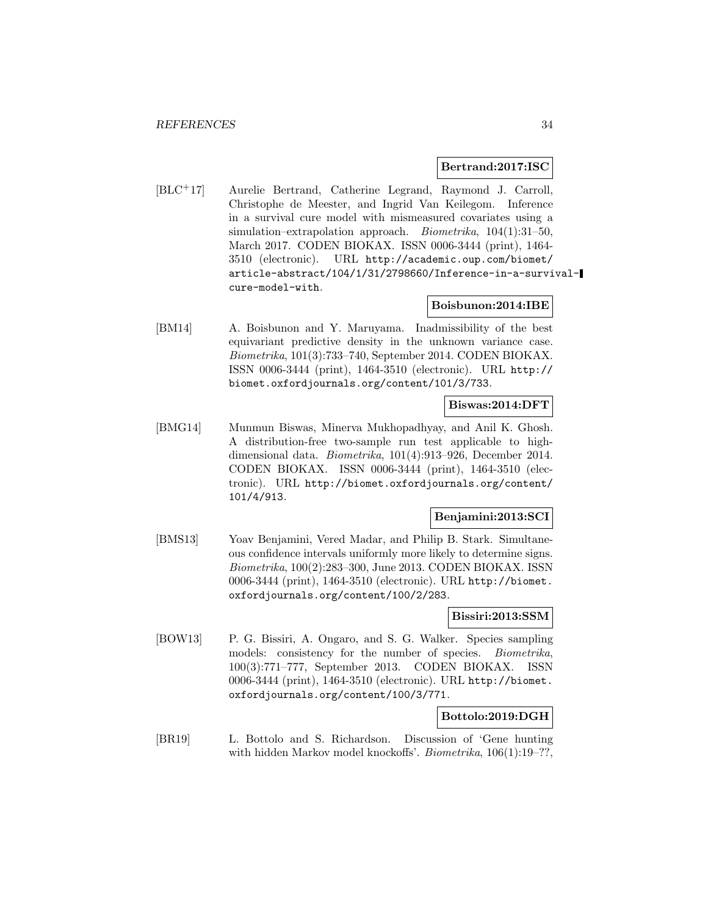#### **Bertrand:2017:ISC**

[BLC<sup>+</sup>17] Aurelie Bertrand, Catherine Legrand, Raymond J. Carroll, Christophe de Meester, and Ingrid Van Keilegom. Inference in a survival cure model with mismeasured covariates using a simulation–extrapolation approach. Biometrika, 104(1):31–50, March 2017. CODEN BIOKAX. ISSN 0006-3444 (print), 1464- 3510 (electronic). URL http://academic.oup.com/biomet/ article-abstract/104/1/31/2798660/Inference-in-a-survivalcure-model-with.

## **Boisbunon:2014:IBE**

[BM14] A. Boisbunon and Y. Maruyama. Inadmissibility of the best equivariant predictive density in the unknown variance case. Biometrika, 101(3):733–740, September 2014. CODEN BIOKAX. ISSN 0006-3444 (print), 1464-3510 (electronic). URL http:// biomet.oxfordjournals.org/content/101/3/733.

## **Biswas:2014:DFT**

[BMG14] Munmun Biswas, Minerva Mukhopadhyay, and Anil K. Ghosh. A distribution-free two-sample run test applicable to highdimensional data. Biometrika, 101(4):913–926, December 2014. CODEN BIOKAX. ISSN 0006-3444 (print), 1464-3510 (electronic). URL http://biomet.oxfordjournals.org/content/ 101/4/913.

#### **Benjamini:2013:SCI**

[BMS13] Yoav Benjamini, Vered Madar, and Philip B. Stark. Simultaneous confidence intervals uniformly more likely to determine signs. Biometrika, 100(2):283–300, June 2013. CODEN BIOKAX. ISSN 0006-3444 (print), 1464-3510 (electronic). URL http://biomet. oxfordjournals.org/content/100/2/283.

#### **Bissiri:2013:SSM**

[BOW13] P. G. Bissiri, A. Ongaro, and S. G. Walker. Species sampling models: consistency for the number of species. *Biometrika*, 100(3):771–777, September 2013. CODEN BIOKAX. ISSN 0006-3444 (print), 1464-3510 (electronic). URL http://biomet. oxfordjournals.org/content/100/3/771.

#### **Bottolo:2019:DGH**

[BR19] L. Bottolo and S. Richardson. Discussion of 'Gene hunting with hidden Markov model knockoffs'. *Biometrika*, 106(1):19–??,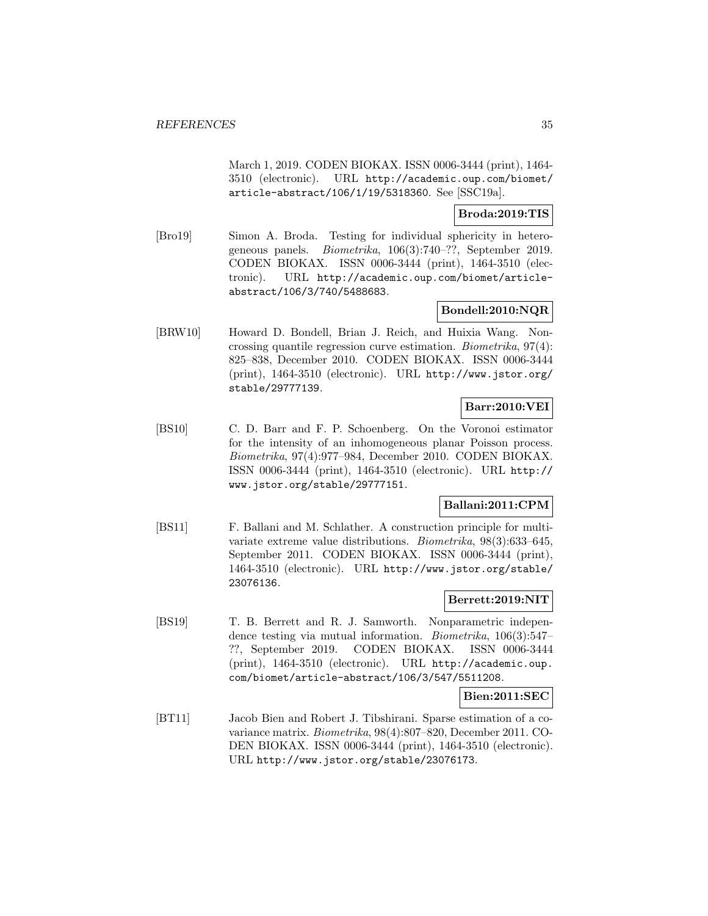March 1, 2019. CODEN BIOKAX. ISSN 0006-3444 (print), 1464- 3510 (electronic). URL http://academic.oup.com/biomet/ article-abstract/106/1/19/5318360. See [SSC19a].

#### **Broda:2019:TIS**

[Bro19] Simon A. Broda. Testing for individual sphericity in heterogeneous panels. Biometrika, 106(3):740–??, September 2019. CODEN BIOKAX. ISSN 0006-3444 (print), 1464-3510 (electronic). URL http://academic.oup.com/biomet/articleabstract/106/3/740/5488683.

## **Bondell:2010:NQR**

[BRW10] Howard D. Bondell, Brian J. Reich, and Huixia Wang. Noncrossing quantile regression curve estimation. Biometrika, 97(4): 825–838, December 2010. CODEN BIOKAX. ISSN 0006-3444 (print), 1464-3510 (electronic). URL http://www.jstor.org/ stable/29777139.

## **Barr:2010:VEI**

[BS10] C. D. Barr and F. P. Schoenberg. On the Voronoi estimator for the intensity of an inhomogeneous planar Poisson process. Biometrika, 97(4):977–984, December 2010. CODEN BIOKAX. ISSN 0006-3444 (print), 1464-3510 (electronic). URL http:// www.jstor.org/stable/29777151.

## **Ballani:2011:CPM**

[BS11] F. Ballani and M. Schlather. A construction principle for multivariate extreme value distributions. Biometrika, 98(3):633–645, September 2011. CODEN BIOKAX. ISSN 0006-3444 (print), 1464-3510 (electronic). URL http://www.jstor.org/stable/ 23076136.

## **Berrett:2019:NIT**

[BS19] T. B. Berrett and R. J. Samworth. Nonparametric independence testing via mutual information. Biometrika, 106(3):547– ??, September 2019. CODEN BIOKAX. ISSN 0006-3444 (print), 1464-3510 (electronic). URL http://academic.oup. com/biomet/article-abstract/106/3/547/5511208.

## **Bien:2011:SEC**

[BT11] Jacob Bien and Robert J. Tibshirani. Sparse estimation of a covariance matrix. Biometrika, 98(4):807–820, December 2011. CO-DEN BIOKAX. ISSN 0006-3444 (print), 1464-3510 (electronic). URL http://www.jstor.org/stable/23076173.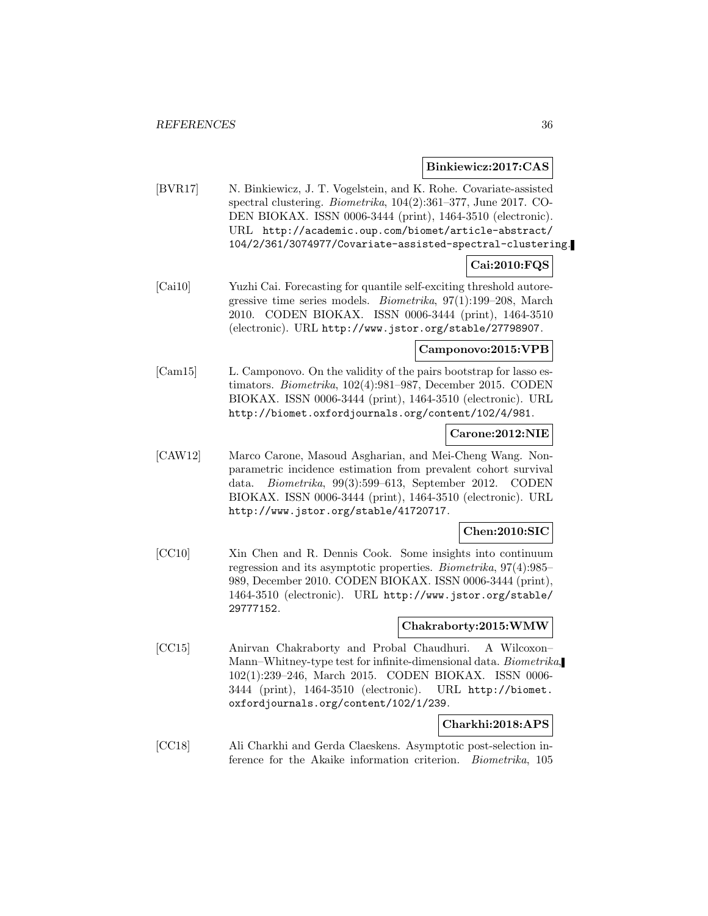**Binkiewicz:2017:CAS**

[BVR17] N. Binkiewicz, J. T. Vogelstein, and K. Rohe. Covariate-assisted spectral clustering. Biometrika, 104(2):361–377, June 2017. CO-DEN BIOKAX. ISSN 0006-3444 (print), 1464-3510 (electronic). URL http://academic.oup.com/biomet/article-abstract/ 104/2/361/3074977/Covariate-assisted-spectral-clustering.

#### **Cai:2010:FQS**

[Cai10] Yuzhi Cai. Forecasting for quantile self-exciting threshold autoregressive time series models. Biometrika, 97(1):199–208, March 2010. CODEN BIOKAX. ISSN 0006-3444 (print), 1464-3510 (electronic). URL http://www.jstor.org/stable/27798907.

#### **Camponovo:2015:VPB**

[Cam15] L. Camponovo. On the validity of the pairs bootstrap for lasso estimators. Biometrika, 102(4):981–987, December 2015. CODEN BIOKAX. ISSN 0006-3444 (print), 1464-3510 (electronic). URL http://biomet.oxfordjournals.org/content/102/4/981.

#### **Carone:2012:NIE**

[CAW12] Marco Carone, Masoud Asgharian, and Mei-Cheng Wang. Nonparametric incidence estimation from prevalent cohort survival data. Biometrika, 99(3):599–613, September 2012. CODEN BIOKAX. ISSN 0006-3444 (print), 1464-3510 (electronic). URL http://www.jstor.org/stable/41720717.

#### **Chen:2010:SIC**

[CC10] Xin Chen and R. Dennis Cook. Some insights into continuum regression and its asymptotic properties. Biometrika, 97(4):985– 989, December 2010. CODEN BIOKAX. ISSN 0006-3444 (print), 1464-3510 (electronic). URL http://www.jstor.org/stable/ 29777152.

#### **Chakraborty:2015:WMW**

[CC15] Anirvan Chakraborty and Probal Chaudhuri. A Wilcoxon– Mann–Whitney-type test for infinite-dimensional data. Biometrika, 102(1):239–246, March 2015. CODEN BIOKAX. ISSN 0006- 3444 (print), 1464-3510 (electronic). URL http://biomet. oxfordjournals.org/content/102/1/239.

## **Charkhi:2018:APS**

[CC18] Ali Charkhi and Gerda Claeskens. Asymptotic post-selection inference for the Akaike information criterion. Biometrika, 105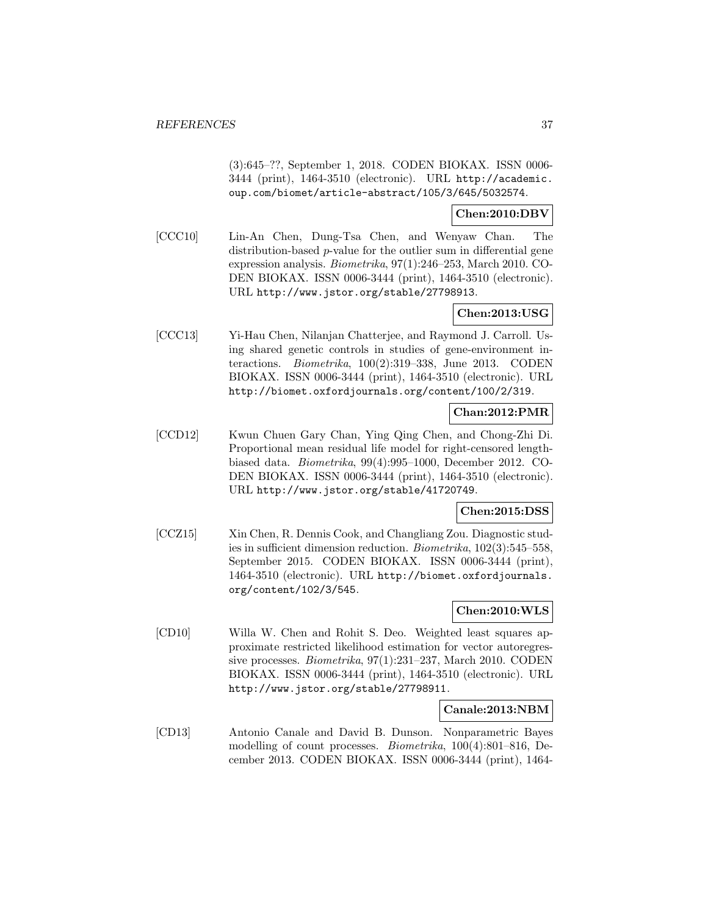(3):645–??, September 1, 2018. CODEN BIOKAX. ISSN 0006- 3444 (print), 1464-3510 (electronic). URL http://academic. oup.com/biomet/article-abstract/105/3/645/5032574.

### **Chen:2010:DBV**

[CCC10] Lin-An Chen, Dung-Tsa Chen, and Wenyaw Chan. The distribution-based p-value for the outlier sum in differential gene expression analysis. Biometrika, 97(1):246–253, March 2010. CO-DEN BIOKAX. ISSN 0006-3444 (print), 1464-3510 (electronic). URL http://www.jstor.org/stable/27798913.

## **Chen:2013:USG**

[CCC13] Yi-Hau Chen, Nilanjan Chatterjee, and Raymond J. Carroll. Using shared genetic controls in studies of gene-environment interactions. Biometrika, 100(2):319–338, June 2013. CODEN BIOKAX. ISSN 0006-3444 (print), 1464-3510 (electronic). URL http://biomet.oxfordjournals.org/content/100/2/319.

### **Chan:2012:PMR**

[CCD12] Kwun Chuen Gary Chan, Ying Qing Chen, and Chong-Zhi Di. Proportional mean residual life model for right-censored lengthbiased data. Biometrika, 99(4):995–1000, December 2012. CO-DEN BIOKAX. ISSN 0006-3444 (print), 1464-3510 (electronic). URL http://www.jstor.org/stable/41720749.

#### **Chen:2015:DSS**

[CCZ15] Xin Chen, R. Dennis Cook, and Changliang Zou. Diagnostic studies in sufficient dimension reduction. Biometrika, 102(3):545–558, September 2015. CODEN BIOKAX. ISSN 0006-3444 (print), 1464-3510 (electronic). URL http://biomet.oxfordjournals. org/content/102/3/545.

### **Chen:2010:WLS**

[CD10] Willa W. Chen and Rohit S. Deo. Weighted least squares approximate restricted likelihood estimation for vector autoregressive processes. Biometrika, 97(1):231–237, March 2010. CODEN BIOKAX. ISSN 0006-3444 (print), 1464-3510 (electronic). URL http://www.jstor.org/stable/27798911.

#### **Canale:2013:NBM**

[CD13] Antonio Canale and David B. Dunson. Nonparametric Bayes modelling of count processes. Biometrika, 100(4):801–816, December 2013. CODEN BIOKAX. ISSN 0006-3444 (print), 1464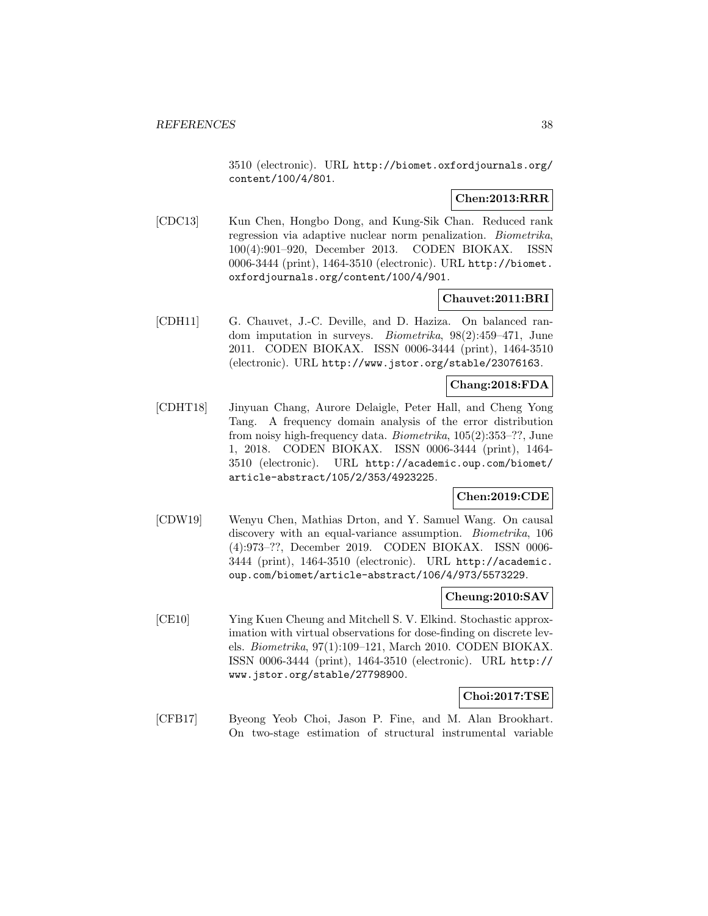3510 (electronic). URL http://biomet.oxfordjournals.org/ content/100/4/801.

# **Chen:2013:RRR**

[CDC13] Kun Chen, Hongbo Dong, and Kung-Sik Chan. Reduced rank regression via adaptive nuclear norm penalization. Biometrika, 100(4):901–920, December 2013. CODEN BIOKAX. ISSN 0006-3444 (print), 1464-3510 (electronic). URL http://biomet. oxfordjournals.org/content/100/4/901.

## **Chauvet:2011:BRI**

[CDH11] G. Chauvet, J.-C. Deville, and D. Haziza. On balanced random imputation in surveys. Biometrika, 98(2):459–471, June 2011. CODEN BIOKAX. ISSN 0006-3444 (print), 1464-3510 (electronic). URL http://www.jstor.org/stable/23076163.

# **Chang:2018:FDA**

[CDHT18] Jinyuan Chang, Aurore Delaigle, Peter Hall, and Cheng Yong Tang. A frequency domain analysis of the error distribution from noisy high-frequency data. Biometrika, 105(2):353–??, June 1, 2018. CODEN BIOKAX. ISSN 0006-3444 (print), 1464- 3510 (electronic). URL http://academic.oup.com/biomet/ article-abstract/105/2/353/4923225.

## **Chen:2019:CDE**

[CDW19] Wenyu Chen, Mathias Drton, and Y. Samuel Wang. On causal discovery with an equal-variance assumption. *Biometrika*, 106 (4):973–??, December 2019. CODEN BIOKAX. ISSN 0006- 3444 (print), 1464-3510 (electronic). URL http://academic. oup.com/biomet/article-abstract/106/4/973/5573229.

#### **Cheung:2010:SAV**

[CE10] Ying Kuen Cheung and Mitchell S. V. Elkind. Stochastic approximation with virtual observations for dose-finding on discrete levels. Biometrika, 97(1):109–121, March 2010. CODEN BIOKAX. ISSN 0006-3444 (print), 1464-3510 (electronic). URL http:// www.jstor.org/stable/27798900.

#### **Choi:2017:TSE**

[CFB17] Byeong Yeob Choi, Jason P. Fine, and M. Alan Brookhart. On two-stage estimation of structural instrumental variable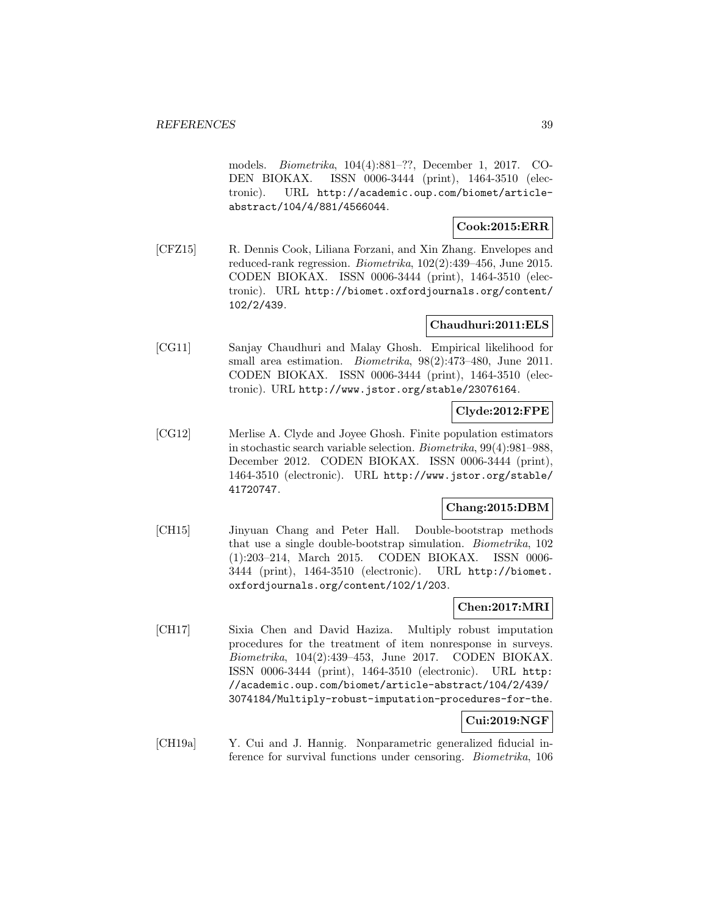models. Biometrika, 104(4):881–??, December 1, 2017. CO-DEN BIOKAX. ISSN 0006-3444 (print), 1464-3510 (electronic). URL http://academic.oup.com/biomet/articleabstract/104/4/881/4566044.

### **Cook:2015:ERR**

[CFZ15] R. Dennis Cook, Liliana Forzani, and Xin Zhang. Envelopes and reduced-rank regression. Biometrika, 102(2):439–456, June 2015. CODEN BIOKAX. ISSN 0006-3444 (print), 1464-3510 (electronic). URL http://biomet.oxfordjournals.org/content/ 102/2/439.

## **Chaudhuri:2011:ELS**

[CG11] Sanjay Chaudhuri and Malay Ghosh. Empirical likelihood for small area estimation. *Biometrika*, 98(2):473-480, June 2011. CODEN BIOKAX. ISSN 0006-3444 (print), 1464-3510 (electronic). URL http://www.jstor.org/stable/23076164.

## **Clyde:2012:FPE**

[CG12] Merlise A. Clyde and Joyee Ghosh. Finite population estimators in stochastic search variable selection. Biometrika, 99(4):981–988, December 2012. CODEN BIOKAX. ISSN 0006-3444 (print), 1464-3510 (electronic). URL http://www.jstor.org/stable/ 41720747.

## **Chang:2015:DBM**

[CH15] Jinyuan Chang and Peter Hall. Double-bootstrap methods that use a single double-bootstrap simulation. Biometrika, 102 (1):203–214, March 2015. CODEN BIOKAX. ISSN 0006- 3444 (print), 1464-3510 (electronic). URL http://biomet. oxfordjournals.org/content/102/1/203.

## **Chen:2017:MRI**

[CH17] Sixia Chen and David Haziza. Multiply robust imputation procedures for the treatment of item nonresponse in surveys. Biometrika, 104(2):439–453, June 2017. CODEN BIOKAX. ISSN 0006-3444 (print), 1464-3510 (electronic). URL http: //academic.oup.com/biomet/article-abstract/104/2/439/ 3074184/Multiply-robust-imputation-procedures-for-the.

## **Cui:2019:NGF**

[CH19a] Y. Cui and J. Hannig. Nonparametric generalized fiducial inference for survival functions under censoring. Biometrika, 106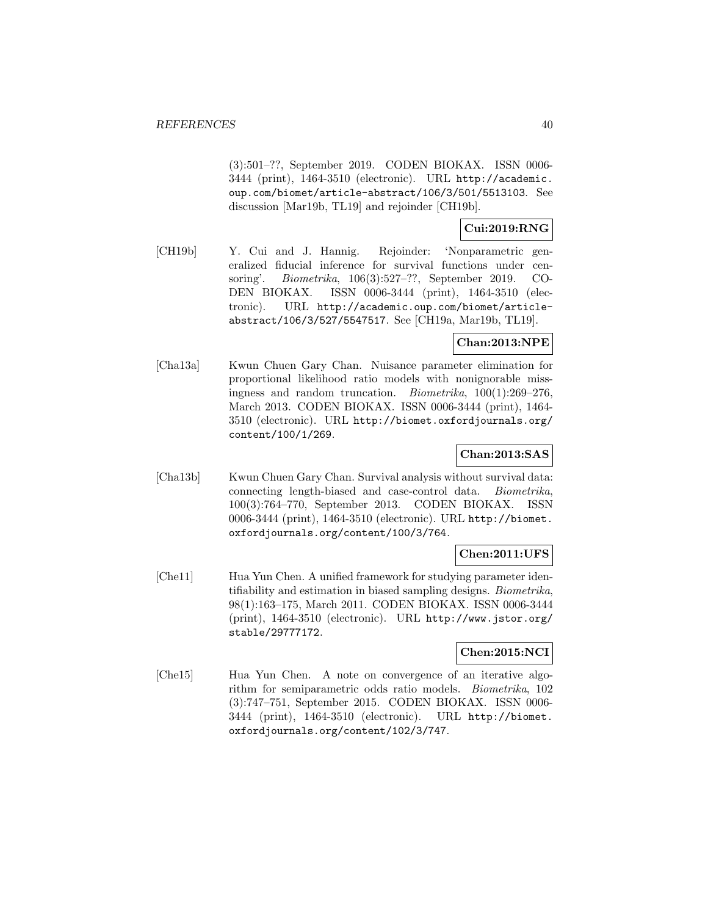(3):501–??, September 2019. CODEN BIOKAX. ISSN 0006- 3444 (print), 1464-3510 (electronic). URL http://academic. oup.com/biomet/article-abstract/106/3/501/5513103. See discussion [Mar19b, TL19] and rejoinder [CH19b].

# **Cui:2019:RNG**

[CH19b] Y. Cui and J. Hannig. Rejoinder: 'Nonparametric generalized fiducial inference for survival functions under censoring'. Biometrika, 106(3):527–??, September 2019. CO-DEN BIOKAX. ISSN 0006-3444 (print), 1464-3510 (electronic). URL http://academic.oup.com/biomet/articleabstract/106/3/527/5547517. See [CH19a, Mar19b, TL19].

# **Chan:2013:NPE**

[Cha13a] Kwun Chuen Gary Chan. Nuisance parameter elimination for proportional likelihood ratio models with nonignorable missingness and random truncation. Biometrika, 100(1):269–276, March 2013. CODEN BIOKAX. ISSN 0006-3444 (print), 1464- 3510 (electronic). URL http://biomet.oxfordjournals.org/ content/100/1/269.

### **Chan:2013:SAS**

[Cha13b] Kwun Chuen Gary Chan. Survival analysis without survival data: connecting length-biased and case-control data. Biometrika, 100(3):764–770, September 2013. CODEN BIOKAX. ISSN 0006-3444 (print), 1464-3510 (electronic). URL http://biomet. oxfordjournals.org/content/100/3/764.

## **Chen:2011:UFS**

[Che11] Hua Yun Chen. A unified framework for studying parameter identifiability and estimation in biased sampling designs. Biometrika, 98(1):163–175, March 2011. CODEN BIOKAX. ISSN 0006-3444 (print), 1464-3510 (electronic). URL http://www.jstor.org/ stable/29777172.

### **Chen:2015:NCI**

[Che15] Hua Yun Chen. A note on convergence of an iterative algorithm for semiparametric odds ratio models. Biometrika, 102 (3):747–751, September 2015. CODEN BIOKAX. ISSN 0006- 3444 (print), 1464-3510 (electronic). URL http://biomet. oxfordjournals.org/content/102/3/747.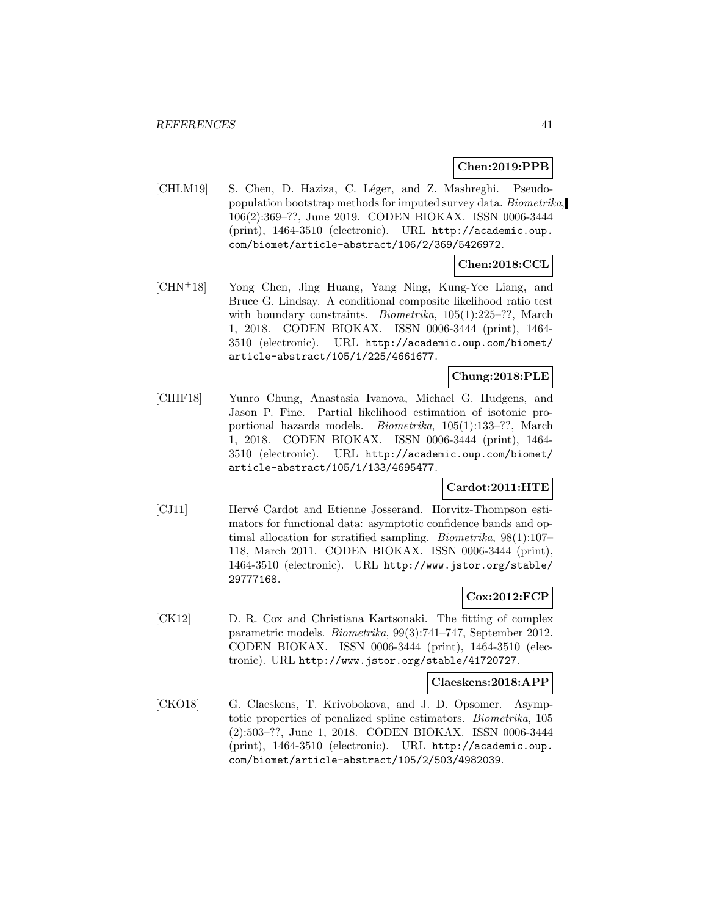#### **Chen:2019:PPB**

[CHLM19] S. Chen, D. Haziza, C. Léger, and Z. Mashreghi. Pseudopopulation bootstrap methods for imputed survey data. Biometrika, 106(2):369–??, June 2019. CODEN BIOKAX. ISSN 0006-3444 (print), 1464-3510 (electronic). URL http://academic.oup. com/biomet/article-abstract/106/2/369/5426972.

#### **Chen:2018:CCL**

[CHN<sup>+</sup>18] Yong Chen, Jing Huang, Yang Ning, Kung-Yee Liang, and Bruce G. Lindsay. A conditional composite likelihood ratio test with boundary constraints. *Biometrika*, 105(1):225–??, March 1, 2018. CODEN BIOKAX. ISSN 0006-3444 (print), 1464- 3510 (electronic). URL http://academic.oup.com/biomet/ article-abstract/105/1/225/4661677.

### **Chung:2018:PLE**

[CIHF18] Yunro Chung, Anastasia Ivanova, Michael G. Hudgens, and Jason P. Fine. Partial likelihood estimation of isotonic proportional hazards models. Biometrika, 105(1):133–??, March 1, 2018. CODEN BIOKAX. ISSN 0006-3444 (print), 1464- 3510 (electronic). URL http://academic.oup.com/biomet/ article-abstract/105/1/133/4695477.

#### **Cardot:2011:HTE**

[CJ11] Hervé Cardot and Etienne Josserand. Horvitz-Thompson estimators for functional data: asymptotic confidence bands and optimal allocation for stratified sampling. Biometrika, 98(1):107– 118, March 2011. CODEN BIOKAX. ISSN 0006-3444 (print), 1464-3510 (electronic). URL http://www.jstor.org/stable/ 29777168.

### **Cox:2012:FCP**

[CK12] D. R. Cox and Christiana Kartsonaki. The fitting of complex parametric models. Biometrika, 99(3):741–747, September 2012. CODEN BIOKAX. ISSN 0006-3444 (print), 1464-3510 (electronic). URL http://www.jstor.org/stable/41720727.

#### **Claeskens:2018:APP**

[CKO18] G. Claeskens, T. Krivobokova, and J. D. Opsomer. Asymptotic properties of penalized spline estimators. Biometrika, 105 (2):503–??, June 1, 2018. CODEN BIOKAX. ISSN 0006-3444 (print), 1464-3510 (electronic). URL http://academic.oup. com/biomet/article-abstract/105/2/503/4982039.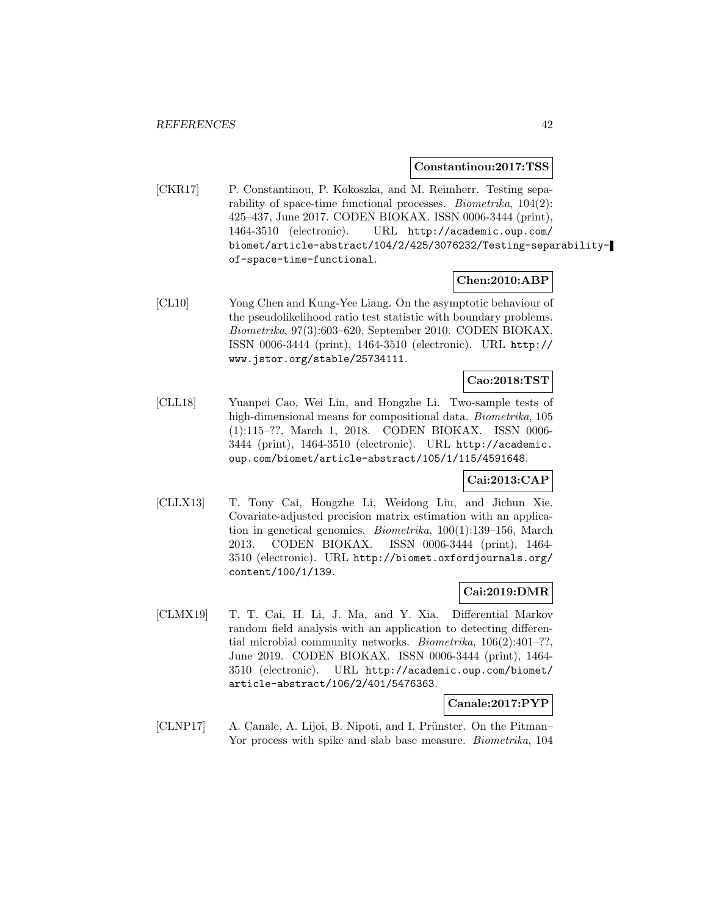#### **Constantinou:2017:TSS**

[CKR17] P. Constantinou, P. Kokoszka, and M. Reimherr. Testing separability of space-time functional processes. *Biometrika*,  $104(2)$ : 425–437, June 2017. CODEN BIOKAX. ISSN 0006-3444 (print), 1464-3510 (electronic). URL http://academic.oup.com/ biomet/article-abstract/104/2/425/3076232/Testing-separabilityof-space-time-functional.

#### **Chen:2010:ABP**

[CL10] Yong Chen and Kung-Yee Liang. On the asymptotic behaviour of the pseudolikelihood ratio test statistic with boundary problems. Biometrika, 97(3):603–620, September 2010. CODEN BIOKAX. ISSN 0006-3444 (print), 1464-3510 (electronic). URL http:// www.jstor.org/stable/25734111.

# **Cao:2018:TST**

[CLL18] Yuanpei Cao, Wei Lin, and Hongzhe Li. Two-sample tests of high-dimensional means for compositional data. *Biometrika*, 105 (1):115–??, March 1, 2018. CODEN BIOKAX. ISSN 0006- 3444 (print), 1464-3510 (electronic). URL http://academic. oup.com/biomet/article-abstract/105/1/115/4591648.

# **Cai:2013:CAP**

[CLLX13] T. Tony Cai, Hongzhe Li, Weidong Liu, and Jichun Xie. Covariate-adjusted precision matrix estimation with an application in genetical genomics. Biometrika, 100(1):139–156, March 2013. CODEN BIOKAX. ISSN 0006-3444 (print), 1464- 3510 (electronic). URL http://biomet.oxfordjournals.org/ content/100/1/139.

#### **Cai:2019:DMR**

[CLMX19] T. T. Cai, H. Li, J. Ma, and Y. Xia. Differential Markov random field analysis with an application to detecting differential microbial community networks. *Biometrika*,  $106(2):401-$ ??, June 2019. CODEN BIOKAX. ISSN 0006-3444 (print), 1464- 3510 (electronic). URL http://academic.oup.com/biomet/ article-abstract/106/2/401/5476363.

#### **Canale:2017:PYP**

[CLNP17] A. Canale, A. Lijoi, B. Nipoti, and I. Prünster. On the Pitman– Yor process with spike and slab base measure. *Biometrika*, 104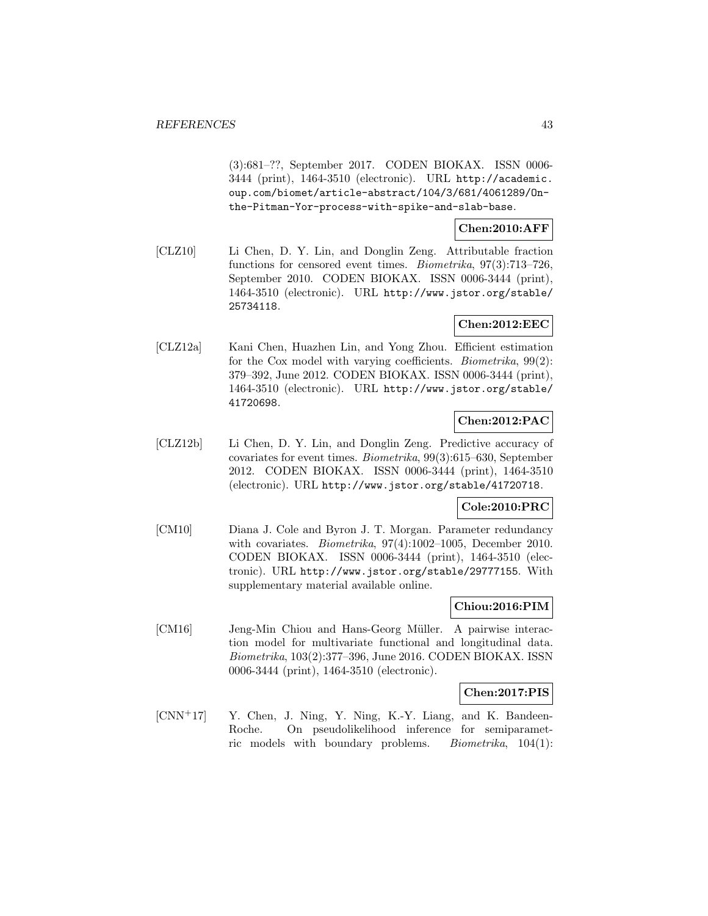(3):681–??, September 2017. CODEN BIOKAX. ISSN 0006- 3444 (print), 1464-3510 (electronic). URL http://academic. oup.com/biomet/article-abstract/104/3/681/4061289/Onthe-Pitman-Yor-process-with-spike-and-slab-base.

## **Chen:2010:AFF**

[CLZ10] Li Chen, D. Y. Lin, and Donglin Zeng. Attributable fraction functions for censored event times. *Biometrika*, 97(3):713–726, September 2010. CODEN BIOKAX. ISSN 0006-3444 (print), 1464-3510 (electronic). URL http://www.jstor.org/stable/ 25734118.

# **Chen:2012:EEC**

[CLZ12a] Kani Chen, Huazhen Lin, and Yong Zhou. Efficient estimation for the Cox model with varying coefficients. *Biometrika*,  $99(2)$ : 379–392, June 2012. CODEN BIOKAX. ISSN 0006-3444 (print), 1464-3510 (electronic). URL http://www.jstor.org/stable/ 41720698.

## **Chen:2012:PAC**

[CLZ12b] Li Chen, D. Y. Lin, and Donglin Zeng. Predictive accuracy of covariates for event times. Biometrika, 99(3):615–630, September 2012. CODEN BIOKAX. ISSN 0006-3444 (print), 1464-3510 (electronic). URL http://www.jstor.org/stable/41720718.

#### **Cole:2010:PRC**

[CM10] Diana J. Cole and Byron J. T. Morgan. Parameter redundancy with covariates. *Biometrika*, 97(4):1002-1005, December 2010. CODEN BIOKAX. ISSN 0006-3444 (print), 1464-3510 (electronic). URL http://www.jstor.org/stable/29777155. With supplementary material available online.

#### **Chiou:2016:PIM**

[CM16] Jeng-Min Chiou and Hans-Georg Müller. A pairwise interaction model for multivariate functional and longitudinal data. Biometrika, 103(2):377–396, June 2016. CODEN BIOKAX. ISSN 0006-3444 (print), 1464-3510 (electronic).

#### **Chen:2017:PIS**

 $[CNN<sup>+</sup>17]$  Y. Chen, J. Ning, Y. Ning, K.-Y. Liang, and K. Bandeen-Roche. On pseudolikelihood inference for semiparametric models with boundary problems. Biometrika, 104(1):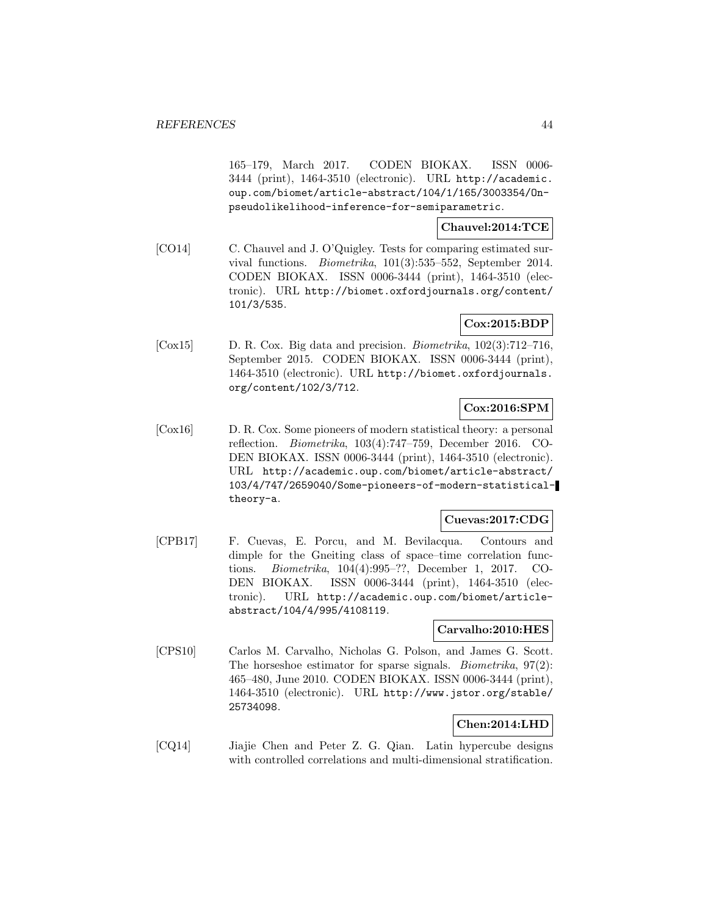165–179, March 2017. CODEN BIOKAX. ISSN 0006- 3444 (print), 1464-3510 (electronic). URL http://academic. oup.com/biomet/article-abstract/104/1/165/3003354/Onpseudolikelihood-inference-for-semiparametric.

## **Chauvel:2014:TCE**

[CO14] C. Chauvel and J. O'Quigley. Tests for comparing estimated survival functions. Biometrika, 101(3):535–552, September 2014. CODEN BIOKAX. ISSN 0006-3444 (print), 1464-3510 (electronic). URL http://biomet.oxfordjournals.org/content/ 101/3/535.

# **Cox:2015:BDP**

[Cox15] D. R. Cox. Big data and precision. Biometrika, 102(3):712–716, September 2015. CODEN BIOKAX. ISSN 0006-3444 (print), 1464-3510 (electronic). URL http://biomet.oxfordjournals. org/content/102/3/712.

### **Cox:2016:SPM**

[Cox16] D. R. Cox. Some pioneers of modern statistical theory: a personal reflection. Biometrika, 103(4):747–759, December 2016. CO-DEN BIOKAX. ISSN 0006-3444 (print), 1464-3510 (electronic). URL http://academic.oup.com/biomet/article-abstract/ 103/4/747/2659040/Some-pioneers-of-modern-statisticaltheory-a.

## **Cuevas:2017:CDG**

[CPB17] F. Cuevas, E. Porcu, and M. Bevilacqua. Contours and dimple for the Gneiting class of space–time correlation functions. Biometrika, 104(4):995–??, December 1, 2017. CO-DEN BIOKAX. ISSN 0006-3444 (print), 1464-3510 (electronic). URL http://academic.oup.com/biomet/articleabstract/104/4/995/4108119.

#### **Carvalho:2010:HES**

[CPS10] Carlos M. Carvalho, Nicholas G. Polson, and James G. Scott. The horseshoe estimator for sparse signals. *Biometrika*,  $97(2)$ : 465–480, June 2010. CODEN BIOKAX. ISSN 0006-3444 (print), 1464-3510 (electronic). URL http://www.jstor.org/stable/ 25734098.

# **Chen:2014:LHD**

[CQ14] Jiajie Chen and Peter Z. G. Qian. Latin hypercube designs with controlled correlations and multi-dimensional stratification.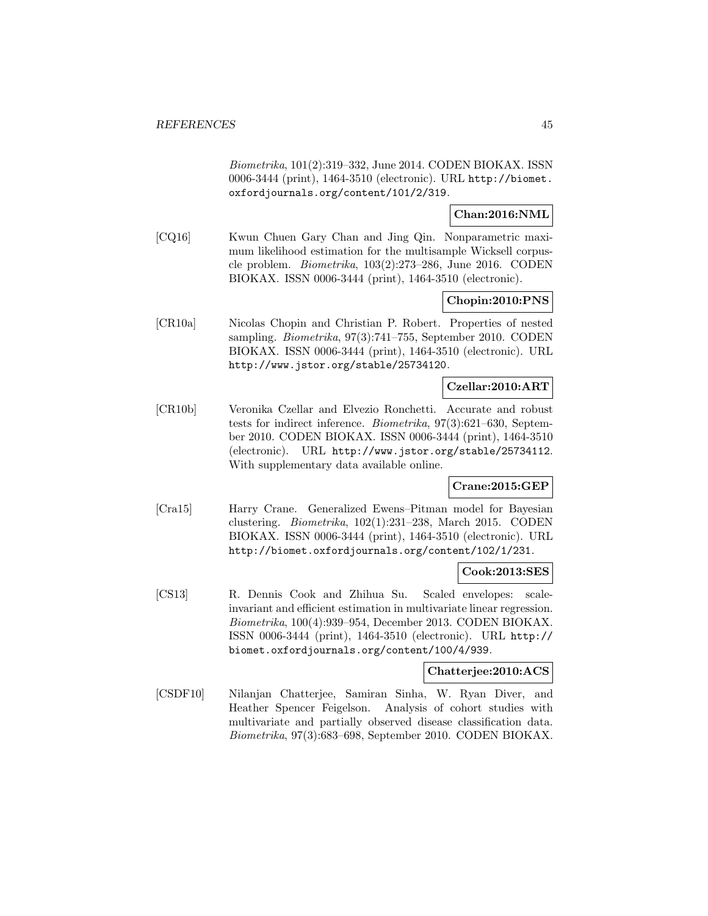Biometrika, 101(2):319–332, June 2014. CODEN BIOKAX. ISSN 0006-3444 (print), 1464-3510 (electronic). URL http://biomet. oxfordjournals.org/content/101/2/319.

## **Chan:2016:NML**

[CQ16] Kwun Chuen Gary Chan and Jing Qin. Nonparametric maximum likelihood estimation for the multisample Wicksell corpuscle problem. Biometrika, 103(2):273–286, June 2016. CODEN BIOKAX. ISSN 0006-3444 (print), 1464-3510 (electronic).

#### **Chopin:2010:PNS**

[CR10a] Nicolas Chopin and Christian P. Robert. Properties of nested sampling. Biometrika, 97(3):741–755, September 2010. CODEN BIOKAX. ISSN 0006-3444 (print), 1464-3510 (electronic). URL http://www.jstor.org/stable/25734120.

## **Czellar:2010:ART**

[CR10b] Veronika Czellar and Elvezio Ronchetti. Accurate and robust tests for indirect inference. Biometrika, 97(3):621–630, September 2010. CODEN BIOKAX. ISSN 0006-3444 (print), 1464-3510 (electronic). URL http://www.jstor.org/stable/25734112. With supplementary data available online.

### **Crane:2015:GEP**

[Cra15] Harry Crane. Generalized Ewens–Pitman model for Bayesian clustering. Biometrika, 102(1):231–238, March 2015. CODEN BIOKAX. ISSN 0006-3444 (print), 1464-3510 (electronic). URL http://biomet.oxfordjournals.org/content/102/1/231.

## **Cook:2013:SES**

[CS13] R. Dennis Cook and Zhihua Su. Scaled envelopes: scaleinvariant and efficient estimation in multivariate linear regression. Biometrika, 100(4):939–954, December 2013. CODEN BIOKAX. ISSN 0006-3444 (print), 1464-3510 (electronic). URL http:// biomet.oxfordjournals.org/content/100/4/939.

#### **Chatterjee:2010:ACS**

[CSDF10] Nilanjan Chatterjee, Samiran Sinha, W. Ryan Diver, and Heather Spencer Feigelson. Analysis of cohort studies with multivariate and partially observed disease classification data. Biometrika, 97(3):683–698, September 2010. CODEN BIOKAX.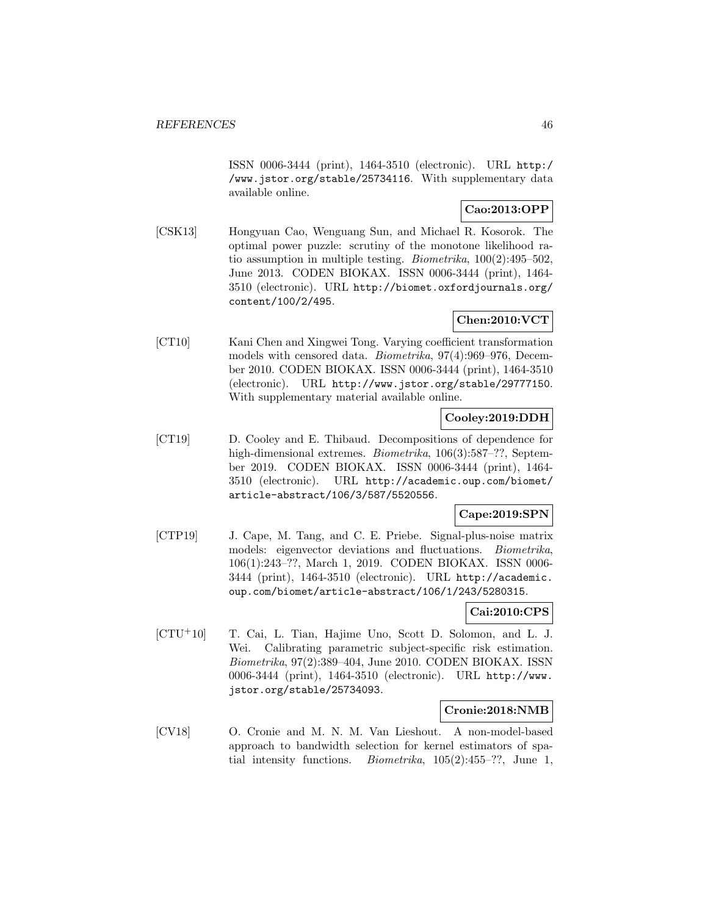ISSN 0006-3444 (print), 1464-3510 (electronic). URL http:/ /www.jstor.org/stable/25734116. With supplementary data available online.

# **Cao:2013:OPP**

[CSK13] Hongyuan Cao, Wenguang Sun, and Michael R. Kosorok. The optimal power puzzle: scrutiny of the monotone likelihood ratio assumption in multiple testing. *Biometrika*,  $100(2):495-502$ , June 2013. CODEN BIOKAX. ISSN 0006-3444 (print), 1464- 3510 (electronic). URL http://biomet.oxfordjournals.org/ content/100/2/495.

# **Chen:2010:VCT**

[CT10] Kani Chen and Xingwei Tong. Varying coefficient transformation models with censored data. Biometrika, 97(4):969–976, December 2010. CODEN BIOKAX. ISSN 0006-3444 (print), 1464-3510 (electronic). URL http://www.jstor.org/stable/29777150. With supplementary material available online.

## **Cooley:2019:DDH**

[CT19] D. Cooley and E. Thibaud. Decompositions of dependence for high-dimensional extremes. *Biometrika*, 106(3):587–??, September 2019. CODEN BIOKAX. ISSN 0006-3444 (print), 1464- 3510 (electronic). URL http://academic.oup.com/biomet/ article-abstract/106/3/587/5520556.

# **Cape:2019:SPN**

[CTP19] J. Cape, M. Tang, and C. E. Priebe. Signal-plus-noise matrix models: eigenvector deviations and fluctuations. Biometrika, 106(1):243–??, March 1, 2019. CODEN BIOKAX. ISSN 0006- 3444 (print), 1464-3510 (electronic). URL http://academic. oup.com/biomet/article-abstract/106/1/243/5280315.

## **Cai:2010:CPS**

[CTU<sup>+</sup>10] T. Cai, L. Tian, Hajime Uno, Scott D. Solomon, and L. J. Wei. Calibrating parametric subject-specific risk estimation. Biometrika, 97(2):389–404, June 2010. CODEN BIOKAX. ISSN 0006-3444 (print), 1464-3510 (electronic). URL http://www. jstor.org/stable/25734093.

### **Cronie:2018:NMB**

[CV18] O. Cronie and M. N. M. Van Lieshout. A non-model-based approach to bandwidth selection for kernel estimators of spatial intensity functions. Biometrika, 105(2):455–??, June 1,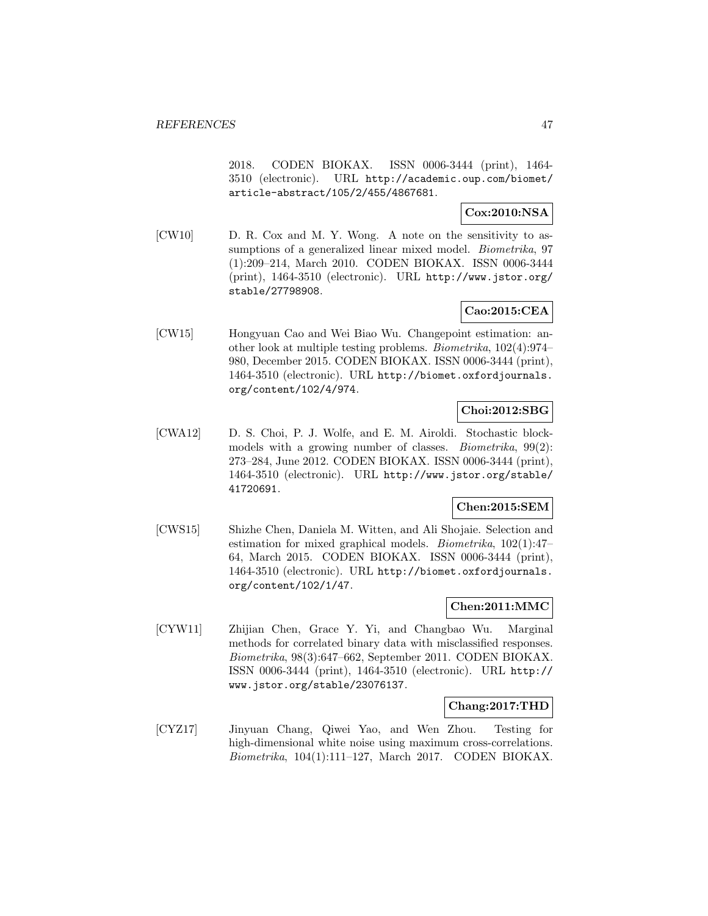2018. CODEN BIOKAX. ISSN 0006-3444 (print), 1464- 3510 (electronic). URL http://academic.oup.com/biomet/ article-abstract/105/2/455/4867681.

## **Cox:2010:NSA**

[CW10] D. R. Cox and M. Y. Wong. A note on the sensitivity to assumptions of a generalized linear mixed model. *Biometrika*, 97 (1):209–214, March 2010. CODEN BIOKAX. ISSN 0006-3444 (print), 1464-3510 (electronic). URL http://www.jstor.org/ stable/27798908.

## **Cao:2015:CEA**

[CW15] Hongyuan Cao and Wei Biao Wu. Changepoint estimation: another look at multiple testing problems. Biometrika, 102(4):974– 980, December 2015. CODEN BIOKAX. ISSN 0006-3444 (print), 1464-3510 (electronic). URL http://biomet.oxfordjournals. org/content/102/4/974.

## **Choi:2012:SBG**

[CWA12] D. S. Choi, P. J. Wolfe, and E. M. Airoldi. Stochastic blockmodels with a growing number of classes. *Biometrika*, 99(2): 273–284, June 2012. CODEN BIOKAX. ISSN 0006-3444 (print), 1464-3510 (electronic). URL http://www.jstor.org/stable/ 41720691.

## **Chen:2015:SEM**

[CWS15] Shizhe Chen, Daniela M. Witten, and Ali Shojaie. Selection and estimation for mixed graphical models. Biometrika, 102(1):47– 64, March 2015. CODEN BIOKAX. ISSN 0006-3444 (print), 1464-3510 (electronic). URL http://biomet.oxfordjournals. org/content/102/1/47.

#### **Chen:2011:MMC**

[CYW11] Zhijian Chen, Grace Y. Yi, and Changbao Wu. Marginal methods for correlated binary data with misclassified responses. Biometrika, 98(3):647–662, September 2011. CODEN BIOKAX. ISSN 0006-3444 (print), 1464-3510 (electronic). URL http:// www.jstor.org/stable/23076137.

#### **Chang:2017:THD**

[CYZ17] Jinyuan Chang, Qiwei Yao, and Wen Zhou. Testing for high-dimensional white noise using maximum cross-correlations. Biometrika, 104(1):111–127, March 2017. CODEN BIOKAX.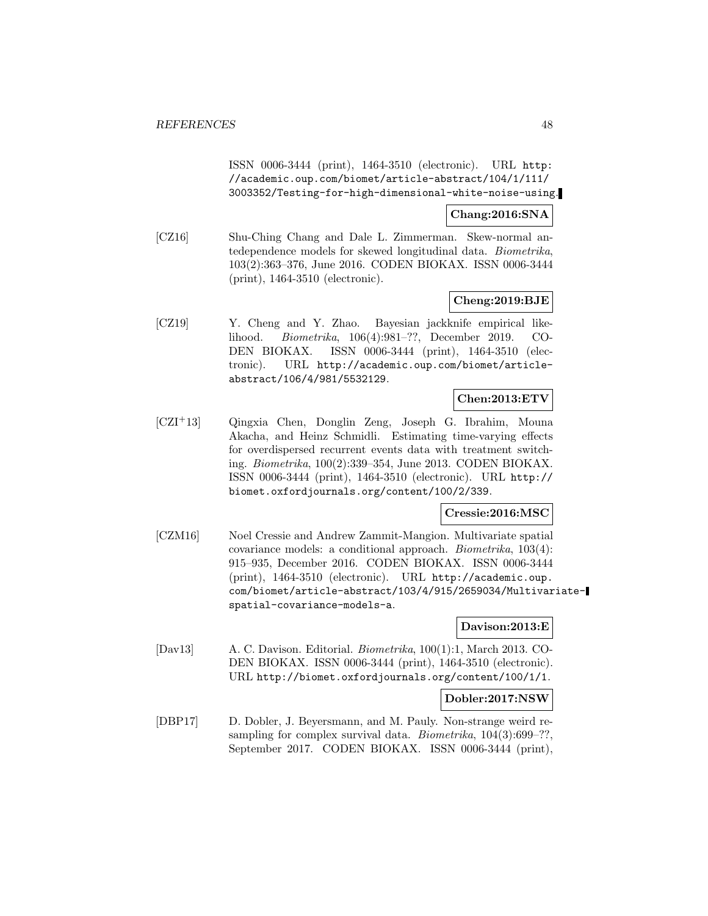ISSN 0006-3444 (print), 1464-3510 (electronic). URL http: //academic.oup.com/biomet/article-abstract/104/1/111/ 3003352/Testing-for-high-dimensional-white-noise-using.

### **Chang:2016:SNA**

[CZ16] Shu-Ching Chang and Dale L. Zimmerman. Skew-normal antedependence models for skewed longitudinal data. Biometrika, 103(2):363–376, June 2016. CODEN BIOKAX. ISSN 0006-3444 (print), 1464-3510 (electronic).

### **Cheng:2019:BJE**

[CZ19] Y. Cheng and Y. Zhao. Bayesian jackknife empirical likelihood. Biometrika, 106(4):981–??, December 2019. CO-DEN BIOKAX. ISSN 0006-3444 (print), 1464-3510 (electronic). URL http://academic.oup.com/biomet/articleabstract/106/4/981/5532129.

## **Chen:2013:ETV**

[CZI<sup>+</sup>13] Qingxia Chen, Donglin Zeng, Joseph G. Ibrahim, Mouna Akacha, and Heinz Schmidli. Estimating time-varying effects for overdispersed recurrent events data with treatment switching. Biometrika, 100(2):339–354, June 2013. CODEN BIOKAX. ISSN 0006-3444 (print), 1464-3510 (electronic). URL http:// biomet.oxfordjournals.org/content/100/2/339.

### **Cressie:2016:MSC**

[CZM16] Noel Cressie and Andrew Zammit-Mangion. Multivariate spatial covariance models: a conditional approach. Biometrika, 103(4): 915–935, December 2016. CODEN BIOKAX. ISSN 0006-3444 (print), 1464-3510 (electronic). URL http://academic.oup. com/biomet/article-abstract/103/4/915/2659034/Multivariatespatial-covariance-models-a.

#### **Davison:2013:E**

[Dav13] A. C. Davison. Editorial. Biometrika, 100(1):1, March 2013. CO-DEN BIOKAX. ISSN 0006-3444 (print), 1464-3510 (electronic). URL http://biomet.oxfordjournals.org/content/100/1/1.

#### **Dobler:2017:NSW**

[DBP17] D. Dobler, J. Beyersmann, and M. Pauly. Non-strange weird resampling for complex survival data. *Biometrika*,  $104(3):699-??$ , September 2017. CODEN BIOKAX. ISSN 0006-3444 (print),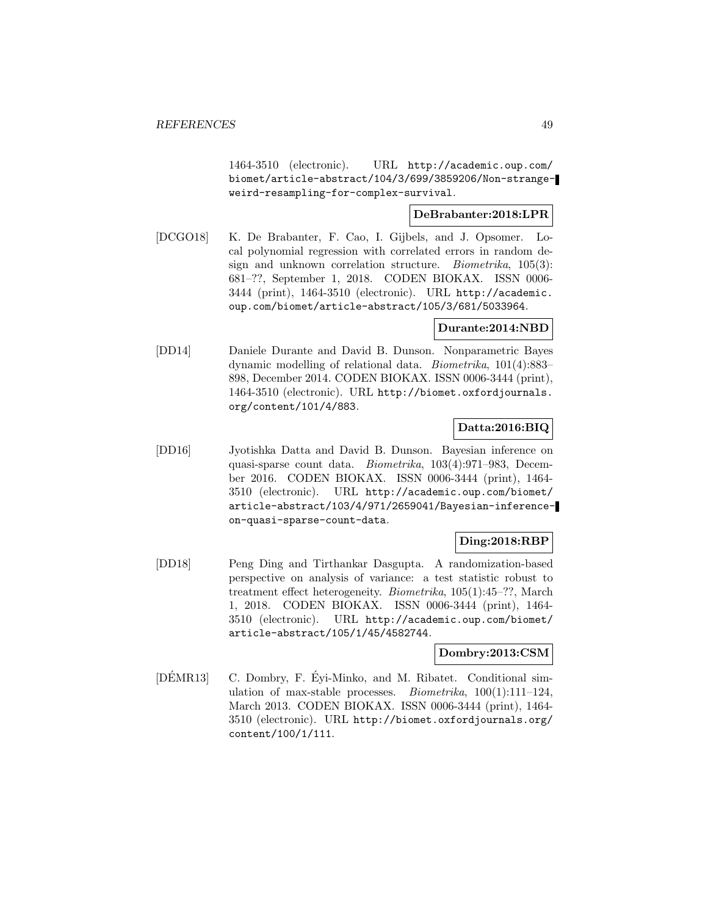1464-3510 (electronic). URL http://academic.oup.com/ biomet/article-abstract/104/3/699/3859206/Non-strangeweird-resampling-for-complex-survival.

### **DeBrabanter:2018:LPR**

[DCGO18] K. De Brabanter, F. Cao, I. Gijbels, and J. Opsomer. Local polynomial regression with correlated errors in random design and unknown correlation structure. *Biometrika*, 105(3): 681–??, September 1, 2018. CODEN BIOKAX. ISSN 0006- 3444 (print), 1464-3510 (electronic). URL http://academic. oup.com/biomet/article-abstract/105/3/681/5033964.

#### **Durante:2014:NBD**

[DD14] Daniele Durante and David B. Dunson. Nonparametric Bayes dynamic modelling of relational data. Biometrika, 101(4):883– 898, December 2014. CODEN BIOKAX. ISSN 0006-3444 (print), 1464-3510 (electronic). URL http://biomet.oxfordjournals. org/content/101/4/883.

## **Datta:2016:BIQ**

[DD16] Jyotishka Datta and David B. Dunson. Bayesian inference on quasi-sparse count data. Biometrika, 103(4):971–983, December 2016. CODEN BIOKAX. ISSN 0006-3444 (print), 1464- 3510 (electronic). URL http://academic.oup.com/biomet/ article-abstract/103/4/971/2659041/Bayesian-inferenceon-quasi-sparse-count-data.

# **Ding:2018:RBP**

[DD18] Peng Ding and Tirthankar Dasgupta. A randomization-based perspective on analysis of variance: a test statistic robust to treatment effect heterogeneity. Biometrika, 105(1):45–??, March 1, 2018. CODEN BIOKAX. ISSN 0006-3444 (print), 1464- 3510 (electronic). URL http://academic.oup.com/biomet/ article-abstract/105/1/45/4582744.

#### **Dombry:2013:CSM**

[DEMR13] C. Dombry, F. Eyi-Minko, and M. Ribatet. Conditional simulation of max-stable processes. *Biometrika*,  $100(1):111-124$ , March 2013. CODEN BIOKAX. ISSN 0006-3444 (print), 1464- 3510 (electronic). URL http://biomet.oxfordjournals.org/ content/100/1/111.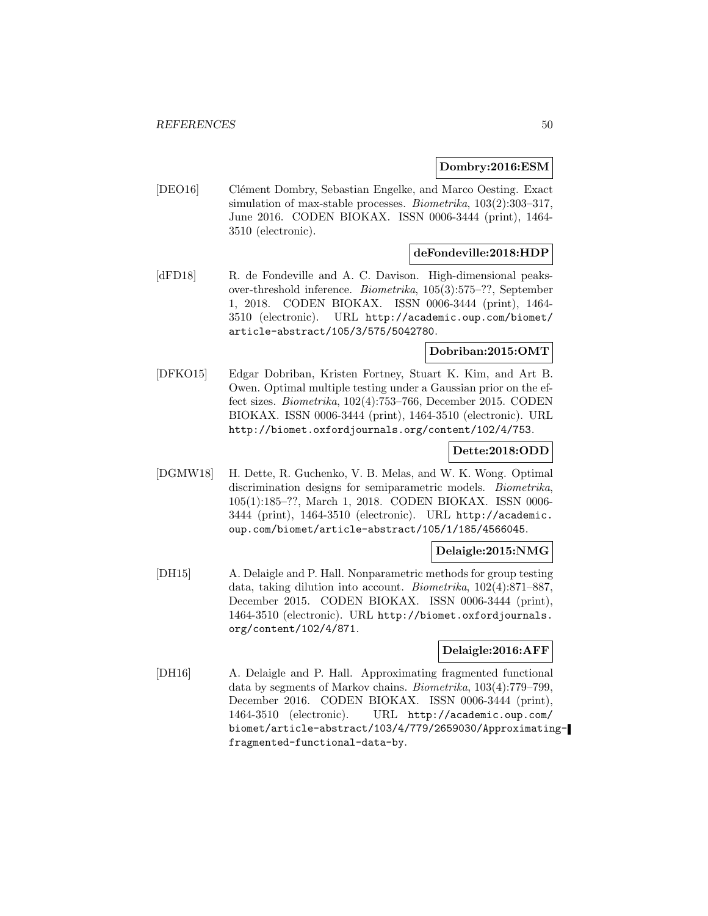#### **Dombry:2016:ESM**

[DEO16] Clément Dombry, Sebastian Engelke, and Marco Oesting. Exact simulation of max-stable processes. *Biometrika*,  $103(2):303-317$ , June 2016. CODEN BIOKAX. ISSN 0006-3444 (print), 1464- 3510 (electronic).

### **deFondeville:2018:HDP**

[dFD18] R. de Fondeville and A. C. Davison. High-dimensional peaksover-threshold inference. Biometrika, 105(3):575–??, September 1, 2018. CODEN BIOKAX. ISSN 0006-3444 (print), 1464- 3510 (electronic). URL http://academic.oup.com/biomet/ article-abstract/105/3/575/5042780.

### **Dobriban:2015:OMT**

[DFKO15] Edgar Dobriban, Kristen Fortney, Stuart K. Kim, and Art B. Owen. Optimal multiple testing under a Gaussian prior on the effect sizes. Biometrika, 102(4):753–766, December 2015. CODEN BIOKAX. ISSN 0006-3444 (print), 1464-3510 (electronic). URL http://biomet.oxfordjournals.org/content/102/4/753.

#### **Dette:2018:ODD**

[DGMW18] H. Dette, R. Guchenko, V. B. Melas, and W. K. Wong. Optimal discrimination designs for semiparametric models. *Biometrika*, 105(1):185–??, March 1, 2018. CODEN BIOKAX. ISSN 0006- 3444 (print), 1464-3510 (electronic). URL http://academic. oup.com/biomet/article-abstract/105/1/185/4566045.

#### **Delaigle:2015:NMG**

[DH15] A. Delaigle and P. Hall. Nonparametric methods for group testing data, taking dilution into account. Biometrika, 102(4):871–887, December 2015. CODEN BIOKAX. ISSN 0006-3444 (print), 1464-3510 (electronic). URL http://biomet.oxfordjournals. org/content/102/4/871.

### **Delaigle:2016:AFF**

[DH16] A. Delaigle and P. Hall. Approximating fragmented functional data by segments of Markov chains. Biometrika, 103(4):779–799, December 2016. CODEN BIOKAX. ISSN 0006-3444 (print), 1464-3510 (electronic). URL http://academic.oup.com/ biomet/article-abstract/103/4/779/2659030/Approximatingfragmented-functional-data-by.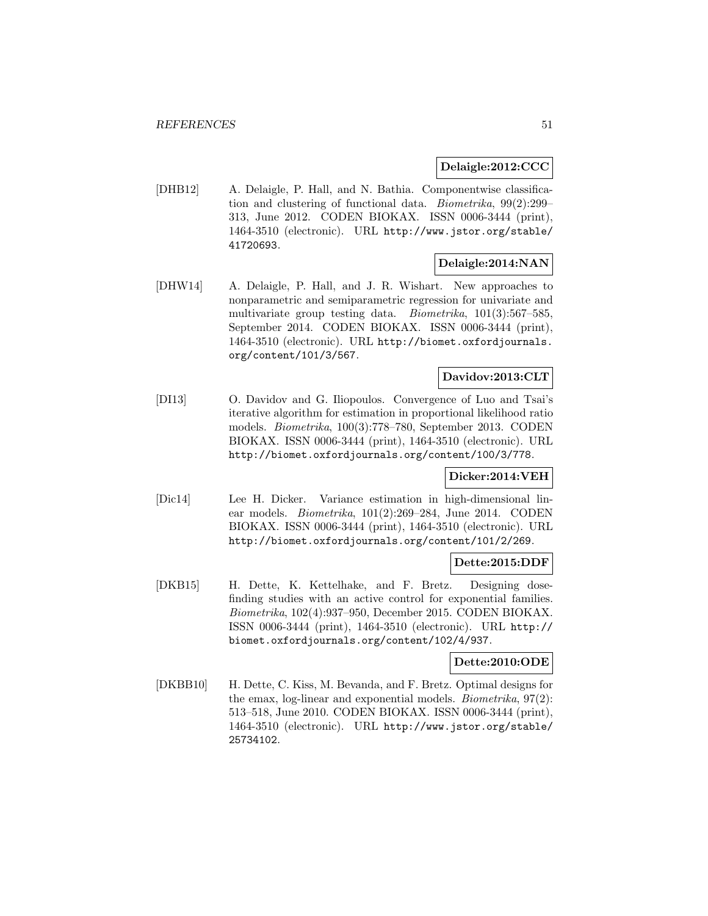### **Delaigle:2012:CCC**

[DHB12] A. Delaigle, P. Hall, and N. Bathia. Componentwise classification and clustering of functional data. Biometrika, 99(2):299– 313, June 2012. CODEN BIOKAX. ISSN 0006-3444 (print), 1464-3510 (electronic). URL http://www.jstor.org/stable/ 41720693.

# **Delaigle:2014:NAN**

[DHW14] A. Delaigle, P. Hall, and J. R. Wishart. New approaches to nonparametric and semiparametric regression for univariate and multivariate group testing data. Biometrika, 101(3):567–585, September 2014. CODEN BIOKAX. ISSN 0006-3444 (print), 1464-3510 (electronic). URL http://biomet.oxfordjournals. org/content/101/3/567.

### **Davidov:2013:CLT**

[DI13] O. Davidov and G. Iliopoulos. Convergence of Luo and Tsai's iterative algorithm for estimation in proportional likelihood ratio models. Biometrika, 100(3):778–780, September 2013. CODEN BIOKAX. ISSN 0006-3444 (print), 1464-3510 (electronic). URL http://biomet.oxfordjournals.org/content/100/3/778.

# **Dicker:2014:VEH**

[Dic14] Lee H. Dicker. Variance estimation in high-dimensional linear models. Biometrika, 101(2):269–284, June 2014. CODEN BIOKAX. ISSN 0006-3444 (print), 1464-3510 (electronic). URL http://biomet.oxfordjournals.org/content/101/2/269.

## **Dette:2015:DDF**

[DKB15] H. Dette, K. Kettelhake, and F. Bretz. Designing dosefinding studies with an active control for exponential families. Biometrika, 102(4):937–950, December 2015. CODEN BIOKAX. ISSN 0006-3444 (print), 1464-3510 (electronic). URL http:// biomet.oxfordjournals.org/content/102/4/937.

#### **Dette:2010:ODE**

[DKBB10] H. Dette, C. Kiss, M. Bevanda, and F. Bretz. Optimal designs for the emax, log-linear and exponential models. *Biometrika*,  $97(2)$ : 513–518, June 2010. CODEN BIOKAX. ISSN 0006-3444 (print), 1464-3510 (electronic). URL http://www.jstor.org/stable/ 25734102.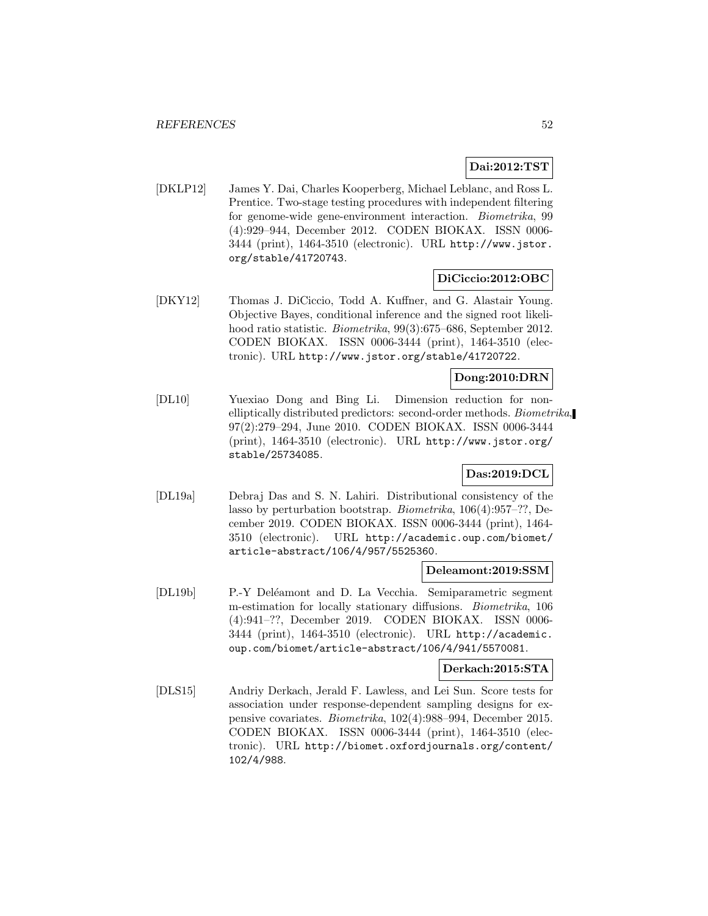# **Dai:2012:TST**

[DKLP12] James Y. Dai, Charles Kooperberg, Michael Leblanc, and Ross L. Prentice. Two-stage testing procedures with independent filtering for genome-wide gene-environment interaction. Biometrika, 99 (4):929–944, December 2012. CODEN BIOKAX. ISSN 0006- 3444 (print), 1464-3510 (electronic). URL http://www.jstor. org/stable/41720743.

### **DiCiccio:2012:OBC**

[DKY12] Thomas J. DiCiccio, Todd A. Kuffner, and G. Alastair Young. Objective Bayes, conditional inference and the signed root likelihood ratio statistic. *Biometrika*, 99(3):675–686, September 2012. CODEN BIOKAX. ISSN 0006-3444 (print), 1464-3510 (electronic). URL http://www.jstor.org/stable/41720722.

### **Dong:2010:DRN**

[DL10] Yuexiao Dong and Bing Li. Dimension reduction for nonelliptically distributed predictors: second-order methods. Biometrika, 97(2):279–294, June 2010. CODEN BIOKAX. ISSN 0006-3444 (print), 1464-3510 (electronic). URL http://www.jstor.org/ stable/25734085.

# **Das:2019:DCL**

[DL19a] Debraj Das and S. N. Lahiri. Distributional consistency of the lasso by perturbation bootstrap. Biometrika, 106(4):957–??, December 2019. CODEN BIOKAX. ISSN 0006-3444 (print), 1464- 3510 (electronic). URL http://academic.oup.com/biomet/ article-abstract/106/4/957/5525360.

### **Deleamont:2019:SSM**

[DL19b] P.-Y Deléamont and D. La Vecchia. Semiparametric segment m-estimation for locally stationary diffusions. Biometrika, 106 (4):941–??, December 2019. CODEN BIOKAX. ISSN 0006- 3444 (print), 1464-3510 (electronic). URL http://academic. oup.com/biomet/article-abstract/106/4/941/5570081.

#### **Derkach:2015:STA**

[DLS15] Andriy Derkach, Jerald F. Lawless, and Lei Sun. Score tests for association under response-dependent sampling designs for expensive covariates. Biometrika, 102(4):988–994, December 2015. CODEN BIOKAX. ISSN 0006-3444 (print), 1464-3510 (electronic). URL http://biomet.oxfordjournals.org/content/ 102/4/988.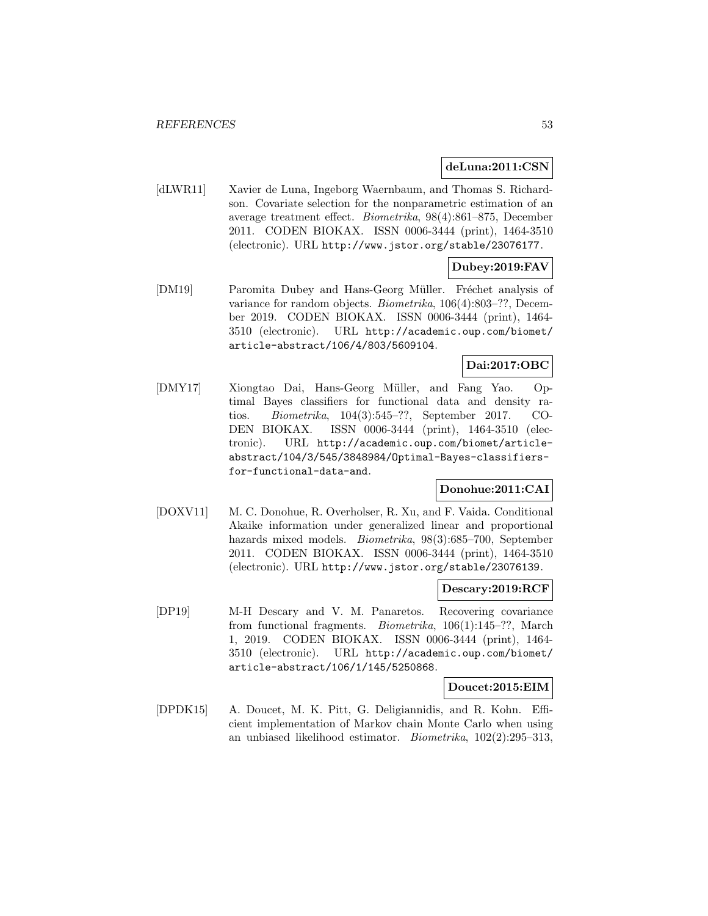#### **deLuna:2011:CSN**

[dLWR11] Xavier de Luna, Ingeborg Waernbaum, and Thomas S. Richardson. Covariate selection for the nonparametric estimation of an average treatment effect. Biometrika, 98(4):861–875, December 2011. CODEN BIOKAX. ISSN 0006-3444 (print), 1464-3510 (electronic). URL http://www.jstor.org/stable/23076177.

# **Dubey:2019:FAV**

[DM19] Paromita Dubey and Hans-Georg Müller. Fréchet analysis of variance for random objects. Biometrika, 106(4):803–??, December 2019. CODEN BIOKAX. ISSN 0006-3444 (print), 1464- 3510 (electronic). URL http://academic.oup.com/biomet/ article-abstract/106/4/803/5609104.

## **Dai:2017:OBC**

[DMY17] Xiongtao Dai, Hans-Georg Müller, and Fang Yao. Optimal Bayes classifiers for functional data and density ratios. Biometrika, 104(3):545–??, September 2017. CO-DEN BIOKAX. ISSN 0006-3444 (print), 1464-3510 (electronic). URL http://academic.oup.com/biomet/articleabstract/104/3/545/3848984/Optimal-Bayes-classifiersfor-functional-data-and.

## **Donohue:2011:CAI**

[DOXV11] M. C. Donohue, R. Overholser, R. Xu, and F. Vaida. Conditional Akaike information under generalized linear and proportional hazards mixed models. Biometrika, 98(3):685–700, September 2011. CODEN BIOKAX. ISSN 0006-3444 (print), 1464-3510 (electronic). URL http://www.jstor.org/stable/23076139.

#### **Descary:2019:RCF**

[DP19] M-H Descary and V. M. Panaretos. Recovering covariance from functional fragments. Biometrika, 106(1):145–??, March 1, 2019. CODEN BIOKAX. ISSN 0006-3444 (print), 1464- 3510 (electronic). URL http://academic.oup.com/biomet/ article-abstract/106/1/145/5250868.

#### **Doucet:2015:EIM**

[DPDK15] A. Doucet, M. K. Pitt, G. Deligiannidis, and R. Kohn. Efficient implementation of Markov chain Monte Carlo when using an unbiased likelihood estimator. Biometrika, 102(2):295–313,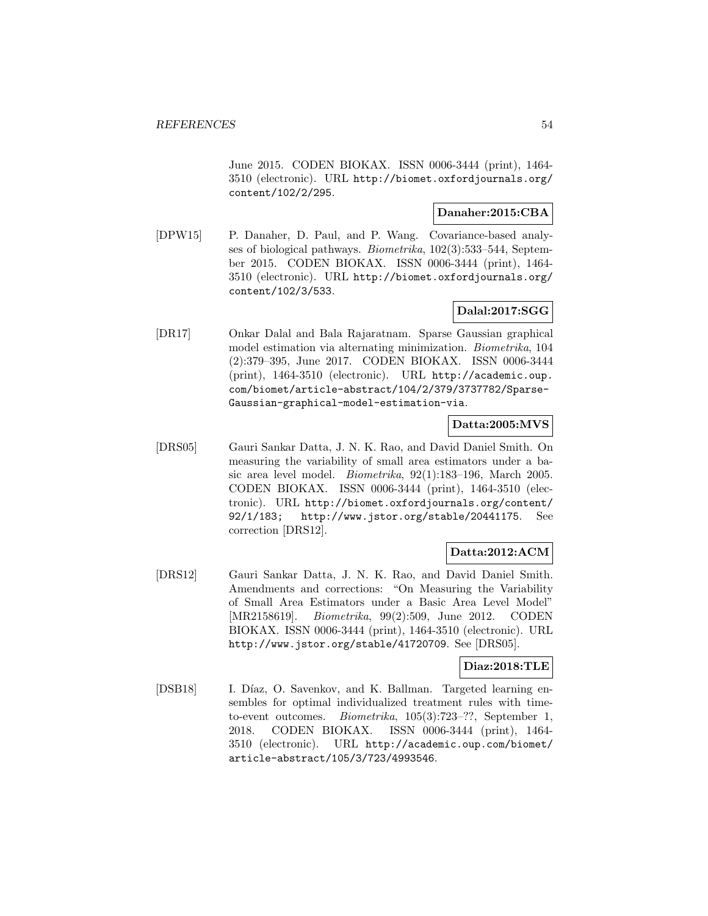June 2015. CODEN BIOKAX. ISSN 0006-3444 (print), 1464- 3510 (electronic). URL http://biomet.oxfordjournals.org/ content/102/2/295.

#### **Danaher:2015:CBA**

[DPW15] P. Danaher, D. Paul, and P. Wang. Covariance-based analyses of biological pathways. Biometrika, 102(3):533–544, September 2015. CODEN BIOKAX. ISSN 0006-3444 (print), 1464- 3510 (electronic). URL http://biomet.oxfordjournals.org/ content/102/3/533.

### **Dalal:2017:SGG**

[DR17] Onkar Dalal and Bala Rajaratnam. Sparse Gaussian graphical model estimation via alternating minimization. Biometrika, 104 (2):379–395, June 2017. CODEN BIOKAX. ISSN 0006-3444 (print), 1464-3510 (electronic). URL http://academic.oup. com/biomet/article-abstract/104/2/379/3737782/Sparse-Gaussian-graphical-model-estimation-via.

#### **Datta:2005:MVS**

[DRS05] Gauri Sankar Datta, J. N. K. Rao, and David Daniel Smith. On measuring the variability of small area estimators under a basic area level model. Biometrika, 92(1):183–196, March 2005. CODEN BIOKAX. ISSN 0006-3444 (print), 1464-3510 (electronic). URL http://biomet.oxfordjournals.org/content/ 92/1/183; http://www.jstor.org/stable/20441175. See correction [DRS12].

## **Datta:2012:ACM**

[DRS12] Gauri Sankar Datta, J. N. K. Rao, and David Daniel Smith. Amendments and corrections: "On Measuring the Variability of Small Area Estimators under a Basic Area Level Model" [MR2158619]. Biometrika, 99(2):509, June 2012. CODEN BIOKAX. ISSN 0006-3444 (print), 1464-3510 (electronic). URL http://www.jstor.org/stable/41720709. See [DRS05].

### **Diaz:2018:TLE**

[DSB18] I. Díaz, O. Savenkov, and K. Ballman. Targeted learning ensembles for optimal individualized treatment rules with timeto-event outcomes. Biometrika, 105(3):723–??, September 1, 2018. CODEN BIOKAX. ISSN 0006-3444 (print), 1464- 3510 (electronic). URL http://academic.oup.com/biomet/ article-abstract/105/3/723/4993546.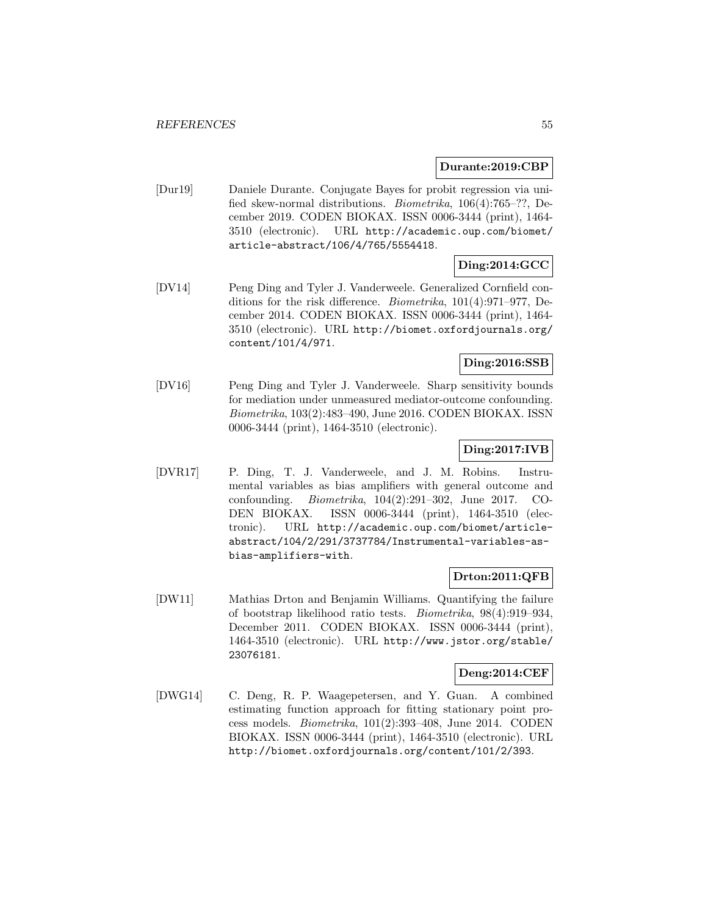### **Durante:2019:CBP**

[Dur19] Daniele Durante. Conjugate Bayes for probit regression via unified skew-normal distributions. Biometrika, 106(4):765–??, December 2019. CODEN BIOKAX. ISSN 0006-3444 (print), 1464- 3510 (electronic). URL http://academic.oup.com/biomet/ article-abstract/106/4/765/5554418.

## **Ding:2014:GCC**

[DV14] Peng Ding and Tyler J. Vanderweele. Generalized Cornfield conditions for the risk difference. Biometrika, 101(4):971–977, December 2014. CODEN BIOKAX. ISSN 0006-3444 (print), 1464- 3510 (electronic). URL http://biomet.oxfordjournals.org/ content/101/4/971.

### **Ding:2016:SSB**

[DV16] Peng Ding and Tyler J. Vanderweele. Sharp sensitivity bounds for mediation under unmeasured mediator-outcome confounding. Biometrika, 103(2):483–490, June 2016. CODEN BIOKAX. ISSN 0006-3444 (print), 1464-3510 (electronic).

## **Ding:2017:IVB**

[DVR17] P. Ding, T. J. Vanderweele, and J. M. Robins. Instrumental variables as bias amplifiers with general outcome and confounding. Biometrika, 104(2):291–302, June 2017. CO-DEN BIOKAX. ISSN 0006-3444 (print), 1464-3510 (electronic). URL http://academic.oup.com/biomet/articleabstract/104/2/291/3737784/Instrumental-variables-asbias-amplifiers-with.

## **Drton:2011:QFB**

[DW11] Mathias Drton and Benjamin Williams. Quantifying the failure of bootstrap likelihood ratio tests. Biometrika, 98(4):919–934, December 2011. CODEN BIOKAX. ISSN 0006-3444 (print), 1464-3510 (electronic). URL http://www.jstor.org/stable/ 23076181.

### **Deng:2014:CEF**

[DWG14] C. Deng, R. P. Waagepetersen, and Y. Guan. A combined estimating function approach for fitting stationary point process models. Biometrika, 101(2):393–408, June 2014. CODEN BIOKAX. ISSN 0006-3444 (print), 1464-3510 (electronic). URL http://biomet.oxfordjournals.org/content/101/2/393.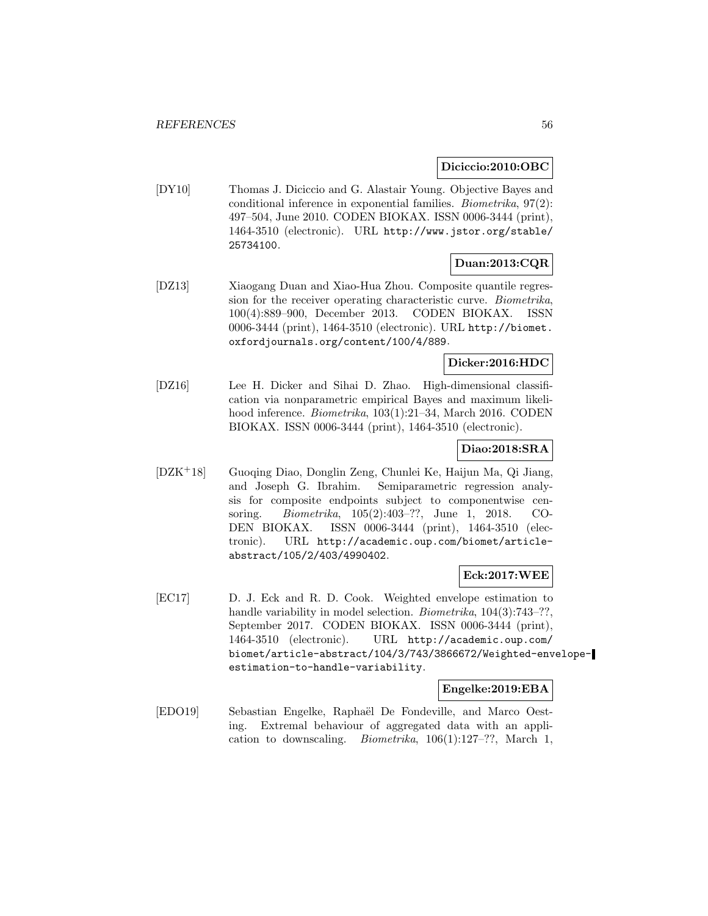#### **Diciccio:2010:OBC**

[DY10] Thomas J. Diciccio and G. Alastair Young. Objective Bayes and conditional inference in exponential families. Biometrika, 97(2): 497–504, June 2010. CODEN BIOKAX. ISSN 0006-3444 (print), 1464-3510 (electronic). URL http://www.jstor.org/stable/ 25734100.

# **Duan:2013:CQR**

[DZ13] Xiaogang Duan and Xiao-Hua Zhou. Composite quantile regression for the receiver operating characteristic curve. Biometrika, 100(4):889–900, December 2013. CODEN BIOKAX. ISSN 0006-3444 (print), 1464-3510 (electronic). URL http://biomet. oxfordjournals.org/content/100/4/889.

### **Dicker:2016:HDC**

[DZ16] Lee H. Dicker and Sihai D. Zhao. High-dimensional classification via nonparametric empirical Bayes and maximum likelihood inference. Biometrika, 103(1):21-34, March 2016. CODEN BIOKAX. ISSN 0006-3444 (print), 1464-3510 (electronic).

#### **Diao:2018:SRA**

[DZK<sup>+</sup>18] Guoqing Diao, Donglin Zeng, Chunlei Ke, Haijun Ma, Qi Jiang, and Joseph G. Ibrahim. Semiparametric regression analysis for composite endpoints subject to componentwise censoring. Biometrika, 105(2):403–??, June 1, 2018. CO-DEN BIOKAX. ISSN 0006-3444 (print), 1464-3510 (electronic). URL http://academic.oup.com/biomet/articleabstract/105/2/403/4990402.

#### **Eck:2017:WEE**

[EC17] D. J. Eck and R. D. Cook. Weighted envelope estimation to handle variability in model selection. *Biometrika*, 104(3):743–??, September 2017. CODEN BIOKAX. ISSN 0006-3444 (print), 1464-3510 (electronic). URL http://academic.oup.com/ biomet/article-abstract/104/3/743/3866672/Weighted-envelopeestimation-to-handle-variability.

#### **Engelke:2019:EBA**

[EDO19] Sebastian Engelke, Raphaël De Fondeville, and Marco Oesting. Extremal behaviour of aggregated data with an application to downscaling. Biometrika, 106(1):127–??, March 1,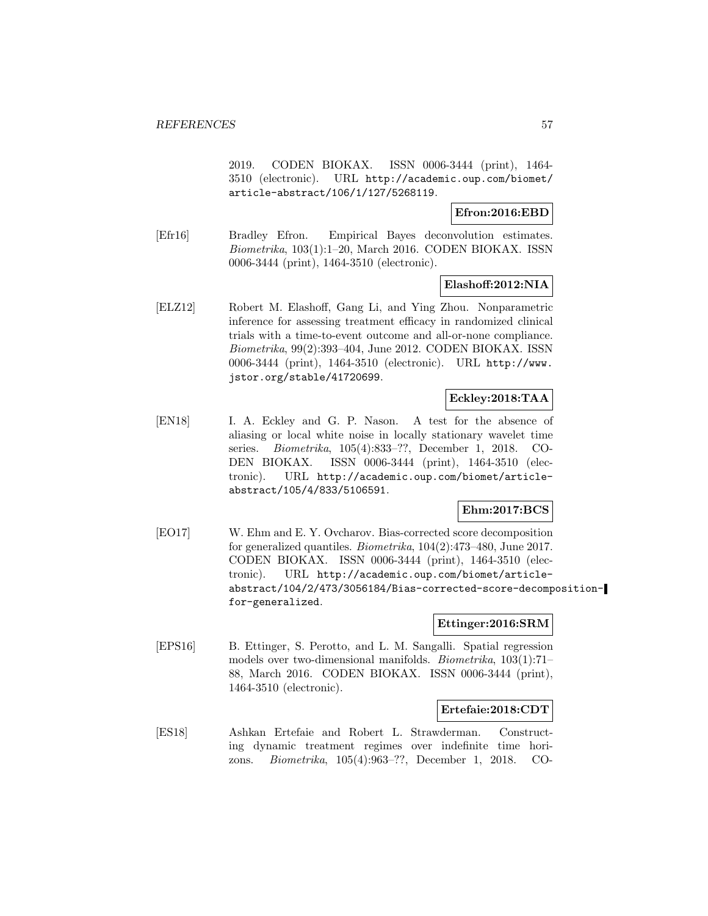2019. CODEN BIOKAX. ISSN 0006-3444 (print), 1464- 3510 (electronic). URL http://academic.oup.com/biomet/ article-abstract/106/1/127/5268119.

**Efron:2016:EBD**

[Efr16] Bradley Efron. Empirical Bayes deconvolution estimates. Biometrika, 103(1):1–20, March 2016. CODEN BIOKAX. ISSN 0006-3444 (print), 1464-3510 (electronic).

#### **Elashoff:2012:NIA**

[ELZ12] Robert M. Elashoff, Gang Li, and Ying Zhou. Nonparametric inference for assessing treatment efficacy in randomized clinical trials with a time-to-event outcome and all-or-none compliance. Biometrika, 99(2):393–404, June 2012. CODEN BIOKAX. ISSN 0006-3444 (print), 1464-3510 (electronic). URL http://www. jstor.org/stable/41720699.

### **Eckley:2018:TAA**

[EN18] I. A. Eckley and G. P. Nason. A test for the absence of aliasing or local white noise in locally stationary wavelet time series. Biometrika, 105(4):833–??, December 1, 2018. CO-DEN BIOKAX. ISSN 0006-3444 (print), 1464-3510 (electronic). URL http://academic.oup.com/biomet/articleabstract/105/4/833/5106591.

### **Ehm:2017:BCS**

[EO17] W. Ehm and E. Y. Ovcharov. Bias-corrected score decomposition for generalized quantiles. Biometrika, 104(2):473–480, June 2017. CODEN BIOKAX. ISSN 0006-3444 (print), 1464-3510 (electronic). URL http://academic.oup.com/biomet/articleabstract/104/2/473/3056184/Bias-corrected-score-decompositionfor-generalized.

#### **Ettinger:2016:SRM**

[EPS16] B. Ettinger, S. Perotto, and L. M. Sangalli. Spatial regression models over two-dimensional manifolds. Biometrika, 103(1):71– 88, March 2016. CODEN BIOKAX. ISSN 0006-3444 (print), 1464-3510 (electronic).

### **Ertefaie:2018:CDT**

[ES18] Ashkan Ertefaie and Robert L. Strawderman. Constructing dynamic treatment regimes over indefinite time horizons. Biometrika, 105(4):963–??, December 1, 2018. CO-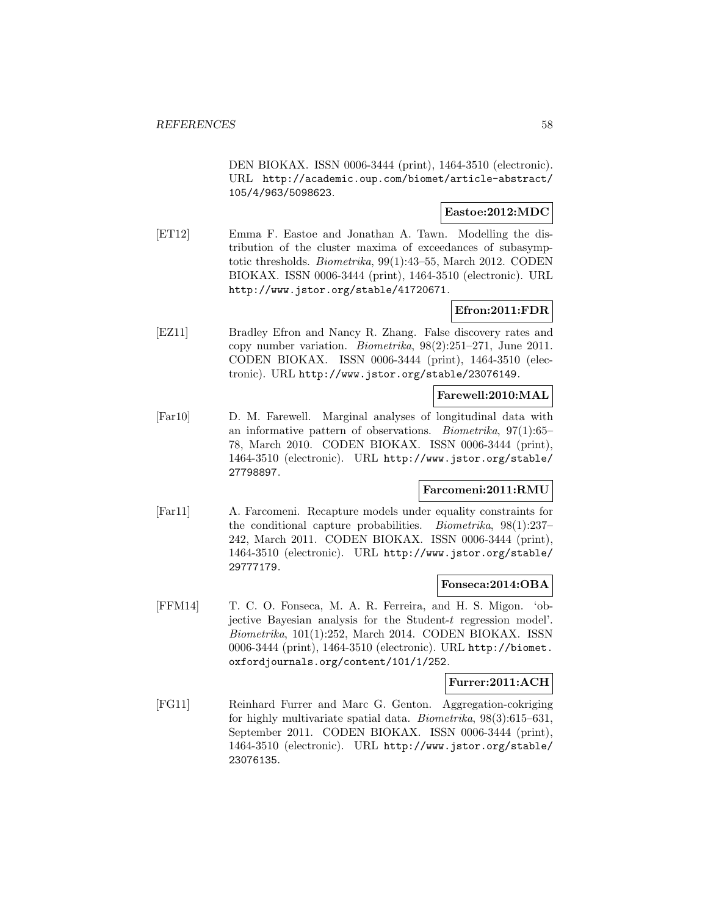DEN BIOKAX. ISSN 0006-3444 (print), 1464-3510 (electronic). URL http://academic.oup.com/biomet/article-abstract/ 105/4/963/5098623.

### **Eastoe:2012:MDC**

[ET12] Emma F. Eastoe and Jonathan A. Tawn. Modelling the distribution of the cluster maxima of exceedances of subasymptotic thresholds. Biometrika, 99(1):43–55, March 2012. CODEN BIOKAX. ISSN 0006-3444 (print), 1464-3510 (electronic). URL http://www.jstor.org/stable/41720671.

# **Efron:2011:FDR**

[EZ11] Bradley Efron and Nancy R. Zhang. False discovery rates and copy number variation. Biometrika, 98(2):251–271, June 2011. CODEN BIOKAX. ISSN 0006-3444 (print), 1464-3510 (electronic). URL http://www.jstor.org/stable/23076149.

#### **Farewell:2010:MAL**

[Far10] D. M. Farewell. Marginal analyses of longitudinal data with an informative pattern of observations. Biometrika, 97(1):65– 78, March 2010. CODEN BIOKAX. ISSN 0006-3444 (print), 1464-3510 (electronic). URL http://www.jstor.org/stable/ 27798897.

#### **Farcomeni:2011:RMU**

[Far11] A. Farcomeni. Recapture models under equality constraints for the conditional capture probabilities. Biometrika, 98(1):237– 242, March 2011. CODEN BIOKAX. ISSN 0006-3444 (print), 1464-3510 (electronic). URL http://www.jstor.org/stable/ 29777179.

#### **Fonseca:2014:OBA**

[FFM14] T. C. O. Fonseca, M. A. R. Ferreira, and H. S. Migon. 'objective Bayesian analysis for the Student-t regression model'. Biometrika, 101(1):252, March 2014. CODEN BIOKAX. ISSN 0006-3444 (print), 1464-3510 (electronic). URL http://biomet. oxfordjournals.org/content/101/1/252.

#### **Furrer:2011:ACH**

[FG11] Reinhard Furrer and Marc G. Genton. Aggregation-cokriging for highly multivariate spatial data. Biometrika, 98(3):615–631, September 2011. CODEN BIOKAX. ISSN 0006-3444 (print), 1464-3510 (electronic). URL http://www.jstor.org/stable/ 23076135.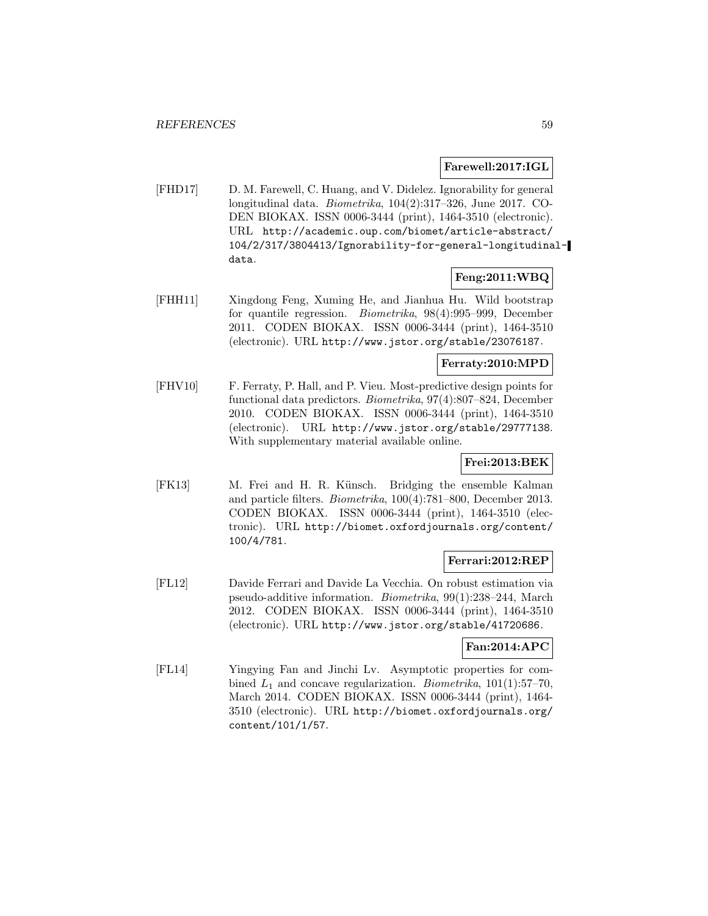#### **Farewell:2017:IGL**

[FHD17] D. M. Farewell, C. Huang, and V. Didelez. Ignorability for general longitudinal data. Biometrika, 104(2):317–326, June 2017. CO-DEN BIOKAX. ISSN 0006-3444 (print), 1464-3510 (electronic). URL http://academic.oup.com/biomet/article-abstract/ 104/2/317/3804413/Ignorability-for-general-longitudinaldata.

## **Feng:2011:WBQ**

[FHH11] Xingdong Feng, Xuming He, and Jianhua Hu. Wild bootstrap for quantile regression. Biometrika, 98(4):995–999, December 2011. CODEN BIOKAX. ISSN 0006-3444 (print), 1464-3510 (electronic). URL http://www.jstor.org/stable/23076187.

### **Ferraty:2010:MPD**

[FHV10] F. Ferraty, P. Hall, and P. Vieu. Most-predictive design points for functional data predictors. Biometrika, 97(4):807–824, December 2010. CODEN BIOKAX. ISSN 0006-3444 (print), 1464-3510 (electronic). URL http://www.jstor.org/stable/29777138. With supplementary material available online.

### **Frei:2013:BEK**

[FK13] M. Frei and H. R. Künsch. Bridging the ensemble Kalman and particle filters. Biometrika, 100(4):781–800, December 2013. CODEN BIOKAX. ISSN 0006-3444 (print), 1464-3510 (electronic). URL http://biomet.oxfordjournals.org/content/ 100/4/781.

#### **Ferrari:2012:REP**

[FL12] Davide Ferrari and Davide La Vecchia. On robust estimation via pseudo-additive information. Biometrika, 99(1):238–244, March 2012. CODEN BIOKAX. ISSN 0006-3444 (print), 1464-3510 (electronic). URL http://www.jstor.org/stable/41720686.

## **Fan:2014:APC**

[FL14] Yingying Fan and Jinchi Lv. Asymptotic properties for combined  $L_1$  and concave regularization. *Biometrika*,  $101(1):57-70$ , March 2014. CODEN BIOKAX. ISSN 0006-3444 (print), 1464- 3510 (electronic). URL http://biomet.oxfordjournals.org/ content/101/1/57.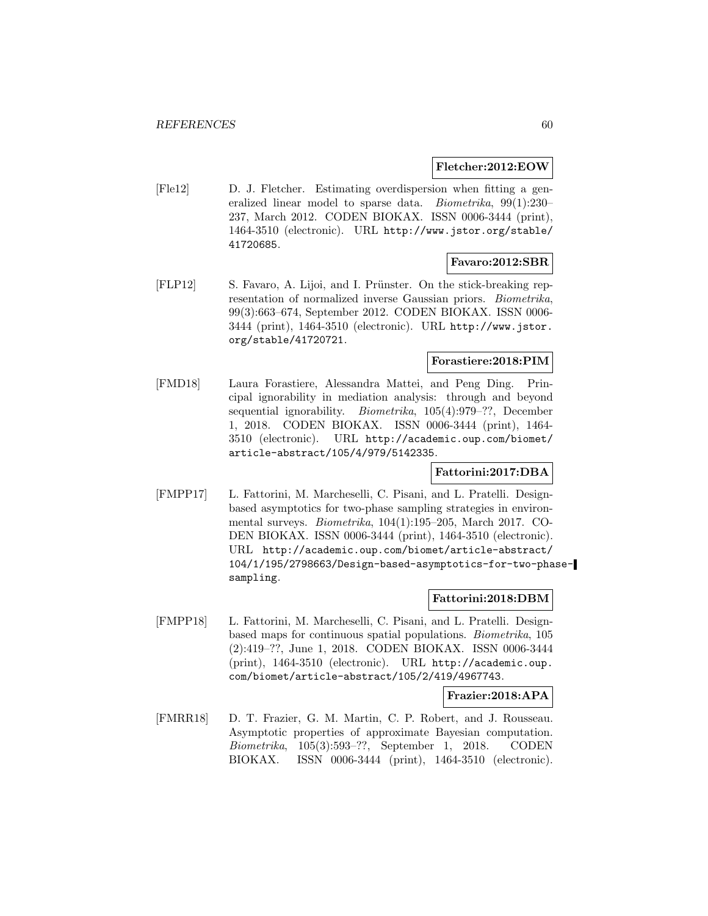#### **Fletcher:2012:EOW**

[Fle12] D. J. Fletcher. Estimating overdispersion when fitting a generalized linear model to sparse data. *Biometrika*, 99(1):230-237, March 2012. CODEN BIOKAX. ISSN 0006-3444 (print), 1464-3510 (electronic). URL http://www.jstor.org/stable/ 41720685.

#### **Favaro:2012:SBR**

[FLP12] S. Favaro, A. Lijoi, and I. Prünster. On the stick-breaking representation of normalized inverse Gaussian priors. Biometrika, 99(3):663–674, September 2012. CODEN BIOKAX. ISSN 0006- 3444 (print), 1464-3510 (electronic). URL http://www.jstor. org/stable/41720721.

## **Forastiere:2018:PIM**

[FMD18] Laura Forastiere, Alessandra Mattei, and Peng Ding. Principal ignorability in mediation analysis: through and beyond sequential ignorability. *Biometrika*, 105(4):979–??, December 1, 2018. CODEN BIOKAX. ISSN 0006-3444 (print), 1464- 3510 (electronic). URL http://academic.oup.com/biomet/ article-abstract/105/4/979/5142335.

#### **Fattorini:2017:DBA**

[FMPP17] L. Fattorini, M. Marcheselli, C. Pisani, and L. Pratelli. Designbased asymptotics for two-phase sampling strategies in environmental surveys. Biometrika, 104(1):195–205, March 2017. CO-DEN BIOKAX. ISSN 0006-3444 (print), 1464-3510 (electronic). URL http://academic.oup.com/biomet/article-abstract/ 104/1/195/2798663/Design-based-asymptotics-for-two-phasesampling.

#### **Fattorini:2018:DBM**

[FMPP18] L. Fattorini, M. Marcheselli, C. Pisani, and L. Pratelli. Designbased maps for continuous spatial populations. Biometrika, 105 (2):419–??, June 1, 2018. CODEN BIOKAX. ISSN 0006-3444 (print), 1464-3510 (electronic). URL http://academic.oup. com/biomet/article-abstract/105/2/419/4967743.

#### **Frazier:2018:APA**

[FMRR18] D. T. Frazier, G. M. Martin, C. P. Robert, and J. Rousseau. Asymptotic properties of approximate Bayesian computation. Biometrika, 105(3):593–??, September 1, 2018. CODEN BIOKAX. ISSN 0006-3444 (print), 1464-3510 (electronic).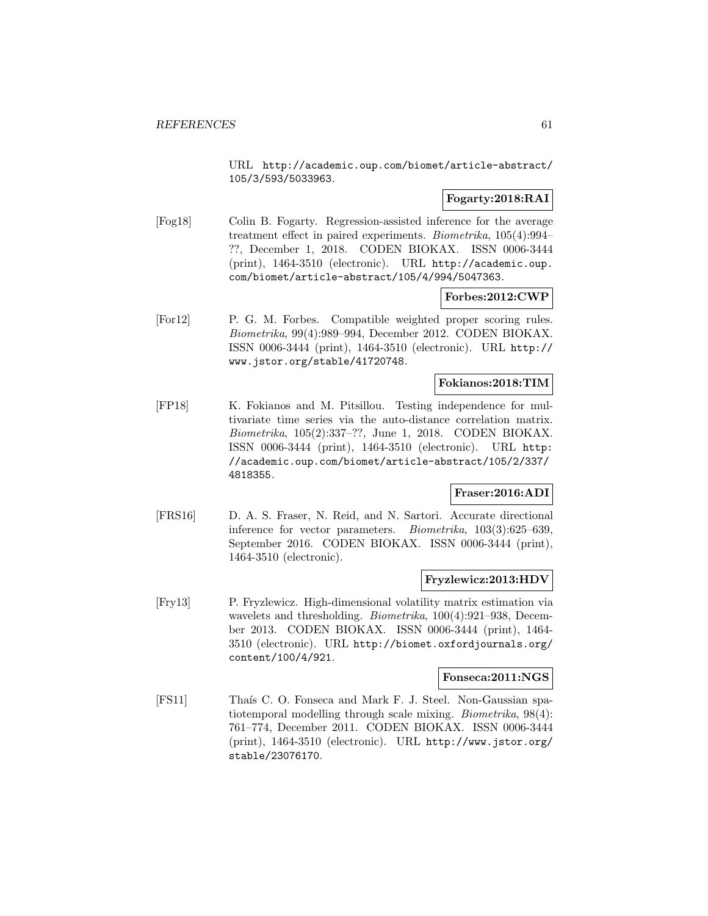URL http://academic.oup.com/biomet/article-abstract/ 105/3/593/5033963.

### **Fogarty:2018:RAI**

[Fog18] Colin B. Fogarty. Regression-assisted inference for the average treatment effect in paired experiments. Biometrika, 105(4):994– ??, December 1, 2018. CODEN BIOKAX. ISSN 0006-3444 (print), 1464-3510 (electronic). URL http://academic.oup. com/biomet/article-abstract/105/4/994/5047363.

#### **Forbes:2012:CWP**

[For12] P. G. M. Forbes. Compatible weighted proper scoring rules. Biometrika, 99(4):989–994, December 2012. CODEN BIOKAX. ISSN 0006-3444 (print), 1464-3510 (electronic). URL http:// www.jstor.org/stable/41720748.

## **Fokianos:2018:TIM**

[FP18] K. Fokianos and M. Pitsillou. Testing independence for multivariate time series via the auto-distance correlation matrix. Biometrika, 105(2):337–??, June 1, 2018. CODEN BIOKAX. ISSN 0006-3444 (print), 1464-3510 (electronic). URL http: //academic.oup.com/biomet/article-abstract/105/2/337/ 4818355.

#### **Fraser:2016:ADI**

[FRS16] D. A. S. Fraser, N. Reid, and N. Sartori. Accurate directional inference for vector parameters. Biometrika, 103(3):625–639, September 2016. CODEN BIOKAX. ISSN 0006-3444 (print), 1464-3510 (electronic).

#### **Fryzlewicz:2013:HDV**

[Fry13] P. Fryzlewicz. High-dimensional volatility matrix estimation via wavelets and thresholding. Biometrika, 100(4):921–938, December 2013. CODEN BIOKAX. ISSN 0006-3444 (print), 1464- 3510 (electronic). URL http://biomet.oxfordjournals.org/ content/100/4/921.

#### **Fonseca:2011:NGS**

[FS11] Thaís C. O. Fonseca and Mark F. J. Steel. Non-Gaussian spatiotemporal modelling through scale mixing. Biometrika, 98(4): 761–774, December 2011. CODEN BIOKAX. ISSN 0006-3444 (print), 1464-3510 (electronic). URL http://www.jstor.org/ stable/23076170.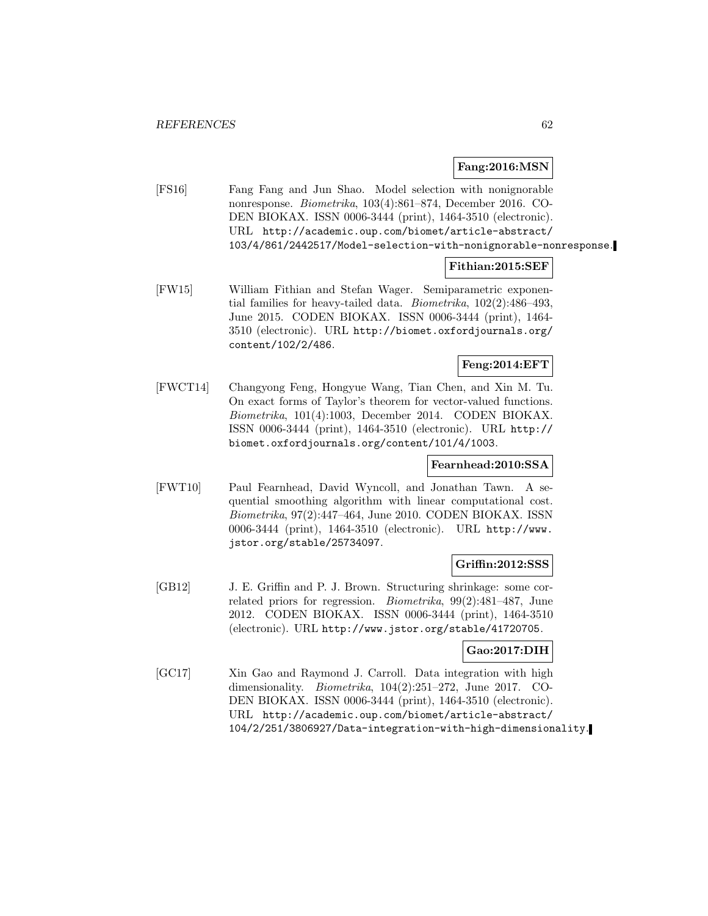#### **Fang:2016:MSN**

[FS16] Fang Fang and Jun Shao. Model selection with nonignorable nonresponse. Biometrika, 103(4):861–874, December 2016. CO-DEN BIOKAX. ISSN 0006-3444 (print), 1464-3510 (electronic). URL http://academic.oup.com/biomet/article-abstract/ 103/4/861/2442517/Model-selection-with-nonignorable-nonresponse.

#### **Fithian:2015:SEF**

[FW15] William Fithian and Stefan Wager. Semiparametric exponential families for heavy-tailed data. Biometrika, 102(2):486–493, June 2015. CODEN BIOKAX. ISSN 0006-3444 (print), 1464- 3510 (electronic). URL http://biomet.oxfordjournals.org/ content/102/2/486.

### **Feng:2014:EFT**

[FWCT14] Changyong Feng, Hongyue Wang, Tian Chen, and Xin M. Tu. On exact forms of Taylor's theorem for vector-valued functions. Biometrika, 101(4):1003, December 2014. CODEN BIOKAX. ISSN 0006-3444 (print), 1464-3510 (electronic). URL http:// biomet.oxfordjournals.org/content/101/4/1003.

#### **Fearnhead:2010:SSA**

[FWT10] Paul Fearnhead, David Wyncoll, and Jonathan Tawn. A sequential smoothing algorithm with linear computational cost. Biometrika, 97(2):447–464, June 2010. CODEN BIOKAX. ISSN 0006-3444 (print), 1464-3510 (electronic). URL http://www. jstor.org/stable/25734097.

#### **Griffin:2012:SSS**

[GB12] J. E. Griffin and P. J. Brown. Structuring shrinkage: some correlated priors for regression. Biometrika, 99(2):481–487, June 2012. CODEN BIOKAX. ISSN 0006-3444 (print), 1464-3510 (electronic). URL http://www.jstor.org/stable/41720705.

#### **Gao:2017:DIH**

[GC17] Xin Gao and Raymond J. Carroll. Data integration with high dimensionality. Biometrika, 104(2):251–272, June 2017. CO-DEN BIOKAX. ISSN 0006-3444 (print), 1464-3510 (electronic). URL http://academic.oup.com/biomet/article-abstract/ 104/2/251/3806927/Data-integration-with-high-dimensionality.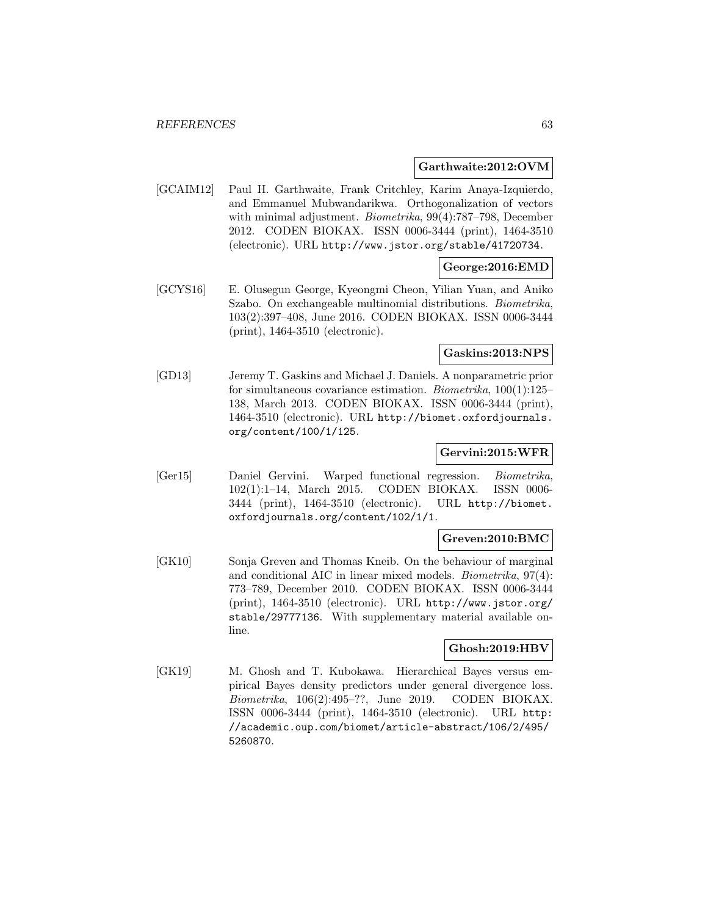#### **Garthwaite:2012:OVM**

[GCAIM12] Paul H. Garthwaite, Frank Critchley, Karim Anaya-Izquierdo, and Emmanuel Mubwandarikwa. Orthogonalization of vectors with minimal adjustment. *Biometrika*, 99(4):787–798, December 2012. CODEN BIOKAX. ISSN 0006-3444 (print), 1464-3510 (electronic). URL http://www.jstor.org/stable/41720734.

## **George:2016:EMD**

[GCYS16] E. Olusegun George, Kyeongmi Cheon, Yilian Yuan, and Aniko Szabo. On exchangeable multinomial distributions. Biometrika, 103(2):397–408, June 2016. CODEN BIOKAX. ISSN 0006-3444 (print), 1464-3510 (electronic).

#### **Gaskins:2013:NPS**

[GD13] Jeremy T. Gaskins and Michael J. Daniels. A nonparametric prior for simultaneous covariance estimation. Biometrika, 100(1):125– 138, March 2013. CODEN BIOKAX. ISSN 0006-3444 (print), 1464-3510 (electronic). URL http://biomet.oxfordjournals. org/content/100/1/125.

### **Gervini:2015:WFR**

[Ger15] Daniel Gervini. Warped functional regression. Biometrika, 102(1):1–14, March 2015. CODEN BIOKAX. ISSN 0006- 3444 (print), 1464-3510 (electronic). URL http://biomet. oxfordjournals.org/content/102/1/1.

#### **Greven:2010:BMC**

[GK10] Sonja Greven and Thomas Kneib. On the behaviour of marginal and conditional AIC in linear mixed models. Biometrika, 97(4): 773–789, December 2010. CODEN BIOKAX. ISSN 0006-3444 (print), 1464-3510 (electronic). URL http://www.jstor.org/ stable/29777136. With supplementary material available online.

# **Ghosh:2019:HBV**

[GK19] M. Ghosh and T. Kubokawa. Hierarchical Bayes versus empirical Bayes density predictors under general divergence loss. Biometrika, 106(2):495–??, June 2019. CODEN BIOKAX. ISSN 0006-3444 (print), 1464-3510 (electronic). URL http: //academic.oup.com/biomet/article-abstract/106/2/495/ 5260870.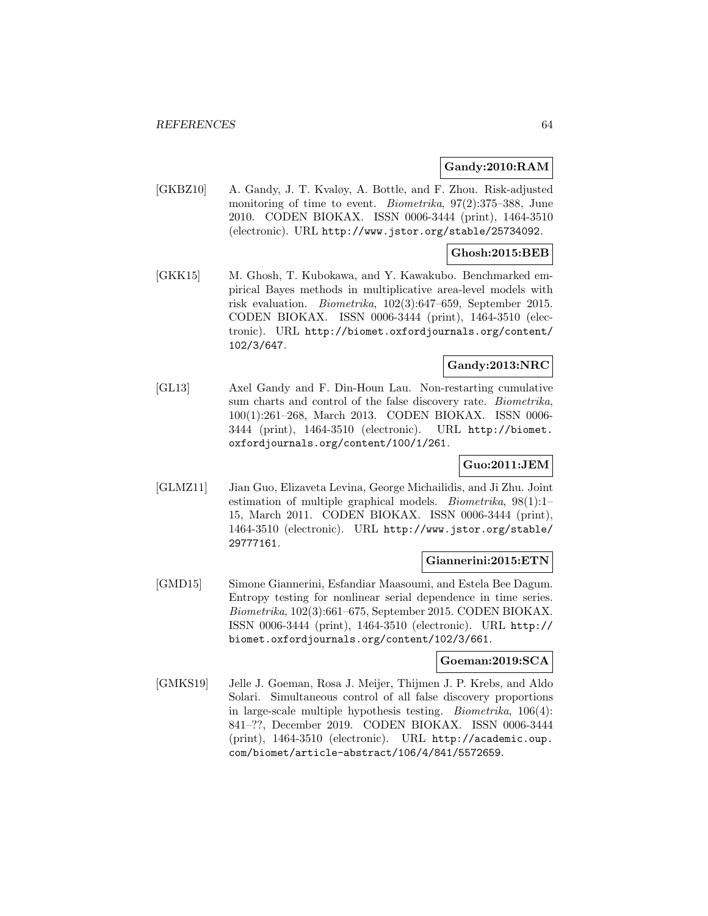#### **Gandy:2010:RAM**

[GKBZ10] A. Gandy, J. T. Kvaløy, A. Bottle, and F. Zhou. Risk-adjusted monitoring of time to event. *Biometrika*, 97(2):375–388, June 2010. CODEN BIOKAX. ISSN 0006-3444 (print), 1464-3510 (electronic). URL http://www.jstor.org/stable/25734092.

### **Ghosh:2015:BEB**

[GKK15] M. Ghosh, T. Kubokawa, and Y. Kawakubo. Benchmarked empirical Bayes methods in multiplicative area-level models with risk evaluation. Biometrika, 102(3):647–659, September 2015. CODEN BIOKAX. ISSN 0006-3444 (print), 1464-3510 (electronic). URL http://biomet.oxfordjournals.org/content/ 102/3/647.

#### **Gandy:2013:NRC**

[GL13] Axel Gandy and F. Din-Houn Lau. Non-restarting cumulative sum charts and control of the false discovery rate. Biometrika, 100(1):261–268, March 2013. CODEN BIOKAX. ISSN 0006- 3444 (print), 1464-3510 (electronic). URL http://biomet. oxfordjournals.org/content/100/1/261.

### **Guo:2011:JEM**

[GLMZ11] Jian Guo, Elizaveta Levina, George Michailidis, and Ji Zhu. Joint estimation of multiple graphical models. Biometrika, 98(1):1– 15, March 2011. CODEN BIOKAX. ISSN 0006-3444 (print), 1464-3510 (electronic). URL http://www.jstor.org/stable/ 29777161.

#### **Giannerini:2015:ETN**

[GMD15] Simone Giannerini, Esfandiar Maasoumi, and Estela Bee Dagum. Entropy testing for nonlinear serial dependence in time series. Biometrika, 102(3):661–675, September 2015. CODEN BIOKAX. ISSN 0006-3444 (print), 1464-3510 (electronic). URL http:// biomet.oxfordjournals.org/content/102/3/661.

#### **Goeman:2019:SCA**

[GMKS19] Jelle J. Goeman, Rosa J. Meijer, Thijmen J. P. Krebs, and Aldo Solari. Simultaneous control of all false discovery proportions in large-scale multiple hypothesis testing. *Biometrika*,  $106(4)$ : 841–??, December 2019. CODEN BIOKAX. ISSN 0006-3444 (print), 1464-3510 (electronic). URL http://academic.oup. com/biomet/article-abstract/106/4/841/5572659.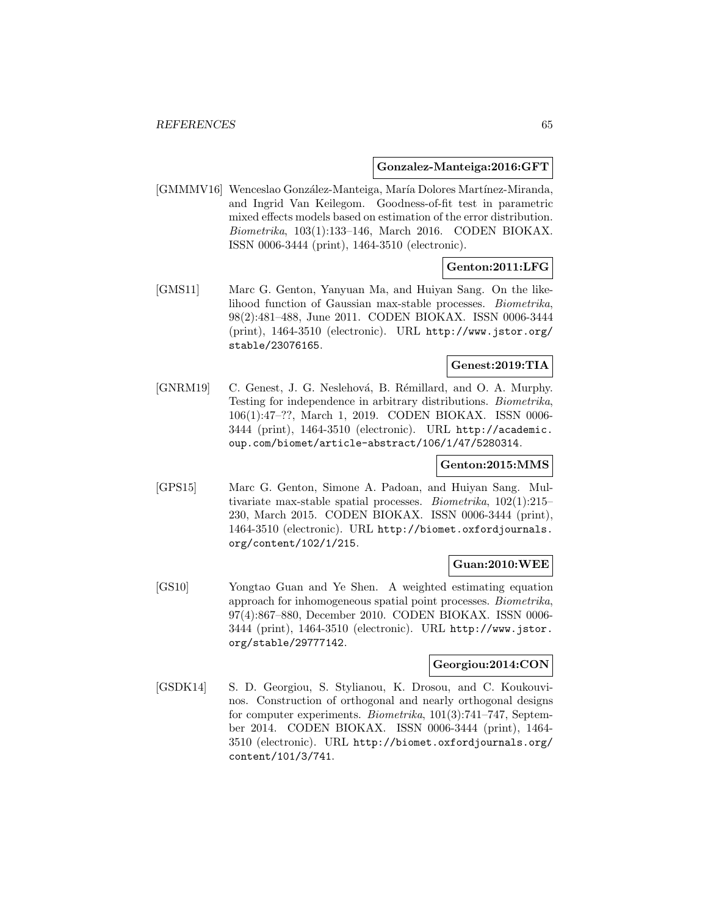#### **Gonzalez-Manteiga:2016:GFT**

[GMMMV16] Wenceslao González-Manteiga, María Dolores Martínez-Miranda, and Ingrid Van Keilegom. Goodness-of-fit test in parametric mixed effects models based on estimation of the error distribution. Biometrika, 103(1):133–146, March 2016. CODEN BIOKAX. ISSN 0006-3444 (print), 1464-3510 (electronic).

## **Genton:2011:LFG**

[GMS11] Marc G. Genton, Yanyuan Ma, and Huiyan Sang. On the likelihood function of Gaussian max-stable processes. Biometrika, 98(2):481–488, June 2011. CODEN BIOKAX. ISSN 0006-3444 (print), 1464-3510 (electronic). URL http://www.jstor.org/ stable/23076165.

## **Genest:2019:TIA**

[GNRM19] C. Genest, J. G. Neslehová, B. Rémillard, and O. A. Murphy. Testing for independence in arbitrary distributions. Biometrika, 106(1):47–??, March 1, 2019. CODEN BIOKAX. ISSN 0006- 3444 (print), 1464-3510 (electronic). URL http://academic. oup.com/biomet/article-abstract/106/1/47/5280314.

### **Genton:2015:MMS**

[GPS15] Marc G. Genton, Simone A. Padoan, and Huiyan Sang. Multivariate max-stable spatial processes. Biometrika, 102(1):215– 230, March 2015. CODEN BIOKAX. ISSN 0006-3444 (print), 1464-3510 (electronic). URL http://biomet.oxfordjournals. org/content/102/1/215.

#### **Guan:2010:WEE**

[GS10] Yongtao Guan and Ye Shen. A weighted estimating equation approach for inhomogeneous spatial point processes. Biometrika, 97(4):867–880, December 2010. CODEN BIOKAX. ISSN 0006- 3444 (print), 1464-3510 (electronic). URL http://www.jstor. org/stable/29777142.

# **Georgiou:2014:CON**

[GSDK14] S. D. Georgiou, S. Stylianou, K. Drosou, and C. Koukouvinos. Construction of orthogonal and nearly orthogonal designs for computer experiments. *Biometrika*,  $101(3)$ :741–747, September 2014. CODEN BIOKAX. ISSN 0006-3444 (print), 1464- 3510 (electronic). URL http://biomet.oxfordjournals.org/ content/101/3/741.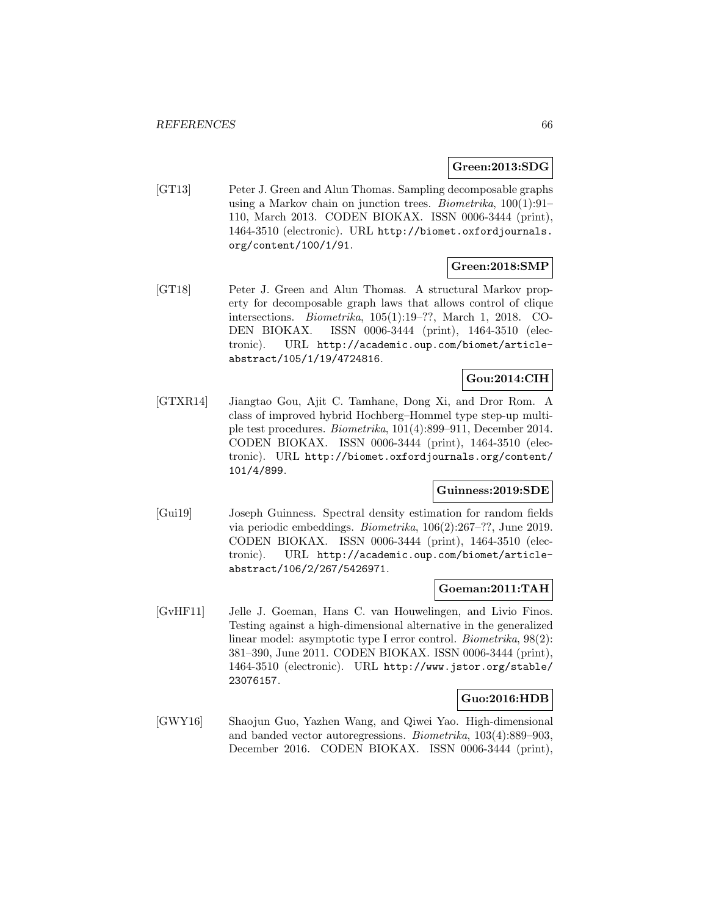#### **Green:2013:SDG**

[GT13] Peter J. Green and Alun Thomas. Sampling decomposable graphs using a Markov chain on junction trees. Biometrika, 100(1):91– 110, March 2013. CODEN BIOKAX. ISSN 0006-3444 (print), 1464-3510 (electronic). URL http://biomet.oxfordjournals. org/content/100/1/91.

## **Green:2018:SMP**

[GT18] Peter J. Green and Alun Thomas. A structural Markov property for decomposable graph laws that allows control of clique intersections. Biometrika, 105(1):19–??, March 1, 2018. CO-DEN BIOKAX. ISSN 0006-3444 (print), 1464-3510 (electronic). URL http://academic.oup.com/biomet/articleabstract/105/1/19/4724816.

# **Gou:2014:CIH**

[GTXR14] Jiangtao Gou, Ajit C. Tamhane, Dong Xi, and Dror Rom. A class of improved hybrid Hochberg–Hommel type step-up multiple test procedures. Biometrika, 101(4):899–911, December 2014. CODEN BIOKAX. ISSN 0006-3444 (print), 1464-3510 (electronic). URL http://biomet.oxfordjournals.org/content/ 101/4/899.

#### **Guinness:2019:SDE**

[Gui19] Joseph Guinness. Spectral density estimation for random fields via periodic embeddings. Biometrika, 106(2):267–??, June 2019. CODEN BIOKAX. ISSN 0006-3444 (print), 1464-3510 (electronic). URL http://academic.oup.com/biomet/articleabstract/106/2/267/5426971.

#### **Goeman:2011:TAH**

[GvHF11] Jelle J. Goeman, Hans C. van Houwelingen, and Livio Finos. Testing against a high-dimensional alternative in the generalized linear model: asymptotic type I error control. Biometrika, 98(2): 381–390, June 2011. CODEN BIOKAX. ISSN 0006-3444 (print), 1464-3510 (electronic). URL http://www.jstor.org/stable/ 23076157.

#### **Guo:2016:HDB**

[GWY16] Shaojun Guo, Yazhen Wang, and Qiwei Yao. High-dimensional and banded vector autoregressions. Biometrika, 103(4):889–903, December 2016. CODEN BIOKAX. ISSN 0006-3444 (print),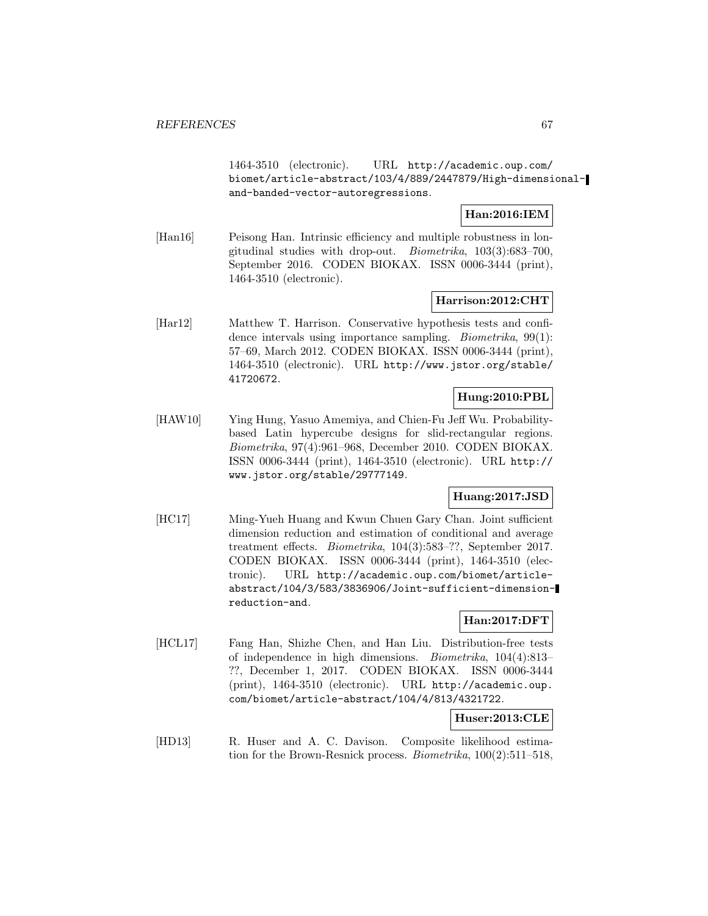1464-3510 (electronic). URL http://academic.oup.com/ biomet/article-abstract/103/4/889/2447879/High-dimensionaland-banded-vector-autoregressions.

### **Han:2016:IEM**

[Han16] Peisong Han. Intrinsic efficiency and multiple robustness in longitudinal studies with drop-out. Biometrika, 103(3):683–700, September 2016. CODEN BIOKAX. ISSN 0006-3444 (print), 1464-3510 (electronic).

#### **Harrison:2012:CHT**

[Har12] Matthew T. Harrison. Conservative hypothesis tests and confidence intervals using importance sampling. *Biometrika*, 99(1): 57–69, March 2012. CODEN BIOKAX. ISSN 0006-3444 (print), 1464-3510 (electronic). URL http://www.jstor.org/stable/ 41720672.

### **Hung:2010:PBL**

[HAW10] Ying Hung, Yasuo Amemiya, and Chien-Fu Jeff Wu. Probabilitybased Latin hypercube designs for slid-rectangular regions. Biometrika, 97(4):961–968, December 2010. CODEN BIOKAX. ISSN 0006-3444 (print), 1464-3510 (electronic). URL http:// www.jstor.org/stable/29777149.

### **Huang:2017:JSD**

[HC17] Ming-Yueh Huang and Kwun Chuen Gary Chan. Joint sufficient dimension reduction and estimation of conditional and average treatment effects. Biometrika, 104(3):583–??, September 2017. CODEN BIOKAX. ISSN 0006-3444 (print), 1464-3510 (electronic). URL http://academic.oup.com/biomet/articleabstract/104/3/583/3836906/Joint-sufficient-dimensionreduction-and.

#### **Han:2017:DFT**

[HCL17] Fang Han, Shizhe Chen, and Han Liu. Distribution-free tests of independence in high dimensions. Biometrika, 104(4):813– ??, December 1, 2017. CODEN BIOKAX. ISSN 0006-3444 (print), 1464-3510 (electronic). URL http://academic.oup. com/biomet/article-abstract/104/4/813/4321722.

### **Huser:2013:CLE**

[HD13] R. Huser and A. C. Davison. Composite likelihood estimation for the Brown-Resnick process. Biometrika, 100(2):511–518,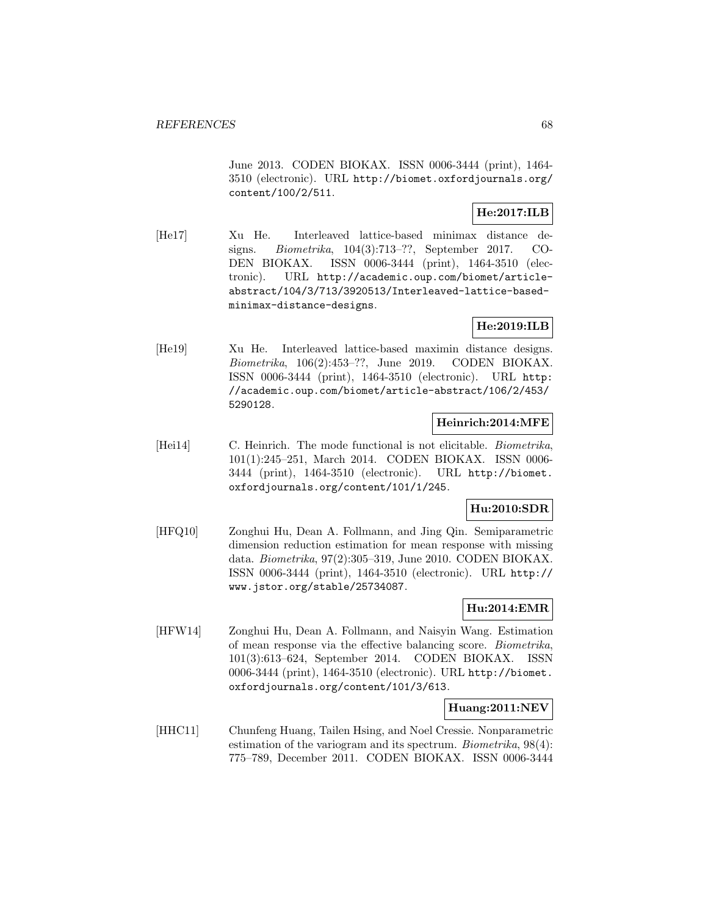June 2013. CODEN BIOKAX. ISSN 0006-3444 (print), 1464- 3510 (electronic). URL http://biomet.oxfordjournals.org/ content/100/2/511.

# **He:2017:ILB**

[He17] Xu He. Interleaved lattice-based minimax distance designs. Biometrika, 104(3):713–??, September 2017. CO-DEN BIOKAX. ISSN 0006-3444 (print), 1464-3510 (electronic). URL http://academic.oup.com/biomet/articleabstract/104/3/713/3920513/Interleaved-lattice-basedminimax-distance-designs.

### **He:2019:ILB**

[He19] Xu He. Interleaved lattice-based maximin distance designs. Biometrika, 106(2):453–??, June 2019. CODEN BIOKAX. ISSN 0006-3444 (print), 1464-3510 (electronic). URL http: //academic.oup.com/biomet/article-abstract/106/2/453/ 5290128.

### **Heinrich:2014:MFE**

[Hei14] C. Heinrich. The mode functional is not elicitable. *Biometrika*, 101(1):245–251, March 2014. CODEN BIOKAX. ISSN 0006- 3444 (print), 1464-3510 (electronic). URL http://biomet. oxfordjournals.org/content/101/1/245.

## **Hu:2010:SDR**

[HFQ10] Zonghui Hu, Dean A. Follmann, and Jing Qin. Semiparametric dimension reduction estimation for mean response with missing data. Biometrika, 97(2):305–319, June 2010. CODEN BIOKAX. ISSN 0006-3444 (print), 1464-3510 (electronic). URL http:// www.jstor.org/stable/25734087.

# **Hu:2014:EMR**

[HFW14] Zonghui Hu, Dean A. Follmann, and Naisyin Wang. Estimation of mean response via the effective balancing score. Biometrika, 101(3):613–624, September 2014. CODEN BIOKAX. ISSN 0006-3444 (print), 1464-3510 (electronic). URL http://biomet. oxfordjournals.org/content/101/3/613.

### **Huang:2011:NEV**

[HHC11] Chunfeng Huang, Tailen Hsing, and Noel Cressie. Nonparametric estimation of the variogram and its spectrum. *Biometrika*, 98(4): 775–789, December 2011. CODEN BIOKAX. ISSN 0006-3444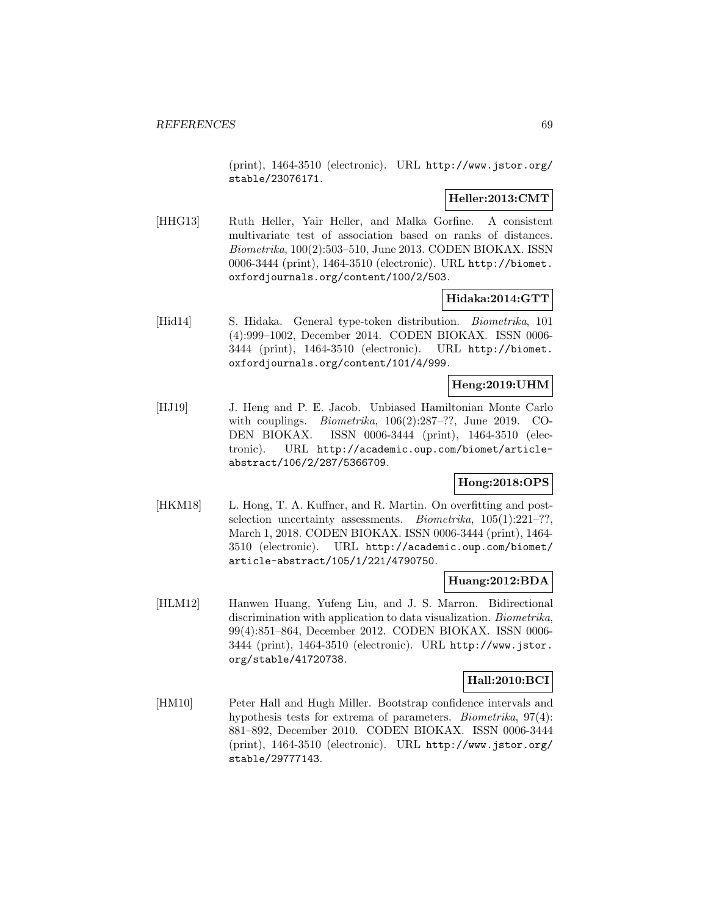(print), 1464-3510 (electronic). URL http://www.jstor.org/ stable/23076171.

### **Heller:2013:CMT**

[HHG13] Ruth Heller, Yair Heller, and Malka Gorfine. A consistent multivariate test of association based on ranks of distances. Biometrika, 100(2):503–510, June 2013. CODEN BIOKAX. ISSN 0006-3444 (print), 1464-3510 (electronic). URL http://biomet. oxfordjournals.org/content/100/2/503.

### **Hidaka:2014:GTT**

[Hid14] S. Hidaka. General type-token distribution. Biometrika, 101 (4):999–1002, December 2014. CODEN BIOKAX. ISSN 0006- 3444 (print), 1464-3510 (electronic). URL http://biomet. oxfordjournals.org/content/101/4/999.

## **Heng:2019:UHM**

[HJ19] J. Heng and P. E. Jacob. Unbiased Hamiltonian Monte Carlo with couplings. *Biometrika*,  $106(2):287-??$ , June 2019. CO-DEN BIOKAX. ISSN 0006-3444 (print), 1464-3510 (electronic). URL http://academic.oup.com/biomet/articleabstract/106/2/287/5366709.

# **Hong:2018:OPS**

[HKM18] L. Hong, T. A. Kuffner, and R. Martin. On overfitting and postselection uncertainty assessments. *Biometrika*,  $105(1):221-??$ , March 1, 2018. CODEN BIOKAX. ISSN 0006-3444 (print), 1464- 3510 (electronic). URL http://academic.oup.com/biomet/ article-abstract/105/1/221/4790750.

#### **Huang:2012:BDA**

[HLM12] Hanwen Huang, Yufeng Liu, and J. S. Marron. Bidirectional discrimination with application to data visualization. Biometrika, 99(4):851–864, December 2012. CODEN BIOKAX. ISSN 0006- 3444 (print), 1464-3510 (electronic). URL http://www.jstor. org/stable/41720738.

#### **Hall:2010:BCI**

[HM10] Peter Hall and Hugh Miller. Bootstrap confidence intervals and hypothesis tests for extrema of parameters. *Biometrika*, 97(4): 881–892, December 2010. CODEN BIOKAX. ISSN 0006-3444 (print), 1464-3510 (electronic). URL http://www.jstor.org/ stable/29777143.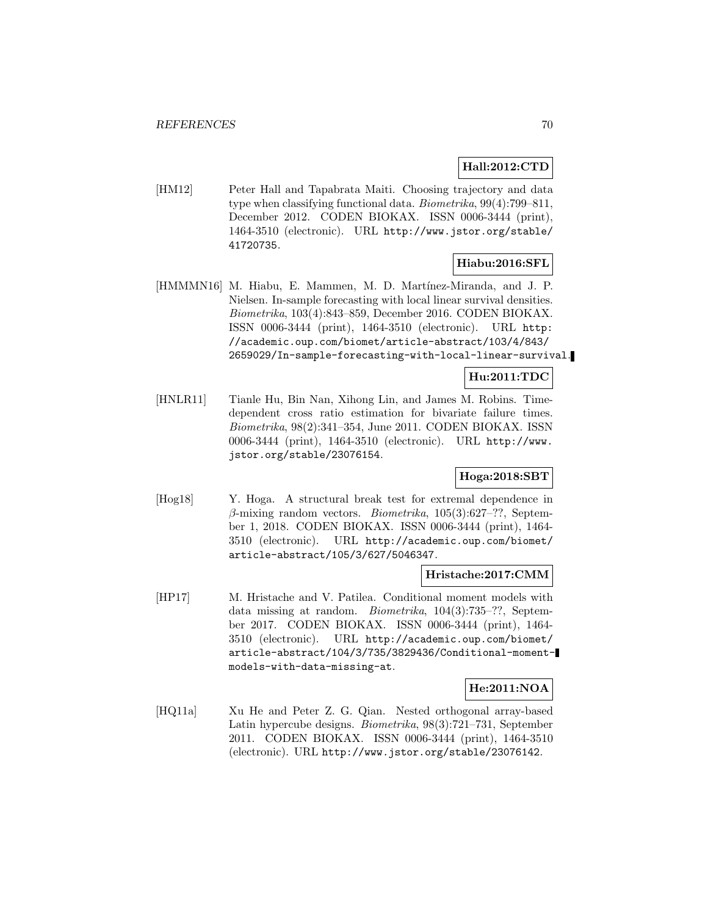### **Hall:2012:CTD**

[HM12] Peter Hall and Tapabrata Maiti. Choosing trajectory and data type when classifying functional data. Biometrika, 99(4):799–811, December 2012. CODEN BIOKAX. ISSN 0006-3444 (print), 1464-3510 (electronic). URL http://www.jstor.org/stable/ 41720735.

## **Hiabu:2016:SFL**

[HMMMN16] M. Hiabu, E. Mammen, M. D. Martínez-Miranda, and J. P. Nielsen. In-sample forecasting with local linear survival densities. Biometrika, 103(4):843–859, December 2016. CODEN BIOKAX. ISSN 0006-3444 (print), 1464-3510 (electronic). URL http: //academic.oup.com/biomet/article-abstract/103/4/843/ 2659029/In-sample-forecasting-with-local-linear-survival.

# **Hu:2011:TDC**

[HNLR11] Tianle Hu, Bin Nan, Xihong Lin, and James M. Robins. Timedependent cross ratio estimation for bivariate failure times. Biometrika, 98(2):341–354, June 2011. CODEN BIOKAX. ISSN 0006-3444 (print), 1464-3510 (electronic). URL http://www. jstor.org/stable/23076154.

# **Hoga:2018:SBT**

[Hog18] Y. Hoga. A structural break test for extremal dependence in  $\beta$ -mixing random vectors. *Biometrika*, 105(3):627–??, September 1, 2018. CODEN BIOKAX. ISSN 0006-3444 (print), 1464- 3510 (electronic). URL http://academic.oup.com/biomet/ article-abstract/105/3/627/5046347.

#### **Hristache:2017:CMM**

[HP17] M. Hristache and V. Patilea. Conditional moment models with data missing at random. Biometrika, 104(3):735–??, September 2017. CODEN BIOKAX. ISSN 0006-3444 (print), 1464- 3510 (electronic). URL http://academic.oup.com/biomet/ article-abstract/104/3/735/3829436/Conditional-momentmodels-with-data-missing-at.

## **He:2011:NOA**

[HQ11a] Xu He and Peter Z. G. Qian. Nested orthogonal array-based Latin hypercube designs. Biometrika, 98(3):721–731, September 2011. CODEN BIOKAX. ISSN 0006-3444 (print), 1464-3510 (electronic). URL http://www.jstor.org/stable/23076142.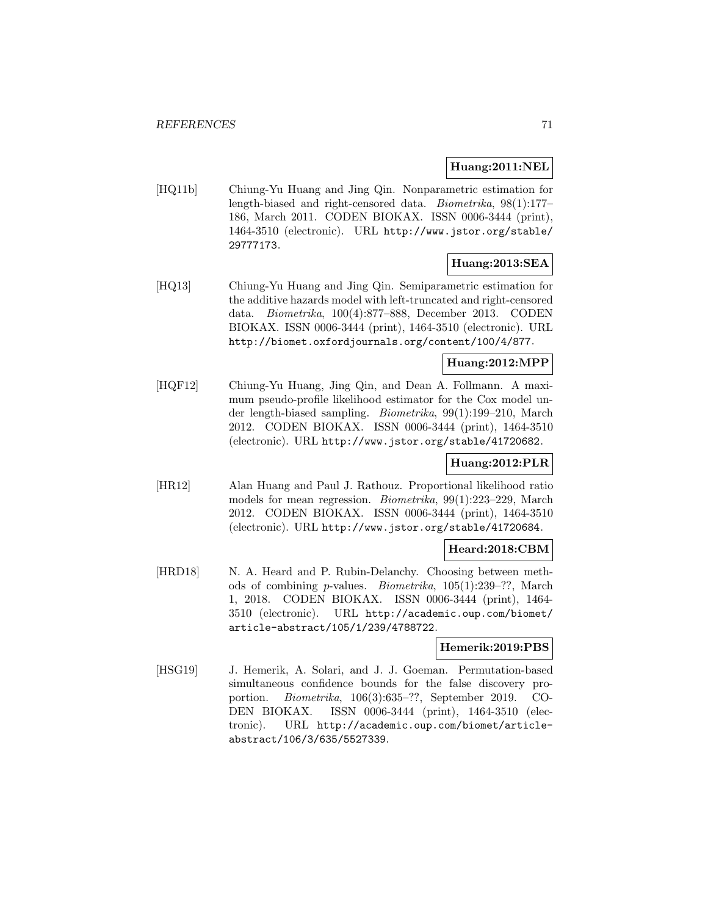### **Huang:2011:NEL**

[HQ11b] Chiung-Yu Huang and Jing Qin. Nonparametric estimation for length-biased and right-censored data. Biometrika, 98(1):177– 186, March 2011. CODEN BIOKAX. ISSN 0006-3444 (print), 1464-3510 (electronic). URL http://www.jstor.org/stable/ 29777173.

# **Huang:2013:SEA**

[HQ13] Chiung-Yu Huang and Jing Qin. Semiparametric estimation for the additive hazards model with left-truncated and right-censored data. Biometrika, 100(4):877–888, December 2013. CODEN BIOKAX. ISSN 0006-3444 (print), 1464-3510 (electronic). URL http://biomet.oxfordjournals.org/content/100/4/877.

## **Huang:2012:MPP**

[HQF12] Chiung-Yu Huang, Jing Qin, and Dean A. Follmann. A maximum pseudo-profile likelihood estimator for the Cox model under length-biased sampling. Biometrika, 99(1):199–210, March 2012. CODEN BIOKAX. ISSN 0006-3444 (print), 1464-3510 (electronic). URL http://www.jstor.org/stable/41720682.

## **Huang:2012:PLR**

[HR12] Alan Huang and Paul J. Rathouz. Proportional likelihood ratio models for mean regression. Biometrika, 99(1):223–229, March 2012. CODEN BIOKAX. ISSN 0006-3444 (print), 1464-3510 (electronic). URL http://www.jstor.org/stable/41720684.

#### **Heard:2018:CBM**

[HRD18] N. A. Heard and P. Rubin-Delanchy. Choosing between methods of combining p-values. Biometrika, 105(1):239–??, March 1, 2018. CODEN BIOKAX. ISSN 0006-3444 (print), 1464- 3510 (electronic). URL http://academic.oup.com/biomet/ article-abstract/105/1/239/4788722.

## **Hemerik:2019:PBS**

[HSG19] J. Hemerik, A. Solari, and J. J. Goeman. Permutation-based simultaneous confidence bounds for the false discovery proportion. Biometrika, 106(3):635–??, September 2019. CO-DEN BIOKAX. ISSN 0006-3444 (print), 1464-3510 (electronic). URL http://academic.oup.com/biomet/articleabstract/106/3/635/5527339.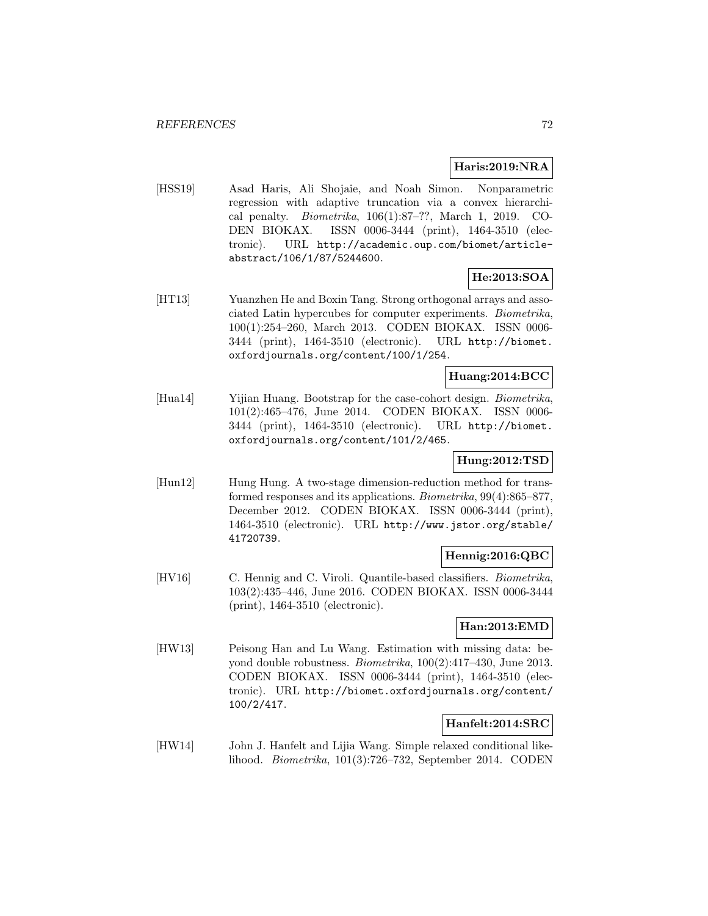### **Haris:2019:NRA**

[HSS19] Asad Haris, Ali Shojaie, and Noah Simon. Nonparametric regression with adaptive truncation via a convex hierarchical penalty. Biometrika, 106(1):87–??, March 1, 2019. CO-DEN BIOKAX. ISSN 0006-3444 (print), 1464-3510 (electronic). URL http://academic.oup.com/biomet/articleabstract/106/1/87/5244600.

# **He:2013:SOA**

[HT13] Yuanzhen He and Boxin Tang. Strong orthogonal arrays and associated Latin hypercubes for computer experiments. Biometrika, 100(1):254–260, March 2013. CODEN BIOKAX. ISSN 0006- 3444 (print), 1464-3510 (electronic). URL http://biomet. oxfordjournals.org/content/100/1/254.

### **Huang:2014:BCC**

[Hua14] Yijian Huang. Bootstrap for the case-cohort design. Biometrika, 101(2):465–476, June 2014. CODEN BIOKAX. ISSN 0006- 3444 (print), 1464-3510 (electronic). URL http://biomet. oxfordjournals.org/content/101/2/465.

#### **Hung:2012:TSD**

[Hun12] Hung Hung. A two-stage dimension-reduction method for transformed responses and its applications. Biometrika, 99(4):865–877, December 2012. CODEN BIOKAX. ISSN 0006-3444 (print), 1464-3510 (electronic). URL http://www.jstor.org/stable/ 41720739.

#### **Hennig:2016:QBC**

[HV16] C. Hennig and C. Viroli. Quantile-based classifiers. *Biometrika*, 103(2):435–446, June 2016. CODEN BIOKAX. ISSN 0006-3444 (print), 1464-3510 (electronic).

### **Han:2013:EMD**

[HW13] Peisong Han and Lu Wang. Estimation with missing data: beyond double robustness. *Biometrika*,  $100(2):417-430$ , June 2013. CODEN BIOKAX. ISSN 0006-3444 (print), 1464-3510 (electronic). URL http://biomet.oxfordjournals.org/content/ 100/2/417.

### **Hanfelt:2014:SRC**

[HW14] John J. Hanfelt and Lijia Wang. Simple relaxed conditional likelihood. Biometrika, 101(3):726–732, September 2014. CODEN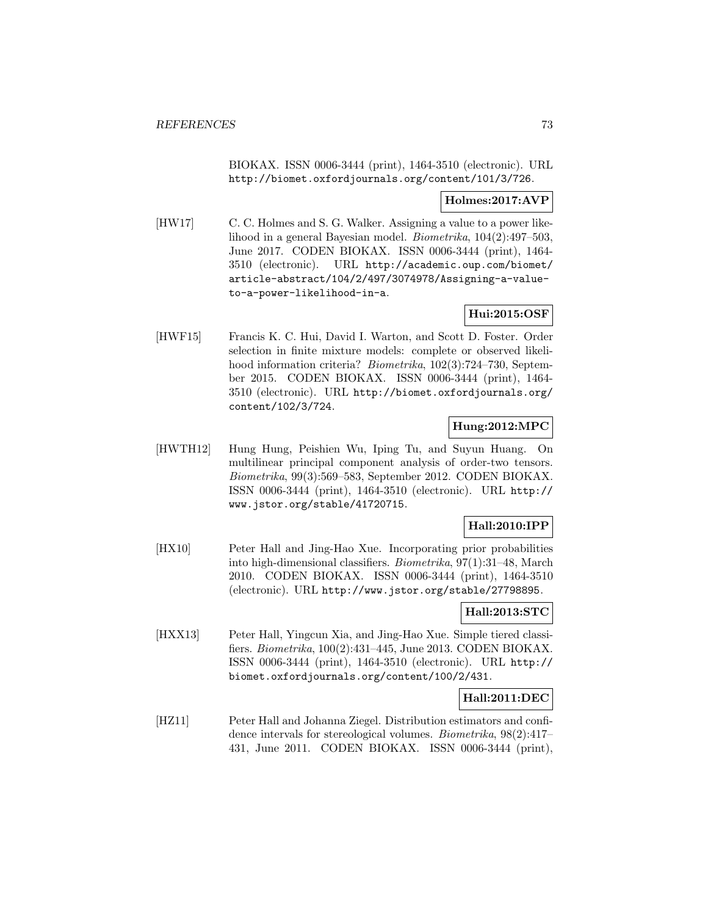BIOKAX. ISSN 0006-3444 (print), 1464-3510 (electronic). URL http://biomet.oxfordjournals.org/content/101/3/726.

### **Holmes:2017:AVP**

[HW17] C. C. Holmes and S. G. Walker. Assigning a value to a power likelihood in a general Bayesian model. Biometrika, 104(2):497–503, June 2017. CODEN BIOKAX. ISSN 0006-3444 (print), 1464- 3510 (electronic). URL http://academic.oup.com/biomet/ article-abstract/104/2/497/3074978/Assigning-a-valueto-a-power-likelihood-in-a.

# **Hui:2015:OSF**

[HWF15] Francis K. C. Hui, David I. Warton, and Scott D. Foster. Order selection in finite mixture models: complete or observed likelihood information criteria? *Biometrika*, 102(3):724–730, September 2015. CODEN BIOKAX. ISSN 0006-3444 (print), 1464- 3510 (electronic). URL http://biomet.oxfordjournals.org/ content/102/3/724.

## **Hung:2012:MPC**

[HWTH12] Hung Hung, Peishien Wu, Iping Tu, and Suyun Huang. On multilinear principal component analysis of order-two tensors. Biometrika, 99(3):569–583, September 2012. CODEN BIOKAX. ISSN 0006-3444 (print), 1464-3510 (electronic). URL http:// www.jstor.org/stable/41720715.

## **Hall:2010:IPP**

[HX10] Peter Hall and Jing-Hao Xue. Incorporating prior probabilities into high-dimensional classifiers. Biometrika, 97(1):31–48, March 2010. CODEN BIOKAX. ISSN 0006-3444 (print), 1464-3510 (electronic). URL http://www.jstor.org/stable/27798895.

# **Hall:2013:STC**

[HXX13] Peter Hall, Yingcun Xia, and Jing-Hao Xue. Simple tiered classifiers. Biometrika, 100(2):431–445, June 2013. CODEN BIOKAX. ISSN 0006-3444 (print), 1464-3510 (electronic). URL http:// biomet.oxfordjournals.org/content/100/2/431.

# **Hall:2011:DEC**

[HZ11] Peter Hall and Johanna Ziegel. Distribution estimators and confidence intervals for stereological volumes. Biometrika, 98(2):417– 431, June 2011. CODEN BIOKAX. ISSN 0006-3444 (print),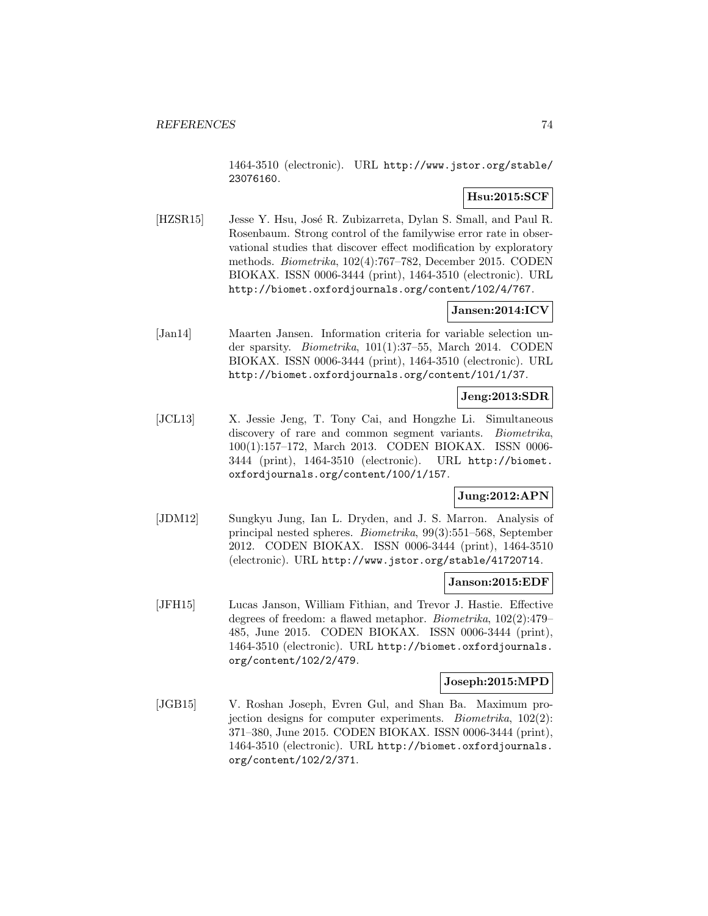1464-3510 (electronic). URL http://www.jstor.org/stable/ 23076160.

## **Hsu:2015:SCF**

[HZSR15] Jesse Y. Hsu, José R. Zubizarreta, Dylan S. Small, and Paul R. Rosenbaum. Strong control of the familywise error rate in observational studies that discover effect modification by exploratory methods. Biometrika, 102(4):767–782, December 2015. CODEN BIOKAX. ISSN 0006-3444 (print), 1464-3510 (electronic). URL http://biomet.oxfordjournals.org/content/102/4/767.

## **Jansen:2014:ICV**

[Jan14] Maarten Jansen. Information criteria for variable selection under sparsity. Biometrika, 101(1):37–55, March 2014. CODEN BIOKAX. ISSN 0006-3444 (print), 1464-3510 (electronic). URL http://biomet.oxfordjournals.org/content/101/1/37.

## **Jeng:2013:SDR**

[JCL13] X. Jessie Jeng, T. Tony Cai, and Hongzhe Li. Simultaneous discovery of rare and common segment variants. *Biometrika*, 100(1):157–172, March 2013. CODEN BIOKAX. ISSN 0006- 3444 (print), 1464-3510 (electronic). URL http://biomet. oxfordjournals.org/content/100/1/157.

# **Jung:2012:APN**

[JDM12] Sungkyu Jung, Ian L. Dryden, and J. S. Marron. Analysis of principal nested spheres. Biometrika, 99(3):551–568, September 2012. CODEN BIOKAX. ISSN 0006-3444 (print), 1464-3510 (electronic). URL http://www.jstor.org/stable/41720714.

## **Janson:2015:EDF**

[JFH15] Lucas Janson, William Fithian, and Trevor J. Hastie. Effective degrees of freedom: a flawed metaphor. Biometrika, 102(2):479– 485, June 2015. CODEN BIOKAX. ISSN 0006-3444 (print), 1464-3510 (electronic). URL http://biomet.oxfordjournals. org/content/102/2/479.

### **Joseph:2015:MPD**

[JGB15] V. Roshan Joseph, Evren Gul, and Shan Ba. Maximum projection designs for computer experiments. Biometrika, 102(2): 371–380, June 2015. CODEN BIOKAX. ISSN 0006-3444 (print), 1464-3510 (electronic). URL http://biomet.oxfordjournals. org/content/102/2/371.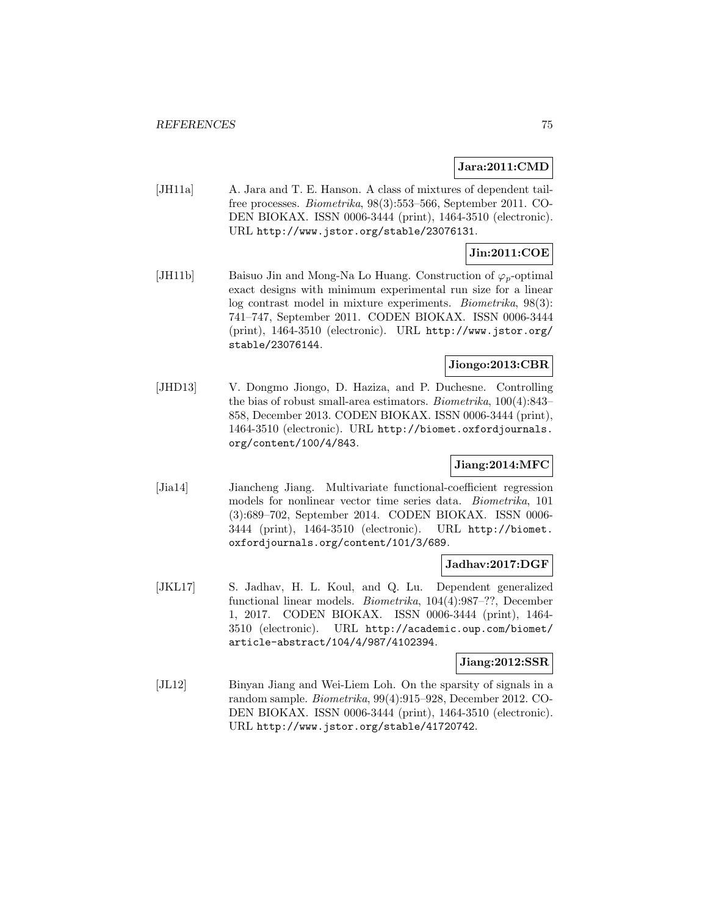### **Jara:2011:CMD**

[JH11a] A. Jara and T. E. Hanson. A class of mixtures of dependent tailfree processes. Biometrika, 98(3):553–566, September 2011. CO-DEN BIOKAX. ISSN 0006-3444 (print), 1464-3510 (electronic). URL http://www.jstor.org/stable/23076131.

## **Jin:2011:COE**

[JH11b] Baisuo Jin and Mong-Na Lo Huang. Construction of  $\varphi_p$ -optimal exact designs with minimum experimental run size for a linear log contrast model in mixture experiments. Biometrika, 98(3): 741–747, September 2011. CODEN BIOKAX. ISSN 0006-3444 (print), 1464-3510 (electronic). URL http://www.jstor.org/ stable/23076144.

### **Jiongo:2013:CBR**

[JHD13] V. Dongmo Jiongo, D. Haziza, and P. Duchesne. Controlling the bias of robust small-area estimators. Biometrika, 100(4):843– 858, December 2013. CODEN BIOKAX. ISSN 0006-3444 (print), 1464-3510 (electronic). URL http://biomet.oxfordjournals. org/content/100/4/843.

## **Jiang:2014:MFC**

[Jia14] Jiancheng Jiang. Multivariate functional-coefficient regression models for nonlinear vector time series data. Biometrika, 101 (3):689–702, September 2014. CODEN BIOKAX. ISSN 0006- 3444 (print), 1464-3510 (electronic). URL http://biomet. oxfordjournals.org/content/101/3/689.

#### **Jadhav:2017:DGF**

[JKL17] S. Jadhav, H. L. Koul, and Q. Lu. Dependent generalized functional linear models. Biometrika, 104(4):987–??, December 1, 2017. CODEN BIOKAX. ISSN 0006-3444 (print), 1464- 3510 (electronic). URL http://academic.oup.com/biomet/ article-abstract/104/4/987/4102394.

#### **Jiang:2012:SSR**

[JL12] Binyan Jiang and Wei-Liem Loh. On the sparsity of signals in a random sample. Biometrika, 99(4):915–928, December 2012. CO-DEN BIOKAX. ISSN 0006-3444 (print), 1464-3510 (electronic). URL http://www.jstor.org/stable/41720742.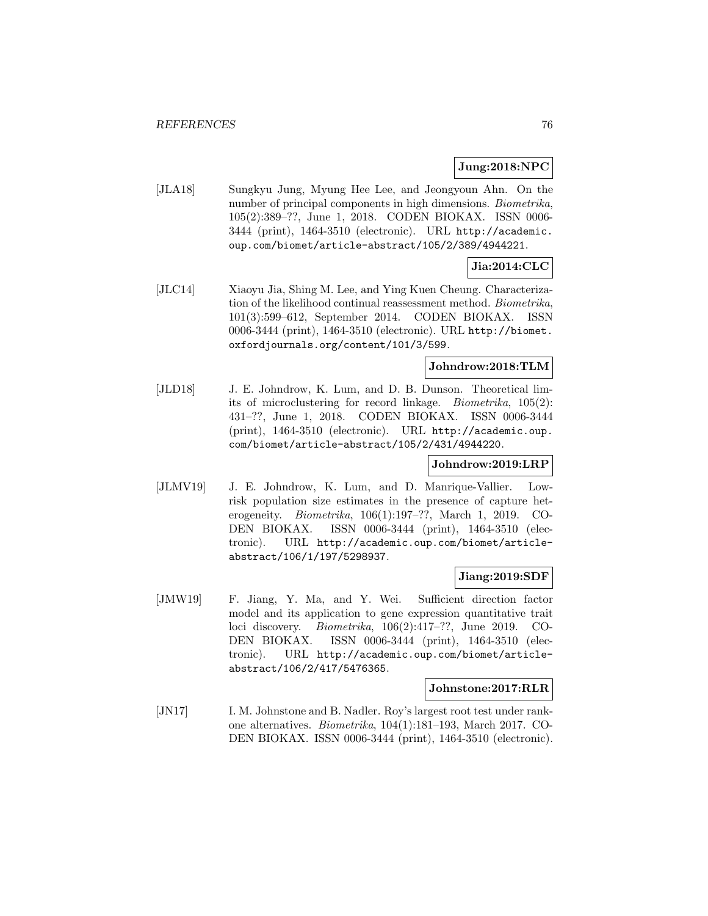### **Jung:2018:NPC**

[JLA18] Sungkyu Jung, Myung Hee Lee, and Jeongyoun Ahn. On the number of principal components in high dimensions. *Biometrika*, 105(2):389–??, June 1, 2018. CODEN BIOKAX. ISSN 0006- 3444 (print), 1464-3510 (electronic). URL http://academic. oup.com/biomet/article-abstract/105/2/389/4944221.

# **Jia:2014:CLC**

[JLC14] Xiaoyu Jia, Shing M. Lee, and Ying Kuen Cheung. Characterization of the likelihood continual reassessment method. Biometrika, 101(3):599–612, September 2014. CODEN BIOKAX. ISSN 0006-3444 (print), 1464-3510 (electronic). URL http://biomet. oxfordjournals.org/content/101/3/599.

## **Johndrow:2018:TLM**

[JLD18] J. E. Johndrow, K. Lum, and D. B. Dunson. Theoretical limits of microclustering for record linkage. Biometrika, 105(2): 431–??, June 1, 2018. CODEN BIOKAX. ISSN 0006-3444 (print), 1464-3510 (electronic). URL http://academic.oup. com/biomet/article-abstract/105/2/431/4944220.

### **Johndrow:2019:LRP**

[JLMV19] J. E. Johndrow, K. Lum, and D. Manrique-Vallier. Lowrisk population size estimates in the presence of capture heterogeneity. Biometrika, 106(1):197–??, March 1, 2019. CO-DEN BIOKAX. ISSN 0006-3444 (print), 1464-3510 (electronic). URL http://academic.oup.com/biomet/articleabstract/106/1/197/5298937.

### **Jiang:2019:SDF**

[JMW19] F. Jiang, Y. Ma, and Y. Wei. Sufficient direction factor model and its application to gene expression quantitative trait loci discovery. Biometrika, 106(2):417–??, June 2019. CO-DEN BIOKAX. ISSN 0006-3444 (print), 1464-3510 (electronic). URL http://academic.oup.com/biomet/articleabstract/106/2/417/5476365.

#### **Johnstone:2017:RLR**

[JN17] I. M. Johnstone and B. Nadler. Roy's largest root test under rankone alternatives. Biometrika, 104(1):181–193, March 2017. CO-DEN BIOKAX. ISSN 0006-3444 (print), 1464-3510 (electronic).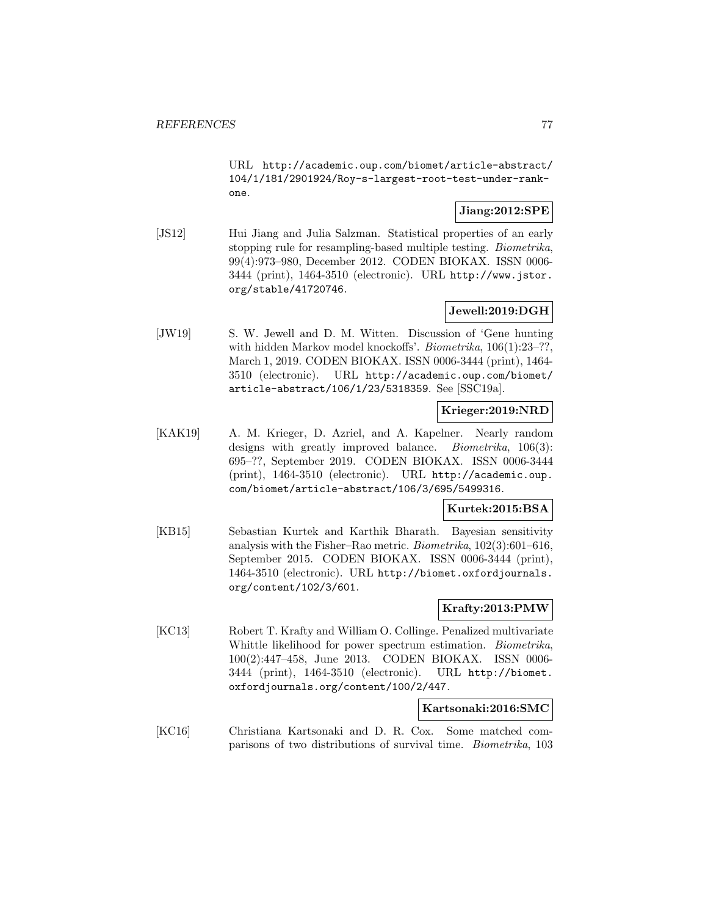URL http://academic.oup.com/biomet/article-abstract/ 104/1/181/2901924/Roy-s-largest-root-test-under-rankone.

## **Jiang:2012:SPE**

[JS12] Hui Jiang and Julia Salzman. Statistical properties of an early stopping rule for resampling-based multiple testing. *Biometrika*, 99(4):973–980, December 2012. CODEN BIOKAX. ISSN 0006- 3444 (print), 1464-3510 (electronic). URL http://www.jstor. org/stable/41720746.

## **Jewell:2019:DGH**

[JW19] S. W. Jewell and D. M. Witten. Discussion of 'Gene hunting with hidden Markov model knockoffs'. *Biometrika*, 106(1):23–??, March 1, 2019. CODEN BIOKAX. ISSN 0006-3444 (print), 1464- 3510 (electronic). URL http://academic.oup.com/biomet/ article-abstract/106/1/23/5318359. See [SSC19a].

## **Krieger:2019:NRD**

[KAK19] A. M. Krieger, D. Azriel, and A. Kapelner. Nearly random designs with greatly improved balance. *Biometrika*, 106(3): 695–??, September 2019. CODEN BIOKAX. ISSN 0006-3444 (print), 1464-3510 (electronic). URL http://academic.oup. com/biomet/article-abstract/106/3/695/5499316.

## **Kurtek:2015:BSA**

[KB15] Sebastian Kurtek and Karthik Bharath. Bayesian sensitivity analysis with the Fisher–Rao metric. Biometrika, 102(3):601–616, September 2015. CODEN BIOKAX. ISSN 0006-3444 (print), 1464-3510 (electronic). URL http://biomet.oxfordjournals. org/content/102/3/601.

## **Krafty:2013:PMW**

[KC13] Robert T. Krafty and William O. Collinge. Penalized multivariate Whittle likelihood for power spectrum estimation. Biometrika, 100(2):447–458, June 2013. CODEN BIOKAX. ISSN 0006- 3444 (print), 1464-3510 (electronic). URL http://biomet. oxfordjournals.org/content/100/2/447.

## **Kartsonaki:2016:SMC**

[KC16] Christiana Kartsonaki and D. R. Cox. Some matched comparisons of two distributions of survival time. Biometrika, 103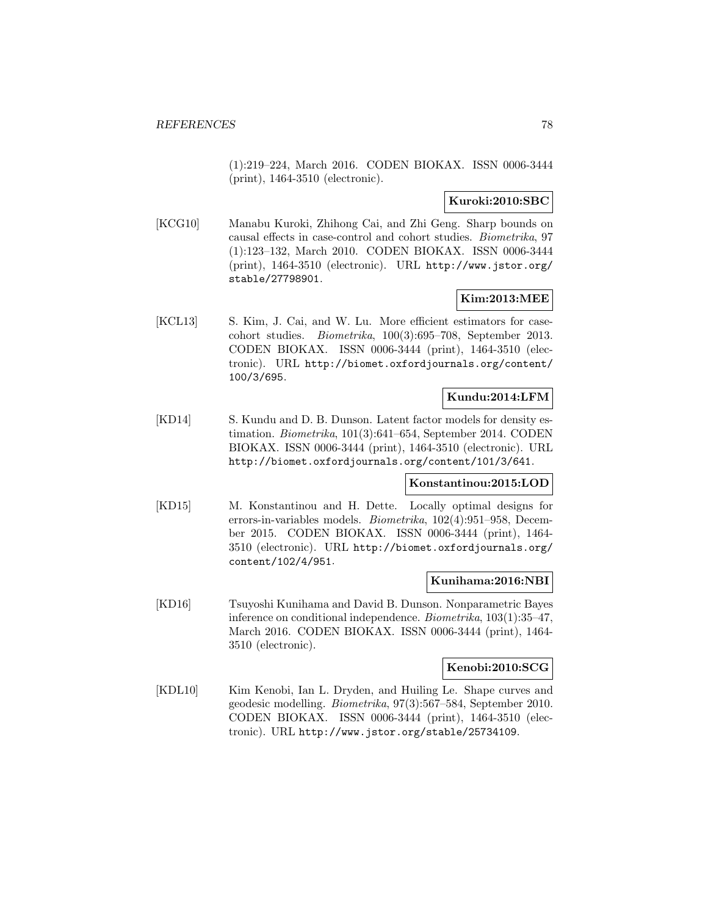(1):219–224, March 2016. CODEN BIOKAX. ISSN 0006-3444 (print), 1464-3510 (electronic).

## **Kuroki:2010:SBC**

[KCG10] Manabu Kuroki, Zhihong Cai, and Zhi Geng. Sharp bounds on causal effects in case-control and cohort studies. Biometrika, 97 (1):123–132, March 2010. CODEN BIOKAX. ISSN 0006-3444 (print), 1464-3510 (electronic). URL http://www.jstor.org/ stable/27798901.

### **Kim:2013:MEE**

[KCL13] S. Kim, J. Cai, and W. Lu. More efficient estimators for casecohort studies. Biometrika, 100(3):695–708, September 2013. CODEN BIOKAX. ISSN 0006-3444 (print), 1464-3510 (electronic). URL http://biomet.oxfordjournals.org/content/ 100/3/695.

## **Kundu:2014:LFM**

[KD14] S. Kundu and D. B. Dunson. Latent factor models for density estimation. Biometrika, 101(3):641–654, September 2014. CODEN BIOKAX. ISSN 0006-3444 (print), 1464-3510 (electronic). URL http://biomet.oxfordjournals.org/content/101/3/641.

### **Konstantinou:2015:LOD**

[KD15] M. Konstantinou and H. Dette. Locally optimal designs for errors-in-variables models. Biometrika, 102(4):951–958, December 2015. CODEN BIOKAX. ISSN 0006-3444 (print), 1464- 3510 (electronic). URL http://biomet.oxfordjournals.org/ content/102/4/951.

### **Kunihama:2016:NBI**

[KD16] Tsuyoshi Kunihama and David B. Dunson. Nonparametric Bayes inference on conditional independence. Biometrika, 103(1):35–47, March 2016. CODEN BIOKAX. ISSN 0006-3444 (print), 1464- 3510 (electronic).

## **Kenobi:2010:SCG**

[KDL10] Kim Kenobi, Ian L. Dryden, and Huiling Le. Shape curves and geodesic modelling. Biometrika, 97(3):567–584, September 2010. CODEN BIOKAX. ISSN 0006-3444 (print), 1464-3510 (electronic). URL http://www.jstor.org/stable/25734109.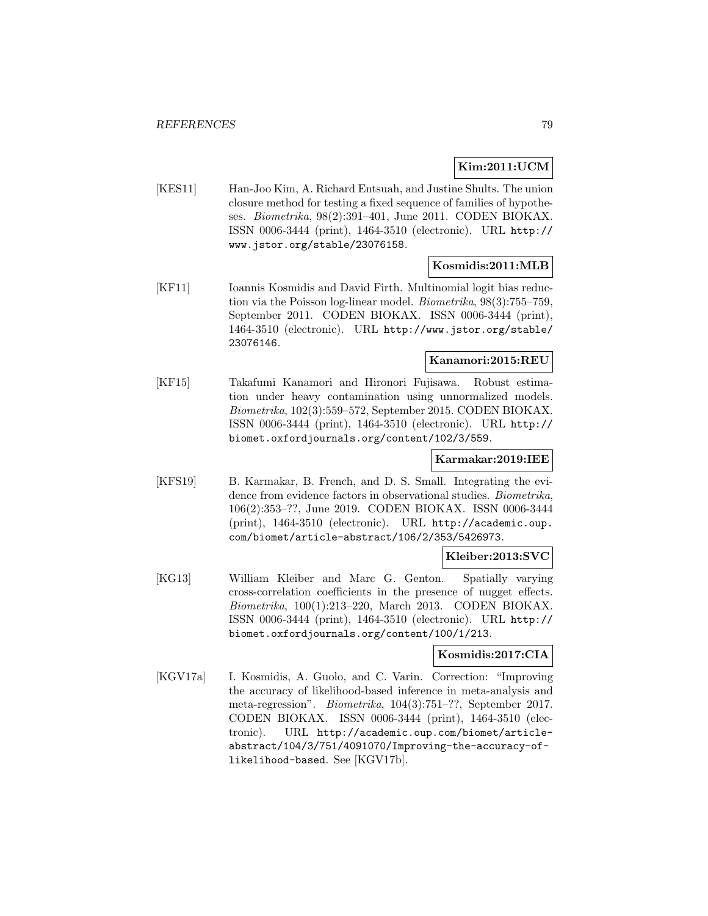## **Kim:2011:UCM**

[KES11] Han-Joo Kim, A. Richard Entsuah, and Justine Shults. The union closure method for testing a fixed sequence of families of hypotheses. Biometrika, 98(2):391–401, June 2011. CODEN BIOKAX. ISSN 0006-3444 (print), 1464-3510 (electronic). URL http:// www.jstor.org/stable/23076158.

## **Kosmidis:2011:MLB**

[KF11] Ioannis Kosmidis and David Firth. Multinomial logit bias reduction via the Poisson log-linear model. Biometrika, 98(3):755–759, September 2011. CODEN BIOKAX. ISSN 0006-3444 (print), 1464-3510 (electronic). URL http://www.jstor.org/stable/ 23076146.

## **Kanamori:2015:REU**

[KF15] Takafumi Kanamori and Hironori Fujisawa. Robust estimation under heavy contamination using unnormalized models. Biometrika, 102(3):559–572, September 2015. CODEN BIOKAX. ISSN 0006-3444 (print), 1464-3510 (electronic). URL http:// biomet.oxfordjournals.org/content/102/3/559.

## **Karmakar:2019:IEE**

[KFS19] B. Karmakar, B. French, and D. S. Small. Integrating the evidence from evidence factors in observational studies. Biometrika, 106(2):353–??, June 2019. CODEN BIOKAX. ISSN 0006-3444 (print), 1464-3510 (electronic). URL http://academic.oup. com/biomet/article-abstract/106/2/353/5426973.

### **Kleiber:2013:SVC**

[KG13] William Kleiber and Marc G. Genton. Spatially varying cross-correlation coefficients in the presence of nugget effects. Biometrika, 100(1):213–220, March 2013. CODEN BIOKAX. ISSN 0006-3444 (print), 1464-3510 (electronic). URL http:// biomet.oxfordjournals.org/content/100/1/213.

### **Kosmidis:2017:CIA**

[KGV17a] I. Kosmidis, A. Guolo, and C. Varin. Correction: "Improving the accuracy of likelihood-based inference in meta-analysis and meta-regression". Biometrika, 104(3):751–??, September 2017. CODEN BIOKAX. ISSN 0006-3444 (print), 1464-3510 (electronic). URL http://academic.oup.com/biomet/articleabstract/104/3/751/4091070/Improving-the-accuracy-oflikelihood-based. See [KGV17b].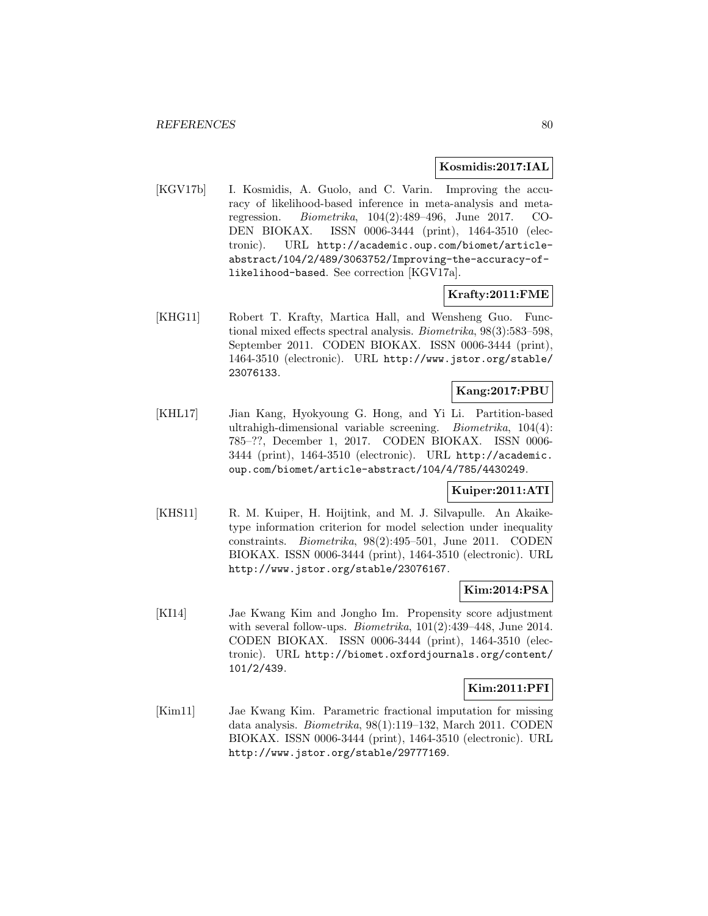### **Kosmidis:2017:IAL**

[KGV17b] I. Kosmidis, A. Guolo, and C. Varin. Improving the accuracy of likelihood-based inference in meta-analysis and metaregression. Biometrika, 104(2):489–496, June 2017. CO-DEN BIOKAX. ISSN 0006-3444 (print), 1464-3510 (electronic). URL http://academic.oup.com/biomet/articleabstract/104/2/489/3063752/Improving-the-accuracy-oflikelihood-based. See correction [KGV17a].

## **Krafty:2011:FME**

[KHG11] Robert T. Krafty, Martica Hall, and Wensheng Guo. Functional mixed effects spectral analysis. Biometrika, 98(3):583–598, September 2011. CODEN BIOKAX. ISSN 0006-3444 (print), 1464-3510 (electronic). URL http://www.jstor.org/stable/ 23076133.

### **Kang:2017:PBU**

[KHL17] Jian Kang, Hyokyoung G. Hong, and Yi Li. Partition-based ultrahigh-dimensional variable screening. Biometrika, 104(4): 785–??, December 1, 2017. CODEN BIOKAX. ISSN 0006- 3444 (print), 1464-3510 (electronic). URL http://academic. oup.com/biomet/article-abstract/104/4/785/4430249.

### **Kuiper:2011:ATI**

[KHS11] R. M. Kuiper, H. Hoijtink, and M. J. Silvapulle. An Akaiketype information criterion for model selection under inequality constraints. Biometrika, 98(2):495–501, June 2011. CODEN BIOKAX. ISSN 0006-3444 (print), 1464-3510 (electronic). URL http://www.jstor.org/stable/23076167.

# **Kim:2014:PSA**

[KI14] Jae Kwang Kim and Jongho Im. Propensity score adjustment with several follow-ups.  $Biometrika$ ,  $101(2):439-448$ , June 2014. CODEN BIOKAX. ISSN 0006-3444 (print), 1464-3510 (electronic). URL http://biomet.oxfordjournals.org/content/ 101/2/439.

## **Kim:2011:PFI**

[Kim11] Jae Kwang Kim. Parametric fractional imputation for missing data analysis. Biometrika, 98(1):119–132, March 2011. CODEN BIOKAX. ISSN 0006-3444 (print), 1464-3510 (electronic). URL http://www.jstor.org/stable/29777169.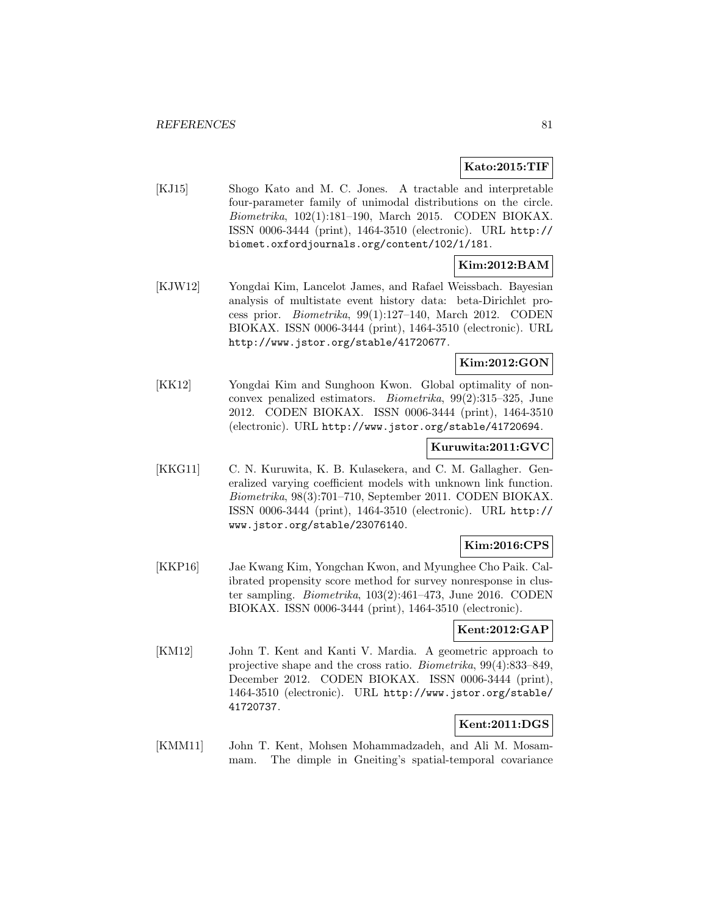## **Kato:2015:TIF**

[KJ15] Shogo Kato and M. C. Jones. A tractable and interpretable four-parameter family of unimodal distributions on the circle. Biometrika, 102(1):181–190, March 2015. CODEN BIOKAX. ISSN 0006-3444 (print), 1464-3510 (electronic). URL http:// biomet.oxfordjournals.org/content/102/1/181.

## **Kim:2012:BAM**

[KJW12] Yongdai Kim, Lancelot James, and Rafael Weissbach. Bayesian analysis of multistate event history data: beta-Dirichlet process prior. Biometrika, 99(1):127–140, March 2012. CODEN BIOKAX. ISSN 0006-3444 (print), 1464-3510 (electronic). URL http://www.jstor.org/stable/41720677.

## **Kim:2012:GON**

[KK12] Yongdai Kim and Sunghoon Kwon. Global optimality of nonconvex penalized estimators. Biometrika, 99(2):315–325, June 2012. CODEN BIOKAX. ISSN 0006-3444 (print), 1464-3510 (electronic). URL http://www.jstor.org/stable/41720694.

#### **Kuruwita:2011:GVC**

[KKG11] C. N. Kuruwita, K. B. Kulasekera, and C. M. Gallagher. Generalized varying coefficient models with unknown link function. Biometrika, 98(3):701–710, September 2011. CODEN BIOKAX. ISSN 0006-3444 (print), 1464-3510 (electronic). URL http:// www.jstor.org/stable/23076140.

# **Kim:2016:CPS**

[KKP16] Jae Kwang Kim, Yongchan Kwon, and Myunghee Cho Paik. Calibrated propensity score method for survey nonresponse in cluster sampling. Biometrika, 103(2):461–473, June 2016. CODEN BIOKAX. ISSN 0006-3444 (print), 1464-3510 (electronic).

## **Kent:2012:GAP**

[KM12] John T. Kent and Kanti V. Mardia. A geometric approach to projective shape and the cross ratio. Biometrika, 99(4):833–849, December 2012. CODEN BIOKAX. ISSN 0006-3444 (print), 1464-3510 (electronic). URL http://www.jstor.org/stable/ 41720737.

## **Kent:2011:DGS**

[KMM11] John T. Kent, Mohsen Mohammadzadeh, and Ali M. Mosammam. The dimple in Gneiting's spatial-temporal covariance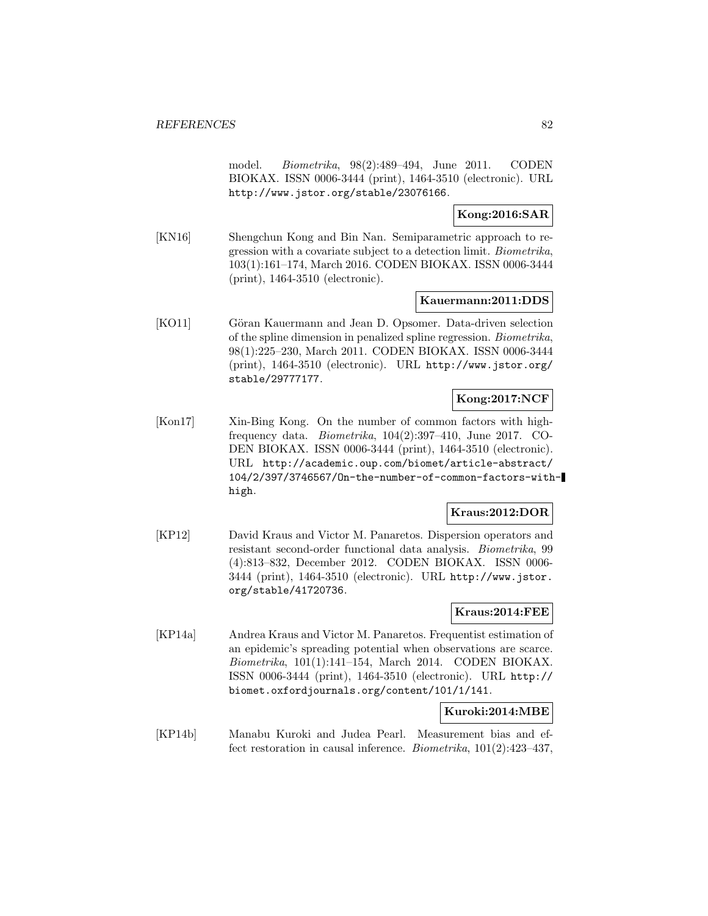model. Biometrika, 98(2):489–494, June 2011. CODEN BIOKAX. ISSN 0006-3444 (print), 1464-3510 (electronic). URL http://www.jstor.org/stable/23076166.

## **Kong:2016:SAR**

[KN16] Shengchun Kong and Bin Nan. Semiparametric approach to regression with a covariate subject to a detection limit. Biometrika, 103(1):161–174, March 2016. CODEN BIOKAX. ISSN 0006-3444 (print), 1464-3510 (electronic).

#### **Kauermann:2011:DDS**

[KO11] Göran Kauermann and Jean D. Opsomer. Data-driven selection of the spline dimension in penalized spline regression. Biometrika, 98(1):225–230, March 2011. CODEN BIOKAX. ISSN 0006-3444 (print), 1464-3510 (electronic). URL http://www.jstor.org/ stable/29777177.

## **Kong:2017:NCF**

[Kon17] Xin-Bing Kong. On the number of common factors with highfrequency data. Biometrika, 104(2):397–410, June 2017. CO-DEN BIOKAX. ISSN 0006-3444 (print), 1464-3510 (electronic). URL http://academic.oup.com/biomet/article-abstract/ 104/2/397/3746567/On-the-number-of-common-factors-withhigh.

### **Kraus:2012:DOR**

[KP12] David Kraus and Victor M. Panaretos. Dispersion operators and resistant second-order functional data analysis. Biometrika, 99 (4):813–832, December 2012. CODEN BIOKAX. ISSN 0006- 3444 (print), 1464-3510 (electronic). URL http://www.jstor. org/stable/41720736.

## **Kraus:2014:FEE**

[KP14a] Andrea Kraus and Victor M. Panaretos. Frequentist estimation of an epidemic's spreading potential when observations are scarce. Biometrika, 101(1):141–154, March 2014. CODEN BIOKAX. ISSN 0006-3444 (print), 1464-3510 (electronic). URL http:// biomet.oxfordjournals.org/content/101/1/141.

## **Kuroki:2014:MBE**

[KP14b] Manabu Kuroki and Judea Pearl. Measurement bias and effect restoration in causal inference. Biometrika, 101(2):423–437,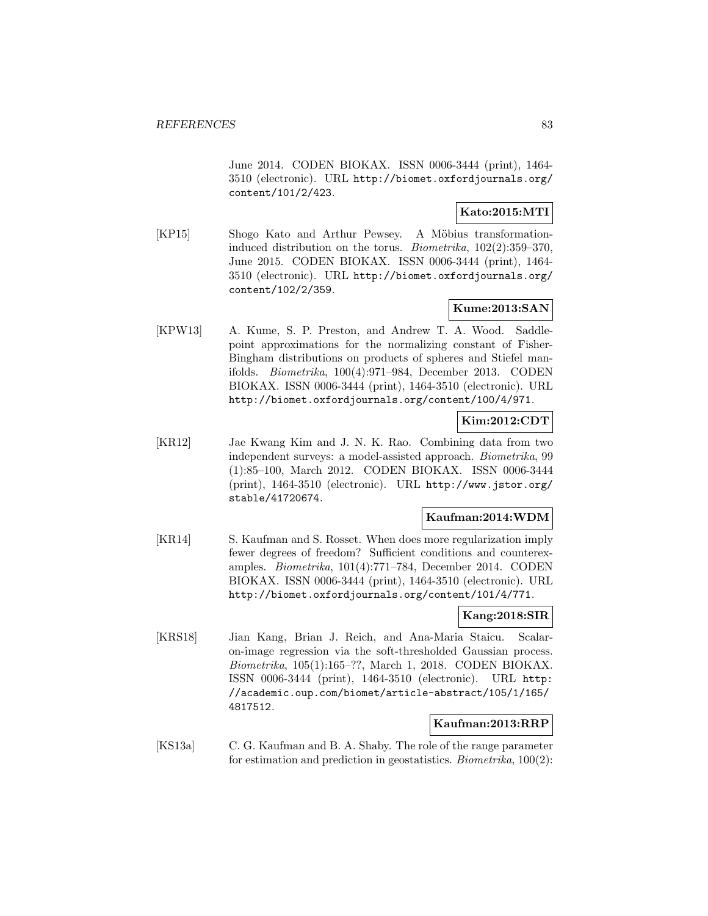June 2014. CODEN BIOKAX. ISSN 0006-3444 (print), 1464- 3510 (electronic). URL http://biomet.oxfordjournals.org/ content/101/2/423.

## **Kato:2015:MTI**

[KP15] Shogo Kato and Arthur Pewsey. A Möbius transformationinduced distribution on the torus. Biometrika, 102(2):359–370, June 2015. CODEN BIOKAX. ISSN 0006-3444 (print), 1464- 3510 (electronic). URL http://biomet.oxfordjournals.org/ content/102/2/359.

## **Kume:2013:SAN**

[KPW13] A. Kume, S. P. Preston, and Andrew T. A. Wood. Saddlepoint approximations for the normalizing constant of Fisher-Bingham distributions on products of spheres and Stiefel manifolds. Biometrika, 100(4):971–984, December 2013. CODEN BIOKAX. ISSN 0006-3444 (print), 1464-3510 (electronic). URL http://biomet.oxfordjournals.org/content/100/4/971.

## **Kim:2012:CDT**

[KR12] Jae Kwang Kim and J. N. K. Rao. Combining data from two independent surveys: a model-assisted approach. Biometrika, 99 (1):85–100, March 2012. CODEN BIOKAX. ISSN 0006-3444 (print), 1464-3510 (electronic). URL http://www.jstor.org/ stable/41720674.

### **Kaufman:2014:WDM**

[KR14] S. Kaufman and S. Rosset. When does more regularization imply fewer degrees of freedom? Sufficient conditions and counterexamples. Biometrika, 101(4):771–784, December 2014. CODEN BIOKAX. ISSN 0006-3444 (print), 1464-3510 (electronic). URL http://biomet.oxfordjournals.org/content/101/4/771.

### **Kang:2018:SIR**

[KRS18] Jian Kang, Brian J. Reich, and Ana-Maria Staicu. Scalaron-image regression via the soft-thresholded Gaussian process. Biometrika, 105(1):165–??, March 1, 2018. CODEN BIOKAX. ISSN 0006-3444 (print), 1464-3510 (electronic). URL http: //academic.oup.com/biomet/article-abstract/105/1/165/ 4817512.

## **Kaufman:2013:RRP**

[KS13a] C. G. Kaufman and B. A. Shaby. The role of the range parameter for estimation and prediction in geostatistics. Biometrika, 100(2):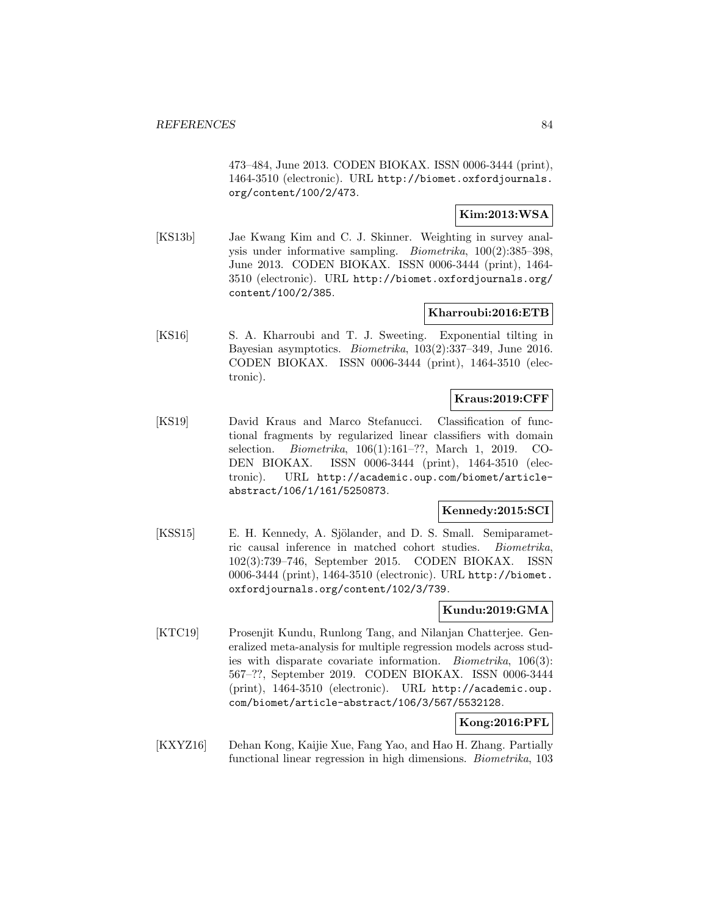473–484, June 2013. CODEN BIOKAX. ISSN 0006-3444 (print), 1464-3510 (electronic). URL http://biomet.oxfordjournals. org/content/100/2/473.

## **Kim:2013:WSA**

[KS13b] Jae Kwang Kim and C. J. Skinner. Weighting in survey analysis under informative sampling. Biometrika, 100(2):385–398, June 2013. CODEN BIOKAX. ISSN 0006-3444 (print), 1464- 3510 (electronic). URL http://biomet.oxfordjournals.org/ content/100/2/385.

#### **Kharroubi:2016:ETB**

[KS16] S. A. Kharroubi and T. J. Sweeting. Exponential tilting in Bayesian asymptotics. Biometrika, 103(2):337–349, June 2016. CODEN BIOKAX. ISSN 0006-3444 (print), 1464-3510 (electronic).

## **Kraus:2019:CFF**

[KS19] David Kraus and Marco Stefanucci. Classification of functional fragments by regularized linear classifiers with domain selection. Biometrika, 106(1):161–??, March 1, 2019. CO-DEN BIOKAX. ISSN 0006-3444 (print), 1464-3510 (electronic). URL http://academic.oup.com/biomet/articleabstract/106/1/161/5250873.

### **Kennedy:2015:SCI**

[KSS15] E. H. Kennedy, A. Sjölander, and D. S. Small. Semiparametric causal inference in matched cohort studies. Biometrika, 102(3):739–746, September 2015. CODEN BIOKAX. ISSN 0006-3444 (print), 1464-3510 (electronic). URL http://biomet. oxfordjournals.org/content/102/3/739.

## **Kundu:2019:GMA**

[KTC19] Prosenjit Kundu, Runlong Tang, and Nilanjan Chatterjee. Generalized meta-analysis for multiple regression models across studies with disparate covariate information. Biometrika, 106(3): 567–??, September 2019. CODEN BIOKAX. ISSN 0006-3444 (print), 1464-3510 (electronic). URL http://academic.oup. com/biomet/article-abstract/106/3/567/5532128.

## **Kong:2016:PFL**

[KXYZ16] Dehan Kong, Kaijie Xue, Fang Yao, and Hao H. Zhang. Partially functional linear regression in high dimensions. Biometrika, 103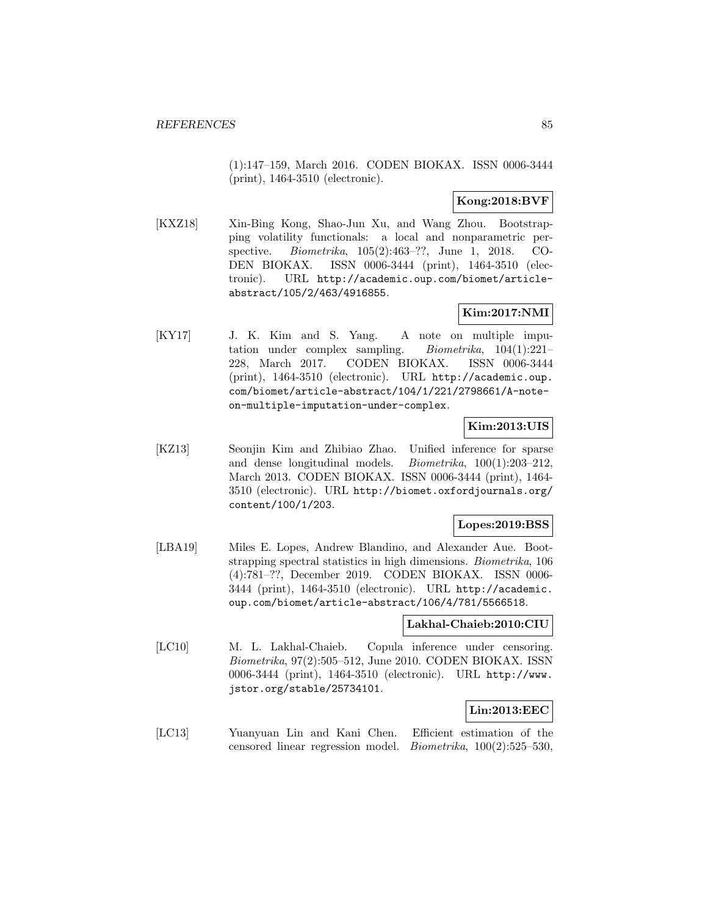(1):147–159, March 2016. CODEN BIOKAX. ISSN 0006-3444 (print), 1464-3510 (electronic).

## **Kong:2018:BVF**

[KXZ18] Xin-Bing Kong, Shao-Jun Xu, and Wang Zhou. Bootstrapping volatility functionals: a local and nonparametric perspective. Biometrika, 105(2):463–??, June 1, 2018. CO-DEN BIOKAX. ISSN 0006-3444 (print), 1464-3510 (electronic). URL http://academic.oup.com/biomet/articleabstract/105/2/463/4916855.

## **Kim:2017:NMI**

[KY17] J. K. Kim and S. Yang. A note on multiple imputation under complex sampling. Biometrika, 104(1):221– 228, March 2017. CODEN BIOKAX. ISSN 0006-3444 (print), 1464-3510 (electronic). URL http://academic.oup. com/biomet/article-abstract/104/1/221/2798661/A-noteon-multiple-imputation-under-complex.

## **Kim:2013:UIS**

[KZ13] Seonjin Kim and Zhibiao Zhao. Unified inference for sparse and dense longitudinal models. Biometrika, 100(1):203–212, March 2013. CODEN BIOKAX. ISSN 0006-3444 (print), 1464- 3510 (electronic). URL http://biomet.oxfordjournals.org/ content/100/1/203.

### **Lopes:2019:BSS**

[LBA19] Miles E. Lopes, Andrew Blandino, and Alexander Aue. Bootstrapping spectral statistics in high dimensions. Biometrika, 106 (4):781–??, December 2019. CODEN BIOKAX. ISSN 0006- 3444 (print), 1464-3510 (electronic). URL http://academic. oup.com/biomet/article-abstract/106/4/781/5566518.

### **Lakhal-Chaieb:2010:CIU**

[LC10] M. L. Lakhal-Chaieb. Copula inference under censoring. Biometrika, 97(2):505–512, June 2010. CODEN BIOKAX. ISSN 0006-3444 (print), 1464-3510 (electronic). URL http://www. jstor.org/stable/25734101.

### **Lin:2013:EEC**

[LC13] Yuanyuan Lin and Kani Chen. Efficient estimation of the censored linear regression model. Biometrika, 100(2):525–530,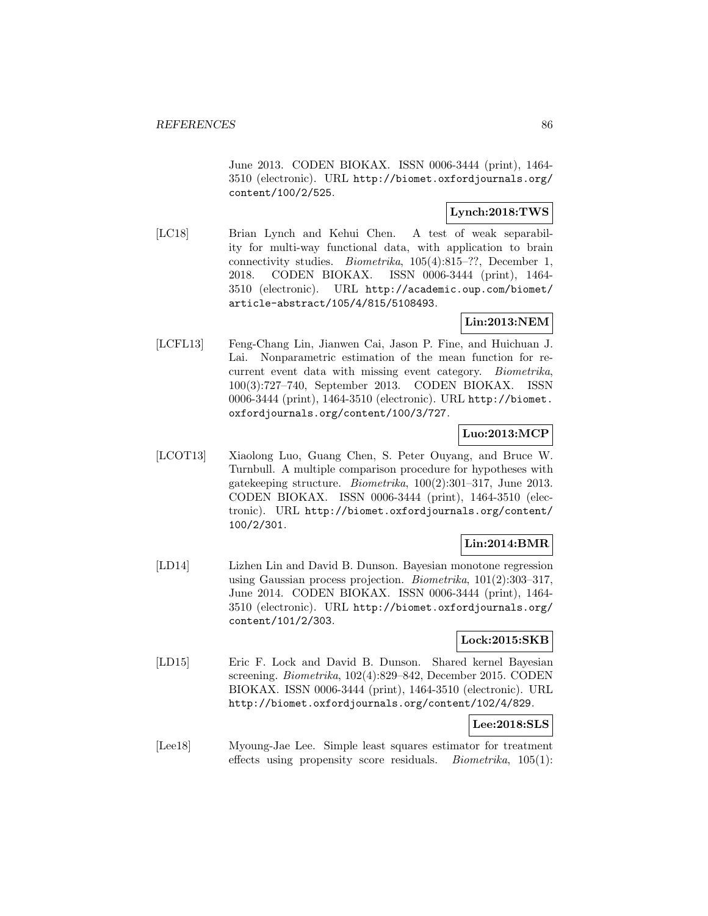June 2013. CODEN BIOKAX. ISSN 0006-3444 (print), 1464- 3510 (electronic). URL http://biomet.oxfordjournals.org/ content/100/2/525.

# **Lynch:2018:TWS**

[LC18] Brian Lynch and Kehui Chen. A test of weak separability for multi-way functional data, with application to brain connectivity studies. Biometrika, 105(4):815–??, December 1, 2018. CODEN BIOKAX. ISSN 0006-3444 (print), 1464- 3510 (electronic). URL http://academic.oup.com/biomet/ article-abstract/105/4/815/5108493.

## **Lin:2013:NEM**

[LCFL13] Feng-Chang Lin, Jianwen Cai, Jason P. Fine, and Huichuan J. Lai. Nonparametric estimation of the mean function for recurrent event data with missing event category. Biometrika, 100(3):727–740, September 2013. CODEN BIOKAX. ISSN 0006-3444 (print), 1464-3510 (electronic). URL http://biomet. oxfordjournals.org/content/100/3/727.

## **Luo:2013:MCP**

[LCOT13] Xiaolong Luo, Guang Chen, S. Peter Ouyang, and Bruce W. Turnbull. A multiple comparison procedure for hypotheses with gatekeeping structure. Biometrika, 100(2):301–317, June 2013. CODEN BIOKAX. ISSN 0006-3444 (print), 1464-3510 (electronic). URL http://biomet.oxfordjournals.org/content/ 100/2/301.

# **Lin:2014:BMR**

[LD14] Lizhen Lin and David B. Dunson. Bayesian monotone regression using Gaussian process projection. Biometrika, 101(2):303–317, June 2014. CODEN BIOKAX. ISSN 0006-3444 (print), 1464- 3510 (electronic). URL http://biomet.oxfordjournals.org/ content/101/2/303.

## **Lock:2015:SKB**

[LD15] Eric F. Lock and David B. Dunson. Shared kernel Bayesian screening. Biometrika, 102(4):829–842, December 2015. CODEN BIOKAX. ISSN 0006-3444 (print), 1464-3510 (electronic). URL http://biomet.oxfordjournals.org/content/102/4/829.

## **Lee:2018:SLS**

[Lee18] Myoung-Jae Lee. Simple least squares estimator for treatment effects using propensity score residuals. *Biometrika*,  $105(1)$ :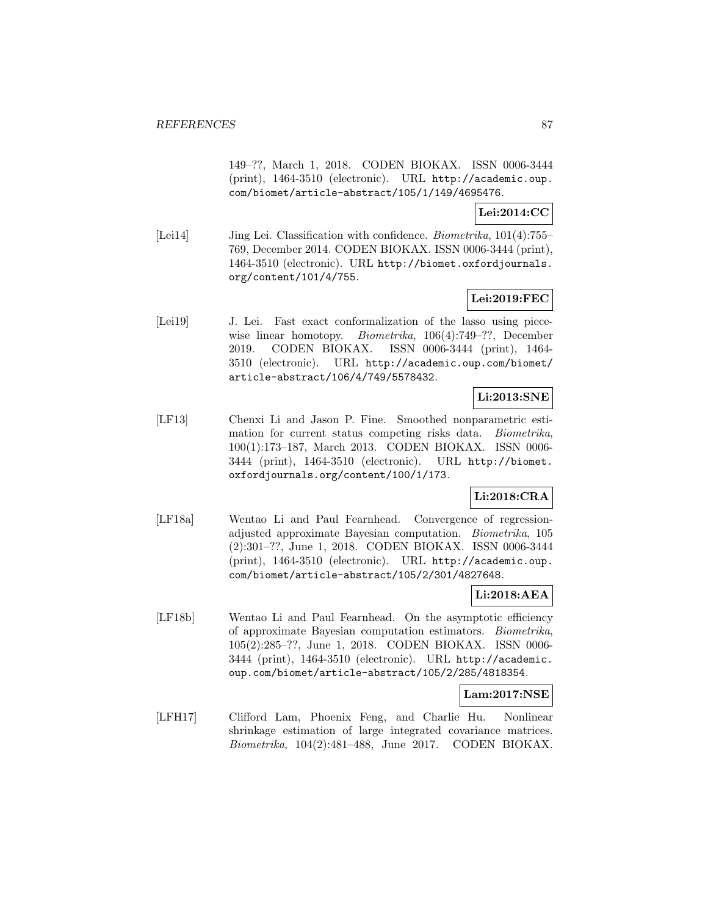149–??, March 1, 2018. CODEN BIOKAX. ISSN 0006-3444 (print), 1464-3510 (electronic). URL http://academic.oup. com/biomet/article-abstract/105/1/149/4695476.

**Lei:2014:CC**

[Lei14] Jing Lei. Classification with confidence. Biometrika, 101(4):755– 769, December 2014. CODEN BIOKAX. ISSN 0006-3444 (print), 1464-3510 (electronic). URL http://biomet.oxfordjournals. org/content/101/4/755.

## **Lei:2019:FEC**

[Lei19] J. Lei. Fast exact conformalization of the lasso using piecewise linear homotopy. *Biometrika*, 106(4):749–??, December 2019. CODEN BIOKAX. ISSN 0006-3444 (print), 1464- 3510 (electronic). URL http://academic.oup.com/biomet/ article-abstract/106/4/749/5578432.

## **Li:2013:SNE**

[LF13] Chenxi Li and Jason P. Fine. Smoothed nonparametric estimation for current status competing risks data. Biometrika, 100(1):173–187, March 2013. CODEN BIOKAX. ISSN 0006- 3444 (print), 1464-3510 (electronic). URL http://biomet. oxfordjournals.org/content/100/1/173.

## **Li:2018:CRA**

[LF18a] Wentao Li and Paul Fearnhead. Convergence of regressionadjusted approximate Bayesian computation. Biometrika, 105 (2):301–??, June 1, 2018. CODEN BIOKAX. ISSN 0006-3444 (print), 1464-3510 (electronic). URL http://academic.oup. com/biomet/article-abstract/105/2/301/4827648.

### **Li:2018:AEA**

[LF18b] Wentao Li and Paul Fearnhead. On the asymptotic efficiency of approximate Bayesian computation estimators. Biometrika, 105(2):285–??, June 1, 2018. CODEN BIOKAX. ISSN 0006- 3444 (print), 1464-3510 (electronic). URL http://academic. oup.com/biomet/article-abstract/105/2/285/4818354.

#### **Lam:2017:NSE**

[LFH17] Clifford Lam, Phoenix Feng, and Charlie Hu. Nonlinear shrinkage estimation of large integrated covariance matrices. Biometrika, 104(2):481–488, June 2017. CODEN BIOKAX.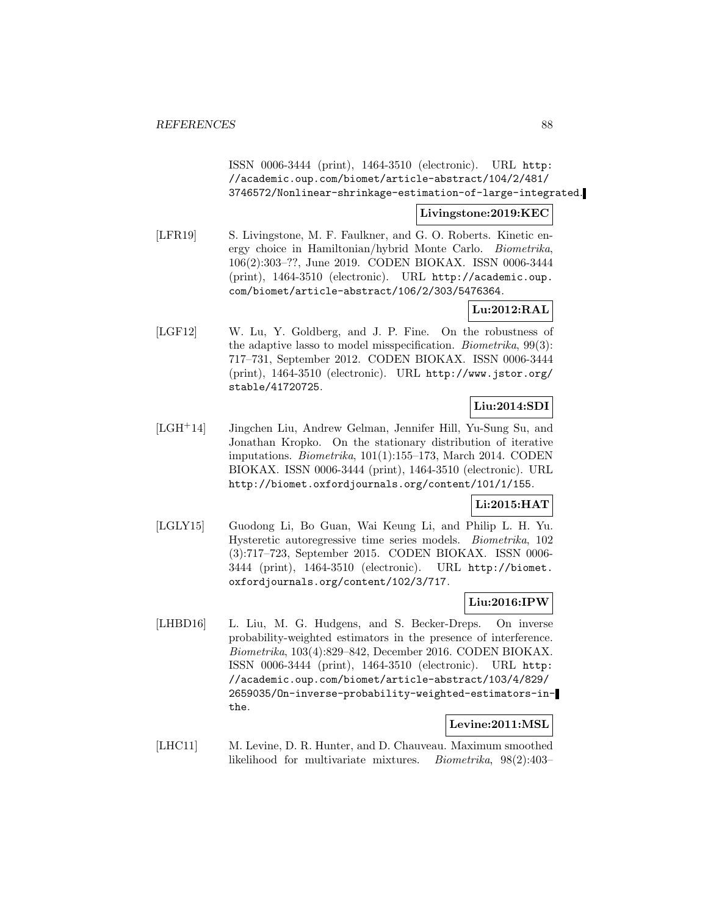ISSN 0006-3444 (print), 1464-3510 (electronic). URL http: //academic.oup.com/biomet/article-abstract/104/2/481/ 3746572/Nonlinear-shrinkage-estimation-of-large-integrated.

### **Livingstone:2019:KEC**

[LFR19] S. Livingstone, M. F. Faulkner, and G. O. Roberts. Kinetic energy choice in Hamiltonian/hybrid Monte Carlo. Biometrika, 106(2):303–??, June 2019. CODEN BIOKAX. ISSN 0006-3444 (print), 1464-3510 (electronic). URL http://academic.oup. com/biomet/article-abstract/106/2/303/5476364.

## **Lu:2012:RAL**

[LGF12] W. Lu, Y. Goldberg, and J. P. Fine. On the robustness of the adaptive lasso to model misspecification. Biometrika, 99(3): 717–731, September 2012. CODEN BIOKAX. ISSN 0006-3444 (print), 1464-3510 (electronic). URL http://www.jstor.org/ stable/41720725.

## **Liu:2014:SDI**

[LGH<sup>+</sup>14] Jingchen Liu, Andrew Gelman, Jennifer Hill, Yu-Sung Su, and Jonathan Kropko. On the stationary distribution of iterative imputations. Biometrika, 101(1):155–173, March 2014. CODEN BIOKAX. ISSN 0006-3444 (print), 1464-3510 (electronic). URL http://biomet.oxfordjournals.org/content/101/1/155.

### **Li:2015:HAT**

[LGLY15] Guodong Li, Bo Guan, Wai Keung Li, and Philip L. H. Yu. Hysteretic autoregressive time series models. Biometrika, 102 (3):717–723, September 2015. CODEN BIOKAX. ISSN 0006- 3444 (print), 1464-3510 (electronic). URL http://biomet. oxfordjournals.org/content/102/3/717.

## **Liu:2016:IPW**

[LHBD16] L. Liu, M. G. Hudgens, and S. Becker-Dreps. On inverse probability-weighted estimators in the presence of interference. Biometrika, 103(4):829–842, December 2016. CODEN BIOKAX. ISSN 0006-3444 (print), 1464-3510 (electronic). URL http: //academic.oup.com/biomet/article-abstract/103/4/829/ 2659035/On-inverse-probability-weighted-estimators-inthe.

## **Levine:2011:MSL**

[LHC11] M. Levine, D. R. Hunter, and D. Chauveau. Maximum smoothed likelihood for multivariate mixtures. Biometrika, 98(2):403–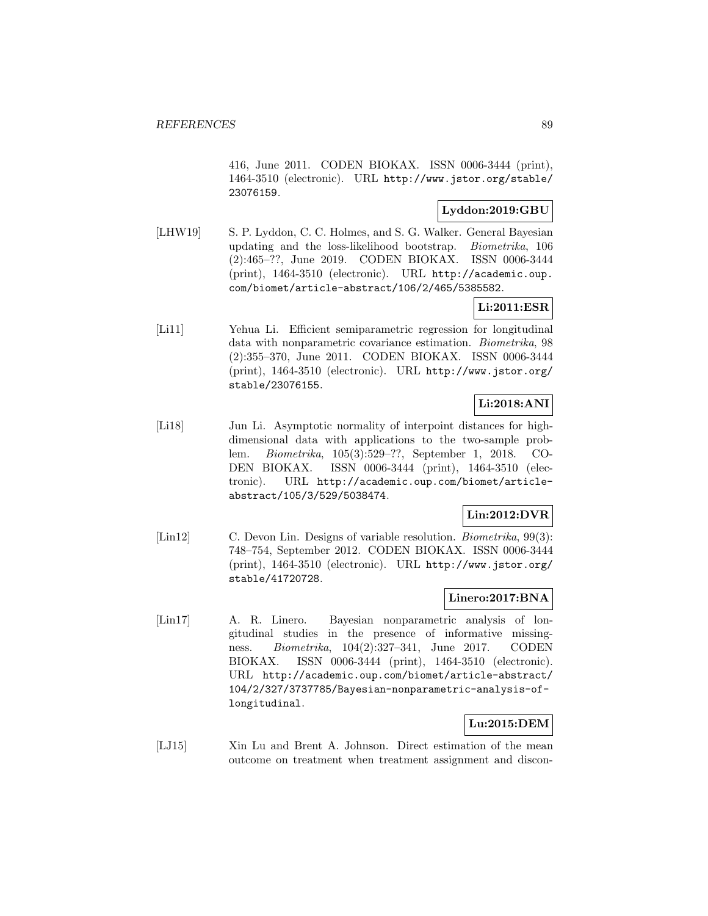416, June 2011. CODEN BIOKAX. ISSN 0006-3444 (print), 1464-3510 (electronic). URL http://www.jstor.org/stable/ 23076159.

## **Lyddon:2019:GBU**

[LHW19] S. P. Lyddon, C. C. Holmes, and S. G. Walker. General Bayesian updating and the loss-likelihood bootstrap. Biometrika, 106 (2):465–??, June 2019. CODEN BIOKAX. ISSN 0006-3444 (print), 1464-3510 (electronic). URL http://academic.oup. com/biomet/article-abstract/106/2/465/5385582.

## **Li:2011:ESR**

[Li11] Yehua Li. Efficient semiparametric regression for longitudinal data with nonparametric covariance estimation. Biometrika, 98 (2):355–370, June 2011. CODEN BIOKAX. ISSN 0006-3444 (print), 1464-3510 (electronic). URL http://www.jstor.org/ stable/23076155.

# **Li:2018:ANI**

[Li18] Jun Li. Asymptotic normality of interpoint distances for highdimensional data with applications to the two-sample problem. Biometrika, 105(3):529–??, September 1, 2018. CO-DEN BIOKAX. ISSN 0006-3444 (print), 1464-3510 (electronic). URL http://academic.oup.com/biomet/articleabstract/105/3/529/5038474.

# **Lin:2012:DVR**

[Lin12] C. Devon Lin. Designs of variable resolution. *Biometrika*, 99(3): 748–754, September 2012. CODEN BIOKAX. ISSN 0006-3444 (print), 1464-3510 (electronic). URL http://www.jstor.org/ stable/41720728.

## **Linero:2017:BNA**

[Lin17] A. R. Linero. Bayesian nonparametric analysis of longitudinal studies in the presence of informative missingness. Biometrika, 104(2):327–341, June 2017. CODEN BIOKAX. ISSN 0006-3444 (print), 1464-3510 (electronic). URL http://academic.oup.com/biomet/article-abstract/ 104/2/327/3737785/Bayesian-nonparametric-analysis-oflongitudinal.

# **Lu:2015:DEM**

[LJ15] Xin Lu and Brent A. Johnson. Direct estimation of the mean outcome on treatment when treatment assignment and discon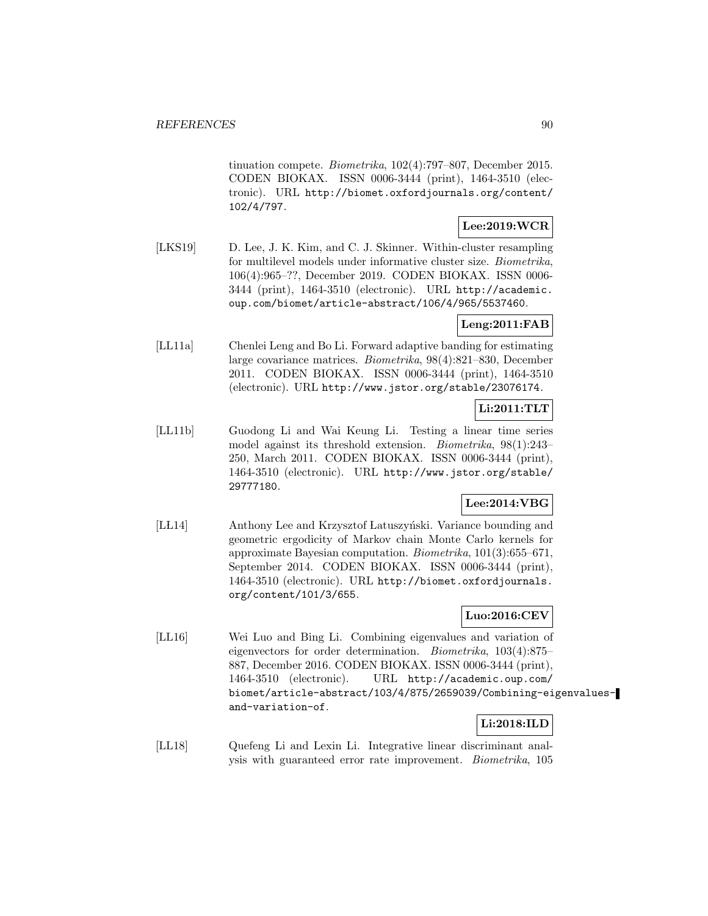tinuation compete. Biometrika, 102(4):797–807, December 2015. CODEN BIOKAX. ISSN 0006-3444 (print), 1464-3510 (electronic). URL http://biomet.oxfordjournals.org/content/ 102/4/797.

## **Lee:2019:WCR**

[LKS19] D. Lee, J. K. Kim, and C. J. Skinner. Within-cluster resampling for multilevel models under informative cluster size. Biometrika, 106(4):965–??, December 2019. CODEN BIOKAX. ISSN 0006- 3444 (print), 1464-3510 (electronic). URL http://academic. oup.com/biomet/article-abstract/106/4/965/5537460.

# **Leng:2011:FAB**

[LL11a] Chenlei Leng and Bo Li. Forward adaptive banding for estimating large covariance matrices. Biometrika, 98(4):821–830, December 2011. CODEN BIOKAX. ISSN 0006-3444 (print), 1464-3510 (electronic). URL http://www.jstor.org/stable/23076174.

### **Li:2011:TLT**

[LL11b] Guodong Li and Wai Keung Li. Testing a linear time series model against its threshold extension. Biometrika, 98(1):243– 250, March 2011. CODEN BIOKAX. ISSN 0006-3444 (print), 1464-3510 (electronic). URL http://www.jstor.org/stable/ 29777180.

## **Lee:2014:VBG**

[LL14] Anthony Lee and Krzysztof Latuszyński. Variance bounding and geometric ergodicity of Markov chain Monte Carlo kernels for approximate Bayesian computation. Biometrika, 101(3):655–671, September 2014. CODEN BIOKAX. ISSN 0006-3444 (print), 1464-3510 (electronic). URL http://biomet.oxfordjournals. org/content/101/3/655.

## **Luo:2016:CEV**

[LL16] Wei Luo and Bing Li. Combining eigenvalues and variation of eigenvectors for order determination. Biometrika, 103(4):875– 887, December 2016. CODEN BIOKAX. ISSN 0006-3444 (print), 1464-3510 (electronic). URL http://academic.oup.com/ biomet/article-abstract/103/4/875/2659039/Combining-eigenvaluesand-variation-of.

## **Li:2018:ILD**

[LL18] Quefeng Li and Lexin Li. Integrative linear discriminant analysis with guaranteed error rate improvement. Biometrika, 105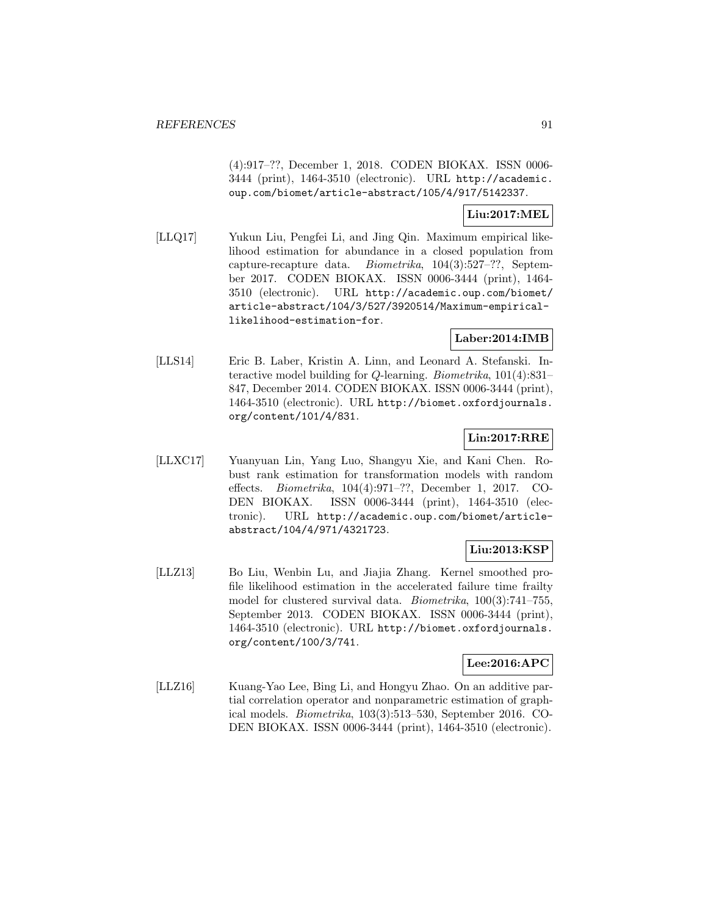(4):917–??, December 1, 2018. CODEN BIOKAX. ISSN 0006- 3444 (print), 1464-3510 (electronic). URL http://academic. oup.com/biomet/article-abstract/105/4/917/5142337.

## **Liu:2017:MEL**

[LLQ17] Yukun Liu, Pengfei Li, and Jing Qin. Maximum empirical likelihood estimation for abundance in a closed population from capture-recapture data. Biometrika, 104(3):527–??, September 2017. CODEN BIOKAX. ISSN 0006-3444 (print), 1464- 3510 (electronic). URL http://academic.oup.com/biomet/ article-abstract/104/3/527/3920514/Maximum-empiricallikelihood-estimation-for.

## **Laber:2014:IMB**

[LLS14] Eric B. Laber, Kristin A. Linn, and Leonard A. Stefanski. Interactive model building for Q-learning. Biometrika, 101(4):831– 847, December 2014. CODEN BIOKAX. ISSN 0006-3444 (print), 1464-3510 (electronic). URL http://biomet.oxfordjournals. org/content/101/4/831.

## **Lin:2017:RRE**

[LLXC17] Yuanyuan Lin, Yang Luo, Shangyu Xie, and Kani Chen. Robust rank estimation for transformation models with random effects. Biometrika, 104(4):971–??, December 1, 2017. CO-DEN BIOKAX. ISSN 0006-3444 (print), 1464-3510 (electronic). URL http://academic.oup.com/biomet/articleabstract/104/4/971/4321723.

## **Liu:2013:KSP**

[LLZ13] Bo Liu, Wenbin Lu, and Jiajia Zhang. Kernel smoothed profile likelihood estimation in the accelerated failure time frailty model for clustered survival data. Biometrika, 100(3):741–755, September 2013. CODEN BIOKAX. ISSN 0006-3444 (print), 1464-3510 (electronic). URL http://biomet.oxfordjournals. org/content/100/3/741.

## **Lee:2016:APC**

[LLZ16] Kuang-Yao Lee, Bing Li, and Hongyu Zhao. On an additive partial correlation operator and nonparametric estimation of graphical models. Biometrika, 103(3):513–530, September 2016. CO-DEN BIOKAX. ISSN 0006-3444 (print), 1464-3510 (electronic).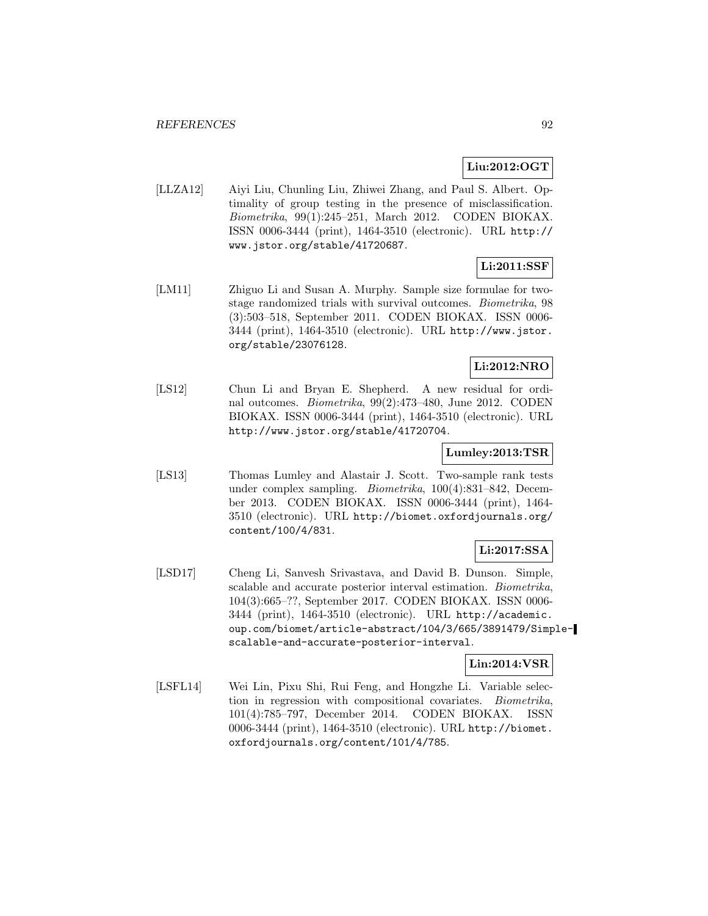## **Liu:2012:OGT**

[LLZA12] Aiyi Liu, Chunling Liu, Zhiwei Zhang, and Paul S. Albert. Optimality of group testing in the presence of misclassification. Biometrika, 99(1):245–251, March 2012. CODEN BIOKAX. ISSN 0006-3444 (print), 1464-3510 (electronic). URL http:// www.jstor.org/stable/41720687.

## **Li:2011:SSF**

[LM11] Zhiguo Li and Susan A. Murphy. Sample size formulae for twostage randomized trials with survival outcomes. Biometrika, 98 (3):503–518, September 2011. CODEN BIOKAX. ISSN 0006- 3444 (print), 1464-3510 (electronic). URL http://www.jstor. org/stable/23076128.

### **Li:2012:NRO**

[LS12] Chun Li and Bryan E. Shepherd. A new residual for ordinal outcomes. Biometrika, 99(2):473–480, June 2012. CODEN BIOKAX. ISSN 0006-3444 (print), 1464-3510 (electronic). URL http://www.jstor.org/stable/41720704.

### **Lumley:2013:TSR**

[LS13] Thomas Lumley and Alastair J. Scott. Two-sample rank tests under complex sampling. Biometrika, 100(4):831–842, December 2013. CODEN BIOKAX. ISSN 0006-3444 (print), 1464- 3510 (electronic). URL http://biomet.oxfordjournals.org/ content/100/4/831.

## **Li:2017:SSA**

[LSD17] Cheng Li, Sanvesh Srivastava, and David B. Dunson. Simple, scalable and accurate posterior interval estimation. Biometrika, 104(3):665–??, September 2017. CODEN BIOKAX. ISSN 0006- 3444 (print), 1464-3510 (electronic). URL http://academic. oup.com/biomet/article-abstract/104/3/665/3891479/Simplescalable-and-accurate-posterior-interval.

## **Lin:2014:VSR**

[LSFL14] Wei Lin, Pixu Shi, Rui Feng, and Hongzhe Li. Variable selection in regression with compositional covariates. Biometrika, 101(4):785–797, December 2014. CODEN BIOKAX. ISSN 0006-3444 (print), 1464-3510 (electronic). URL http://biomet. oxfordjournals.org/content/101/4/785.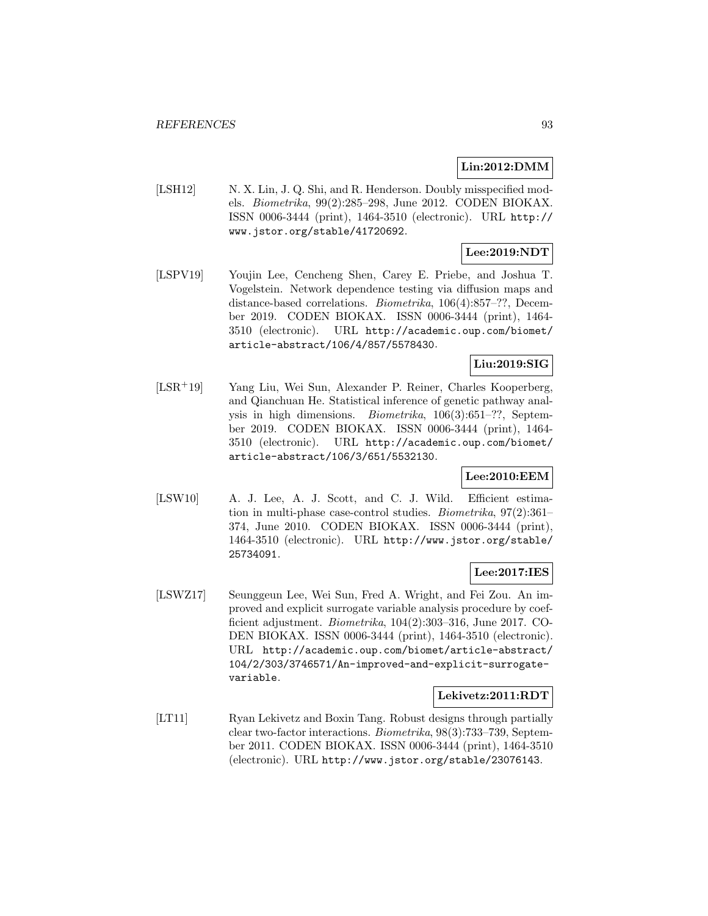## **Lin:2012:DMM**

[LSH12] N. X. Lin, J. Q. Shi, and R. Henderson. Doubly misspecified models. Biometrika, 99(2):285–298, June 2012. CODEN BIOKAX. ISSN 0006-3444 (print), 1464-3510 (electronic). URL http:// www.jstor.org/stable/41720692.

# **Lee:2019:NDT**

[LSPV19] Youjin Lee, Cencheng Shen, Carey E. Priebe, and Joshua T. Vogelstein. Network dependence testing via diffusion maps and distance-based correlations. *Biometrika*, 106(4):857–??, December 2019. CODEN BIOKAX. ISSN 0006-3444 (print), 1464- 3510 (electronic). URL http://academic.oup.com/biomet/ article-abstract/106/4/857/5578430.

## **Liu:2019:SIG**

[LSR<sup>+</sup>19] Yang Liu, Wei Sun, Alexander P. Reiner, Charles Kooperberg, and Qianchuan He. Statistical inference of genetic pathway analysis in high dimensions. Biometrika, 106(3):651–??, September 2019. CODEN BIOKAX. ISSN 0006-3444 (print), 1464- 3510 (electronic). URL http://academic.oup.com/biomet/ article-abstract/106/3/651/5532130.

## **Lee:2010:EEM**

[LSW10] A. J. Lee, A. J. Scott, and C. J. Wild. Efficient estimation in multi-phase case-control studies. Biometrika, 97(2):361– 374, June 2010. CODEN BIOKAX. ISSN 0006-3444 (print), 1464-3510 (electronic). URL http://www.jstor.org/stable/ 25734091.

## **Lee:2017:IES**

[LSWZ17] Seunggeun Lee, Wei Sun, Fred A. Wright, and Fei Zou. An improved and explicit surrogate variable analysis procedure by coefficient adjustment. Biometrika, 104(2):303–316, June 2017. CO-DEN BIOKAX. ISSN 0006-3444 (print), 1464-3510 (electronic). URL http://academic.oup.com/biomet/article-abstract/ 104/2/303/3746571/An-improved-and-explicit-surrogatevariable.

#### **Lekivetz:2011:RDT**

[LT11] Ryan Lekivetz and Boxin Tang. Robust designs through partially clear two-factor interactions. Biometrika, 98(3):733–739, September 2011. CODEN BIOKAX. ISSN 0006-3444 (print), 1464-3510 (electronic). URL http://www.jstor.org/stable/23076143.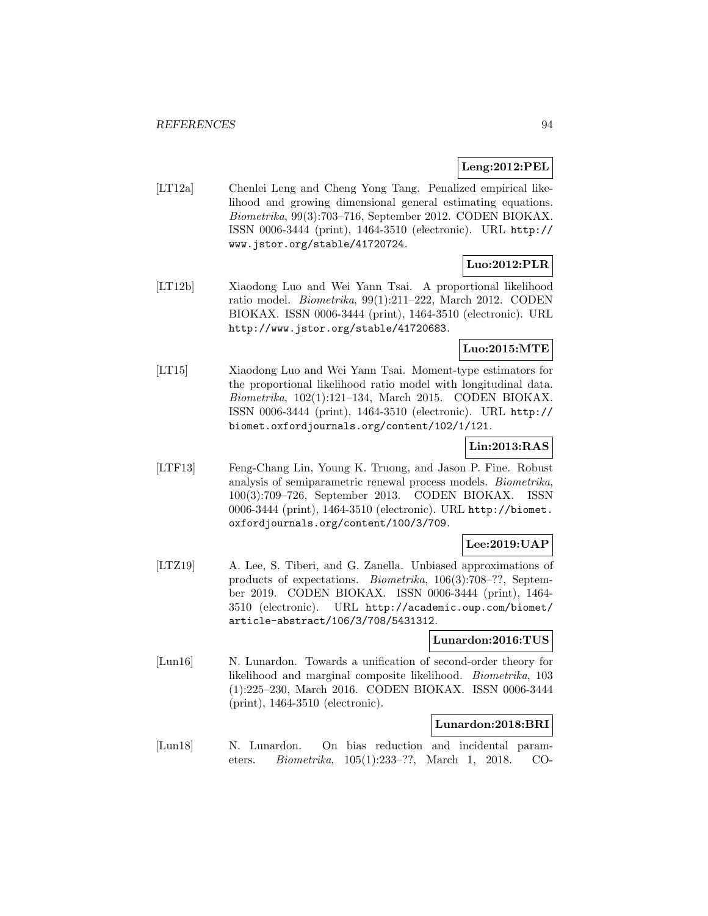## **Leng:2012:PEL**

[LT12a] Chenlei Leng and Cheng Yong Tang. Penalized empirical likelihood and growing dimensional general estimating equations. Biometrika, 99(3):703–716, September 2012. CODEN BIOKAX. ISSN 0006-3444 (print), 1464-3510 (electronic). URL http:// www.jstor.org/stable/41720724.

# **Luo:2012:PLR**

[LT12b] Xiaodong Luo and Wei Yann Tsai. A proportional likelihood ratio model. Biometrika, 99(1):211–222, March 2012. CODEN BIOKAX. ISSN 0006-3444 (print), 1464-3510 (electronic). URL http://www.jstor.org/stable/41720683.

## **Luo:2015:MTE**

[LT15] Xiaodong Luo and Wei Yann Tsai. Moment-type estimators for the proportional likelihood ratio model with longitudinal data. Biometrika, 102(1):121–134, March 2015. CODEN BIOKAX. ISSN 0006-3444 (print), 1464-3510 (electronic). URL http:// biomet.oxfordjournals.org/content/102/1/121.

# **Lin:2013:RAS**

[LTF13] Feng-Chang Lin, Young K. Truong, and Jason P. Fine. Robust analysis of semiparametric renewal process models. Biometrika, 100(3):709–726, September 2013. CODEN BIOKAX. ISSN 0006-3444 (print), 1464-3510 (electronic). URL http://biomet. oxfordjournals.org/content/100/3/709.

# **Lee:2019:UAP**

[LTZ19] A. Lee, S. Tiberi, and G. Zanella. Unbiased approximations of products of expectations. Biometrika, 106(3):708–??, September 2019. CODEN BIOKAX. ISSN 0006-3444 (print), 1464- 3510 (electronic). URL http://academic.oup.com/biomet/ article-abstract/106/3/708/5431312.

### **Lunardon:2016:TUS**

[Lun16] N. Lunardon. Towards a unification of second-order theory for likelihood and marginal composite likelihood. Biometrika, 103 (1):225–230, March 2016. CODEN BIOKAX. ISSN 0006-3444 (print), 1464-3510 (electronic).

## **Lunardon:2018:BRI**

[Lun18] N. Lunardon. On bias reduction and incidental parameters. Biometrika, 105(1):233–??, March 1, 2018. CO-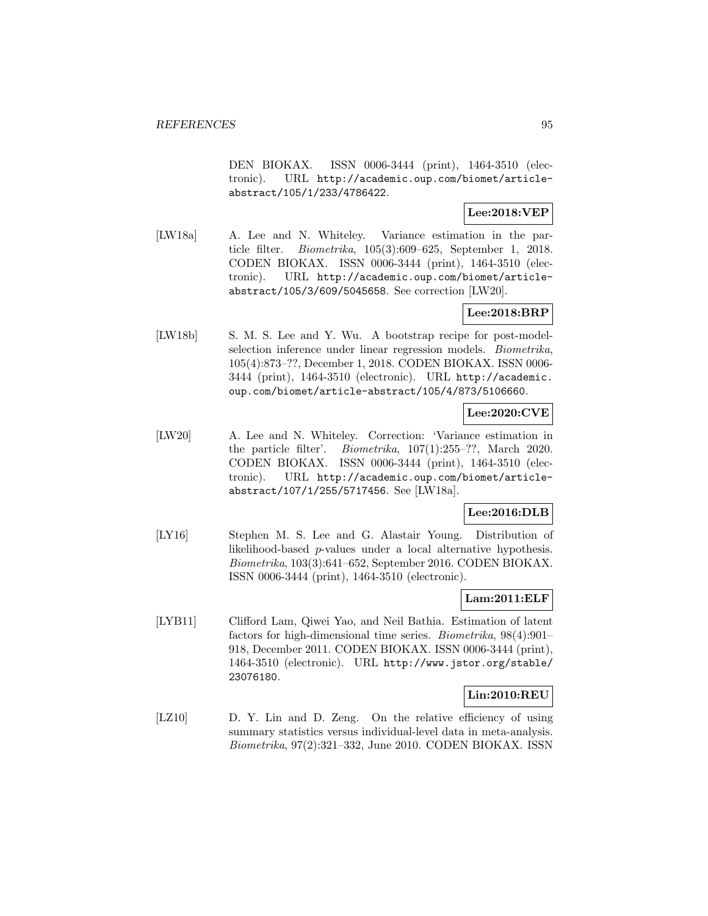DEN BIOKAX. ISSN 0006-3444 (print), 1464-3510 (electronic). URL http://academic.oup.com/biomet/articleabstract/105/1/233/4786422.

## **Lee:2018:VEP**

[LW18a] A. Lee and N. Whiteley. Variance estimation in the particle filter. Biometrika, 105(3):609–625, September 1, 2018. CODEN BIOKAX. ISSN 0006-3444 (print), 1464-3510 (electronic). URL http://academic.oup.com/biomet/articleabstract/105/3/609/5045658. See correction [LW20].

## **Lee:2018:BRP**

[LW18b] S. M. S. Lee and Y. Wu. A bootstrap recipe for post-modelselection inference under linear regression models. Biometrika, 105(4):873–??, December 1, 2018. CODEN BIOKAX. ISSN 0006- 3444 (print), 1464-3510 (electronic). URL http://academic. oup.com/biomet/article-abstract/105/4/873/5106660.

## **Lee:2020:CVE**

[LW20] A. Lee and N. Whiteley. Correction: 'Variance estimation in the particle filter'. Biometrika, 107(1):255–??, March 2020. CODEN BIOKAX. ISSN 0006-3444 (print), 1464-3510 (electronic). URL http://academic.oup.com/biomet/articleabstract/107/1/255/5717456. See [LW18a].

## **Lee:2016:DLB**

[LY16] Stephen M. S. Lee and G. Alastair Young. Distribution of likelihood-based p-values under a local alternative hypothesis. Biometrika, 103(3):641–652, September 2016. CODEN BIOKAX. ISSN 0006-3444 (print), 1464-3510 (electronic).

### **Lam:2011:ELF**

[LYB11] Clifford Lam, Qiwei Yao, and Neil Bathia. Estimation of latent factors for high-dimensional time series. Biometrika, 98(4):901– 918, December 2011. CODEN BIOKAX. ISSN 0006-3444 (print), 1464-3510 (electronic). URL http://www.jstor.org/stable/ 23076180.

### **Lin:2010:REU**

[LZ10] D. Y. Lin and D. Zeng. On the relative efficiency of using summary statistics versus individual-level data in meta-analysis. Biometrika, 97(2):321–332, June 2010. CODEN BIOKAX. ISSN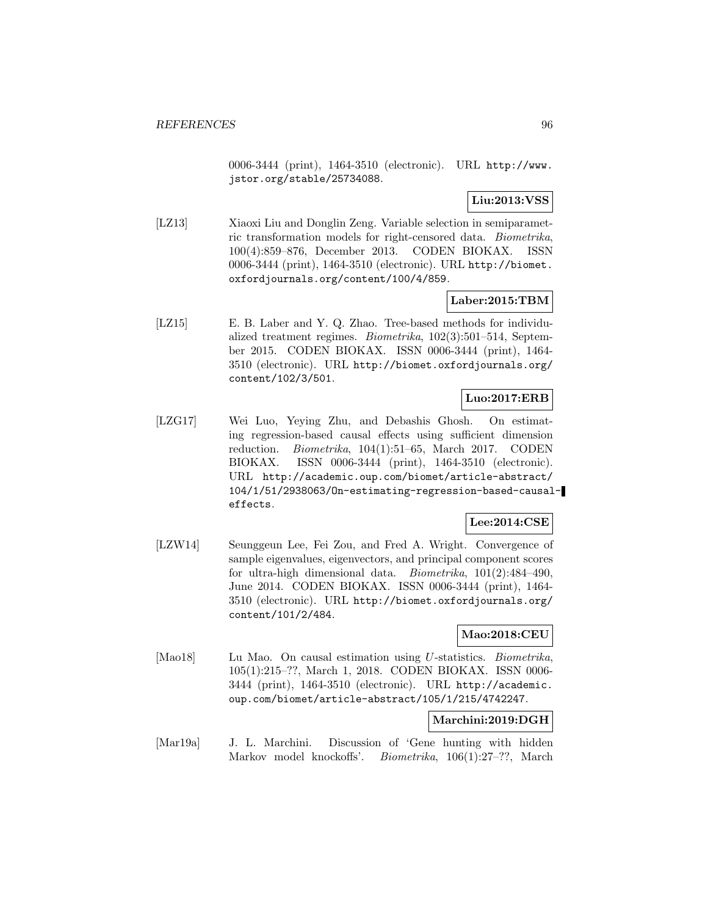0006-3444 (print), 1464-3510 (electronic). URL http://www. jstor.org/stable/25734088.

**Liu:2013:VSS**

[LZ13] Xiaoxi Liu and Donglin Zeng. Variable selection in semiparametric transformation models for right-censored data. Biometrika, 100(4):859–876, December 2013. CODEN BIOKAX. ISSN 0006-3444 (print), 1464-3510 (electronic). URL http://biomet. oxfordjournals.org/content/100/4/859.

## **Laber:2015:TBM**

[LZ15] E. B. Laber and Y. Q. Zhao. Tree-based methods for individualized treatment regimes. Biometrika, 102(3):501–514, September 2015. CODEN BIOKAX. ISSN 0006-3444 (print), 1464- 3510 (electronic). URL http://biomet.oxfordjournals.org/ content/102/3/501.

## **Luo:2017:ERB**

[LZG17] Wei Luo, Yeying Zhu, and Debashis Ghosh. On estimating regression-based causal effects using sufficient dimension reduction. Biometrika, 104(1):51–65, March 2017. CODEN BIOKAX. ISSN 0006-3444 (print), 1464-3510 (electronic). URL http://academic.oup.com/biomet/article-abstract/ 104/1/51/2938063/On-estimating-regression-based-causaleffects.

### **Lee:2014:CSE**

[LZW14] Seunggeun Lee, Fei Zou, and Fred A. Wright. Convergence of sample eigenvalues, eigenvectors, and principal component scores for ultra-high dimensional data. Biometrika, 101(2):484–490, June 2014. CODEN BIOKAX. ISSN 0006-3444 (print), 1464- 3510 (electronic). URL http://biomet.oxfordjournals.org/ content/101/2/484.

### **Mao:2018:CEU**

[Mao18] Lu Mao. On causal estimation using U-statistics. *Biometrika*, 105(1):215–??, March 1, 2018. CODEN BIOKAX. ISSN 0006- 3444 (print), 1464-3510 (electronic). URL http://academic. oup.com/biomet/article-abstract/105/1/215/4742247.

### **Marchini:2019:DGH**

[Mar19a] J. L. Marchini. Discussion of 'Gene hunting with hidden Markov model knockoffs'. Biometrika, 106(1):27–??, March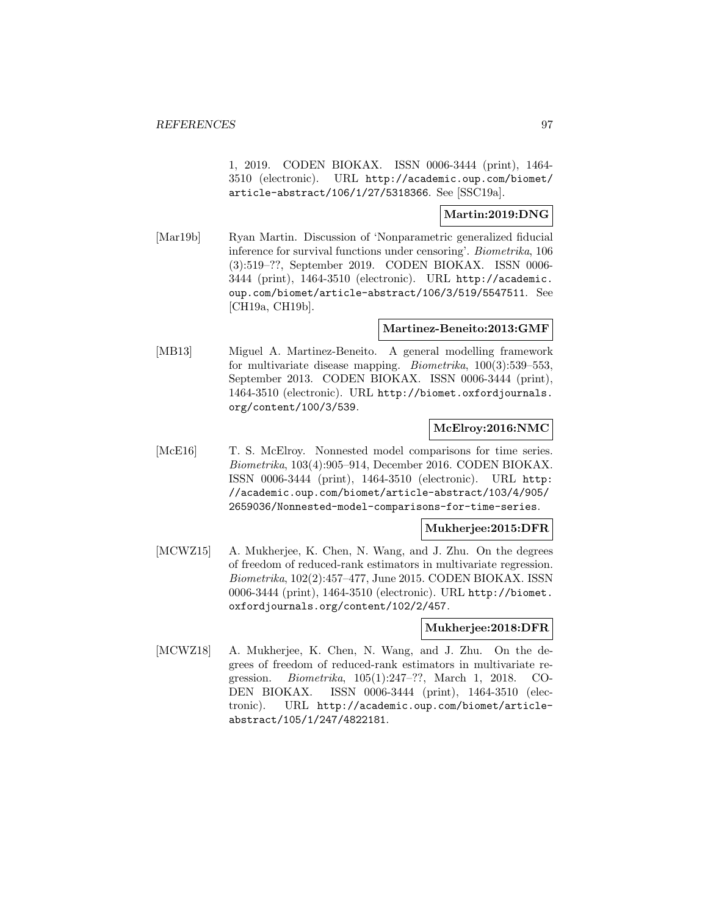1, 2019. CODEN BIOKAX. ISSN 0006-3444 (print), 1464- 3510 (electronic). URL http://academic.oup.com/biomet/ article-abstract/106/1/27/5318366. See [SSC19a].

### **Martin:2019:DNG**

[Mar19b] Ryan Martin. Discussion of 'Nonparametric generalized fiducial inference for survival functions under censoring'. Biometrika, 106 (3):519–??, September 2019. CODEN BIOKAX. ISSN 0006- 3444 (print), 1464-3510 (electronic). URL http://academic. oup.com/biomet/article-abstract/106/3/519/5547511. See [CH19a, CH19b].

### **Martinez-Beneito:2013:GMF**

[MB13] Miguel A. Martinez-Beneito. A general modelling framework for multivariate disease mapping. *Biometrika*, 100(3):539–553, September 2013. CODEN BIOKAX. ISSN 0006-3444 (print), 1464-3510 (electronic). URL http://biomet.oxfordjournals. org/content/100/3/539.

## **McElroy:2016:NMC**

[McE16] T. S. McElroy. Nonnested model comparisons for time series. Biometrika, 103(4):905–914, December 2016. CODEN BIOKAX. ISSN 0006-3444 (print), 1464-3510 (electronic). URL http: //academic.oup.com/biomet/article-abstract/103/4/905/ 2659036/Nonnested-model-comparisons-for-time-series.

### **Mukherjee:2015:DFR**

[MCWZ15] A. Mukherjee, K. Chen, N. Wang, and J. Zhu. On the degrees of freedom of reduced-rank estimators in multivariate regression. Biometrika, 102(2):457–477, June 2015. CODEN BIOKAX. ISSN 0006-3444 (print), 1464-3510 (electronic). URL http://biomet. oxfordjournals.org/content/102/2/457.

## **Mukherjee:2018:DFR**

[MCWZ18] A. Mukherjee, K. Chen, N. Wang, and J. Zhu. On the degrees of freedom of reduced-rank estimators in multivariate regression. Biometrika, 105(1):247–??, March 1, 2018. CO-DEN BIOKAX. ISSN 0006-3444 (print), 1464-3510 (electronic). URL http://academic.oup.com/biomet/articleabstract/105/1/247/4822181.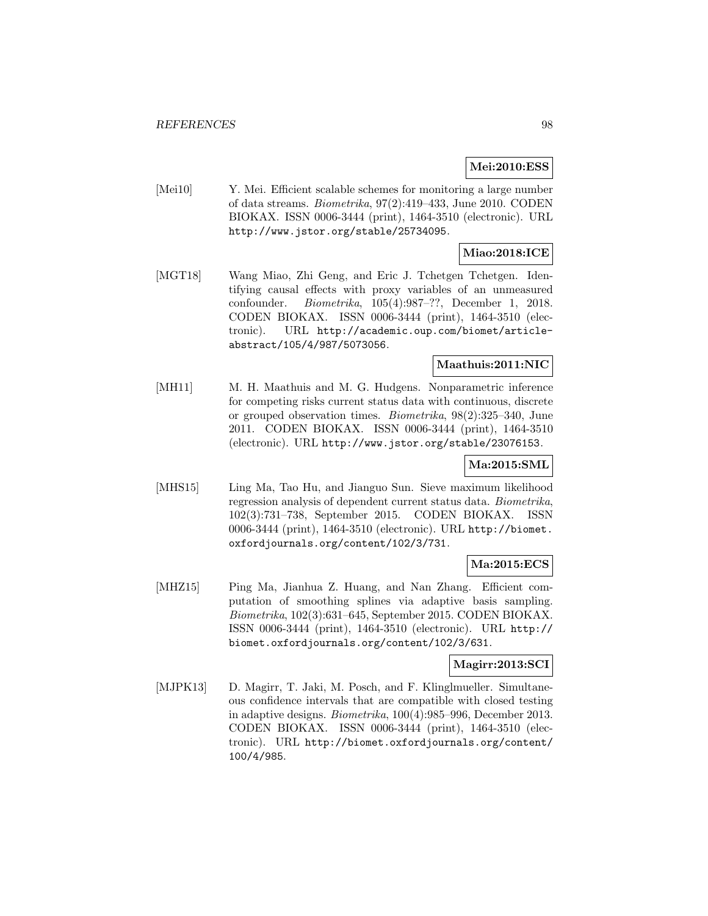## **Mei:2010:ESS**

[Mei10] Y. Mei. Efficient scalable schemes for monitoring a large number of data streams. Biometrika, 97(2):419–433, June 2010. CODEN BIOKAX. ISSN 0006-3444 (print), 1464-3510 (electronic). URL http://www.jstor.org/stable/25734095.

## **Miao:2018:ICE**

[MGT18] Wang Miao, Zhi Geng, and Eric J. Tchetgen Tchetgen. Identifying causal effects with proxy variables of an unmeasured confounder. Biometrika, 105(4):987–??, December 1, 2018. CODEN BIOKAX. ISSN 0006-3444 (print), 1464-3510 (electronic). URL http://academic.oup.com/biomet/articleabstract/105/4/987/5073056.

#### **Maathuis:2011:NIC**

[MH11] M. H. Maathuis and M. G. Hudgens. Nonparametric inference for competing risks current status data with continuous, discrete or grouped observation times. Biometrika, 98(2):325–340, June 2011. CODEN BIOKAX. ISSN 0006-3444 (print), 1464-3510 (electronic). URL http://www.jstor.org/stable/23076153.

## **Ma:2015:SML**

[MHS15] Ling Ma, Tao Hu, and Jianguo Sun. Sieve maximum likelihood regression analysis of dependent current status data. Biometrika, 102(3):731–738, September 2015. CODEN BIOKAX. ISSN 0006-3444 (print), 1464-3510 (electronic). URL http://biomet. oxfordjournals.org/content/102/3/731.

### **Ma:2015:ECS**

[MHZ15] Ping Ma, Jianhua Z. Huang, and Nan Zhang. Efficient computation of smoothing splines via adaptive basis sampling. Biometrika, 102(3):631–645, September 2015. CODEN BIOKAX. ISSN 0006-3444 (print), 1464-3510 (electronic). URL http:// biomet.oxfordjournals.org/content/102/3/631.

## **Magirr:2013:SCI**

[MJPK13] D. Magirr, T. Jaki, M. Posch, and F. Klinglmueller. Simultaneous confidence intervals that are compatible with closed testing in adaptive designs. Biometrika, 100(4):985–996, December 2013. CODEN BIOKAX. ISSN 0006-3444 (print), 1464-3510 (electronic). URL http://biomet.oxfordjournals.org/content/ 100/4/985.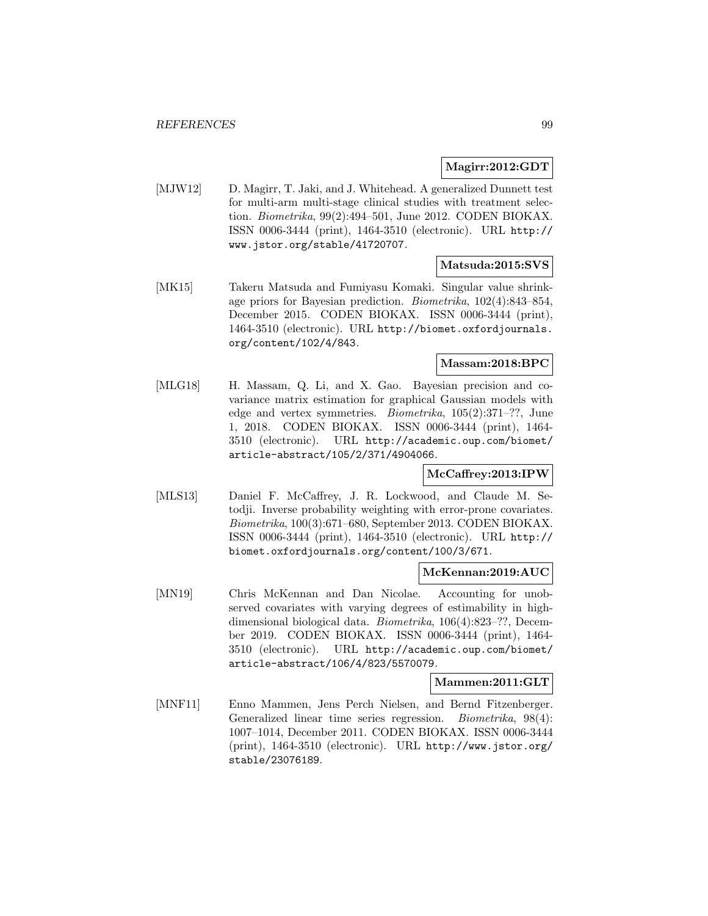#### **Magirr:2012:GDT**

[MJW12] D. Magirr, T. Jaki, and J. Whitehead. A generalized Dunnett test for multi-arm multi-stage clinical studies with treatment selection. Biometrika, 99(2):494–501, June 2012. CODEN BIOKAX. ISSN 0006-3444 (print), 1464-3510 (electronic). URL http:// www.jstor.org/stable/41720707.

## **Matsuda:2015:SVS**

[MK15] Takeru Matsuda and Fumiyasu Komaki. Singular value shrinkage priors for Bayesian prediction. Biometrika, 102(4):843–854, December 2015. CODEN BIOKAX. ISSN 0006-3444 (print), 1464-3510 (electronic). URL http://biomet.oxfordjournals. org/content/102/4/843.

## **Massam:2018:BPC**

[MLG18] H. Massam, Q. Li, and X. Gao. Bayesian precision and covariance matrix estimation for graphical Gaussian models with edge and vertex symmetries. Biometrika, 105(2):371–??, June 1, 2018. CODEN BIOKAX. ISSN 0006-3444 (print), 1464- 3510 (electronic). URL http://academic.oup.com/biomet/ article-abstract/105/2/371/4904066.

### **McCaffrey:2013:IPW**

[MLS13] Daniel F. McCaffrey, J. R. Lockwood, and Claude M. Setodji. Inverse probability weighting with error-prone covariates. Biometrika, 100(3):671–680, September 2013. CODEN BIOKAX. ISSN 0006-3444 (print), 1464-3510 (electronic). URL http:// biomet.oxfordjournals.org/content/100/3/671.

### **McKennan:2019:AUC**

[MN19] Chris McKennan and Dan Nicolae. Accounting for unobserved covariates with varying degrees of estimability in highdimensional biological data. Biometrika, 106(4):823–??, December 2019. CODEN BIOKAX. ISSN 0006-3444 (print), 1464- 3510 (electronic). URL http://academic.oup.com/biomet/ article-abstract/106/4/823/5570079.

#### **Mammen:2011:GLT**

[MNF11] Enno Mammen, Jens Perch Nielsen, and Bernd Fitzenberger. Generalized linear time series regression. Biometrika, 98(4): 1007–1014, December 2011. CODEN BIOKAX. ISSN 0006-3444 (print), 1464-3510 (electronic). URL http://www.jstor.org/ stable/23076189.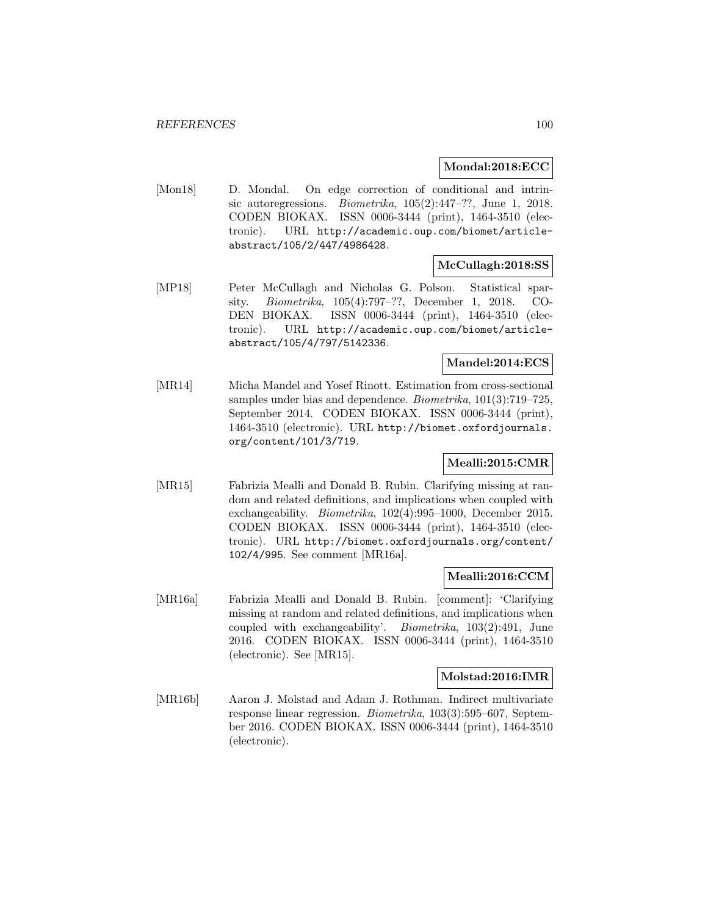### **Mondal:2018:ECC**

[Mon18] D. Mondal. On edge correction of conditional and intrinsic autoregressions. Biometrika, 105(2):447–??, June 1, 2018. CODEN BIOKAX. ISSN 0006-3444 (print), 1464-3510 (electronic). URL http://academic.oup.com/biomet/articleabstract/105/2/447/4986428.

### **McCullagh:2018:SS**

[MP18] Peter McCullagh and Nicholas G. Polson. Statistical sparsity. Biometrika, 105(4):797–??, December 1, 2018. CO-DEN BIOKAX. ISSN 0006-3444 (print), 1464-3510 (electronic). URL http://academic.oup.com/biomet/articleabstract/105/4/797/5142336.

## **Mandel:2014:ECS**

[MR14] Micha Mandel and Yosef Rinott. Estimation from cross-sectional samples under bias and dependence. *Biometrika*, 101(3):719–725, September 2014. CODEN BIOKAX. ISSN 0006-3444 (print), 1464-3510 (electronic). URL http://biomet.oxfordjournals. org/content/101/3/719.

## **Mealli:2015:CMR**

[MR15] Fabrizia Mealli and Donald B. Rubin. Clarifying missing at random and related definitions, and implications when coupled with exchangeability. Biometrika, 102(4):995–1000, December 2015. CODEN BIOKAX. ISSN 0006-3444 (print), 1464-3510 (electronic). URL http://biomet.oxfordjournals.org/content/ 102/4/995. See comment [MR16a].

## **Mealli:2016:CCM**

[MR16a] Fabrizia Mealli and Donald B. Rubin. [comment]: 'Clarifying missing at random and related definitions, and implications when coupled with exchangeability'. Biometrika, 103(2):491, June 2016. CODEN BIOKAX. ISSN 0006-3444 (print), 1464-3510 (electronic). See [MR15].

### **Molstad:2016:IMR**

[MR16b] Aaron J. Molstad and Adam J. Rothman. Indirect multivariate response linear regression. *Biometrika*, 103(3):595–607, September 2016. CODEN BIOKAX. ISSN 0006-3444 (print), 1464-3510 (electronic).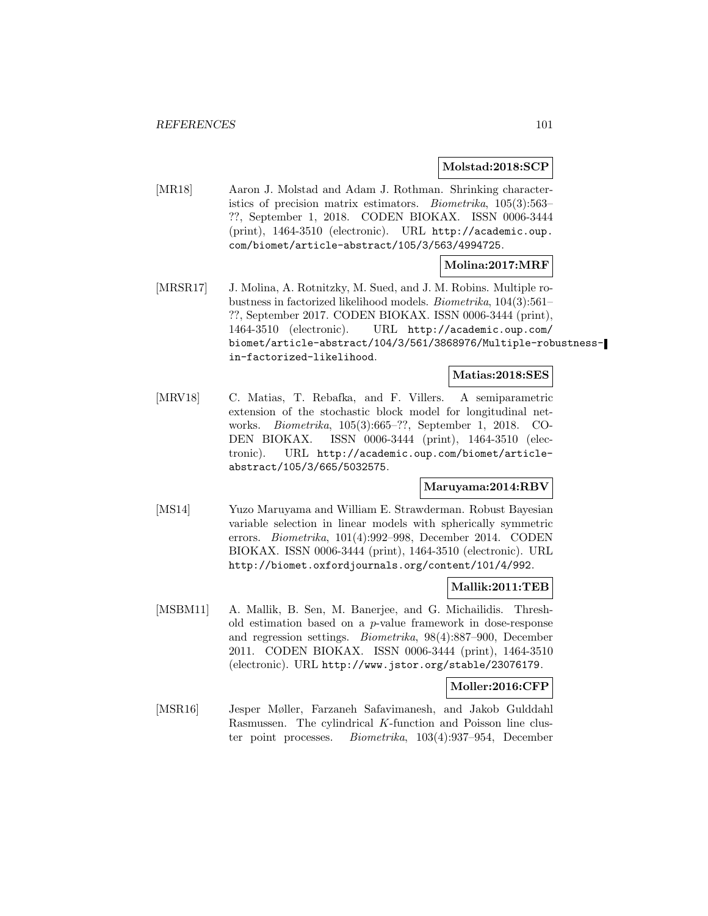#### **Molstad:2018:SCP**

[MR18] Aaron J. Molstad and Adam J. Rothman. Shrinking characteristics of precision matrix estimators. Biometrika, 105(3):563– ??, September 1, 2018. CODEN BIOKAX. ISSN 0006-3444 (print), 1464-3510 (electronic). URL http://academic.oup. com/biomet/article-abstract/105/3/563/4994725.

### **Molina:2017:MRF**

[MRSR17] J. Molina, A. Rotnitzky, M. Sued, and J. M. Robins. Multiple robustness in factorized likelihood models. Biometrika, 104(3):561– ??, September 2017. CODEN BIOKAX. ISSN 0006-3444 (print), 1464-3510 (electronic). URL http://academic.oup.com/ biomet/article-abstract/104/3/561/3868976/Multiple-robustnessin-factorized-likelihood.

## **Matias:2018:SES**

[MRV18] C. Matias, T. Rebafka, and F. Villers. A semiparametric extension of the stochastic block model for longitudinal networks. Biometrika, 105(3):665–??, September 1, 2018. CO-DEN BIOKAX. ISSN 0006-3444 (print), 1464-3510 (electronic). URL http://academic.oup.com/biomet/articleabstract/105/3/665/5032575.

### **Maruyama:2014:RBV**

[MS14] Yuzo Maruyama and William E. Strawderman. Robust Bayesian variable selection in linear models with spherically symmetric errors. Biometrika, 101(4):992–998, December 2014. CODEN BIOKAX. ISSN 0006-3444 (print), 1464-3510 (electronic). URL http://biomet.oxfordjournals.org/content/101/4/992.

### **Mallik:2011:TEB**

[MSBM11] A. Mallik, B. Sen, M. Banerjee, and G. Michailidis. Threshold estimation based on a p-value framework in dose-response and regression settings. Biometrika, 98(4):887–900, December 2011. CODEN BIOKAX. ISSN 0006-3444 (print), 1464-3510 (electronic). URL http://www.jstor.org/stable/23076179.

## **Moller:2016:CFP**

[MSR16] Jesper Møller, Farzaneh Safavimanesh, and Jakob Gulddahl Rasmussen. The cylindrical K-function and Poisson line cluster point processes. Biometrika, 103(4):937–954, December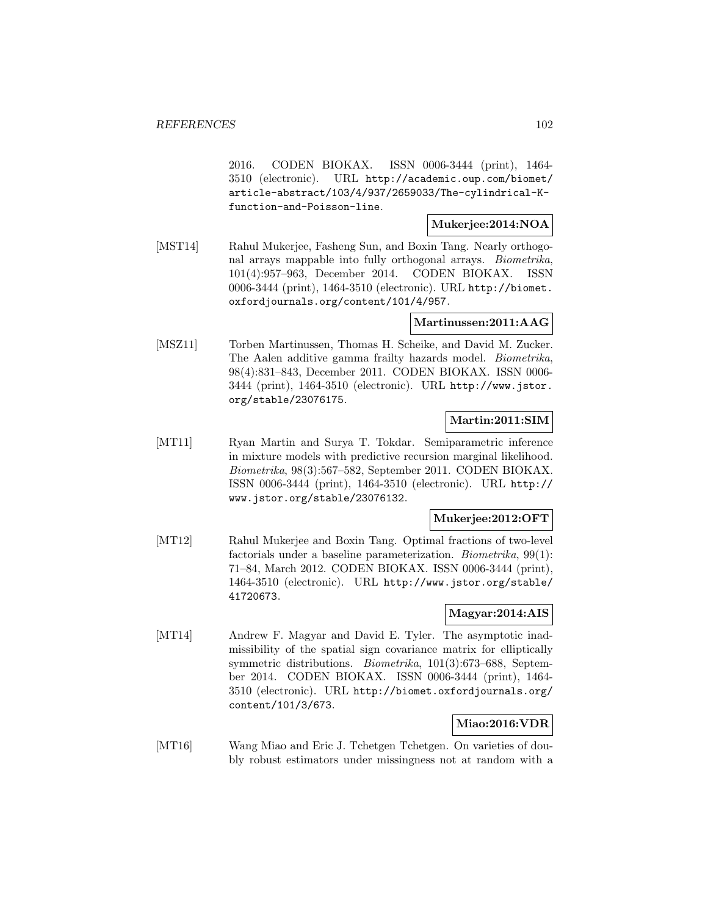2016. CODEN BIOKAX. ISSN 0006-3444 (print), 1464- 3510 (electronic). URL http://academic.oup.com/biomet/ article-abstract/103/4/937/2659033/The-cylindrical-Kfunction-and-Poisson-line.

## **Mukerjee:2014:NOA**

[MST14] Rahul Mukerjee, Fasheng Sun, and Boxin Tang. Nearly orthogonal arrays mappable into fully orthogonal arrays. Biometrika, 101(4):957–963, December 2014. CODEN BIOKAX. ISSN 0006-3444 (print), 1464-3510 (electronic). URL http://biomet. oxfordjournals.org/content/101/4/957.

## **Martinussen:2011:AAG**

[MSZ11] Torben Martinussen, Thomas H. Scheike, and David M. Zucker. The Aalen additive gamma frailty hazards model. Biometrika, 98(4):831–843, December 2011. CODEN BIOKAX. ISSN 0006- 3444 (print), 1464-3510 (electronic). URL http://www.jstor. org/stable/23076175.

## **Martin:2011:SIM**

[MT11] Ryan Martin and Surya T. Tokdar. Semiparametric inference in mixture models with predictive recursion marginal likelihood. Biometrika, 98(3):567–582, September 2011. CODEN BIOKAX. ISSN 0006-3444 (print), 1464-3510 (electronic). URL http:// www.jstor.org/stable/23076132.

## **Mukerjee:2012:OFT**

[MT12] Rahul Mukerjee and Boxin Tang. Optimal fractions of two-level factorials under a baseline parameterization. Biometrika, 99(1): 71–84, March 2012. CODEN BIOKAX. ISSN 0006-3444 (print), 1464-3510 (electronic). URL http://www.jstor.org/stable/ 41720673.

### **Magyar:2014:AIS**

[MT14] Andrew F. Magyar and David E. Tyler. The asymptotic inadmissibility of the spatial sign covariance matrix for elliptically symmetric distributions. *Biometrika*, 101(3):673–688, September 2014. CODEN BIOKAX. ISSN 0006-3444 (print), 1464- 3510 (electronic). URL http://biomet.oxfordjournals.org/ content/101/3/673.

## **Miao:2016:VDR**

[MT16] Wang Miao and Eric J. Tchetgen Tchetgen. On varieties of doubly robust estimators under missingness not at random with a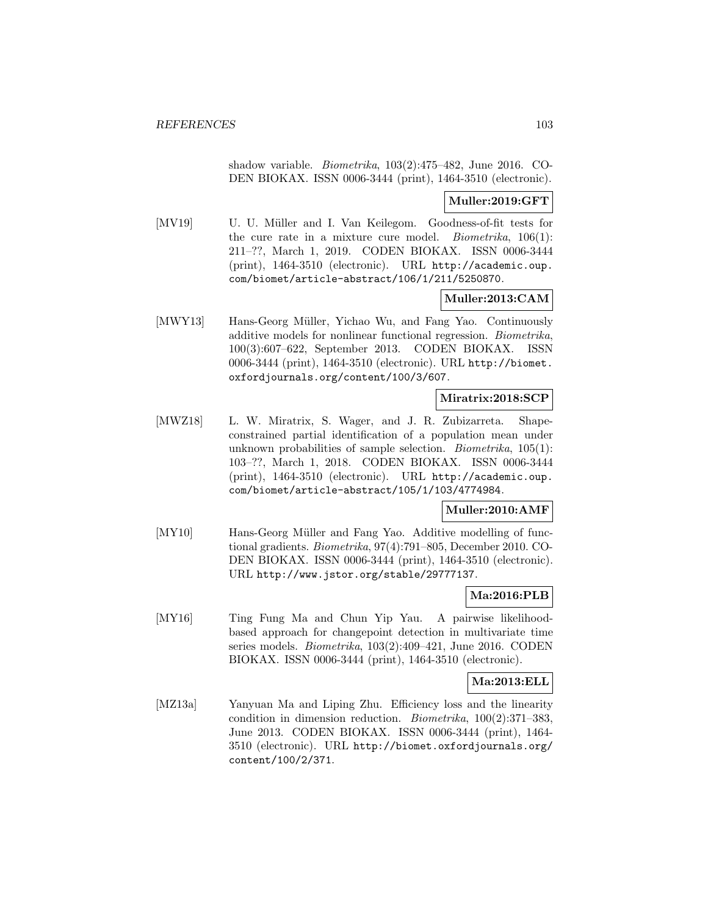shadow variable. Biometrika, 103(2):475–482, June 2016. CO-DEN BIOKAX. ISSN 0006-3444 (print), 1464-3510 (electronic).

**Muller:2019:GFT**

[MV19] U. U. Müller and I. Van Keilegom. Goodness-of-fit tests for the cure rate in a mixture cure model. *Biometrika*,  $106(1)$ : 211–??, March 1, 2019. CODEN BIOKAX. ISSN 0006-3444 (print), 1464-3510 (electronic). URL http://academic.oup. com/biomet/article-abstract/106/1/211/5250870.

## **Muller:2013:CAM**

[MWY13] Hans-Georg Müller, Yichao Wu, and Fang Yao. Continuously additive models for nonlinear functional regression. Biometrika, 100(3):607–622, September 2013. CODEN BIOKAX. ISSN 0006-3444 (print), 1464-3510 (electronic). URL http://biomet. oxfordjournals.org/content/100/3/607.

## **Miratrix:2018:SCP**

[MWZ18] L. W. Miratrix, S. Wager, and J. R. Zubizarreta. Shapeconstrained partial identification of a population mean under unknown probabilities of sample selection. Biometrika, 105(1): 103–??, March 1, 2018. CODEN BIOKAX. ISSN 0006-3444 (print), 1464-3510 (electronic). URL http://academic.oup. com/biomet/article-abstract/105/1/103/4774984.

### **Muller:2010:AMF**

[MY10] Hans-Georg Müller and Fang Yao. Additive modelling of functional gradients. Biometrika, 97(4):791–805, December 2010. CO-DEN BIOKAX. ISSN 0006-3444 (print), 1464-3510 (electronic). URL http://www.jstor.org/stable/29777137.

### **Ma:2016:PLB**

[MY16] Ting Fung Ma and Chun Yip Yau. A pairwise likelihoodbased approach for changepoint detection in multivariate time series models. Biometrika, 103(2):409–421, June 2016. CODEN BIOKAX. ISSN 0006-3444 (print), 1464-3510 (electronic).

### **Ma:2013:ELL**

[MZ13a] Yanyuan Ma and Liping Zhu. Efficiency loss and the linearity condition in dimension reduction. Biometrika, 100(2):371–383, June 2013. CODEN BIOKAX. ISSN 0006-3444 (print), 1464- 3510 (electronic). URL http://biomet.oxfordjournals.org/ content/100/2/371.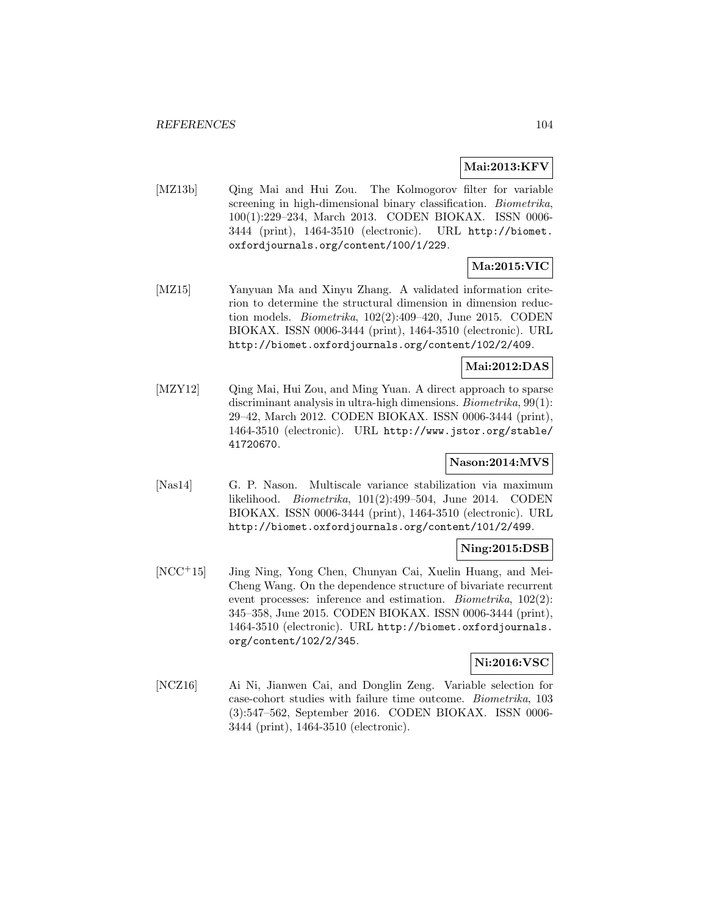## **Mai:2013:KFV**

[MZ13b] Qing Mai and Hui Zou. The Kolmogorov filter for variable screening in high-dimensional binary classification. Biometrika, 100(1):229–234, March 2013. CODEN BIOKAX. ISSN 0006- 3444 (print), 1464-3510 (electronic). URL http://biomet. oxfordjournals.org/content/100/1/229.

# **Ma:2015:VIC**

[MZ15] Yanyuan Ma and Xinyu Zhang. A validated information criterion to determine the structural dimension in dimension reduction models. Biometrika, 102(2):409–420, June 2015. CODEN BIOKAX. ISSN 0006-3444 (print), 1464-3510 (electronic). URL http://biomet.oxfordjournals.org/content/102/2/409.

## **Mai:2012:DAS**

[MZY12] Qing Mai, Hui Zou, and Ming Yuan. A direct approach to sparse discriminant analysis in ultra-high dimensions. *Biometrika*, 99(1): 29–42, March 2012. CODEN BIOKAX. ISSN 0006-3444 (print), 1464-3510 (electronic). URL http://www.jstor.org/stable/ 41720670.

## **Nason:2014:MVS**

[Nas14] G. P. Nason. Multiscale variance stabilization via maximum likelihood. Biometrika, 101(2):499–504, June 2014. CODEN BIOKAX. ISSN 0006-3444 (print), 1464-3510 (electronic). URL http://biomet.oxfordjournals.org/content/101/2/499.

### **Ning:2015:DSB**

[NCC<sup>+</sup>15] Jing Ning, Yong Chen, Chunyan Cai, Xuelin Huang, and Mei-Cheng Wang. On the dependence structure of bivariate recurrent event processes: inference and estimation. Biometrika, 102(2): 345–358, June 2015. CODEN BIOKAX. ISSN 0006-3444 (print), 1464-3510 (electronic). URL http://biomet.oxfordjournals. org/content/102/2/345.

## **Ni:2016:VSC**

[NCZ16] Ai Ni, Jianwen Cai, and Donglin Zeng. Variable selection for case-cohort studies with failure time outcome. Biometrika, 103 (3):547–562, September 2016. CODEN BIOKAX. ISSN 0006- 3444 (print), 1464-3510 (electronic).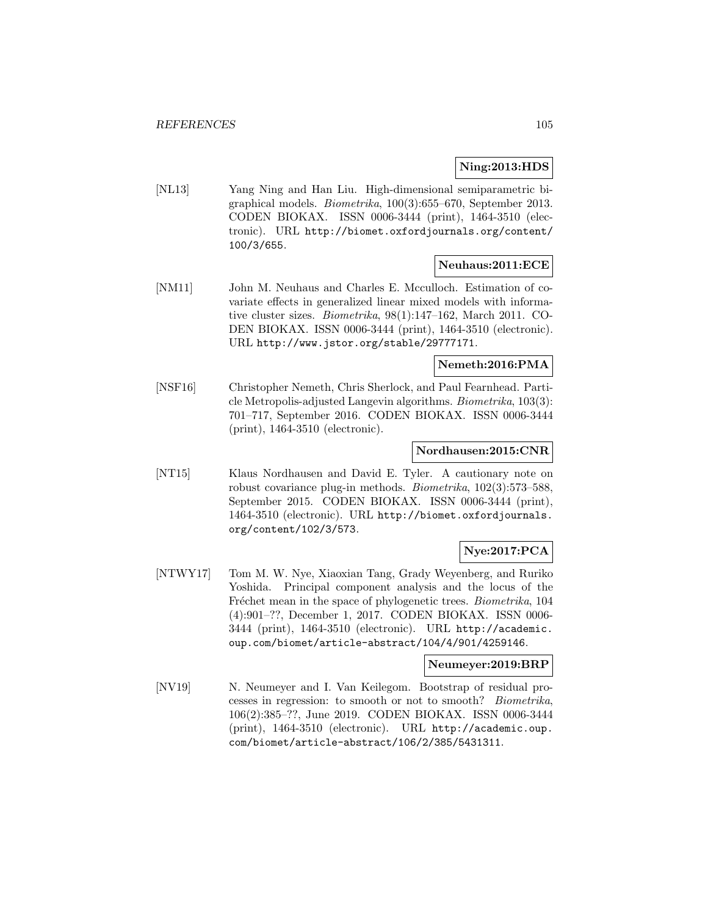### **Ning:2013:HDS**

[NL13] Yang Ning and Han Liu. High-dimensional semiparametric bigraphical models. Biometrika, 100(3):655–670, September 2013. CODEN BIOKAX. ISSN 0006-3444 (print), 1464-3510 (electronic). URL http://biomet.oxfordjournals.org/content/ 100/3/655.

## **Neuhaus:2011:ECE**

[NM11] John M. Neuhaus and Charles E. Mcculloch. Estimation of covariate effects in generalized linear mixed models with informative cluster sizes. Biometrika, 98(1):147–162, March 2011. CO-DEN BIOKAX. ISSN 0006-3444 (print), 1464-3510 (electronic). URL http://www.jstor.org/stable/29777171.

#### **Nemeth:2016:PMA**

[NSF16] Christopher Nemeth, Chris Sherlock, and Paul Fearnhead. Particle Metropolis-adjusted Langevin algorithms. Biometrika, 103(3): 701–717, September 2016. CODEN BIOKAX. ISSN 0006-3444 (print), 1464-3510 (electronic).

#### **Nordhausen:2015:CNR**

[NT15] Klaus Nordhausen and David E. Tyler. A cautionary note on robust covariance plug-in methods. *Biometrika*, 102(3):573–588, September 2015. CODEN BIOKAX. ISSN 0006-3444 (print), 1464-3510 (electronic). URL http://biomet.oxfordjournals. org/content/102/3/573.

## **Nye:2017:PCA**

[NTWY17] Tom M. W. Nye, Xiaoxian Tang, Grady Weyenberg, and Ruriko Yoshida. Principal component analysis and the locus of the Fréchet mean in the space of phylogenetic trees. *Biometrika*, 104 (4):901–??, December 1, 2017. CODEN BIOKAX. ISSN 0006- 3444 (print), 1464-3510 (electronic). URL http://academic. oup.com/biomet/article-abstract/104/4/901/4259146.

#### **Neumeyer:2019:BRP**

[NV19] N. Neumeyer and I. Van Keilegom. Bootstrap of residual processes in regression: to smooth or not to smooth? Biometrika, 106(2):385–??, June 2019. CODEN BIOKAX. ISSN 0006-3444 (print), 1464-3510 (electronic). URL http://academic.oup. com/biomet/article-abstract/106/2/385/5431311.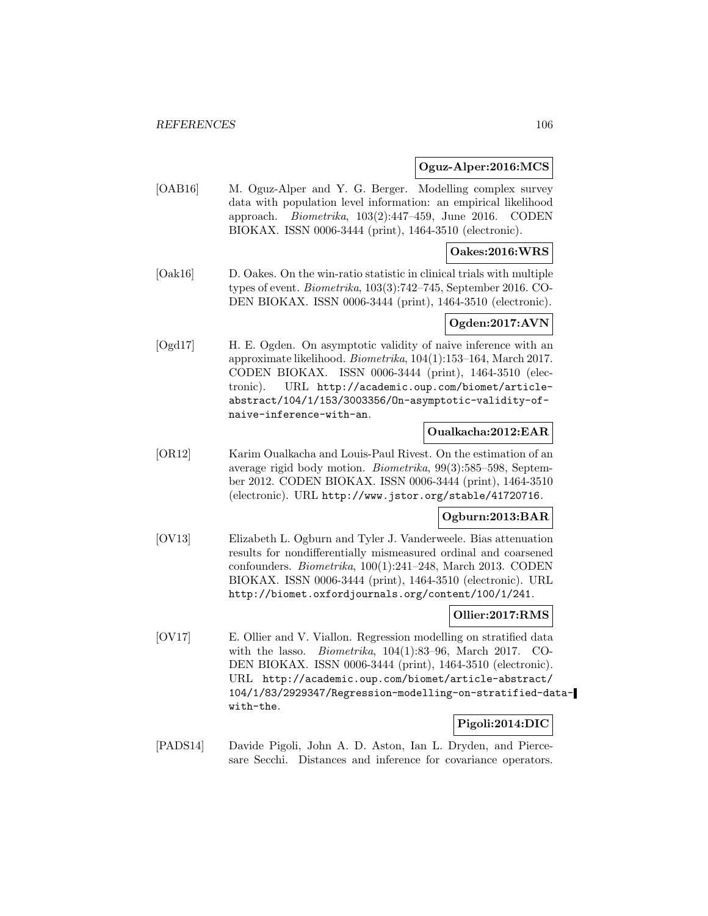## **Oguz-Alper:2016:MCS**

[OAB16] M. Oguz-Alper and Y. G. Berger. Modelling complex survey data with population level information: an empirical likelihood approach. Biometrika, 103(2):447–459, June 2016. CODEN BIOKAX. ISSN 0006-3444 (print), 1464-3510 (electronic).

### **Oakes:2016:WRS**

[Oak16] D. Oakes. On the win-ratio statistic in clinical trials with multiple types of event. Biometrika, 103(3):742–745, September 2016. CO-DEN BIOKAX. ISSN 0006-3444 (print), 1464-3510 (electronic).

## **Ogden:2017:AVN**

[Ogd17] H. E. Ogden. On asymptotic validity of naive inference with an approximate likelihood. Biometrika, 104(1):153–164, March 2017. CODEN BIOKAX. ISSN 0006-3444 (print), 1464-3510 (electronic). URL http://academic.oup.com/biomet/articleabstract/104/1/153/3003356/On-asymptotic-validity-ofnaive-inference-with-an.

#### **Oualkacha:2012:EAR**

[OR12] Karim Oualkacha and Louis-Paul Rivest. On the estimation of an average rigid body motion. Biometrika, 99(3):585–598, September 2012. CODEN BIOKAX. ISSN 0006-3444 (print), 1464-3510 (electronic). URL http://www.jstor.org/stable/41720716.

# **Ogburn:2013:BAR**

[OV13] Elizabeth L. Ogburn and Tyler J. Vanderweele. Bias attenuation results for nondifferentially mismeasured ordinal and coarsened confounders. Biometrika, 100(1):241–248, March 2013. CODEN BIOKAX. ISSN 0006-3444 (print), 1464-3510 (electronic). URL http://biomet.oxfordjournals.org/content/100/1/241.

## **Ollier:2017:RMS**

[OV17] E. Ollier and V. Viallon. Regression modelling on stratified data with the lasso. *Biometrika*,  $104(1):83-96$ , March 2017. CO-DEN BIOKAX. ISSN 0006-3444 (print), 1464-3510 (electronic). URL http://academic.oup.com/biomet/article-abstract/ 104/1/83/2929347/Regression-modelling-on-stratified-datawith-the.

## **Pigoli:2014:DIC**

[PADS14] Davide Pigoli, John A. D. Aston, Ian L. Dryden, and Piercesare Secchi. Distances and inference for covariance operators.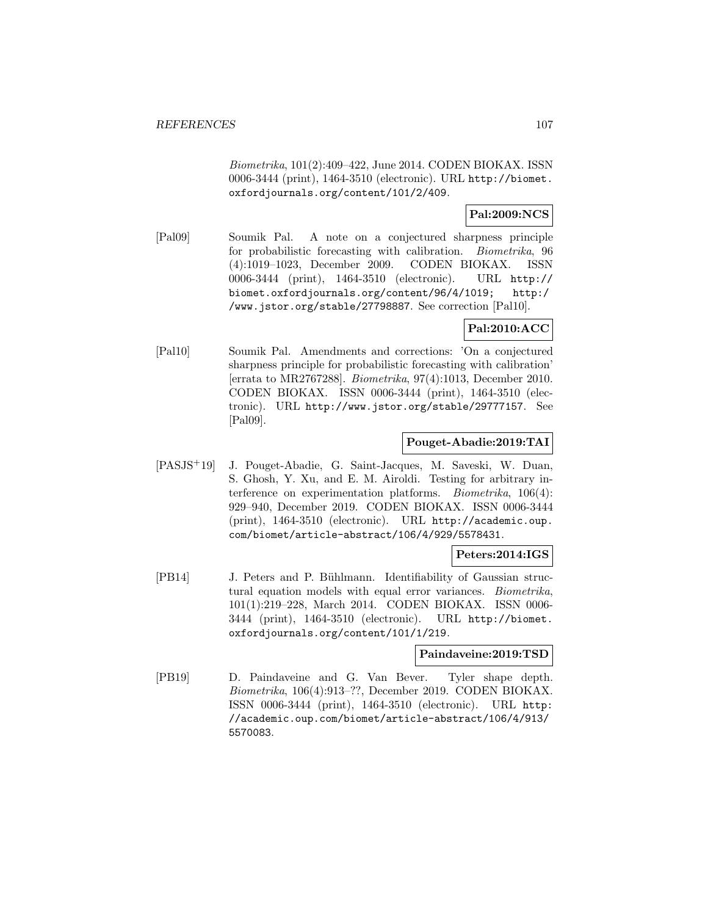Biometrika, 101(2):409–422, June 2014. CODEN BIOKAX. ISSN 0006-3444 (print), 1464-3510 (electronic). URL http://biomet. oxfordjournals.org/content/101/2/409.

## **Pal:2009:NCS**

[Pal09] Soumik Pal. A note on a conjectured sharpness principle for probabilistic forecasting with calibration. Biometrika, 96 (4):1019–1023, December 2009. CODEN BIOKAX. ISSN 0006-3444 (print), 1464-3510 (electronic). URL http:// biomet.oxfordjournals.org/content/96/4/1019; http:/ /www.jstor.org/stable/27798887. See correction [Pal10].

## **Pal:2010:ACC**

[Pal10] Soumik Pal. Amendments and corrections: 'On a conjectured sharpness principle for probabilistic forecasting with calibration' [errata to MR2767288]. Biometrika, 97(4):1013, December 2010. CODEN BIOKAX. ISSN 0006-3444 (print), 1464-3510 (electronic). URL http://www.jstor.org/stable/29777157. See [Pal09].

## **Pouget-Abadie:2019:TAI**

[PASJS<sup>+</sup>19] J. Pouget-Abadie, G. Saint-Jacques, M. Saveski, W. Duan, S. Ghosh, Y. Xu, and E. M. Airoldi. Testing for arbitrary interference on experimentation platforms. Biometrika, 106(4): 929–940, December 2019. CODEN BIOKAX. ISSN 0006-3444 (print), 1464-3510 (electronic). URL http://academic.oup. com/biomet/article-abstract/106/4/929/5578431.

### **Peters:2014:IGS**

[PB14] J. Peters and P. Bühlmann. Identifiability of Gaussian structural equation models with equal error variances. Biometrika, 101(1):219–228, March 2014. CODEN BIOKAX. ISSN 0006- 3444 (print), 1464-3510 (electronic). URL http://biomet. oxfordjournals.org/content/101/1/219.

## **Paindaveine:2019:TSD**

[PB19] D. Paindaveine and G. Van Bever. Tyler shape depth. Biometrika, 106(4):913–??, December 2019. CODEN BIOKAX. ISSN 0006-3444 (print), 1464-3510 (electronic). URL http: //academic.oup.com/biomet/article-abstract/106/4/913/ 5570083.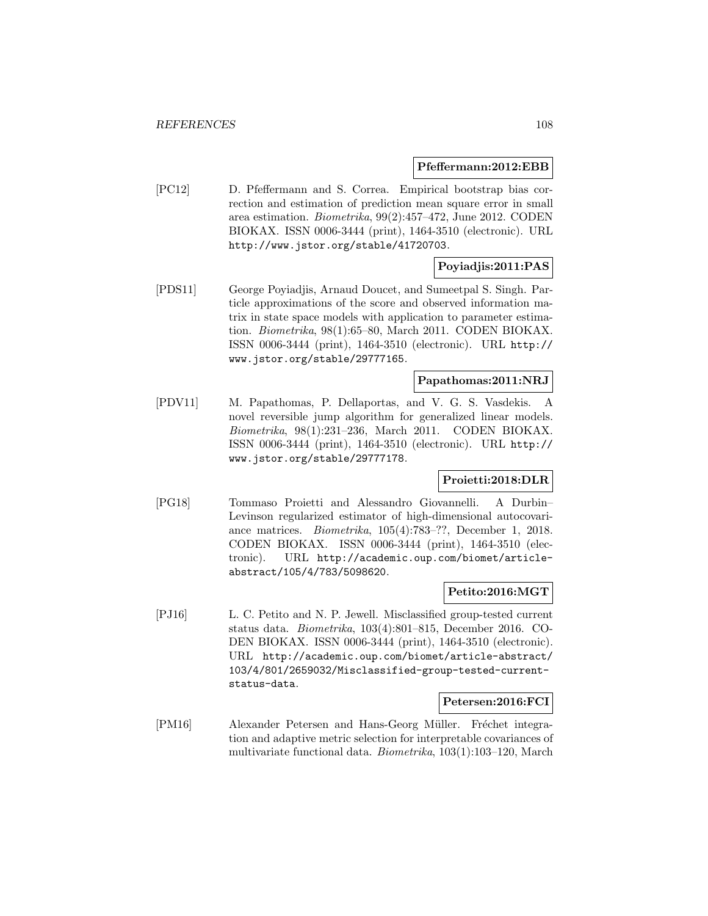#### **Pfeffermann:2012:EBB**

[PC12] D. Pfeffermann and S. Correa. Empirical bootstrap bias correction and estimation of prediction mean square error in small area estimation. Biometrika, 99(2):457–472, June 2012. CODEN BIOKAX. ISSN 0006-3444 (print), 1464-3510 (electronic). URL http://www.jstor.org/stable/41720703.

## **Poyiadjis:2011:PAS**

[PDS11] George Poyiadjis, Arnaud Doucet, and Sumeetpal S. Singh. Particle approximations of the score and observed information matrix in state space models with application to parameter estimation. Biometrika, 98(1):65–80, March 2011. CODEN BIOKAX. ISSN 0006-3444 (print), 1464-3510 (electronic). URL http:// www.jstor.org/stable/29777165.

## **Papathomas:2011:NRJ**

[PDV11] M. Papathomas, P. Dellaportas, and V. G. S. Vasdekis. A novel reversible jump algorithm for generalized linear models. Biometrika, 98(1):231–236, March 2011. CODEN BIOKAX. ISSN 0006-3444 (print), 1464-3510 (electronic). URL http:// www.jstor.org/stable/29777178.

## **Proietti:2018:DLR**

[PG18] Tommaso Proietti and Alessandro Giovannelli. A Durbin– Levinson regularized estimator of high-dimensional autocovariance matrices. Biometrika, 105(4):783–??, December 1, 2018. CODEN BIOKAX. ISSN 0006-3444 (print), 1464-3510 (electronic). URL http://academic.oup.com/biomet/articleabstract/105/4/783/5098620.

### **Petito:2016:MGT**

[PJ16] L. C. Petito and N. P. Jewell. Misclassified group-tested current status data. Biometrika, 103(4):801–815, December 2016. CO-DEN BIOKAX. ISSN 0006-3444 (print), 1464-3510 (electronic). URL http://academic.oup.com/biomet/article-abstract/ 103/4/801/2659032/Misclassified-group-tested-currentstatus-data.

#### **Petersen:2016:FCI**

[PM16] Alexander Petersen and Hans-Georg Müller. Fréchet integration and adaptive metric selection for interpretable covariances of multivariate functional data. Biometrika, 103(1):103–120, March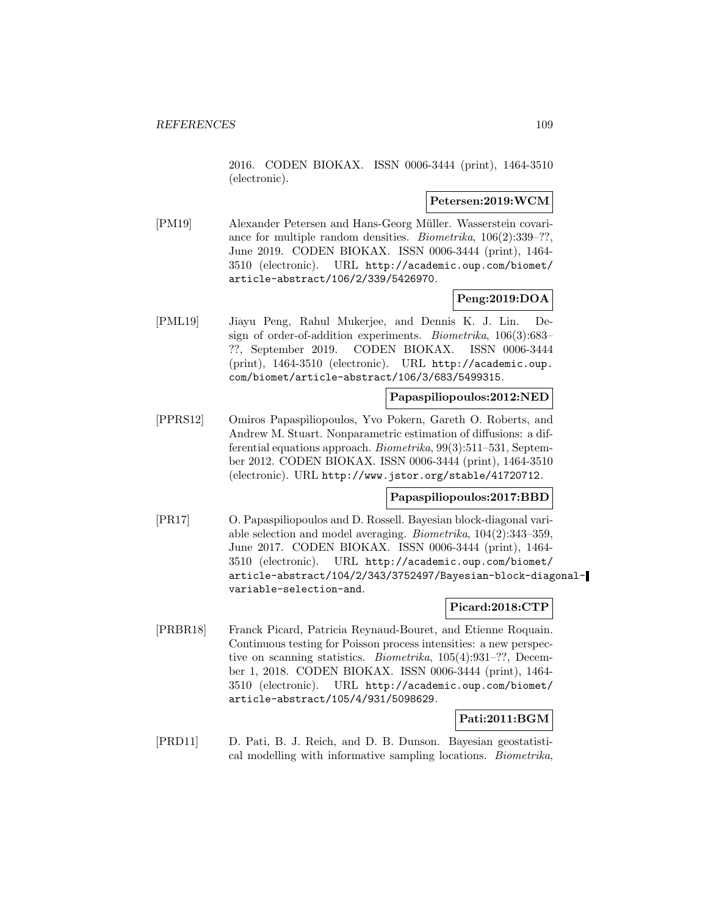2016. CODEN BIOKAX. ISSN 0006-3444 (print), 1464-3510 (electronic).

#### **Petersen:2019:WCM**

[PM19] Alexander Petersen and Hans-Georg Müller. Wasserstein covariance for multiple random densities. Biometrika, 106(2):339–??, June 2019. CODEN BIOKAX. ISSN 0006-3444 (print), 1464- 3510 (electronic). URL http://academic.oup.com/biomet/ article-abstract/106/2/339/5426970.

### **Peng:2019:DOA**

[PML19] Jiayu Peng, Rahul Mukerjee, and Dennis K. J. Lin. Design of order-of-addition experiments. Biometrika, 106(3):683– ??, September 2019. CODEN BIOKAX. ISSN 0006-3444 (print), 1464-3510 (electronic). URL http://academic.oup. com/biomet/article-abstract/106/3/683/5499315.

### **Papaspiliopoulos:2012:NED**

[PPRS12] Omiros Papaspiliopoulos, Yvo Pokern, Gareth O. Roberts, and Andrew M. Stuart. Nonparametric estimation of diffusions: a differential equations approach. Biometrika, 99(3):511–531, September 2012. CODEN BIOKAX. ISSN 0006-3444 (print), 1464-3510 (electronic). URL http://www.jstor.org/stable/41720712.

### **Papaspiliopoulos:2017:BBD**

[PR17] O. Papaspiliopoulos and D. Rossell. Bayesian block-diagonal variable selection and model averaging. Biometrika, 104(2):343–359, June 2017. CODEN BIOKAX. ISSN 0006-3444 (print), 1464- 3510 (electronic). URL http://academic.oup.com/biomet/ article-abstract/104/2/343/3752497/Bayesian-block-diagonalvariable-selection-and.

#### **Picard:2018:CTP**

[PRBR18] Franck Picard, Patricia Reynaud-Bouret, and Etienne Roquain. Continuous testing for Poisson process intensities: a new perspective on scanning statistics. Biometrika, 105(4):931–??, December 1, 2018. CODEN BIOKAX. ISSN 0006-3444 (print), 1464- 3510 (electronic). URL http://academic.oup.com/biomet/ article-abstract/105/4/931/5098629.

#### **Pati:2011:BGM**

[PRD11] D. Pati, B. J. Reich, and D. B. Dunson. Bayesian geostatistical modelling with informative sampling locations. Biometrika,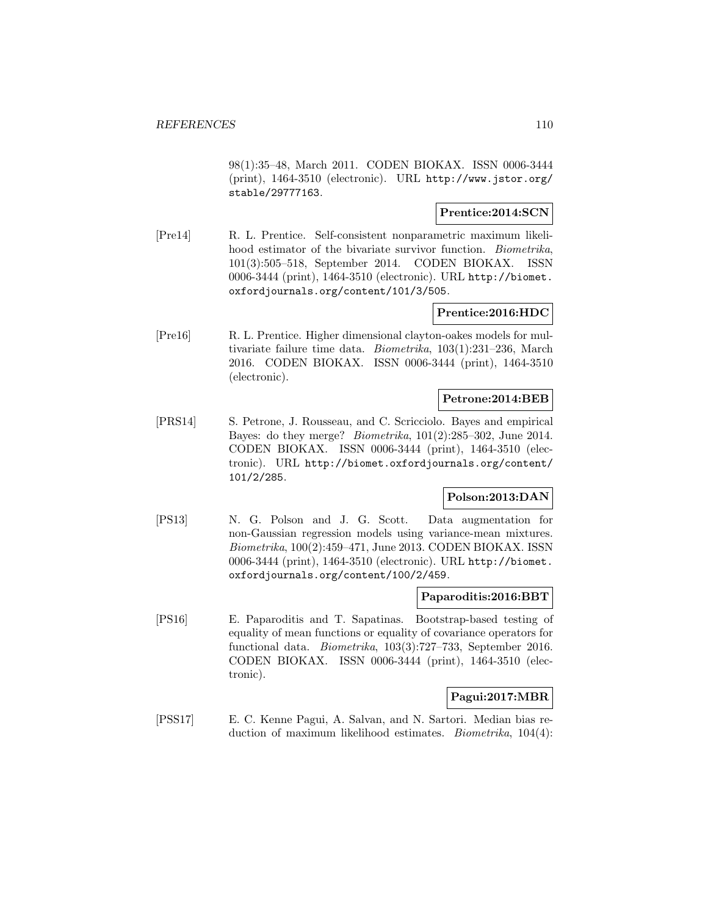98(1):35–48, March 2011. CODEN BIOKAX. ISSN 0006-3444 (print), 1464-3510 (electronic). URL http://www.jstor.org/ stable/29777163.

### **Prentice:2014:SCN**

[Pre14] R. L. Prentice. Self-consistent nonparametric maximum likelihood estimator of the bivariate survivor function. *Biometrika*, 101(3):505–518, September 2014. CODEN BIOKAX. ISSN 0006-3444 (print), 1464-3510 (electronic). URL http://biomet. oxfordjournals.org/content/101/3/505.

### **Prentice:2016:HDC**

[Pre16] R. L. Prentice. Higher dimensional clayton-oakes models for multivariate failure time data. Biometrika, 103(1):231–236, March 2016. CODEN BIOKAX. ISSN 0006-3444 (print), 1464-3510 (electronic).

### **Petrone:2014:BEB**

[PRS14] S. Petrone, J. Rousseau, and C. Scricciolo. Bayes and empirical Bayes: do they merge? Biometrika, 101(2):285–302, June 2014. CODEN BIOKAX. ISSN 0006-3444 (print), 1464-3510 (electronic). URL http://biomet.oxfordjournals.org/content/ 101/2/285.

### **Polson:2013:DAN**

[PS13] N. G. Polson and J. G. Scott. Data augmentation for non-Gaussian regression models using variance-mean mixtures. Biometrika, 100(2):459–471, June 2013. CODEN BIOKAX. ISSN 0006-3444 (print), 1464-3510 (electronic). URL http://biomet. oxfordjournals.org/content/100/2/459.

#### **Paparoditis:2016:BBT**

[PS16] E. Paparoditis and T. Sapatinas. Bootstrap-based testing of equality of mean functions or equality of covariance operators for functional data. Biometrika, 103(3):727–733, September 2016. CODEN BIOKAX. ISSN 0006-3444 (print), 1464-3510 (electronic).

#### **Pagui:2017:MBR**

[PSS17] E. C. Kenne Pagui, A. Salvan, and N. Sartori. Median bias reduction of maximum likelihood estimates. Biometrika, 104(4):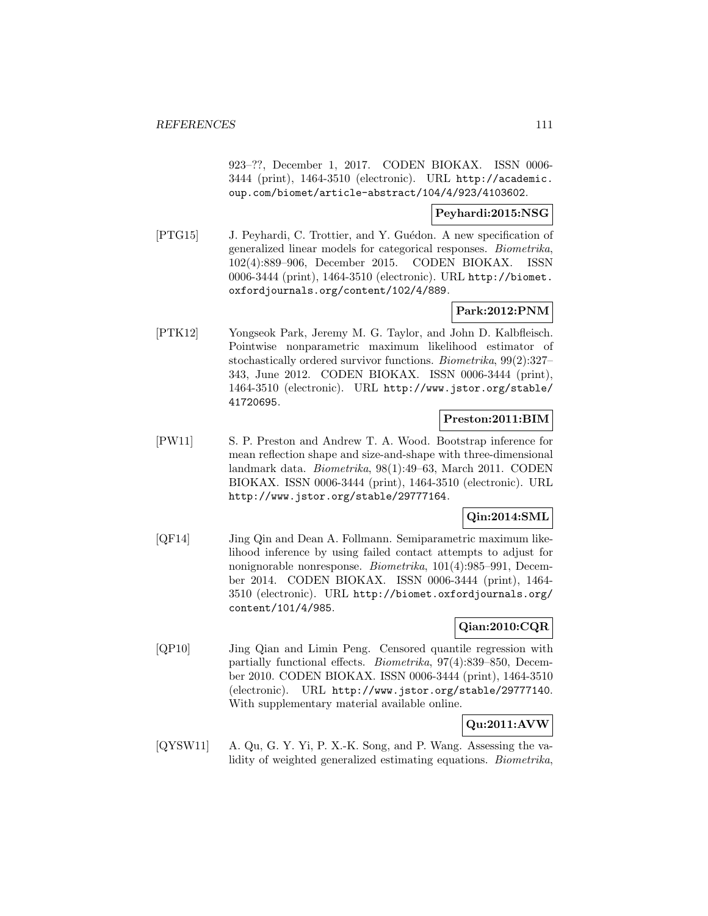923–??, December 1, 2017. CODEN BIOKAX. ISSN 0006- 3444 (print), 1464-3510 (electronic). URL http://academic. oup.com/biomet/article-abstract/104/4/923/4103602.

#### **Peyhardi:2015:NSG**

[PTG15] J. Peyhardi, C. Trottier, and Y. Guédon. A new specification of generalized linear models for categorical responses. Biometrika, 102(4):889–906, December 2015. CODEN BIOKAX. ISSN 0006-3444 (print), 1464-3510 (electronic). URL http://biomet. oxfordjournals.org/content/102/4/889.

### **Park:2012:PNM**

[PTK12] Yongseok Park, Jeremy M. G. Taylor, and John D. Kalbfleisch. Pointwise nonparametric maximum likelihood estimator of stochastically ordered survivor functions. Biometrika, 99(2):327– 343, June 2012. CODEN BIOKAX. ISSN 0006-3444 (print), 1464-3510 (electronic). URL http://www.jstor.org/stable/ 41720695.

## **Preston:2011:BIM**

[PW11] S. P. Preston and Andrew T. A. Wood. Bootstrap inference for mean reflection shape and size-and-shape with three-dimensional landmark data. Biometrika, 98(1):49–63, March 2011. CODEN BIOKAX. ISSN 0006-3444 (print), 1464-3510 (electronic). URL http://www.jstor.org/stable/29777164.

# **Qin:2014:SML**

[QF14] Jing Qin and Dean A. Follmann. Semiparametric maximum likelihood inference by using failed contact attempts to adjust for nonignorable nonresponse. Biometrika, 101(4):985-991, December 2014. CODEN BIOKAX. ISSN 0006-3444 (print), 1464- 3510 (electronic). URL http://biomet.oxfordjournals.org/ content/101/4/985.

### **Qian:2010:CQR**

[QP10] Jing Qian and Limin Peng. Censored quantile regression with partially functional effects. Biometrika, 97(4):839–850, December 2010. CODEN BIOKAX. ISSN 0006-3444 (print), 1464-3510 (electronic). URL http://www.jstor.org/stable/29777140. With supplementary material available online.

# **Qu:2011:AVW**

[QYSW11] A. Qu, G. Y. Yi, P. X.-K. Song, and P. Wang. Assessing the validity of weighted generalized estimating equations. Biometrika,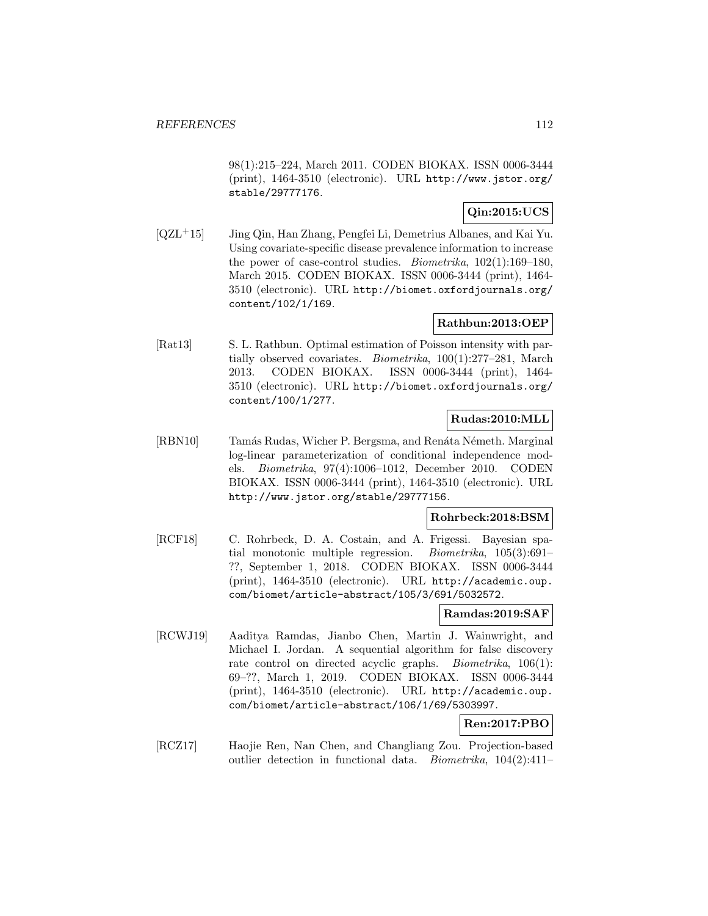98(1):215–224, March 2011. CODEN BIOKAX. ISSN 0006-3444 (print), 1464-3510 (electronic). URL http://www.jstor.org/ stable/29777176.

# **Qin:2015:UCS**

[QZL<sup>+</sup>15] Jing Qin, Han Zhang, Pengfei Li, Demetrius Albanes, and Kai Yu. Using covariate-specific disease prevalence information to increase the power of case-control studies. Biometrika, 102(1):169–180, March 2015. CODEN BIOKAX. ISSN 0006-3444 (print), 1464- 3510 (electronic). URL http://biomet.oxfordjournals.org/ content/102/1/169.

### **Rathbun:2013:OEP**

[Rat13] S. L. Rathbun. Optimal estimation of Poisson intensity with partially observed covariates. Biometrika, 100(1):277–281, March 2013. CODEN BIOKAX. ISSN 0006-3444 (print), 1464- 3510 (electronic). URL http://biomet.oxfordjournals.org/ content/100/1/277.

## **Rudas:2010:MLL**

[RBN10] Tamás Rudas, Wicher P. Bergsma, and Renáta Németh. Marginal log-linear parameterization of conditional independence models. Biometrika, 97(4):1006–1012, December 2010. CODEN BIOKAX. ISSN 0006-3444 (print), 1464-3510 (electronic). URL http://www.jstor.org/stable/29777156.

#### **Rohrbeck:2018:BSM**

[RCF18] C. Rohrbeck, D. A. Costain, and A. Frigessi. Bayesian spatial monotonic multiple regression. Biometrika, 105(3):691– ??, September 1, 2018. CODEN BIOKAX. ISSN 0006-3444 (print), 1464-3510 (electronic). URL http://academic.oup. com/biomet/article-abstract/105/3/691/5032572.

#### **Ramdas:2019:SAF**

[RCWJ19] Aaditya Ramdas, Jianbo Chen, Martin J. Wainwright, and Michael I. Jordan. A sequential algorithm for false discovery rate control on directed acyclic graphs. *Biometrika*, 106(1): 69–??, March 1, 2019. CODEN BIOKAX. ISSN 0006-3444 (print), 1464-3510 (electronic). URL http://academic.oup. com/biomet/article-abstract/106/1/69/5303997.

## **Ren:2017:PBO**

[RCZ17] Haojie Ren, Nan Chen, and Changliang Zou. Projection-based outlier detection in functional data. Biometrika, 104(2):411–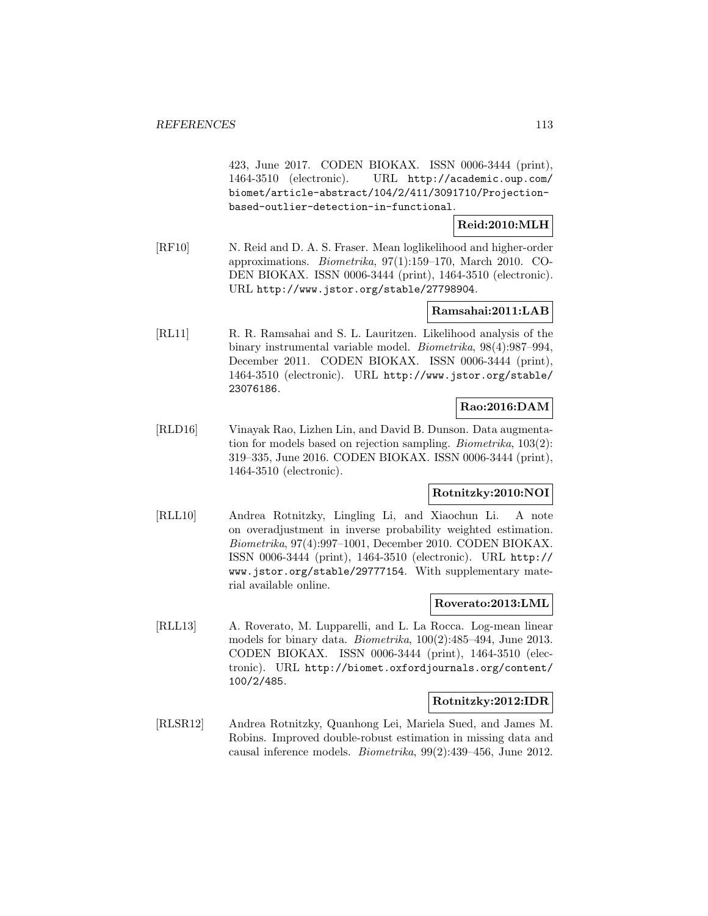423, June 2017. CODEN BIOKAX. ISSN 0006-3444 (print), 1464-3510 (electronic). URL http://academic.oup.com/ biomet/article-abstract/104/2/411/3091710/Projectionbased-outlier-detection-in-functional.

#### **Reid:2010:MLH**

[RF10] N. Reid and D. A. S. Fraser. Mean loglikelihood and higher-order approximations. Biometrika, 97(1):159–170, March 2010. CO-DEN BIOKAX. ISSN 0006-3444 (print), 1464-3510 (electronic). URL http://www.jstor.org/stable/27798904.

### **Ramsahai:2011:LAB**

[RL11] R. R. Ramsahai and S. L. Lauritzen. Likelihood analysis of the binary instrumental variable model. Biometrika, 98(4):987–994, December 2011. CODEN BIOKAX. ISSN 0006-3444 (print), 1464-3510 (electronic). URL http://www.jstor.org/stable/ 23076186.

## **Rao:2016:DAM**

[RLD16] Vinayak Rao, Lizhen Lin, and David B. Dunson. Data augmentation for models based on rejection sampling. Biometrika, 103(2): 319–335, June 2016. CODEN BIOKAX. ISSN 0006-3444 (print), 1464-3510 (electronic).

#### **Rotnitzky:2010:NOI**

[RLL10] Andrea Rotnitzky, Lingling Li, and Xiaochun Li. A note on overadjustment in inverse probability weighted estimation. Biometrika, 97(4):997–1001, December 2010. CODEN BIOKAX. ISSN 0006-3444 (print), 1464-3510 (electronic). URL http:// www.jstor.org/stable/29777154. With supplementary material available online.

#### **Roverato:2013:LML**

[RLL13] A. Roverato, M. Lupparelli, and L. La Rocca. Log-mean linear models for binary data. *Biometrika*, 100(2):485–494, June 2013. CODEN BIOKAX. ISSN 0006-3444 (print), 1464-3510 (electronic). URL http://biomet.oxfordjournals.org/content/ 100/2/485.

#### **Rotnitzky:2012:IDR**

[RLSR12] Andrea Rotnitzky, Quanhong Lei, Mariela Sued, and James M. Robins. Improved double-robust estimation in missing data and causal inference models. Biometrika, 99(2):439–456, June 2012.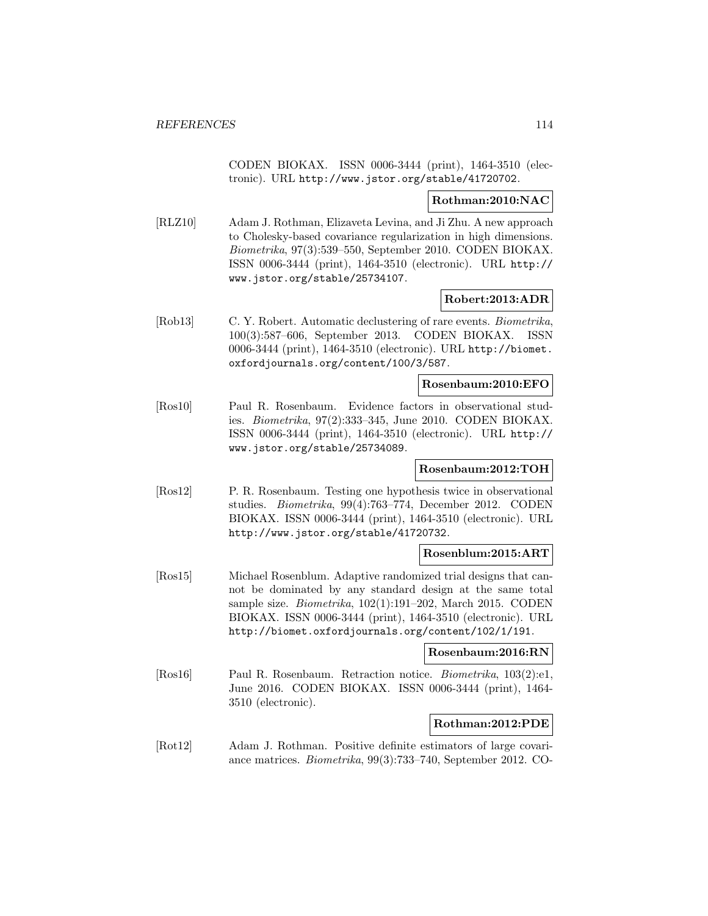CODEN BIOKAX. ISSN 0006-3444 (print), 1464-3510 (electronic). URL http://www.jstor.org/stable/41720702.

#### **Rothman:2010:NAC**

[RLZ10] Adam J. Rothman, Elizaveta Levina, and Ji Zhu. A new approach to Cholesky-based covariance regularization in high dimensions. Biometrika, 97(3):539–550, September 2010. CODEN BIOKAX. ISSN 0006-3444 (print), 1464-3510 (electronic). URL http:// www.jstor.org/stable/25734107.

#### **Robert:2013:ADR**

[Rob13] C. Y. Robert. Automatic declustering of rare events. Biometrika, 100(3):587–606, September 2013. CODEN BIOKAX. ISSN 0006-3444 (print), 1464-3510 (electronic). URL http://biomet. oxfordjournals.org/content/100/3/587.

### **Rosenbaum:2010:EFO**

[Ros10] Paul R. Rosenbaum. Evidence factors in observational studies. Biometrika, 97(2):333–345, June 2010. CODEN BIOKAX. ISSN 0006-3444 (print), 1464-3510 (electronic). URL http:// www.jstor.org/stable/25734089.

#### **Rosenbaum:2012:TOH**

[Ros12] P. R. Rosenbaum. Testing one hypothesis twice in observational studies. Biometrika, 99(4):763–774, December 2012. CODEN BIOKAX. ISSN 0006-3444 (print), 1464-3510 (electronic). URL http://www.jstor.org/stable/41720732.

#### **Rosenblum:2015:ART**

[Ros15] Michael Rosenblum. Adaptive randomized trial designs that cannot be dominated by any standard design at the same total sample size. Biometrika, 102(1):191–202, March 2015. CODEN BIOKAX. ISSN 0006-3444 (print), 1464-3510 (electronic). URL http://biomet.oxfordjournals.org/content/102/1/191.

#### **Rosenbaum:2016:RN**

[Ros16] Paul R. Rosenbaum. Retraction notice. Biometrika, 103(2):e1, June 2016. CODEN BIOKAX. ISSN 0006-3444 (print), 1464- 3510 (electronic).

### **Rothman:2012:PDE**

[Rot12] Adam J. Rothman. Positive definite estimators of large covariance matrices. Biometrika, 99(3):733–740, September 2012. CO-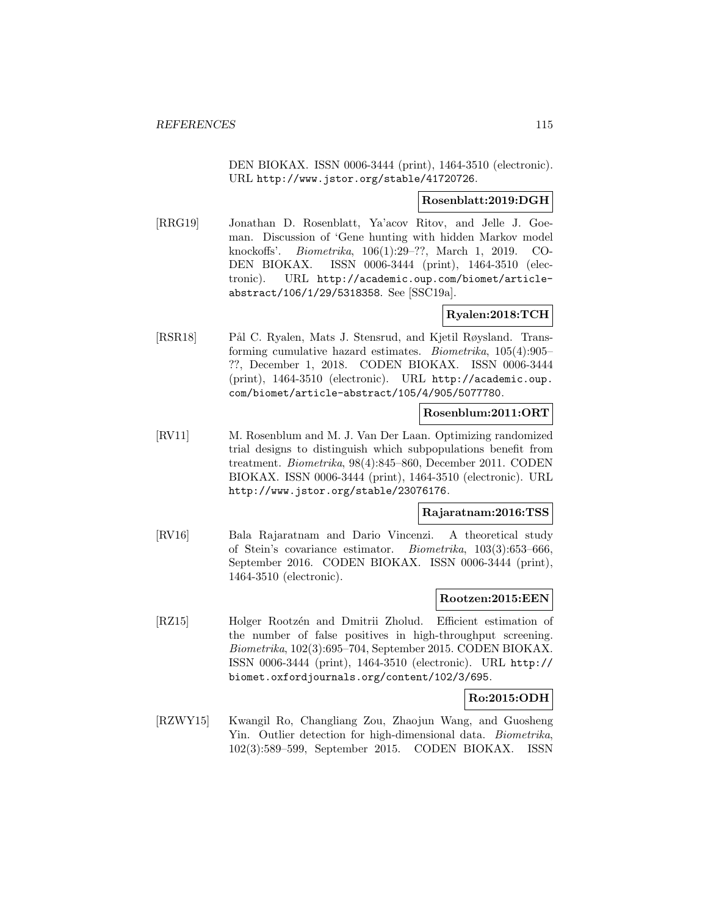DEN BIOKAX. ISSN 0006-3444 (print), 1464-3510 (electronic). URL http://www.jstor.org/stable/41720726.

#### **Rosenblatt:2019:DGH**

[RRG19] Jonathan D. Rosenblatt, Ya'acov Ritov, and Jelle J. Goeman. Discussion of 'Gene hunting with hidden Markov model knockoffs'. Biometrika, 106(1):29–??, March 1, 2019. CO-DEN BIOKAX. ISSN 0006-3444 (print), 1464-3510 (electronic). URL http://academic.oup.com/biomet/articleabstract/106/1/29/5318358. See [SSC19a].

## **Ryalen:2018:TCH**

[RSR18] Pål C. Ryalen, Mats J. Stensrud, and Kjetil Røysland. Transforming cumulative hazard estimates. Biometrika, 105(4):905– ??, December 1, 2018. CODEN BIOKAX. ISSN 0006-3444 (print), 1464-3510 (electronic). URL http://academic.oup. com/biomet/article-abstract/105/4/905/5077780.

#### **Rosenblum:2011:ORT**

[RV11] M. Rosenblum and M. J. Van Der Laan. Optimizing randomized trial designs to distinguish which subpopulations benefit from treatment. Biometrika, 98(4):845–860, December 2011. CODEN BIOKAX. ISSN 0006-3444 (print), 1464-3510 (electronic). URL http://www.jstor.org/stable/23076176.

#### **Rajaratnam:2016:TSS**

[RV16] Bala Rajaratnam and Dario Vincenzi. A theoretical study of Stein's covariance estimator. Biometrika, 103(3):653–666, September 2016. CODEN BIOKAX. ISSN 0006-3444 (print), 1464-3510 (electronic).

#### **Rootzen:2015:EEN**

[RZ15] Holger Rootzén and Dmitrii Zholud. Efficient estimation of the number of false positives in high-throughput screening. Biometrika, 102(3):695–704, September 2015. CODEN BIOKAX. ISSN 0006-3444 (print), 1464-3510 (electronic). URL http:// biomet.oxfordjournals.org/content/102/3/695.

## **Ro:2015:ODH**

[RZWY15] Kwangil Ro, Changliang Zou, Zhaojun Wang, and Guosheng Yin. Outlier detection for high-dimensional data. Biometrika, 102(3):589–599, September 2015. CODEN BIOKAX. ISSN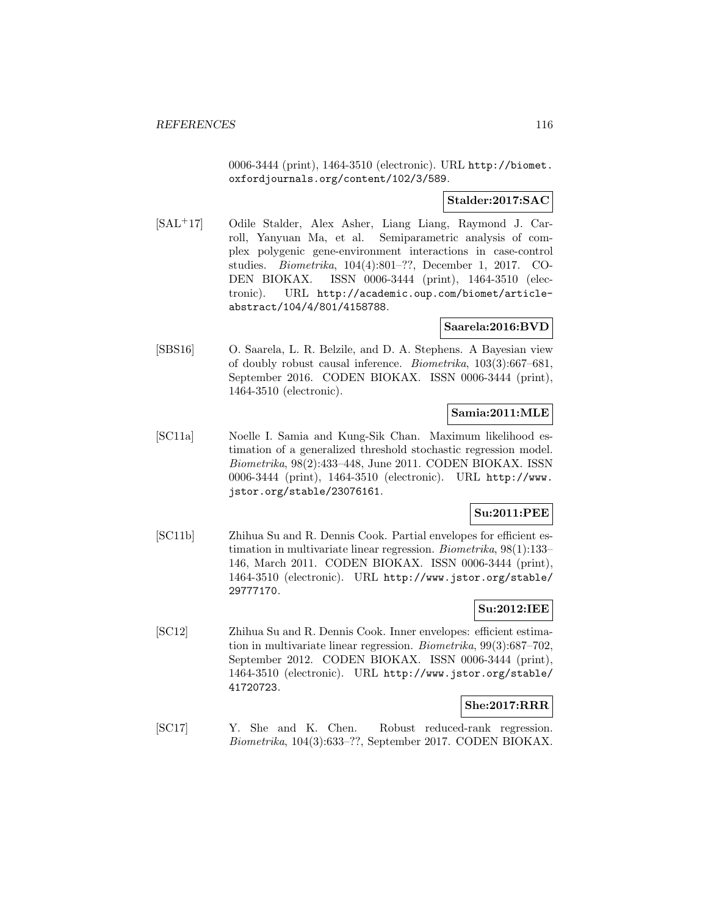0006-3444 (print), 1464-3510 (electronic). URL http://biomet. oxfordjournals.org/content/102/3/589.

### **Stalder:2017:SAC**

[SAL<sup>+</sup>17] Odile Stalder, Alex Asher, Liang Liang, Raymond J. Carroll, Yanyuan Ma, et al. Semiparametric analysis of complex polygenic gene-environment interactions in case-control studies. Biometrika, 104(4):801–??, December 1, 2017. CO-DEN BIOKAX. ISSN 0006-3444 (print), 1464-3510 (electronic). URL http://academic.oup.com/biomet/articleabstract/104/4/801/4158788.

#### **Saarela:2016:BVD**

[SBS16] O. Saarela, L. R. Belzile, and D. A. Stephens. A Bayesian view of doubly robust causal inference. Biometrika, 103(3):667–681, September 2016. CODEN BIOKAX. ISSN 0006-3444 (print), 1464-3510 (electronic).

#### **Samia:2011:MLE**

[SC11a] Noelle I. Samia and Kung-Sik Chan. Maximum likelihood estimation of a generalized threshold stochastic regression model. Biometrika, 98(2):433–448, June 2011. CODEN BIOKAX. ISSN 0006-3444 (print), 1464-3510 (electronic). URL http://www. jstor.org/stable/23076161.

### **Su:2011:PEE**

[SC11b] Zhihua Su and R. Dennis Cook. Partial envelopes for efficient estimation in multivariate linear regression. Biometrika, 98(1):133– 146, March 2011. CODEN BIOKAX. ISSN 0006-3444 (print), 1464-3510 (electronic). URL http://www.jstor.org/stable/ 29777170.

### **Su:2012:IEE**

[SC12] Zhihua Su and R. Dennis Cook. Inner envelopes: efficient estimation in multivariate linear regression. Biometrika, 99(3):687–702, September 2012. CODEN BIOKAX. ISSN 0006-3444 (print), 1464-3510 (electronic). URL http://www.jstor.org/stable/ 41720723.

#### **She:2017:RRR**

[SC17] Y. She and K. Chen. Robust reduced-rank regression. Biometrika, 104(3):633–??, September 2017. CODEN BIOKAX.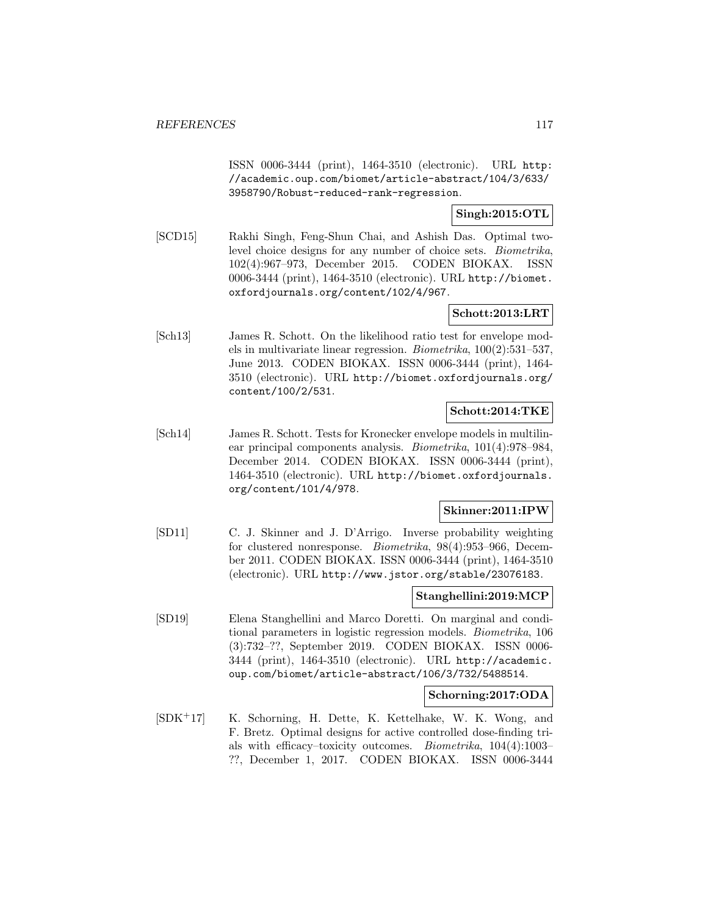ISSN 0006-3444 (print), 1464-3510 (electronic). URL http: //academic.oup.com/biomet/article-abstract/104/3/633/ 3958790/Robust-reduced-rank-regression.

## **Singh:2015:OTL**

[SCD15] Rakhi Singh, Feng-Shun Chai, and Ashish Das. Optimal twolevel choice designs for any number of choice sets. Biometrika, 102(4):967–973, December 2015. CODEN BIOKAX. ISSN 0006-3444 (print), 1464-3510 (electronic). URL http://biomet. oxfordjournals.org/content/102/4/967.

### **Schott:2013:LRT**

[Sch13] James R. Schott. On the likelihood ratio test for envelope models in multivariate linear regression. Biometrika, 100(2):531–537, June 2013. CODEN BIOKAX. ISSN 0006-3444 (print), 1464- 3510 (electronic). URL http://biomet.oxfordjournals.org/ content/100/2/531.

### **Schott:2014:TKE**

[Sch14] James R. Schott. Tests for Kronecker envelope models in multilinear principal components analysis. Biometrika, 101(4):978–984, December 2014. CODEN BIOKAX. ISSN 0006-3444 (print), 1464-3510 (electronic). URL http://biomet.oxfordjournals. org/content/101/4/978.

#### **Skinner:2011:IPW**

[SD11] C. J. Skinner and J. D'Arrigo. Inverse probability weighting for clustered nonresponse. Biometrika, 98(4):953–966, December 2011. CODEN BIOKAX. ISSN 0006-3444 (print), 1464-3510 (electronic). URL http://www.jstor.org/stable/23076183.

#### **Stanghellini:2019:MCP**

[SD19] Elena Stanghellini and Marco Doretti. On marginal and conditional parameters in logistic regression models. Biometrika, 106 (3):732–??, September 2019. CODEN BIOKAX. ISSN 0006- 3444 (print), 1464-3510 (electronic). URL http://academic. oup.com/biomet/article-abstract/106/3/732/5488514.

#### **Schorning:2017:ODA**

[SDK<sup>+</sup>17] K. Schorning, H. Dette, K. Kettelhake, W. K. Wong, and F. Bretz. Optimal designs for active controlled dose-finding trials with efficacy–toxicity outcomes. Biometrika, 104(4):1003– ??, December 1, 2017. CODEN BIOKAX. ISSN 0006-3444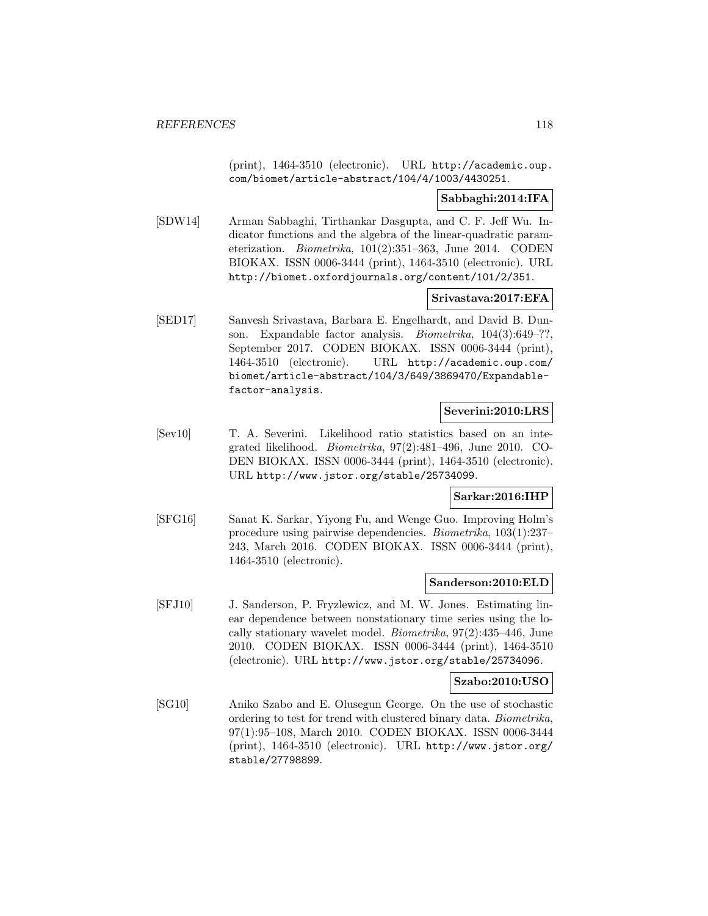(print), 1464-3510 (electronic). URL http://academic.oup. com/biomet/article-abstract/104/4/1003/4430251.

### **Sabbaghi:2014:IFA**

[SDW14] Arman Sabbaghi, Tirthankar Dasgupta, and C. F. Jeff Wu. Indicator functions and the algebra of the linear-quadratic parameterization. Biometrika, 101(2):351–363, June 2014. CODEN BIOKAX. ISSN 0006-3444 (print), 1464-3510 (electronic). URL http://biomet.oxfordjournals.org/content/101/2/351.

#### **Srivastava:2017:EFA**

[SED17] Sanvesh Srivastava, Barbara E. Engelhardt, and David B. Dunson. Expandable factor analysis. *Biometrika*, 104(3):649–??, September 2017. CODEN BIOKAX. ISSN 0006-3444 (print), 1464-3510 (electronic). URL http://academic.oup.com/ biomet/article-abstract/104/3/649/3869470/Expandablefactor-analysis.

### **Severini:2010:LRS**

[Sev10] T. A. Severini. Likelihood ratio statistics based on an integrated likelihood. Biometrika, 97(2):481–496, June 2010. CO-DEN BIOKAX. ISSN 0006-3444 (print), 1464-3510 (electronic). URL http://www.jstor.org/stable/25734099.

#### **Sarkar:2016:IHP**

[SFG16] Sanat K. Sarkar, Yiyong Fu, and Wenge Guo. Improving Holm's procedure using pairwise dependencies. Biometrika, 103(1):237– 243, March 2016. CODEN BIOKAX. ISSN 0006-3444 (print), 1464-3510 (electronic).

#### **Sanderson:2010:ELD**

[SFJ10] J. Sanderson, P. Fryzlewicz, and M. W. Jones. Estimating linear dependence between nonstationary time series using the locally stationary wavelet model. Biometrika, 97(2):435–446, June 2010. CODEN BIOKAX. ISSN 0006-3444 (print), 1464-3510 (electronic). URL http://www.jstor.org/stable/25734096.

#### **Szabo:2010:USO**

[SG10] Aniko Szabo and E. Olusegun George. On the use of stochastic ordering to test for trend with clustered binary data. Biometrika, 97(1):95–108, March 2010. CODEN BIOKAX. ISSN 0006-3444 (print), 1464-3510 (electronic). URL http://www.jstor.org/ stable/27798899.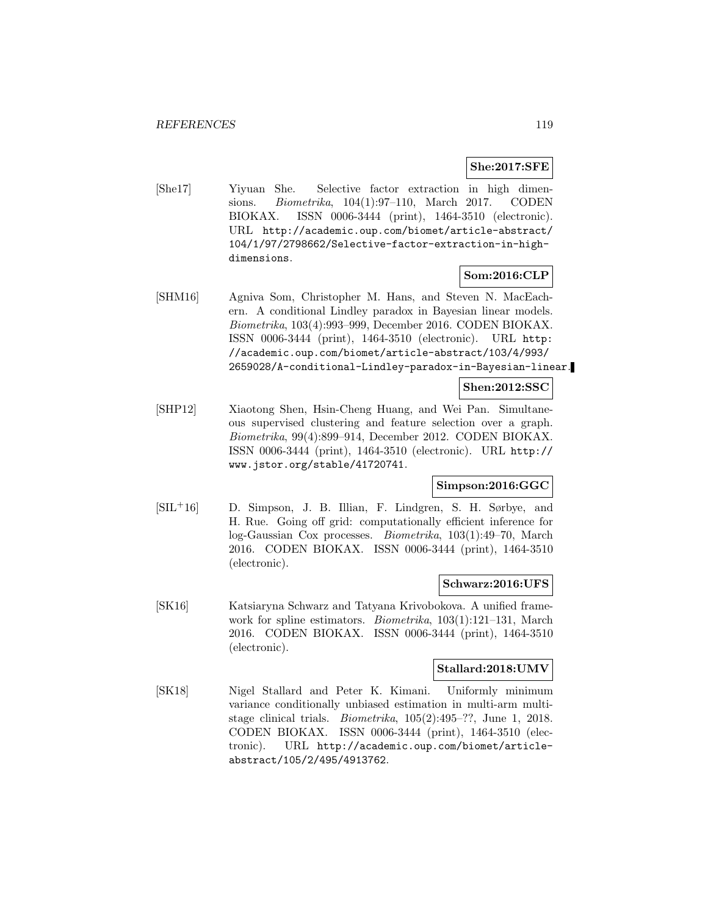### **She:2017:SFE**

[She17] Yiyuan She. Selective factor extraction in high dimensions. Biometrika, 104(1):97–110, March 2017. CODEN BIOKAX. ISSN 0006-3444 (print), 1464-3510 (electronic). URL http://academic.oup.com/biomet/article-abstract/ 104/1/97/2798662/Selective-factor-extraction-in-highdimensions.

### **Som:2016:CLP**

[SHM16] Agniva Som, Christopher M. Hans, and Steven N. MacEachern. A conditional Lindley paradox in Bayesian linear models. Biometrika, 103(4):993–999, December 2016. CODEN BIOKAX. ISSN 0006-3444 (print), 1464-3510 (electronic). URL http: //academic.oup.com/biomet/article-abstract/103/4/993/ 2659028/A-conditional-Lindley-paradox-in-Bayesian-linear.

#### **Shen:2012:SSC**

[SHP12] Xiaotong Shen, Hsin-Cheng Huang, and Wei Pan. Simultaneous supervised clustering and feature selection over a graph. Biometrika, 99(4):899–914, December 2012. CODEN BIOKAX. ISSN 0006-3444 (print), 1464-3510 (electronic). URL http:// www.jstor.org/stable/41720741.

#### **Simpson:2016:GGC**

[SIL<sup>+</sup>16] D. Simpson, J. B. Illian, F. Lindgren, S. H. Sørbye, and H. Rue. Going off grid: computationally efficient inference for log-Gaussian Cox processes. Biometrika, 103(1):49–70, March 2016. CODEN BIOKAX. ISSN 0006-3444 (print), 1464-3510 (electronic).

#### **Schwarz:2016:UFS**

[SK16] Katsiaryna Schwarz and Tatyana Krivobokova. A unified framework for spline estimators. *Biometrika*, 103(1):121–131, March 2016. CODEN BIOKAX. ISSN 0006-3444 (print), 1464-3510 (electronic).

### **Stallard:2018:UMV**

[SK18] Nigel Stallard and Peter K. Kimani. Uniformly minimum variance conditionally unbiased estimation in multi-arm multistage clinical trials. Biometrika, 105(2):495–??, June 1, 2018. CODEN BIOKAX. ISSN 0006-3444 (print), 1464-3510 (electronic). URL http://academic.oup.com/biomet/articleabstract/105/2/495/4913762.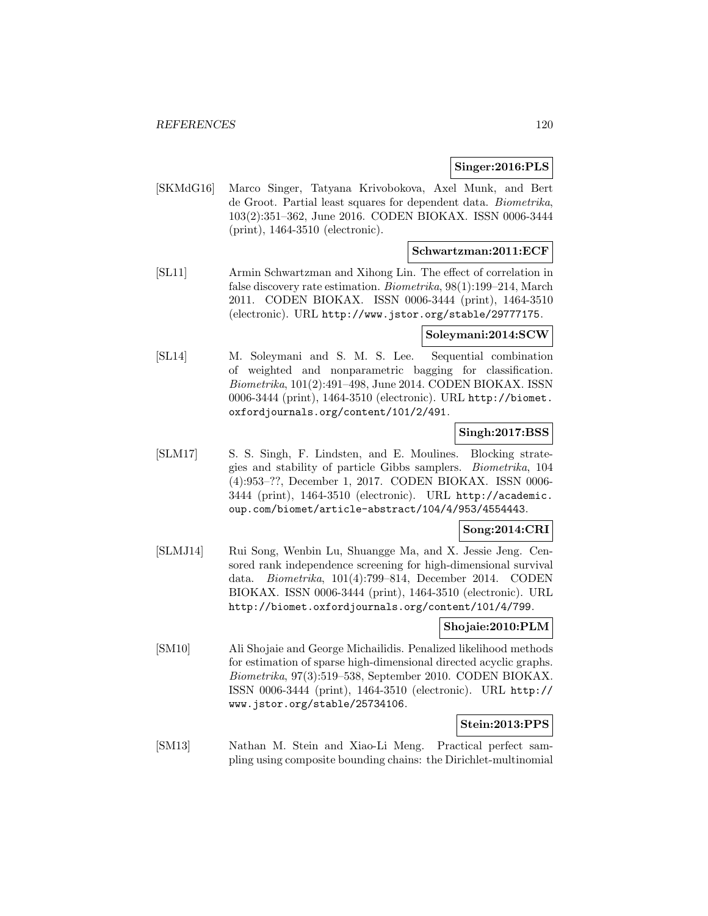### **Singer:2016:PLS**

[SKMdG16] Marco Singer, Tatyana Krivobokova, Axel Munk, and Bert de Groot. Partial least squares for dependent data. Biometrika, 103(2):351–362, June 2016. CODEN BIOKAX. ISSN 0006-3444 (print), 1464-3510 (electronic).

### **Schwartzman:2011:ECF**

[SL11] Armin Schwartzman and Xihong Lin. The effect of correlation in false discovery rate estimation. Biometrika, 98(1):199–214, March 2011. CODEN BIOKAX. ISSN 0006-3444 (print), 1464-3510 (electronic). URL http://www.jstor.org/stable/29777175.

#### **Soleymani:2014:SCW**

[SL14] M. Soleymani and S. M. S. Lee. Sequential combination of weighted and nonparametric bagging for classification. Biometrika, 101(2):491–498, June 2014. CODEN BIOKAX. ISSN 0006-3444 (print), 1464-3510 (electronic). URL http://biomet. oxfordjournals.org/content/101/2/491.

#### **Singh:2017:BSS**

[SLM17] S. S. Singh, F. Lindsten, and E. Moulines. Blocking strategies and stability of particle Gibbs samplers. Biometrika, 104 (4):953–??, December 1, 2017. CODEN BIOKAX. ISSN 0006- 3444 (print), 1464-3510 (electronic). URL http://academic. oup.com/biomet/article-abstract/104/4/953/4554443.

### **Song:2014:CRI**

[SLMJ14] Rui Song, Wenbin Lu, Shuangge Ma, and X. Jessie Jeng. Censored rank independence screening for high-dimensional survival data. Biometrika, 101(4):799–814, December 2014. CODEN BIOKAX. ISSN 0006-3444 (print), 1464-3510 (electronic). URL http://biomet.oxfordjournals.org/content/101/4/799.

### **Shojaie:2010:PLM**

[SM10] Ali Shojaie and George Michailidis. Penalized likelihood methods for estimation of sparse high-dimensional directed acyclic graphs. Biometrika, 97(3):519–538, September 2010. CODEN BIOKAX. ISSN 0006-3444 (print), 1464-3510 (electronic). URL http:// www.jstor.org/stable/25734106.

#### **Stein:2013:PPS**

[SM13] Nathan M. Stein and Xiao-Li Meng. Practical perfect sampling using composite bounding chains: the Dirichlet-multinomial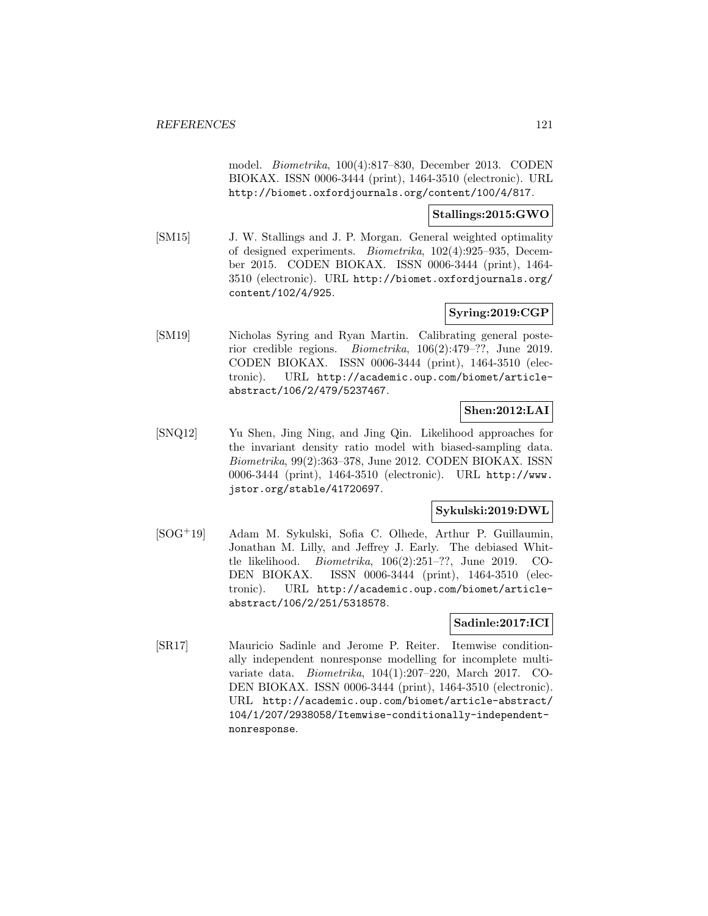model. Biometrika, 100(4):817–830, December 2013. CODEN BIOKAX. ISSN 0006-3444 (print), 1464-3510 (electronic). URL http://biomet.oxfordjournals.org/content/100/4/817.

#### **Stallings:2015:GWO**

[SM15] J. W. Stallings and J. P. Morgan. General weighted optimality of designed experiments. Biometrika, 102(4):925–935, December 2015. CODEN BIOKAX. ISSN 0006-3444 (print), 1464- 3510 (electronic). URL http://biomet.oxfordjournals.org/ content/102/4/925.

### **Syring:2019:CGP**

[SM19] Nicholas Syring and Ryan Martin. Calibrating general posterior credible regions. Biometrika, 106(2):479–??, June 2019. CODEN BIOKAX. ISSN 0006-3444 (print), 1464-3510 (electronic). URL http://academic.oup.com/biomet/articleabstract/106/2/479/5237467.

# **Shen:2012:LAI**

[SNQ12] Yu Shen, Jing Ning, and Jing Qin. Likelihood approaches for the invariant density ratio model with biased-sampling data. Biometrika, 99(2):363–378, June 2012. CODEN BIOKAX. ISSN 0006-3444 (print), 1464-3510 (electronic). URL http://www. jstor.org/stable/41720697.

### **Sykulski:2019:DWL**

[SOG<sup>+</sup>19] Adam M. Sykulski, Sofia C. Olhede, Arthur P. Guillaumin, Jonathan M. Lilly, and Jeffrey J. Early. The debiased Whittle likelihood. Biometrika, 106(2):251–??, June 2019. CO-DEN BIOKAX. ISSN 0006-3444 (print), 1464-3510 (electronic). URL http://academic.oup.com/biomet/articleabstract/106/2/251/5318578.

#### **Sadinle:2017:ICI**

[SR17] Mauricio Sadinle and Jerome P. Reiter. Itemwise conditionally independent nonresponse modelling for incomplete multivariate data. Biometrika, 104(1):207–220, March 2017. CO-DEN BIOKAX. ISSN 0006-3444 (print), 1464-3510 (electronic). URL http://academic.oup.com/biomet/article-abstract/ 104/1/207/2938058/Itemwise-conditionally-independentnonresponse.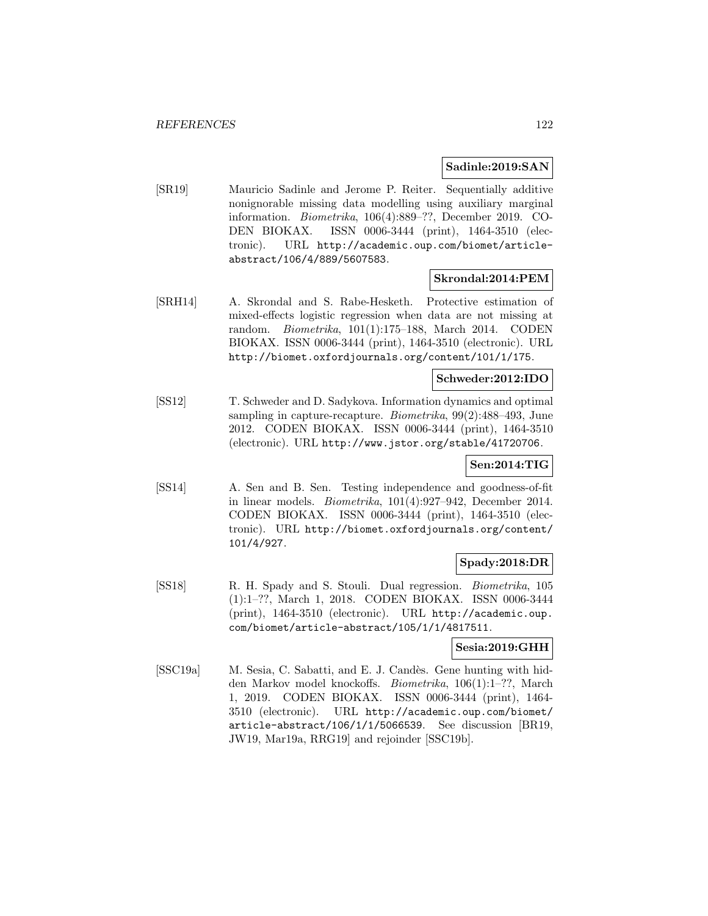#### **Sadinle:2019:SAN**

[SR19] Mauricio Sadinle and Jerome P. Reiter. Sequentially additive nonignorable missing data modelling using auxiliary marginal information. Biometrika, 106(4):889–??, December 2019. CO-DEN BIOKAX. ISSN 0006-3444 (print), 1464-3510 (electronic). URL http://academic.oup.com/biomet/articleabstract/106/4/889/5607583.

### **Skrondal:2014:PEM**

[SRH14] A. Skrondal and S. Rabe-Hesketh. Protective estimation of mixed-effects logistic regression when data are not missing at random. Biometrika, 101(1):175–188, March 2014. CODEN BIOKAX. ISSN 0006-3444 (print), 1464-3510 (electronic). URL http://biomet.oxfordjournals.org/content/101/1/175.

## **Schweder:2012:IDO**

[SS12] T. Schweder and D. Sadykova. Information dynamics and optimal sampling in capture-recapture. Biometrika, 99(2):488–493, June 2012. CODEN BIOKAX. ISSN 0006-3444 (print), 1464-3510 (electronic). URL http://www.jstor.org/stable/41720706.

### **Sen:2014:TIG**

[SS14] A. Sen and B. Sen. Testing independence and goodness-of-fit in linear models. Biometrika, 101(4):927–942, December 2014. CODEN BIOKAX. ISSN 0006-3444 (print), 1464-3510 (electronic). URL http://biomet.oxfordjournals.org/content/ 101/4/927.

### **Spady:2018:DR**

[SS18] R. H. Spady and S. Stouli. Dual regression. Biometrika, 105 (1):1–??, March 1, 2018. CODEN BIOKAX. ISSN 0006-3444 (print), 1464-3510 (electronic). URL http://academic.oup. com/biomet/article-abstract/105/1/1/4817511.

## **Sesia:2019:GHH**

[SSC19a] M. Sesia, C. Sabatti, and E. J. Candès. Gene hunting with hidden Markov model knockoffs. Biometrika, 106(1):1–??, March 1, 2019. CODEN BIOKAX. ISSN 0006-3444 (print), 1464- 3510 (electronic). URL http://academic.oup.com/biomet/ article-abstract/106/1/1/5066539. See discussion [BR19, JW19, Mar19a, RRG19] and rejoinder [SSC19b].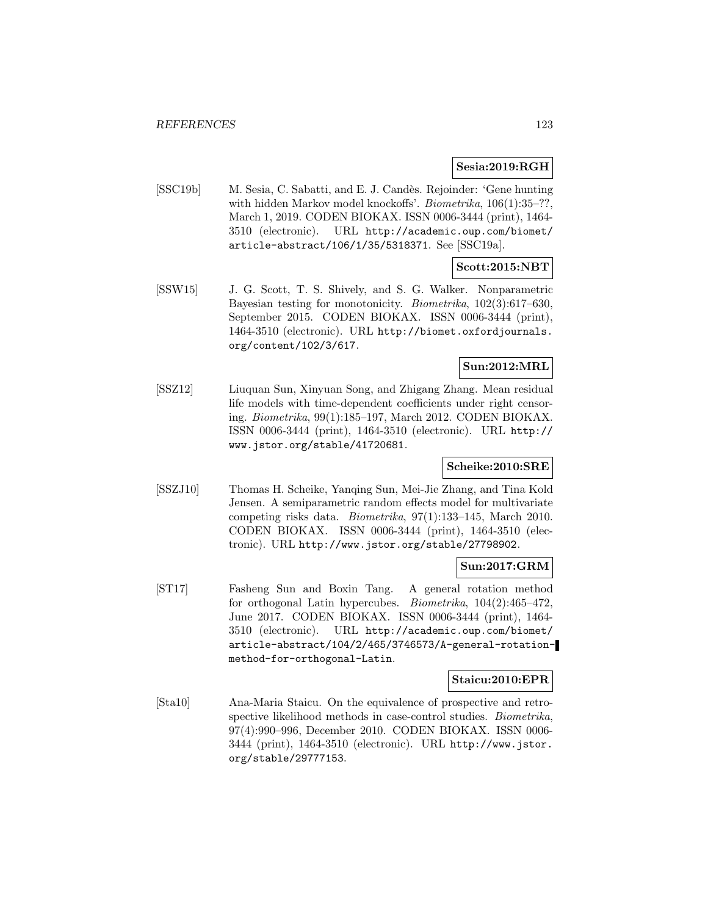#### **Sesia:2019:RGH**

[SSC19b] M. Sesia, C. Sabatti, and E. J. Candès. Rejoinder: 'Gene hunting with hidden Markov model knockoffs'. *Biometrika*,  $106(1):35-??$ , March 1, 2019. CODEN BIOKAX. ISSN 0006-3444 (print), 1464- 3510 (electronic). URL http://academic.oup.com/biomet/ article-abstract/106/1/35/5318371. See [SSC19a].

# **Scott:2015:NBT**

[SSW15] J. G. Scott, T. S. Shively, and S. G. Walker. Nonparametric Bayesian testing for monotonicity. Biometrika, 102(3):617–630, September 2015. CODEN BIOKAX. ISSN 0006-3444 (print), 1464-3510 (electronic). URL http://biomet.oxfordjournals. org/content/102/3/617.

### **Sun:2012:MRL**

[SSZ12] Liuquan Sun, Xinyuan Song, and Zhigang Zhang. Mean residual life models with time-dependent coefficients under right censoring. Biometrika, 99(1):185–197, March 2012. CODEN BIOKAX. ISSN 0006-3444 (print), 1464-3510 (electronic). URL http:// www.jstor.org/stable/41720681.

#### **Scheike:2010:SRE**

[SSZJ10] Thomas H. Scheike, Yanqing Sun, Mei-Jie Zhang, and Tina Kold Jensen. A semiparametric random effects model for multivariate competing risks data. Biometrika, 97(1):133–145, March 2010. CODEN BIOKAX. ISSN 0006-3444 (print), 1464-3510 (electronic). URL http://www.jstor.org/stable/27798902.

#### **Sun:2017:GRM**

[ST17] Fasheng Sun and Boxin Tang. A general rotation method for orthogonal Latin hypercubes. Biometrika, 104(2):465–472, June 2017. CODEN BIOKAX. ISSN 0006-3444 (print), 1464- 3510 (electronic). URL http://academic.oup.com/biomet/ article-abstract/104/2/465/3746573/A-general-rotationmethod-for-orthogonal-Latin.

#### **Staicu:2010:EPR**

[Sta10] Ana-Maria Staicu. On the equivalence of prospective and retrospective likelihood methods in case-control studies. Biometrika, 97(4):990–996, December 2010. CODEN BIOKAX. ISSN 0006- 3444 (print), 1464-3510 (electronic). URL http://www.jstor. org/stable/29777153.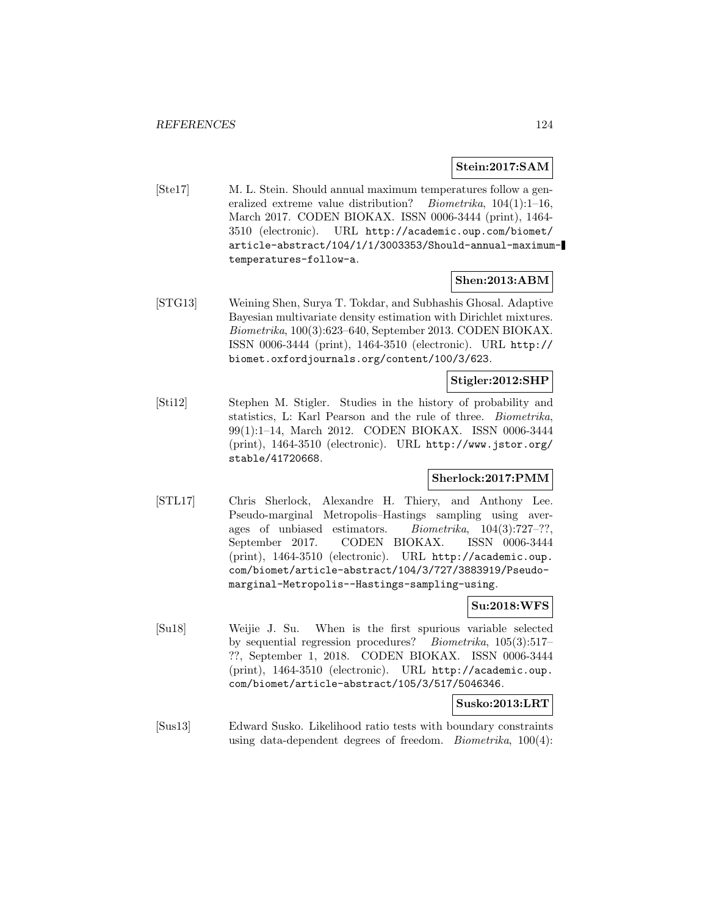#### **Stein:2017:SAM**

[Ste17] M. L. Stein. Should annual maximum temperatures follow a generalized extreme value distribution? *Biometrika*, 104(1):1-16, March 2017. CODEN BIOKAX. ISSN 0006-3444 (print), 1464- 3510 (electronic). URL http://academic.oup.com/biomet/ article-abstract/104/1/1/3003353/Should-annual-maximumtemperatures-follow-a.

#### **Shen:2013:ABM**

[STG13] Weining Shen, Surya T. Tokdar, and Subhashis Ghosal. Adaptive Bayesian multivariate density estimation with Dirichlet mixtures. Biometrika, 100(3):623–640, September 2013. CODEN BIOKAX. ISSN 0006-3444 (print), 1464-3510 (electronic). URL http:// biomet.oxfordjournals.org/content/100/3/623.

### **Stigler:2012:SHP**

[Sti12] Stephen M. Stigler. Studies in the history of probability and statistics, L: Karl Pearson and the rule of three. Biometrika, 99(1):1–14, March 2012. CODEN BIOKAX. ISSN 0006-3444 (print), 1464-3510 (electronic). URL http://www.jstor.org/ stable/41720668.

### **Sherlock:2017:PMM**

[STL17] Chris Sherlock, Alexandre H. Thiery, and Anthony Lee. Pseudo-marginal Metropolis–Hastings sampling using averages of unbiased estimators. Biometrika, 104(3):727–??, September 2017. CODEN BIOKAX. ISSN 0006-3444 (print), 1464-3510 (electronic). URL http://academic.oup. com/biomet/article-abstract/104/3/727/3883919/Pseudomarginal-Metropolis--Hastings-sampling-using.

## **Su:2018:WFS**

[Su18] Weijie J. Su. When is the first spurious variable selected by sequential regression procedures? Biometrika, 105(3):517– ??, September 1, 2018. CODEN BIOKAX. ISSN 0006-3444 (print), 1464-3510 (electronic). URL http://academic.oup. com/biomet/article-abstract/105/3/517/5046346.

**Susko:2013:LRT**

[Sus13] Edward Susko. Likelihood ratio tests with boundary constraints using data-dependent degrees of freedom. *Biometrika*,  $100(4)$ :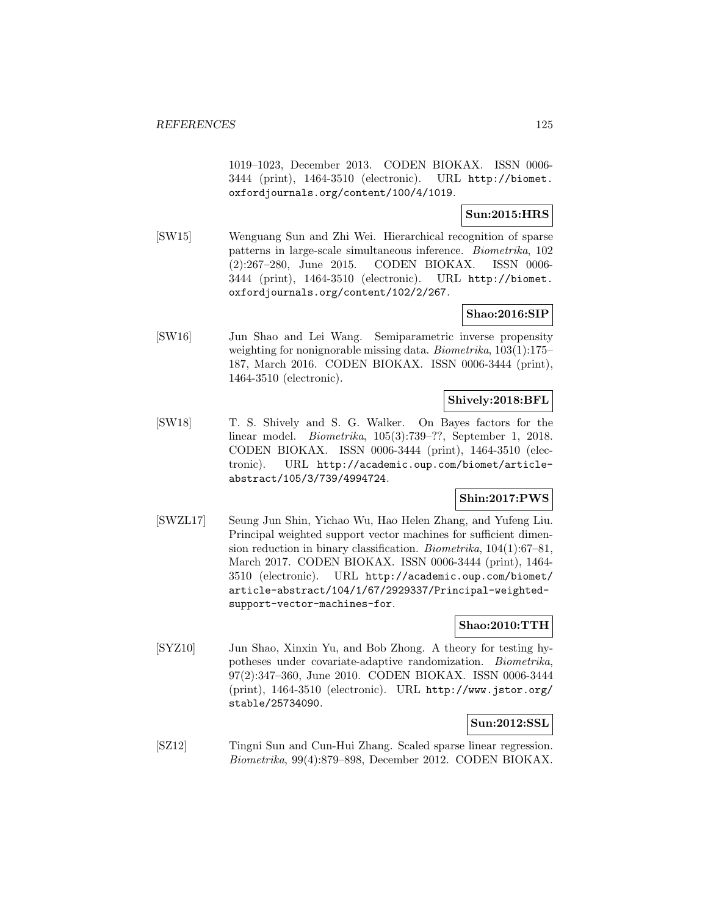1019–1023, December 2013. CODEN BIOKAX. ISSN 0006- 3444 (print), 1464-3510 (electronic). URL http://biomet. oxfordjournals.org/content/100/4/1019.

### **Sun:2015:HRS**

[SW15] Wenguang Sun and Zhi Wei. Hierarchical recognition of sparse patterns in large-scale simultaneous inference. Biometrika, 102 (2):267–280, June 2015. CODEN BIOKAX. ISSN 0006- 3444 (print), 1464-3510 (electronic). URL http://biomet. oxfordjournals.org/content/102/2/267.

### **Shao:2016:SIP**

[SW16] Jun Shao and Lei Wang. Semiparametric inverse propensity weighting for nonignorable missing data. Biometrika, 103(1):175– 187, March 2016. CODEN BIOKAX. ISSN 0006-3444 (print), 1464-3510 (electronic).

## **Shively:2018:BFL**

[SW18] T. S. Shively and S. G. Walker. On Bayes factors for the linear model. Biometrika, 105(3):739–??, September 1, 2018. CODEN BIOKAX. ISSN 0006-3444 (print), 1464-3510 (electronic). URL http://academic.oup.com/biomet/articleabstract/105/3/739/4994724.

### **Shin:2017:PWS**

[SWZL17] Seung Jun Shin, Yichao Wu, Hao Helen Zhang, and Yufeng Liu. Principal weighted support vector machines for sufficient dimension reduction in binary classification. Biometrika, 104(1):67–81, March 2017. CODEN BIOKAX. ISSN 0006-3444 (print), 1464- 3510 (electronic). URL http://academic.oup.com/biomet/ article-abstract/104/1/67/2929337/Principal-weightedsupport-vector-machines-for.

#### **Shao:2010:TTH**

[SYZ10] Jun Shao, Xinxin Yu, and Bob Zhong. A theory for testing hypotheses under covariate-adaptive randomization. Biometrika, 97(2):347–360, June 2010. CODEN BIOKAX. ISSN 0006-3444 (print), 1464-3510 (electronic). URL http://www.jstor.org/ stable/25734090.

### **Sun:2012:SSL**

[SZ12] Tingni Sun and Cun-Hui Zhang. Scaled sparse linear regression. Biometrika, 99(4):879–898, December 2012. CODEN BIOKAX.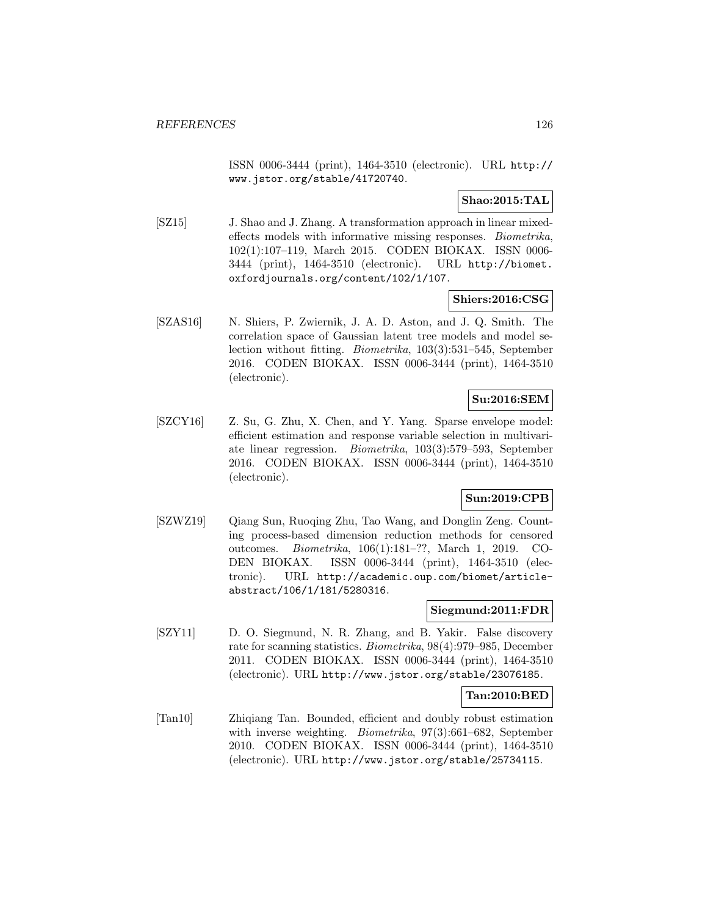ISSN 0006-3444 (print), 1464-3510 (electronic). URL http:// www.jstor.org/stable/41720740.

### **Shao:2015:TAL**

[SZ15] J. Shao and J. Zhang. A transformation approach in linear mixedeffects models with informative missing responses. Biometrika, 102(1):107–119, March 2015. CODEN BIOKAX. ISSN 0006- 3444 (print), 1464-3510 (electronic). URL http://biomet. oxfordjournals.org/content/102/1/107.

## **Shiers:2016:CSG**

[SZAS16] N. Shiers, P. Zwiernik, J. A. D. Aston, and J. Q. Smith. The correlation space of Gaussian latent tree models and model selection without fitting. Biometrika, 103(3):531–545, September 2016. CODEN BIOKAX. ISSN 0006-3444 (print), 1464-3510 (electronic).

## **Su:2016:SEM**

[SZCY16] Z. Su, G. Zhu, X. Chen, and Y. Yang. Sparse envelope model: efficient estimation and response variable selection in multivariate linear regression. Biometrika, 103(3):579–593, September 2016. CODEN BIOKAX. ISSN 0006-3444 (print), 1464-3510 (electronic).

### **Sun:2019:CPB**

[SZWZ19] Qiang Sun, Ruoqing Zhu, Tao Wang, and Donglin Zeng. Counting process-based dimension reduction methods for censored outcomes. Biometrika, 106(1):181–??, March 1, 2019. CO-DEN BIOKAX. ISSN 0006-3444 (print), 1464-3510 (electronic). URL http://academic.oup.com/biomet/articleabstract/106/1/181/5280316.

#### **Siegmund:2011:FDR**

[SZY11] D. O. Siegmund, N. R. Zhang, and B. Yakir. False discovery rate for scanning statistics. Biometrika, 98(4):979–985, December 2011. CODEN BIOKAX. ISSN 0006-3444 (print), 1464-3510 (electronic). URL http://www.jstor.org/stable/23076185.

#### **Tan:2010:BED**

[Tan10] Zhiqiang Tan. Bounded, efficient and doubly robust estimation with inverse weighting. *Biometrika*, 97(3):661–682, September 2010. CODEN BIOKAX. ISSN 0006-3444 (print), 1464-3510 (electronic). URL http://www.jstor.org/stable/25734115.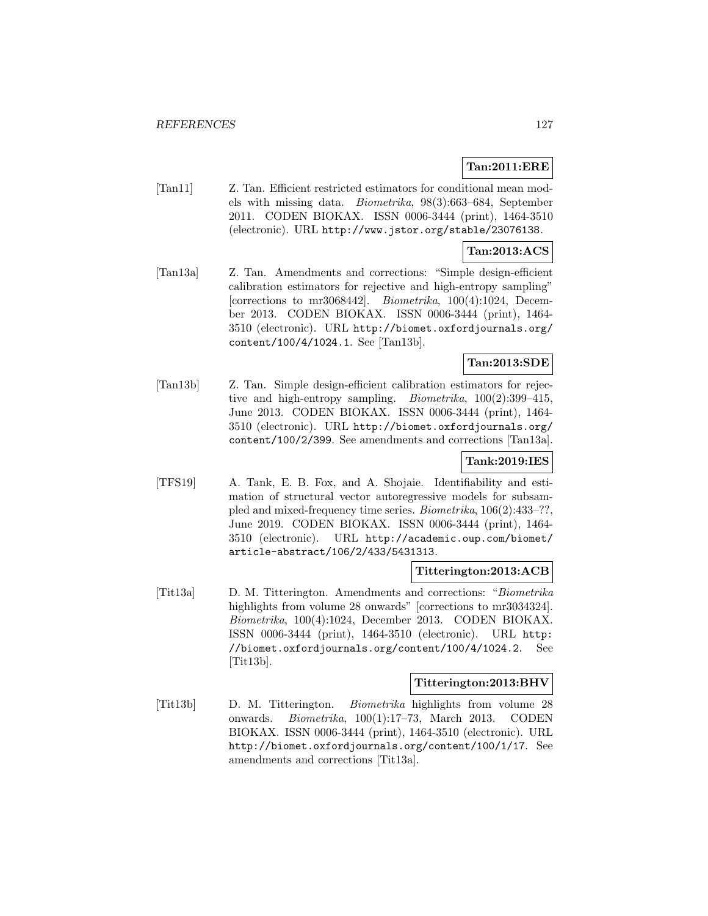## **Tan:2011:ERE**

[Tan11] Z. Tan. Efficient restricted estimators for conditional mean models with missing data. Biometrika, 98(3):663–684, September 2011. CODEN BIOKAX. ISSN 0006-3444 (print), 1464-3510 (electronic). URL http://www.jstor.org/stable/23076138.

### **Tan:2013:ACS**

[Tan13a] Z. Tan. Amendments and corrections: "Simple design-efficient calibration estimators for rejective and high-entropy sampling" [corrections to mr3068442]. *Biometrika*,  $100(4):1024$ , December 2013. CODEN BIOKAX. ISSN 0006-3444 (print), 1464- 3510 (electronic). URL http://biomet.oxfordjournals.org/ content/100/4/1024.1. See [Tan13b].

### **Tan:2013:SDE**

[Tan13b] Z. Tan. Simple design-efficient calibration estimators for rejective and high-entropy sampling. Biometrika, 100(2):399–415, June 2013. CODEN BIOKAX. ISSN 0006-3444 (print), 1464- 3510 (electronic). URL http://biomet.oxfordjournals.org/ content/100/2/399. See amendments and corrections [Tan13a].

### **Tank:2019:IES**

[TFS19] A. Tank, E. B. Fox, and A. Shojaie. Identifiability and estimation of structural vector autoregressive models for subsampled and mixed-frequency time series. Biometrika, 106(2):433–??, June 2019. CODEN BIOKAX. ISSN 0006-3444 (print), 1464- 3510 (electronic). URL http://academic.oup.com/biomet/ article-abstract/106/2/433/5431313.

#### **Titterington:2013:ACB**

[Tit13a] D. M. Titterington. Amendments and corrections: "Biometrika highlights from volume 28 onwards" [corrections to mr3034324]. Biometrika, 100(4):1024, December 2013. CODEN BIOKAX. ISSN 0006-3444 (print), 1464-3510 (electronic). URL http: //biomet.oxfordjournals.org/content/100/4/1024.2. See  $[Tit13b].$ 

#### **Titterington:2013:BHV**

[Tit13b] D. M. Titterington. Biometrika highlights from volume 28 onwards. Biometrika, 100(1):17–73, March 2013. CODEN BIOKAX. ISSN 0006-3444 (print), 1464-3510 (electronic). URL http://biomet.oxfordjournals.org/content/100/1/17. See amendments and corrections [Tit13a].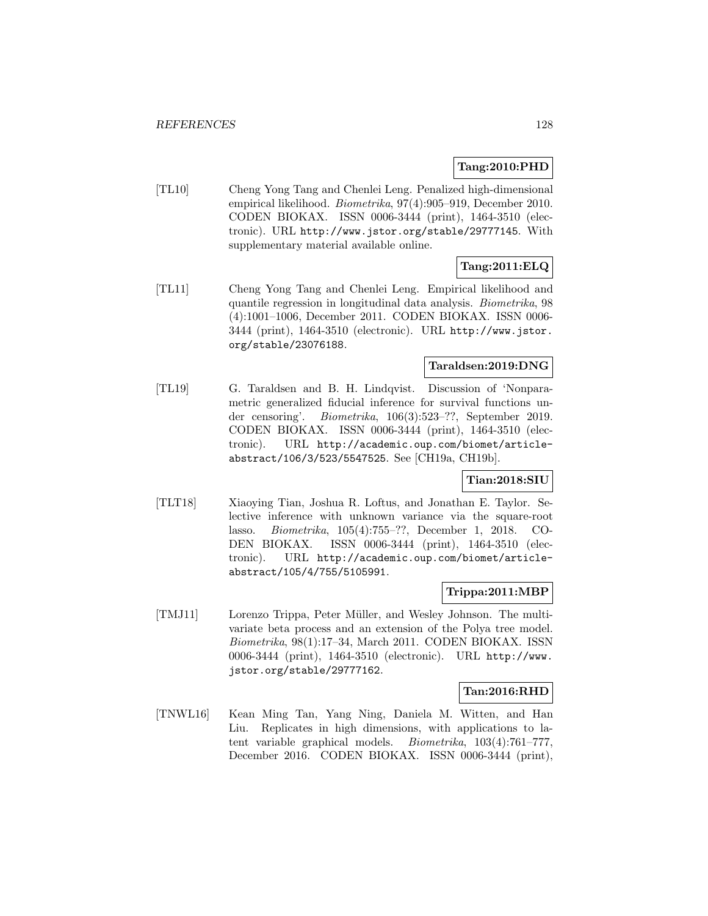#### **Tang:2010:PHD**

[TL10] Cheng Yong Tang and Chenlei Leng. Penalized high-dimensional empirical likelihood. Biometrika, 97(4):905–919, December 2010. CODEN BIOKAX. ISSN 0006-3444 (print), 1464-3510 (electronic). URL http://www.jstor.org/stable/29777145. With supplementary material available online.

### **Tang:2011:ELQ**

[TL11] Cheng Yong Tang and Chenlei Leng. Empirical likelihood and quantile regression in longitudinal data analysis. Biometrika, 98 (4):1001–1006, December 2011. CODEN BIOKAX. ISSN 0006- 3444 (print), 1464-3510 (electronic). URL http://www.jstor. org/stable/23076188.

### **Taraldsen:2019:DNG**

[TL19] G. Taraldsen and B. H. Lindqvist. Discussion of 'Nonparametric generalized fiducial inference for survival functions under censoring'. Biometrika, 106(3):523–??, September 2019. CODEN BIOKAX. ISSN 0006-3444 (print), 1464-3510 (electronic). URL http://academic.oup.com/biomet/articleabstract/106/3/523/5547525. See [CH19a, CH19b].

#### **Tian:2018:SIU**

[TLT18] Xiaoying Tian, Joshua R. Loftus, and Jonathan E. Taylor. Selective inference with unknown variance via the square-root lasso. Biometrika, 105(4):755–??, December 1, 2018. CO-DEN BIOKAX. ISSN 0006-3444 (print), 1464-3510 (electronic). URL http://academic.oup.com/biomet/articleabstract/105/4/755/5105991.

### **Trippa:2011:MBP**

[TMJ11] Lorenzo Trippa, Peter Müller, and Wesley Johnson. The multivariate beta process and an extension of the Polya tree model. Biometrika, 98(1):17–34, March 2011. CODEN BIOKAX. ISSN 0006-3444 (print), 1464-3510 (electronic). URL http://www. jstor.org/stable/29777162.

#### **Tan:2016:RHD**

[TNWL16] Kean Ming Tan, Yang Ning, Daniela M. Witten, and Han Liu. Replicates in high dimensions, with applications to latent variable graphical models. Biometrika, 103(4):761–777, December 2016. CODEN BIOKAX. ISSN 0006-3444 (print),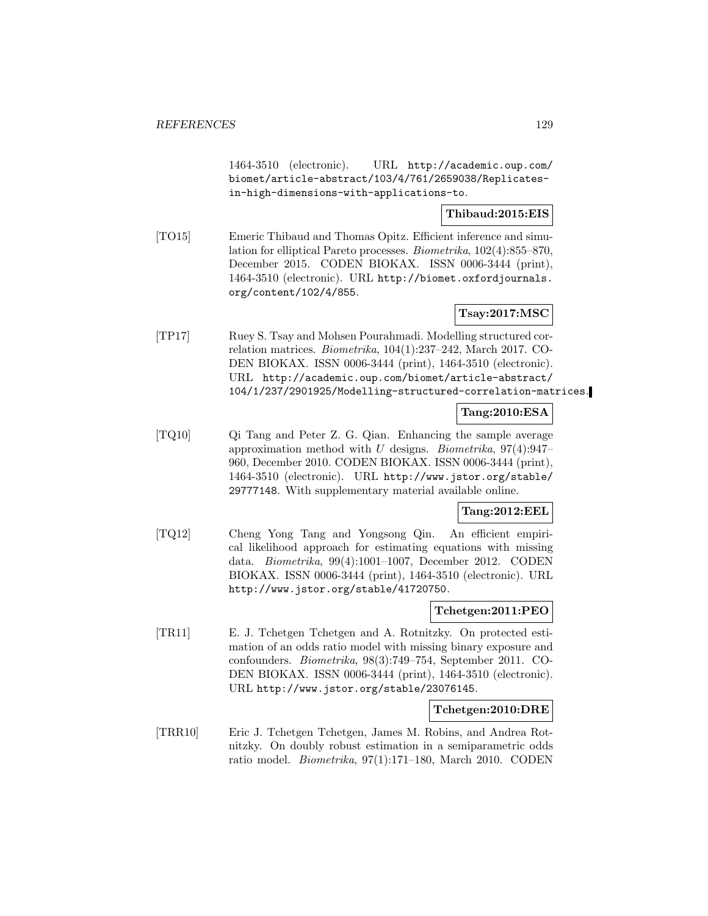1464-3510 (electronic). URL http://academic.oup.com/ biomet/article-abstract/103/4/761/2659038/Replicatesin-high-dimensions-with-applications-to.

### **Thibaud:2015:EIS**

[TO15] Emeric Thibaud and Thomas Opitz. Efficient inference and simulation for elliptical Pareto processes. Biometrika, 102(4):855–870, December 2015. CODEN BIOKAX. ISSN 0006-3444 (print), 1464-3510 (electronic). URL http://biomet.oxfordjournals. org/content/102/4/855.

### **Tsay:2017:MSC**

[TP17] Ruey S. Tsay and Mohsen Pourahmadi. Modelling structured correlation matrices. Biometrika, 104(1):237–242, March 2017. CO-DEN BIOKAX. ISSN 0006-3444 (print), 1464-3510 (electronic). URL http://academic.oup.com/biomet/article-abstract/ 104/1/237/2901925/Modelling-structured-correlation-matrices.

### **Tang:2010:ESA**

[TQ10] Qi Tang and Peter Z. G. Qian. Enhancing the sample average approximation method with U designs. Biometrika,  $97(4):947-$ 960, December 2010. CODEN BIOKAX. ISSN 0006-3444 (print), 1464-3510 (electronic). URL http://www.jstor.org/stable/ 29777148. With supplementary material available online.

### **Tang:2012:EEL**

[TQ12] Cheng Yong Tang and Yongsong Qin. An efficient empirical likelihood approach for estimating equations with missing data. Biometrika, 99(4):1001–1007, December 2012. CODEN BIOKAX. ISSN 0006-3444 (print), 1464-3510 (electronic). URL http://www.jstor.org/stable/41720750.

### **Tchetgen:2011:PEO**

[TR11] E. J. Tchetgen Tchetgen and A. Rotnitzky. On protected estimation of an odds ratio model with missing binary exposure and confounders. Biometrika, 98(3):749–754, September 2011. CO-DEN BIOKAX. ISSN 0006-3444 (print), 1464-3510 (electronic). URL http://www.jstor.org/stable/23076145.

#### **Tchetgen:2010:DRE**

[TRR10] Eric J. Tchetgen Tchetgen, James M. Robins, and Andrea Rotnitzky. On doubly robust estimation in a semiparametric odds ratio model. Biometrika, 97(1):171–180, March 2010. CODEN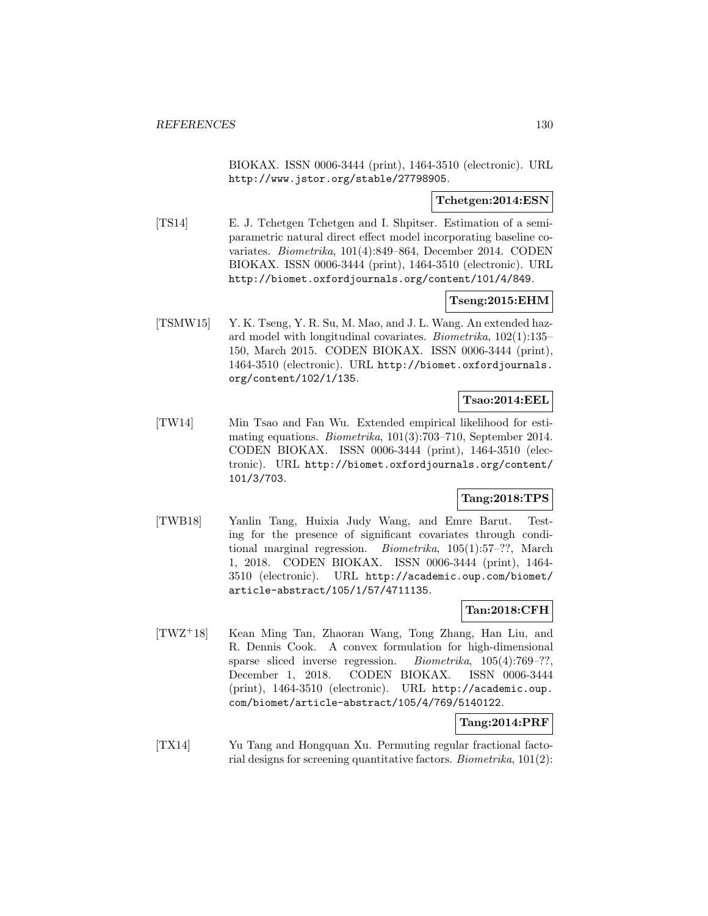BIOKAX. ISSN 0006-3444 (print), 1464-3510 (electronic). URL http://www.jstor.org/stable/27798905.

### **Tchetgen:2014:ESN**

[TS14] E. J. Tchetgen Tchetgen and I. Shpitser. Estimation of a semiparametric natural direct effect model incorporating baseline covariates. Biometrika, 101(4):849–864, December 2014. CODEN BIOKAX. ISSN 0006-3444 (print), 1464-3510 (electronic). URL http://biomet.oxfordjournals.org/content/101/4/849.

### **Tseng:2015:EHM**

[TSMW15] Y. K. Tseng, Y. R. Su, M. Mao, and J. L. Wang. An extended hazard model with longitudinal covariates. Biometrika, 102(1):135– 150, March 2015. CODEN BIOKAX. ISSN 0006-3444 (print), 1464-3510 (electronic). URL http://biomet.oxfordjournals. org/content/102/1/135.

## **Tsao:2014:EEL**

[TW14] Min Tsao and Fan Wu. Extended empirical likelihood for estimating equations. Biometrika, 101(3):703–710, September 2014. CODEN BIOKAX. ISSN 0006-3444 (print), 1464-3510 (electronic). URL http://biomet.oxfordjournals.org/content/ 101/3/703.

### **Tang:2018:TPS**

[TWB18] Yanlin Tang, Huixia Judy Wang, and Emre Barut. Testing for the presence of significant covariates through conditional marginal regression. Biometrika, 105(1):57–??, March 1, 2018. CODEN BIOKAX. ISSN 0006-3444 (print), 1464- 3510 (electronic). URL http://academic.oup.com/biomet/ article-abstract/105/1/57/4711135.

# **Tan:2018:CFH**

[TWZ<sup>+</sup>18] Kean Ming Tan, Zhaoran Wang, Tong Zhang, Han Liu, and R. Dennis Cook. A convex formulation for high-dimensional sparse sliced inverse regression. Biometrika, 105(4):769–??, December 1, 2018. CODEN BIOKAX. ISSN 0006-3444 (print), 1464-3510 (electronic). URL http://academic.oup. com/biomet/article-abstract/105/4/769/5140122.

### **Tang:2014:PRF**

[TX14] Yu Tang and Hongquan Xu. Permuting regular fractional factorial designs for screening quantitative factors. Biometrika, 101(2):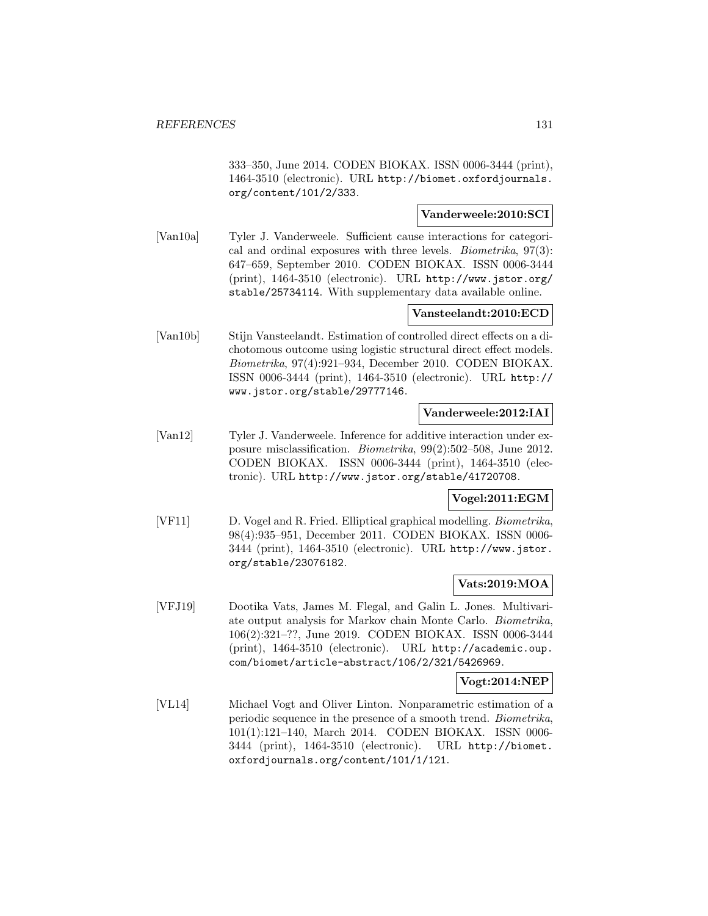333–350, June 2014. CODEN BIOKAX. ISSN 0006-3444 (print), 1464-3510 (electronic). URL http://biomet.oxfordjournals. org/content/101/2/333.

### **Vanderweele:2010:SCI**

[Van10a] Tyler J. Vanderweele. Sufficient cause interactions for categorical and ordinal exposures with three levels. Biometrika, 97(3): 647–659, September 2010. CODEN BIOKAX. ISSN 0006-3444 (print), 1464-3510 (electronic). URL http://www.jstor.org/ stable/25734114. With supplementary data available online.

### **Vansteelandt:2010:ECD**

[Van10b] Stijn Vansteelandt. Estimation of controlled direct effects on a dichotomous outcome using logistic structural direct effect models. Biometrika, 97(4):921–934, December 2010. CODEN BIOKAX. ISSN 0006-3444 (print), 1464-3510 (electronic). URL http:// www.jstor.org/stable/29777146.

#### **Vanderweele:2012:IAI**

[Van12] Tyler J. Vanderweele. Inference for additive interaction under exposure misclassification. Biometrika, 99(2):502–508, June 2012. CODEN BIOKAX. ISSN 0006-3444 (print), 1464-3510 (electronic). URL http://www.jstor.org/stable/41720708.

### **Vogel:2011:EGM**

[VF11] D. Vogel and R. Fried. Elliptical graphical modelling. Biometrika, 98(4):935–951, December 2011. CODEN BIOKAX. ISSN 0006- 3444 (print), 1464-3510 (electronic). URL http://www.jstor. org/stable/23076182.

#### **Vats:2019:MOA**

[VFJ19] Dootika Vats, James M. Flegal, and Galin L. Jones. Multivariate output analysis for Markov chain Monte Carlo. Biometrika, 106(2):321–??, June 2019. CODEN BIOKAX. ISSN 0006-3444 (print), 1464-3510 (electronic). URL http://academic.oup. com/biomet/article-abstract/106/2/321/5426969.

#### **Vogt:2014:NEP**

[VL14] Michael Vogt and Oliver Linton. Nonparametric estimation of a periodic sequence in the presence of a smooth trend. Biometrika, 101(1):121–140, March 2014. CODEN BIOKAX. ISSN 0006- 3444 (print), 1464-3510 (electronic). URL http://biomet. oxfordjournals.org/content/101/1/121.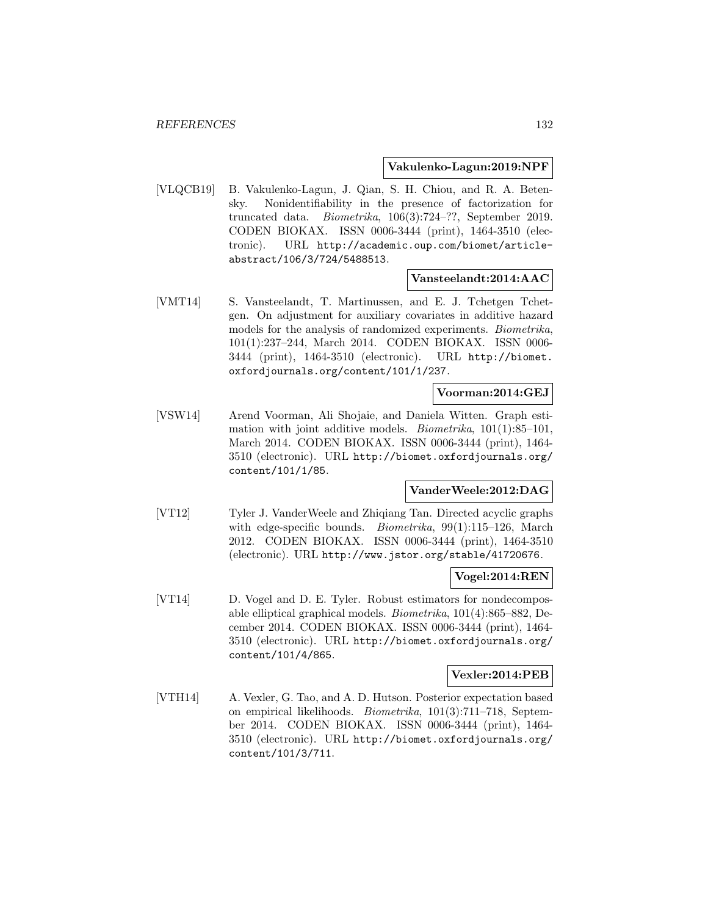#### **Vakulenko-Lagun:2019:NPF**

[VLQCB19] B. Vakulenko-Lagun, J. Qian, S. H. Chiou, and R. A. Betensky. Nonidentifiability in the presence of factorization for truncated data. Biometrika, 106(3):724–??, September 2019. CODEN BIOKAX. ISSN 0006-3444 (print), 1464-3510 (electronic). URL http://academic.oup.com/biomet/articleabstract/106/3/724/5488513.

#### **Vansteelandt:2014:AAC**

[VMT14] S. Vansteelandt, T. Martinussen, and E. J. Tchetgen Tchetgen. On adjustment for auxiliary covariates in additive hazard models for the analysis of randomized experiments. Biometrika, 101(1):237–244, March 2014. CODEN BIOKAX. ISSN 0006- 3444 (print), 1464-3510 (electronic). URL http://biomet. oxfordjournals.org/content/101/1/237.

#### **Voorman:2014:GEJ**

[VSW14] Arend Voorman, Ali Shojaie, and Daniela Witten. Graph estimation with joint additive models. *Biometrika*,  $101(1):85-101$ , March 2014. CODEN BIOKAX. ISSN 0006-3444 (print), 1464- 3510 (electronic). URL http://biomet.oxfordjournals.org/ content/101/1/85.

#### **VanderWeele:2012:DAG**

[VT12] Tyler J. VanderWeele and Zhiqiang Tan. Directed acyclic graphs with edge-specific bounds. *Biometrika*, 99(1):115–126, March 2012. CODEN BIOKAX. ISSN 0006-3444 (print), 1464-3510 (electronic). URL http://www.jstor.org/stable/41720676.

#### **Vogel:2014:REN**

[VT14] D. Vogel and D. E. Tyler. Robust estimators for nondecomposable elliptical graphical models. Biometrika, 101(4):865–882, December 2014. CODEN BIOKAX. ISSN 0006-3444 (print), 1464- 3510 (electronic). URL http://biomet.oxfordjournals.org/ content/101/4/865.

#### **Vexler:2014:PEB**

[VTH14] A. Vexler, G. Tao, and A. D. Hutson. Posterior expectation based on empirical likelihoods. Biometrika, 101(3):711–718, September 2014. CODEN BIOKAX. ISSN 0006-3444 (print), 1464- 3510 (electronic). URL http://biomet.oxfordjournals.org/ content/101/3/711.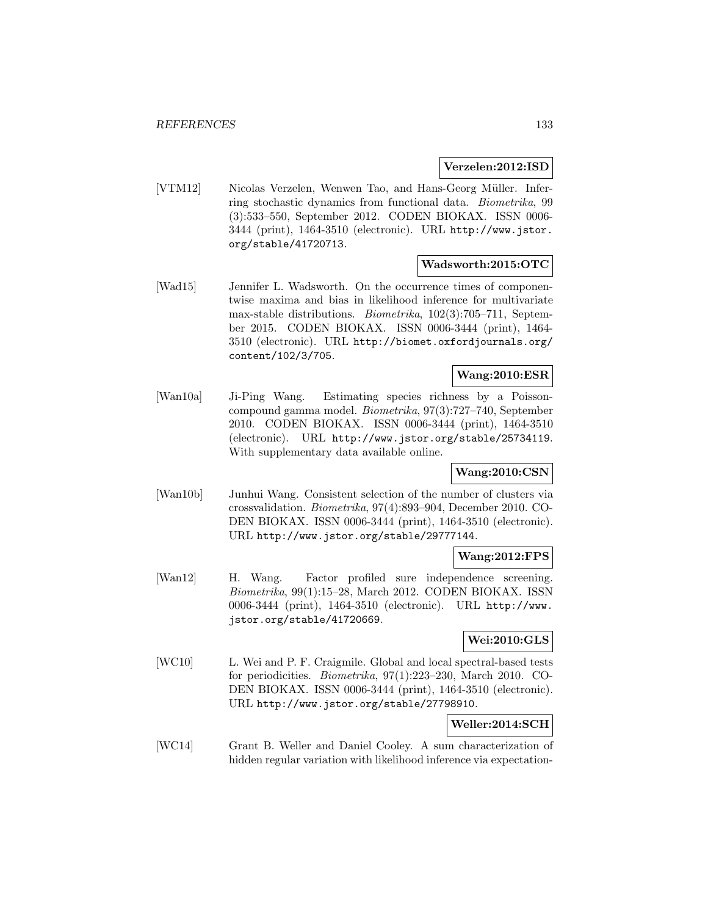#### **Verzelen:2012:ISD**

[VTM12] Nicolas Verzelen, Wenwen Tao, and Hans-Georg Müller. Inferring stochastic dynamics from functional data. Biometrika, 99 (3):533–550, September 2012. CODEN BIOKAX. ISSN 0006- 3444 (print), 1464-3510 (electronic). URL http://www.jstor. org/stable/41720713.

#### **Wadsworth:2015:OTC**

[Wad15] Jennifer L. Wadsworth. On the occurrence times of componentwise maxima and bias in likelihood inference for multivariate max-stable distributions. Biometrika, 102(3):705–711, September 2015. CODEN BIOKAX. ISSN 0006-3444 (print), 1464- 3510 (electronic). URL http://biomet.oxfordjournals.org/ content/102/3/705.

#### **Wang:2010:ESR**

[Wan10a] Ji-Ping Wang. Estimating species richness by a Poissoncompound gamma model. Biometrika, 97(3):727–740, September 2010. CODEN BIOKAX. ISSN 0006-3444 (print), 1464-3510 (electronic). URL http://www.jstor.org/stable/25734119. With supplementary data available online.

### **Wang:2010:CSN**

[Wan10b] Junhui Wang. Consistent selection of the number of clusters via crossvalidation. Biometrika, 97(4):893–904, December 2010. CO-DEN BIOKAX. ISSN 0006-3444 (print), 1464-3510 (electronic). URL http://www.jstor.org/stable/29777144.

#### **Wang:2012:FPS**

[Wan12] H. Wang. Factor profiled sure independence screening. Biometrika, 99(1):15–28, March 2012. CODEN BIOKAX. ISSN 0006-3444 (print), 1464-3510 (electronic). URL http://www. jstor.org/stable/41720669.

### **Wei:2010:GLS**

[WC10] L. Wei and P. F. Craigmile. Global and local spectral-based tests for periodicities. Biometrika, 97(1):223–230, March 2010. CO-DEN BIOKAX. ISSN 0006-3444 (print), 1464-3510 (electronic). URL http://www.jstor.org/stable/27798910.

#### **Weller:2014:SCH**

[WC14] Grant B. Weller and Daniel Cooley. A sum characterization of hidden regular variation with likelihood inference via expectation-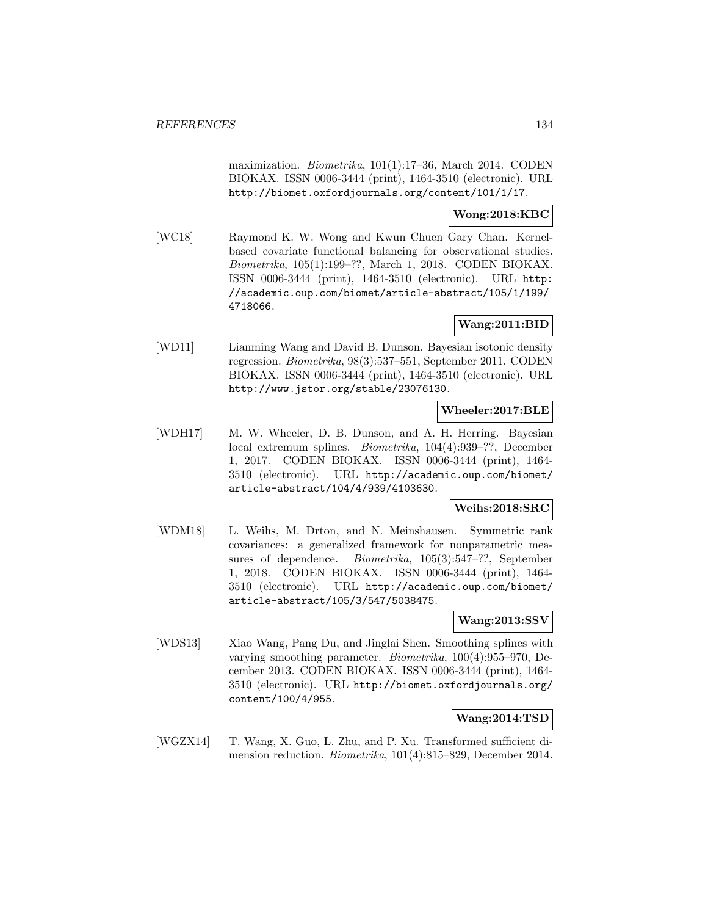maximization. Biometrika, 101(1):17–36, March 2014. CODEN BIOKAX. ISSN 0006-3444 (print), 1464-3510 (electronic). URL http://biomet.oxfordjournals.org/content/101/1/17.

#### **Wong:2018:KBC**

[WC18] Raymond K. W. Wong and Kwun Chuen Gary Chan. Kernelbased covariate functional balancing for observational studies. Biometrika, 105(1):199–??, March 1, 2018. CODEN BIOKAX. ISSN 0006-3444 (print), 1464-3510 (electronic). URL http: //academic.oup.com/biomet/article-abstract/105/1/199/ 4718066.

### **Wang:2011:BID**

[WD11] Lianming Wang and David B. Dunson. Bayesian isotonic density regression. Biometrika, 98(3):537–551, September 2011. CODEN BIOKAX. ISSN 0006-3444 (print), 1464-3510 (electronic). URL http://www.jstor.org/stable/23076130.

### **Wheeler:2017:BLE**

[WDH17] M. W. Wheeler, D. B. Dunson, and A. H. Herring. Bayesian local extremum splines. Biometrika, 104(4):939–??, December 1, 2017. CODEN BIOKAX. ISSN 0006-3444 (print), 1464- 3510 (electronic). URL http://academic.oup.com/biomet/ article-abstract/104/4/939/4103630.

### **Weihs:2018:SRC**

[WDM18] L. Weihs, M. Drton, and N. Meinshausen. Symmetric rank covariances: a generalized framework for nonparametric measures of dependence. Biometrika, 105(3):547–??, September 1, 2018. CODEN BIOKAX. ISSN 0006-3444 (print), 1464- 3510 (electronic). URL http://academic.oup.com/biomet/ article-abstract/105/3/547/5038475.

### **Wang:2013:SSV**

[WDS13] Xiao Wang, Pang Du, and Jinglai Shen. Smoothing splines with varying smoothing parameter. Biometrika, 100(4):955–970, December 2013. CODEN BIOKAX. ISSN 0006-3444 (print), 1464- 3510 (electronic). URL http://biomet.oxfordjournals.org/ content/100/4/955.

#### **Wang:2014:TSD**

[WGZX14] T. Wang, X. Guo, L. Zhu, and P. Xu. Transformed sufficient dimension reduction. Biometrika, 101(4):815–829, December 2014.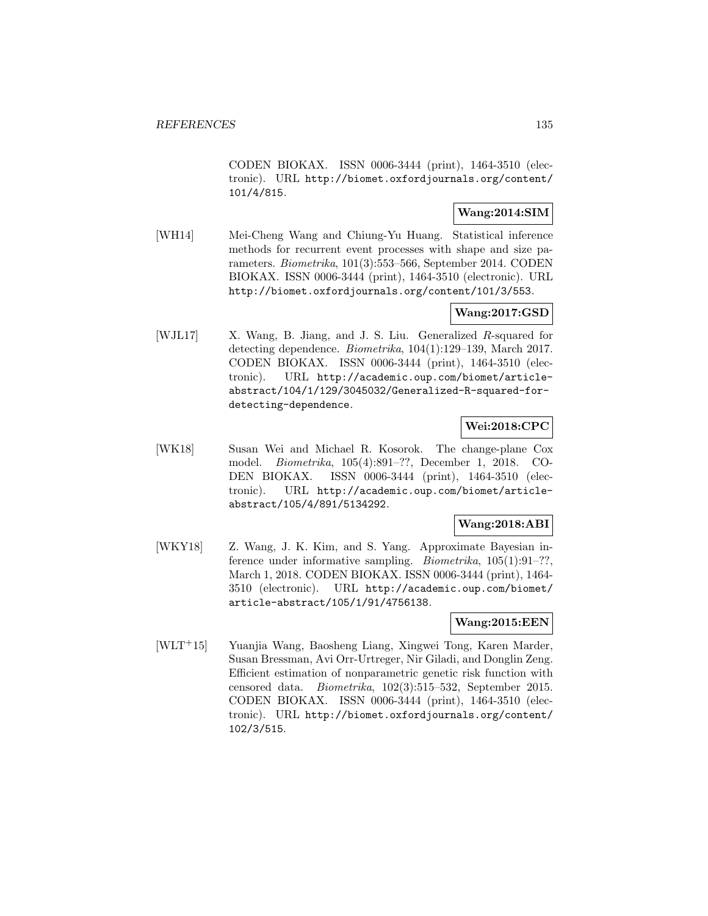CODEN BIOKAX. ISSN 0006-3444 (print), 1464-3510 (electronic). URL http://biomet.oxfordjournals.org/content/ 101/4/815.

### **Wang:2014:SIM**

[WH14] Mei-Cheng Wang and Chiung-Yu Huang. Statistical inference methods for recurrent event processes with shape and size parameters. Biometrika, 101(3):553–566, September 2014. CODEN BIOKAX. ISSN 0006-3444 (print), 1464-3510 (electronic). URL http://biomet.oxfordjournals.org/content/101/3/553.

### **Wang:2017:GSD**

[WJL17] X. Wang, B. Jiang, and J. S. Liu. Generalized R-squared for detecting dependence. Biometrika, 104(1):129–139, March 2017. CODEN BIOKAX. ISSN 0006-3444 (print), 1464-3510 (electronic). URL http://academic.oup.com/biomet/articleabstract/104/1/129/3045032/Generalized-R-squared-fordetecting-dependence.

### **Wei:2018:CPC**

[WK18] Susan Wei and Michael R. Kosorok. The change-plane Cox model. Biometrika, 105(4):891–??, December 1, 2018. CO-DEN BIOKAX. ISSN 0006-3444 (print), 1464-3510 (electronic). URL http://academic.oup.com/biomet/articleabstract/105/4/891/5134292.

### **Wang:2018:ABI**

[WKY18] Z. Wang, J. K. Kim, and S. Yang. Approximate Bayesian inference under informative sampling. *Biometrika*, 105(1):91-??, March 1, 2018. CODEN BIOKAX. ISSN 0006-3444 (print), 1464- 3510 (electronic). URL http://academic.oup.com/biomet/ article-abstract/105/1/91/4756138.

#### **Wang:2015:EEN**

[WLT<sup>+</sup>15] Yuanjia Wang, Baosheng Liang, Xingwei Tong, Karen Marder, Susan Bressman, Avi Orr-Urtreger, Nir Giladi, and Donglin Zeng. Efficient estimation of nonparametric genetic risk function with censored data. Biometrika, 102(3):515–532, September 2015. CODEN BIOKAX. ISSN 0006-3444 (print), 1464-3510 (electronic). URL http://biomet.oxfordjournals.org/content/ 102/3/515.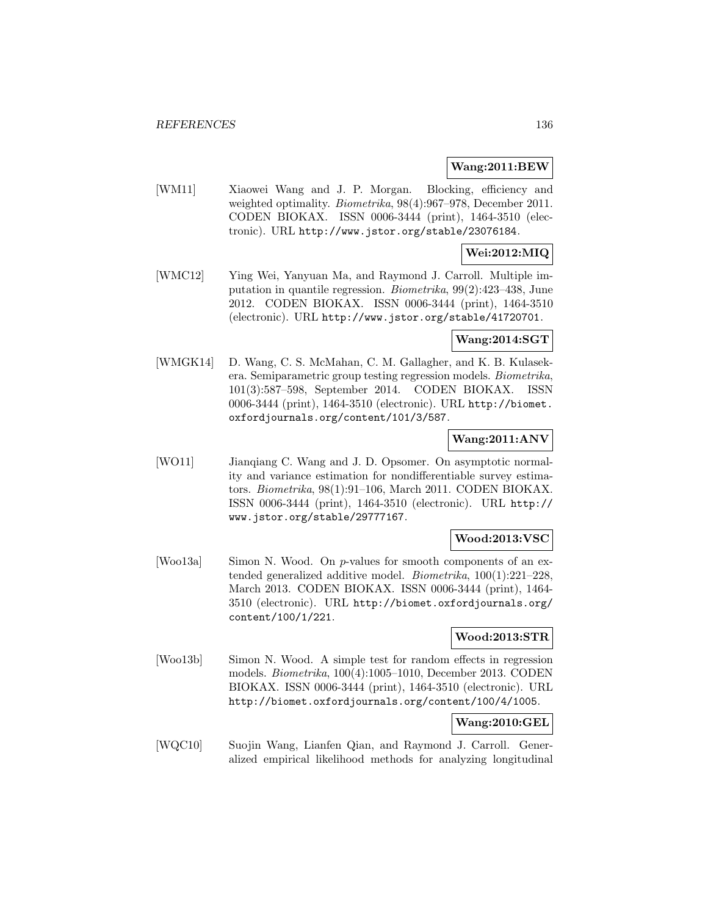#### **Wang:2011:BEW**

[WM11] Xiaowei Wang and J. P. Morgan. Blocking, efficiency and weighted optimality. *Biometrika*, 98(4):967–978, December 2011. CODEN BIOKAX. ISSN 0006-3444 (print), 1464-3510 (electronic). URL http://www.jstor.org/stable/23076184.

### **Wei:2012:MIQ**

[WMC12] Ying Wei, Yanyuan Ma, and Raymond J. Carroll. Multiple imputation in quantile regression. Biometrika, 99(2):423–438, June 2012. CODEN BIOKAX. ISSN 0006-3444 (print), 1464-3510 (electronic). URL http://www.jstor.org/stable/41720701.

### **Wang:2014:SGT**

[WMGK14] D. Wang, C. S. McMahan, C. M. Gallagher, and K. B. Kulasekera. Semiparametric group testing regression models. Biometrika, 101(3):587–598, September 2014. CODEN BIOKAX. ISSN 0006-3444 (print), 1464-3510 (electronic). URL http://biomet. oxfordjournals.org/content/101/3/587.

### **Wang:2011:ANV**

[WO11] Jianqiang C. Wang and J. D. Opsomer. On asymptotic normality and variance estimation for nondifferentiable survey estimators. Biometrika, 98(1):91–106, March 2011. CODEN BIOKAX. ISSN 0006-3444 (print), 1464-3510 (electronic). URL http:// www.jstor.org/stable/29777167.

#### **Wood:2013:VSC**

[Woo13a] Simon N. Wood. On p-values for smooth components of an extended generalized additive model. Biometrika, 100(1):221–228, March 2013. CODEN BIOKAX. ISSN 0006-3444 (print), 1464- 3510 (electronic). URL http://biomet.oxfordjournals.org/ content/100/1/221.

#### **Wood:2013:STR**

[Woo13b] Simon N. Wood. A simple test for random effects in regression models. Biometrika, 100(4):1005–1010, December 2013. CODEN BIOKAX. ISSN 0006-3444 (print), 1464-3510 (electronic). URL http://biomet.oxfordjournals.org/content/100/4/1005.

### **Wang:2010:GEL**

[WQC10] Suojin Wang, Lianfen Qian, and Raymond J. Carroll. Generalized empirical likelihood methods for analyzing longitudinal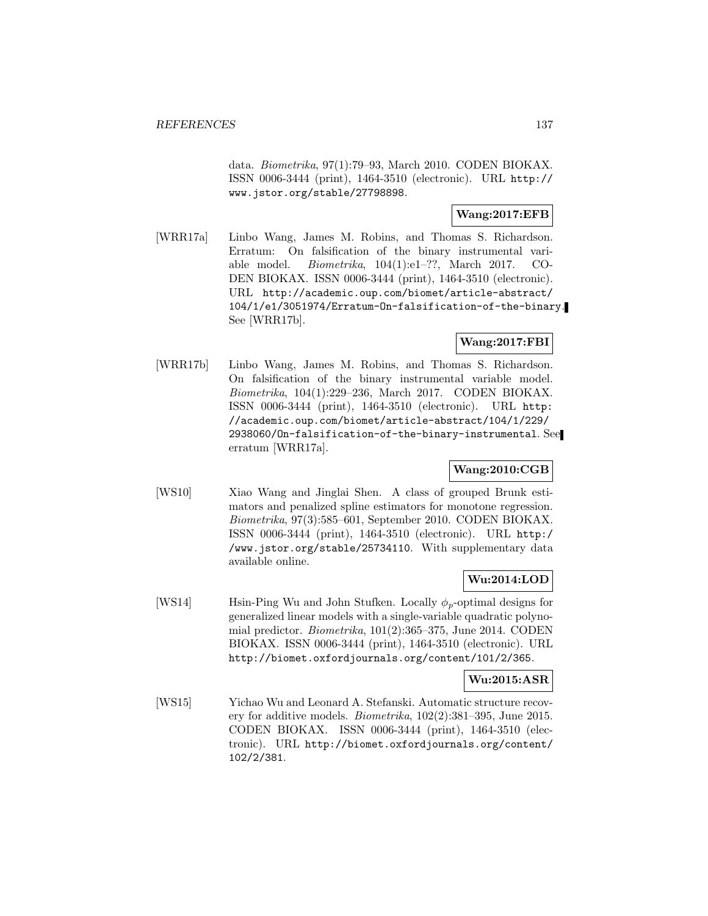data. Biometrika, 97(1):79–93, March 2010. CODEN BIOKAX. ISSN 0006-3444 (print), 1464-3510 (electronic). URL http:// www.jstor.org/stable/27798898.

### **Wang:2017:EFB**

[WRR17a] Linbo Wang, James M. Robins, and Thomas S. Richardson. Erratum: On falsification of the binary instrumental variable model. Biometrika, 104(1):e1–??, March 2017. CO-DEN BIOKAX. ISSN 0006-3444 (print), 1464-3510 (electronic). URL http://academic.oup.com/biomet/article-abstract/ 104/1/e1/3051974/Erratum-On-falsification-of-the-binary. See [WRR17b].

# **Wang:2017:FBI**

[WRR17b] Linbo Wang, James M. Robins, and Thomas S. Richardson. On falsification of the binary instrumental variable model. Biometrika, 104(1):229–236, March 2017. CODEN BIOKAX. ISSN 0006-3444 (print), 1464-3510 (electronic). URL http: //academic.oup.com/biomet/article-abstract/104/1/229/ 2938060/On-falsification-of-the-binary-instrumental. See erratum [WRR17a].

## **Wang:2010:CGB**

[WS10] Xiao Wang and Jinglai Shen. A class of grouped Brunk estimators and penalized spline estimators for monotone regression. Biometrika, 97(3):585–601, September 2010. CODEN BIOKAX. ISSN 0006-3444 (print), 1464-3510 (electronic). URL http:/ /www.jstor.org/stable/25734110. With supplementary data available online.

### **Wu:2014:LOD**

[WS14] Hsin-Ping Wu and John Stufken. Locally  $\phi_p$ -optimal designs for generalized linear models with a single-variable quadratic polynomial predictor. Biometrika, 101(2):365–375, June 2014. CODEN BIOKAX. ISSN 0006-3444 (print), 1464-3510 (electronic). URL http://biomet.oxfordjournals.org/content/101/2/365.

### **Wu:2015:ASR**

[WS15] Yichao Wu and Leonard A. Stefanski. Automatic structure recovery for additive models. *Biometrika*,  $102(2):381-395$ , June 2015. CODEN BIOKAX. ISSN 0006-3444 (print), 1464-3510 (electronic). URL http://biomet.oxfordjournals.org/content/ 102/2/381.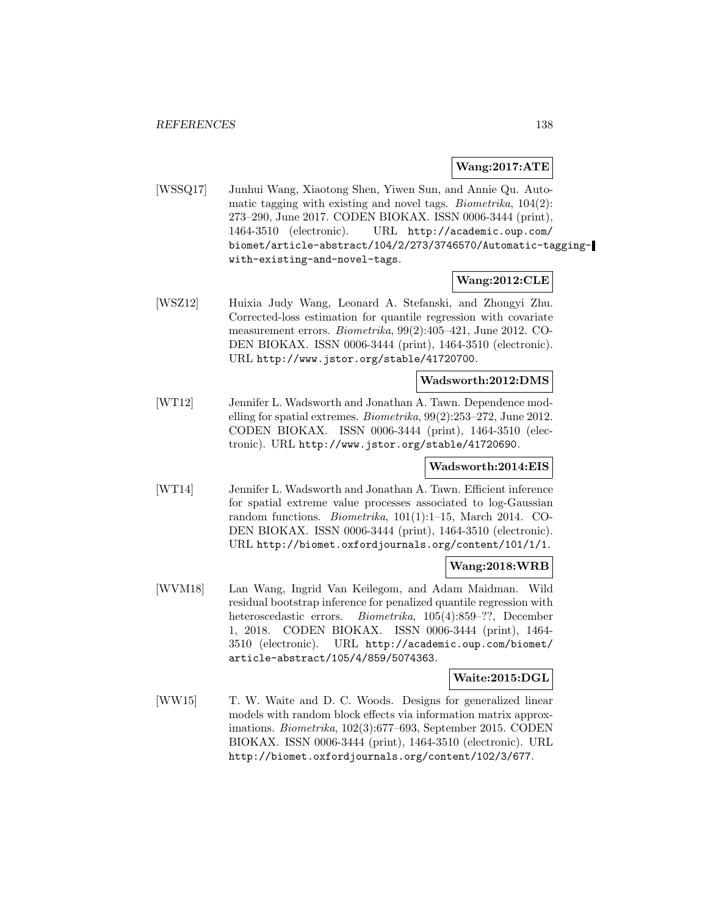#### **Wang:2017:ATE**

[WSSQ17] Junhui Wang, Xiaotong Shen, Yiwen Sun, and Annie Qu. Automatic tagging with existing and novel tags. Biometrika, 104(2): 273–290, June 2017. CODEN BIOKAX. ISSN 0006-3444 (print), 1464-3510 (electronic). URL http://academic.oup.com/ biomet/article-abstract/104/2/273/3746570/Automatic-taggingwith-existing-and-novel-tags.

### **Wang:2012:CLE**

[WSZ12] Huixia Judy Wang, Leonard A. Stefanski, and Zhongyi Zhu. Corrected-loss estimation for quantile regression with covariate measurement errors. Biometrika, 99(2):405–421, June 2012. CO-DEN BIOKAX. ISSN 0006-3444 (print), 1464-3510 (electronic). URL http://www.jstor.org/stable/41720700.

### **Wadsworth:2012:DMS**

[WT12] Jennifer L. Wadsworth and Jonathan A. Tawn. Dependence modelling for spatial extremes. Biometrika, 99(2):253–272, June 2012. CODEN BIOKAX. ISSN 0006-3444 (print), 1464-3510 (electronic). URL http://www.jstor.org/stable/41720690.

#### **Wadsworth:2014:EIS**

[WT14] Jennifer L. Wadsworth and Jonathan A. Tawn. Efficient inference for spatial extreme value processes associated to log-Gaussian random functions. Biometrika, 101(1):1–15, March 2014. CO-DEN BIOKAX. ISSN 0006-3444 (print), 1464-3510 (electronic). URL http://biomet.oxfordjournals.org/content/101/1/1.

### **Wang:2018:WRB**

[WVM18] Lan Wang, Ingrid Van Keilegom, and Adam Maidman. Wild residual bootstrap inference for penalized quantile regression with heteroscedastic errors. Biometrika, 105(4):859–??, December 1, 2018. CODEN BIOKAX. ISSN 0006-3444 (print), 1464- 3510 (electronic). URL http://academic.oup.com/biomet/ article-abstract/105/4/859/5074363.

### **Waite:2015:DGL**

[WW15] T. W. Waite and D. C. Woods. Designs for generalized linear models with random block effects via information matrix approximations. Biometrika, 102(3):677–693, September 2015. CODEN BIOKAX. ISSN 0006-3444 (print), 1464-3510 (electronic). URL http://biomet.oxfordjournals.org/content/102/3/677.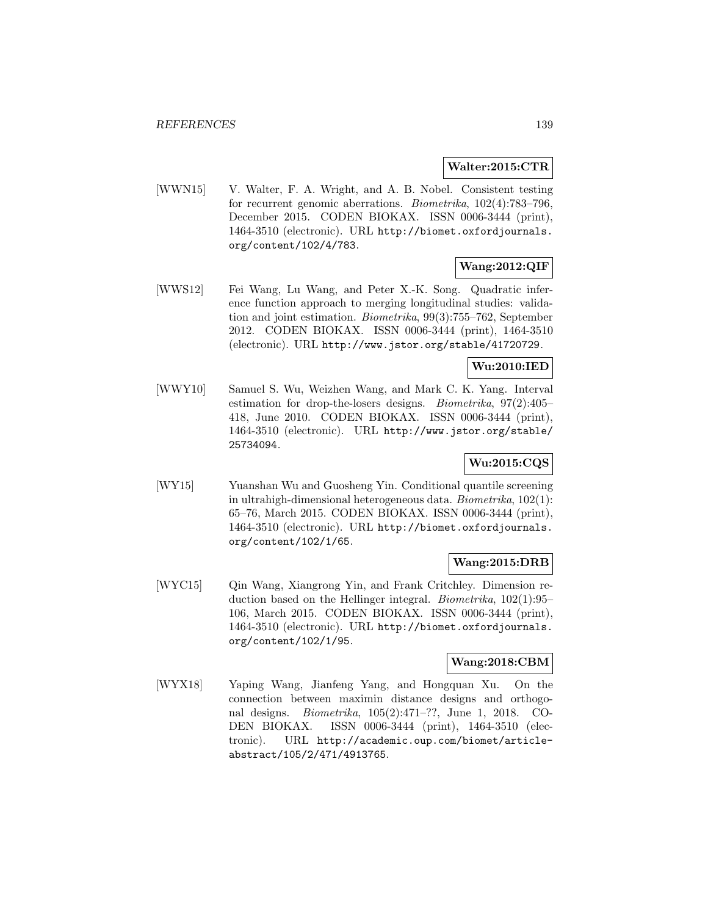#### **Walter:2015:CTR**

[WWN15] V. Walter, F. A. Wright, and A. B. Nobel. Consistent testing for recurrent genomic aberrations. Biometrika, 102(4):783–796, December 2015. CODEN BIOKAX. ISSN 0006-3444 (print), 1464-3510 (electronic). URL http://biomet.oxfordjournals. org/content/102/4/783.

## **Wang:2012:QIF**

[WWS12] Fei Wang, Lu Wang, and Peter X.-K. Song. Quadratic inference function approach to merging longitudinal studies: validation and joint estimation. Biometrika, 99(3):755–762, September 2012. CODEN BIOKAX. ISSN 0006-3444 (print), 1464-3510 (electronic). URL http://www.jstor.org/stable/41720729.

#### **Wu:2010:IED**

[WWY10] Samuel S. Wu, Weizhen Wang, and Mark C. K. Yang. Interval estimation for drop-the-losers designs. Biometrika, 97(2):405– 418, June 2010. CODEN BIOKAX. ISSN 0006-3444 (print), 1464-3510 (electronic). URL http://www.jstor.org/stable/ 25734094.

### **Wu:2015:CQS**

[WY15] Yuanshan Wu and Guosheng Yin. Conditional quantile screening in ultrahigh-dimensional heterogeneous data. Biometrika, 102(1): 65–76, March 2015. CODEN BIOKAX. ISSN 0006-3444 (print), 1464-3510 (electronic). URL http://biomet.oxfordjournals. org/content/102/1/65.

#### **Wang:2015:DRB**

[WYC15] Qin Wang, Xiangrong Yin, and Frank Critchley. Dimension reduction based on the Hellinger integral. Biometrika, 102(1):95– 106, March 2015. CODEN BIOKAX. ISSN 0006-3444 (print), 1464-3510 (electronic). URL http://biomet.oxfordjournals. org/content/102/1/95.

### **Wang:2018:CBM**

[WYX18] Yaping Wang, Jianfeng Yang, and Hongquan Xu. On the connection between maximin distance designs and orthogonal designs. Biometrika, 105(2):471–??, June 1, 2018. CO-DEN BIOKAX. ISSN 0006-3444 (print), 1464-3510 (electronic). URL http://academic.oup.com/biomet/articleabstract/105/2/471/4913765.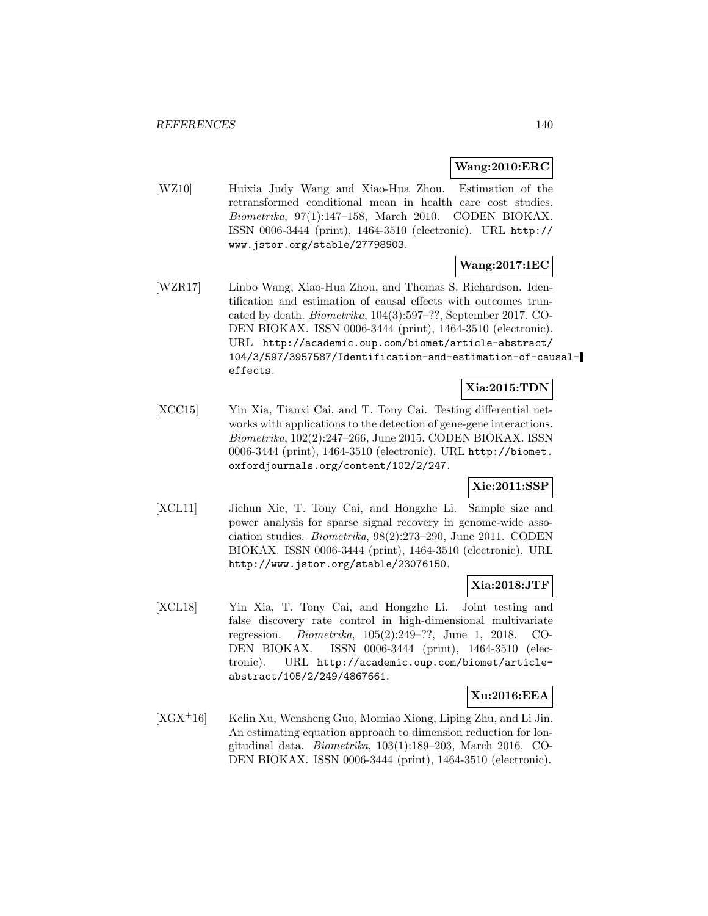#### **Wang:2010:ERC**

[WZ10] Huixia Judy Wang and Xiao-Hua Zhou. Estimation of the retransformed conditional mean in health care cost studies. Biometrika, 97(1):147–158, March 2010. CODEN BIOKAX. ISSN 0006-3444 (print), 1464-3510 (electronic). URL http:// www.jstor.org/stable/27798903.

# **Wang:2017:IEC**

[WZR17] Linbo Wang, Xiao-Hua Zhou, and Thomas S. Richardson. Identification and estimation of causal effects with outcomes truncated by death. Biometrika, 104(3):597–??, September 2017. CO-DEN BIOKAX. ISSN 0006-3444 (print), 1464-3510 (electronic). URL http://academic.oup.com/biomet/article-abstract/ 104/3/597/3957587/Identification-and-estimation-of-causaleffects.

## **Xia:2015:TDN**

[XCC15] Yin Xia, Tianxi Cai, and T. Tony Cai. Testing differential networks with applications to the detection of gene-gene interactions. Biometrika, 102(2):247–266, June 2015. CODEN BIOKAX. ISSN 0006-3444 (print), 1464-3510 (electronic). URL http://biomet. oxfordjournals.org/content/102/2/247.

### **Xie:2011:SSP**

[XCL11] Jichun Xie, T. Tony Cai, and Hongzhe Li. Sample size and power analysis for sparse signal recovery in genome-wide association studies. Biometrika, 98(2):273–290, June 2011. CODEN BIOKAX. ISSN 0006-3444 (print), 1464-3510 (electronic). URL http://www.jstor.org/stable/23076150.

#### **Xia:2018:JTF**

[XCL18] Yin Xia, T. Tony Cai, and Hongzhe Li. Joint testing and false discovery rate control in high-dimensional multivariate regression. Biometrika, 105(2):249–??, June 1, 2018. CO-DEN BIOKAX. ISSN 0006-3444 (print), 1464-3510 (electronic). URL http://academic.oup.com/biomet/articleabstract/105/2/249/4867661.

#### **Xu:2016:EEA**

 $[XGX+16]$  Kelin Xu, Wensheng Guo, Momiao Xiong, Liping Zhu, and Li Jin. An estimating equation approach to dimension reduction for longitudinal data. Biometrika, 103(1):189–203, March 2016. CO-DEN BIOKAX. ISSN 0006-3444 (print), 1464-3510 (electronic).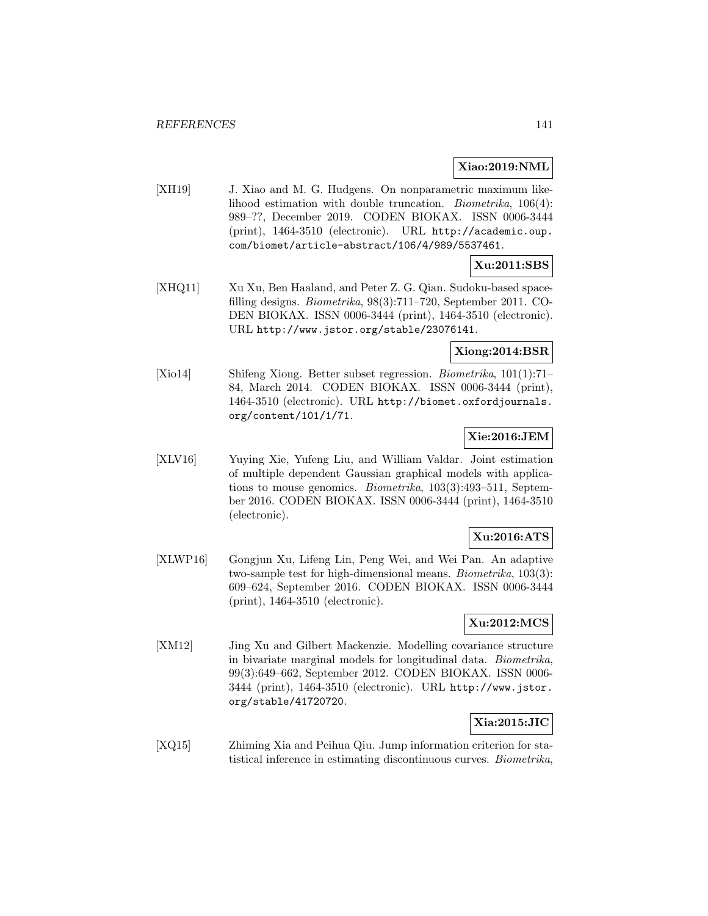#### **Xiao:2019:NML**

[XH19] J. Xiao and M. G. Hudgens. On nonparametric maximum likelihood estimation with double truncation. Biometrika, 106(4): 989–??, December 2019. CODEN BIOKAX. ISSN 0006-3444 (print), 1464-3510 (electronic). URL http://academic.oup. com/biomet/article-abstract/106/4/989/5537461.

#### **Xu:2011:SBS**

[XHQ11] Xu Xu, Ben Haaland, and Peter Z. G. Qian. Sudoku-based spacefilling designs. Biometrika, 98(3):711–720, September 2011. CO-DEN BIOKAX. ISSN 0006-3444 (print), 1464-3510 (electronic). URL http://www.jstor.org/stable/23076141.

### **Xiong:2014:BSR**

[Xio14] Shifeng Xiong. Better subset regression. Biometrika, 101(1):71– 84, March 2014. CODEN BIOKAX. ISSN 0006-3444 (print), 1464-3510 (electronic). URL http://biomet.oxfordjournals. org/content/101/1/71.

### **Xie:2016:JEM**

[XLV16] Yuying Xie, Yufeng Liu, and William Valdar. Joint estimation of multiple dependent Gaussian graphical models with applications to mouse genomics. Biometrika, 103(3):493–511, September 2016. CODEN BIOKAX. ISSN 0006-3444 (print), 1464-3510 (electronic).

#### **Xu:2016:ATS**

[XLWP16] Gongjun Xu, Lifeng Lin, Peng Wei, and Wei Pan. An adaptive two-sample test for high-dimensional means. Biometrika, 103(3): 609–624, September 2016. CODEN BIOKAX. ISSN 0006-3444 (print), 1464-3510 (electronic).

## **Xu:2012:MCS**

[XM12] Jing Xu and Gilbert Mackenzie. Modelling covariance structure in bivariate marginal models for longitudinal data. Biometrika, 99(3):649–662, September 2012. CODEN BIOKAX. ISSN 0006- 3444 (print), 1464-3510 (electronic). URL http://www.jstor. org/stable/41720720.

### **Xia:2015:JIC**

[XQ15] Zhiming Xia and Peihua Qiu. Jump information criterion for statistical inference in estimating discontinuous curves. Biometrika,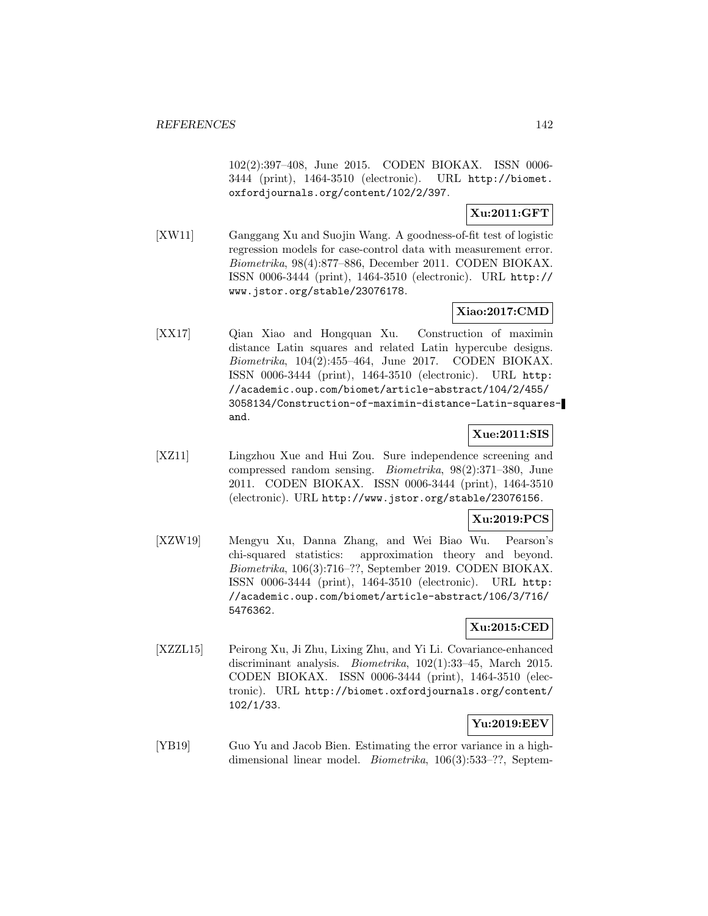102(2):397–408, June 2015. CODEN BIOKAX. ISSN 0006- 3444 (print), 1464-3510 (electronic). URL http://biomet. oxfordjournals.org/content/102/2/397.

## **Xu:2011:GFT**

[XW11] Ganggang Xu and Suojin Wang. A goodness-of-fit test of logistic regression models for case-control data with measurement error. Biometrika, 98(4):877–886, December 2011. CODEN BIOKAX. ISSN 0006-3444 (print), 1464-3510 (electronic). URL http:// www.jstor.org/stable/23076178.

## **Xiao:2017:CMD**

[XX17] Qian Xiao and Hongquan Xu. Construction of maximin distance Latin squares and related Latin hypercube designs. Biometrika, 104(2):455–464, June 2017. CODEN BIOKAX. ISSN 0006-3444 (print), 1464-3510 (electronic). URL http: //academic.oup.com/biomet/article-abstract/104/2/455/ 3058134/Construction-of-maximin-distance-Latin-squaresand.

### **Xue:2011:SIS**

[XZ11] Lingzhou Xue and Hui Zou. Sure independence screening and compressed random sensing. Biometrika, 98(2):371–380, June 2011. CODEN BIOKAX. ISSN 0006-3444 (print), 1464-3510 (electronic). URL http://www.jstor.org/stable/23076156.

#### **Xu:2019:PCS**

[XZW19] Mengyu Xu, Danna Zhang, and Wei Biao Wu. Pearson's chi-squared statistics: approximation theory and beyond. Biometrika, 106(3):716–??, September 2019. CODEN BIOKAX. ISSN 0006-3444 (print), 1464-3510 (electronic). URL http: //academic.oup.com/biomet/article-abstract/106/3/716/ 5476362.

# **Xu:2015:CED**

[XZZL15] Peirong Xu, Ji Zhu, Lixing Zhu, and Yi Li. Covariance-enhanced discriminant analysis. Biometrika, 102(1):33–45, March 2015. CODEN BIOKAX. ISSN 0006-3444 (print), 1464-3510 (electronic). URL http://biomet.oxfordjournals.org/content/ 102/1/33.

# **Yu:2019:EEV**

[YB19] Guo Yu and Jacob Bien. Estimating the error variance in a highdimensional linear model. *Biometrika*, 106(3):533–??, Septem-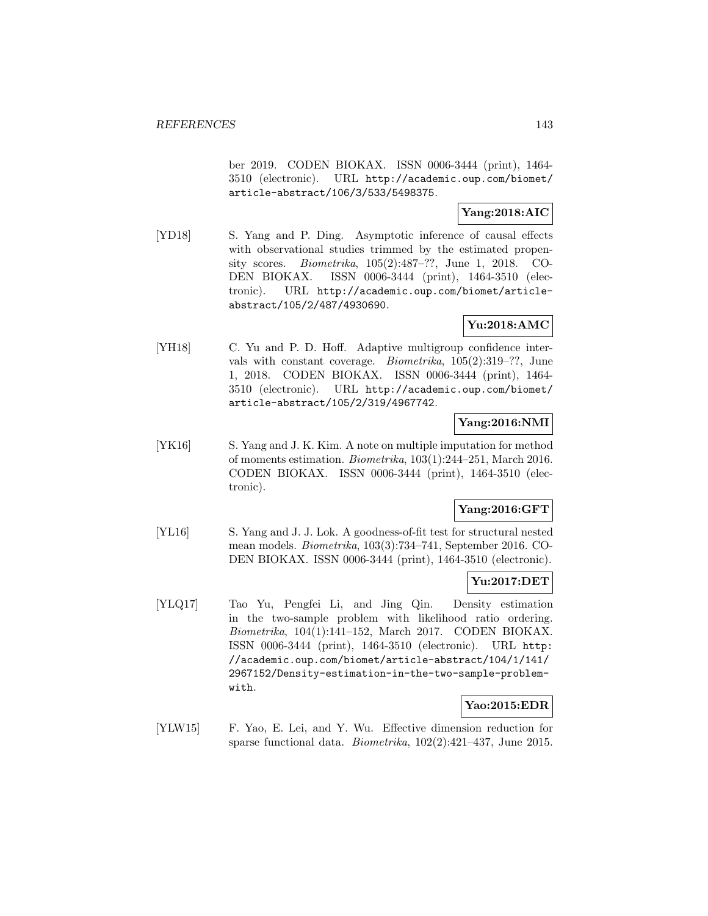ber 2019. CODEN BIOKAX. ISSN 0006-3444 (print), 1464- 3510 (electronic). URL http://academic.oup.com/biomet/ article-abstract/106/3/533/5498375.

### **Yang:2018:AIC**

[YD18] S. Yang and P. Ding. Asymptotic inference of causal effects with observational studies trimmed by the estimated propensity scores. Biometrika, 105(2):487–??, June 1, 2018. CO-DEN BIOKAX. ISSN 0006-3444 (print), 1464-3510 (electronic). URL http://academic.oup.com/biomet/articleabstract/105/2/487/4930690.

## **Yu:2018:AMC**

[YH18] C. Yu and P. D. Hoff. Adaptive multigroup confidence intervals with constant coverage. Biometrika, 105(2):319–??, June 1, 2018. CODEN BIOKAX. ISSN 0006-3444 (print), 1464- 3510 (electronic). URL http://academic.oup.com/biomet/ article-abstract/105/2/319/4967742.

### **Yang:2016:NMI**

[YK16] S. Yang and J. K. Kim. A note on multiple imputation for method of moments estimation. Biometrika, 103(1):244–251, March 2016. CODEN BIOKAX. ISSN 0006-3444 (print), 1464-3510 (electronic).

### **Yang:2016:GFT**

[YL16] S. Yang and J. J. Lok. A goodness-of-fit test for structural nested mean models. Biometrika, 103(3):734–741, September 2016. CO-DEN BIOKAX. ISSN 0006-3444 (print), 1464-3510 (electronic).

## **Yu:2017:DET**

[YLQ17] Tao Yu, Pengfei Li, and Jing Qin. Density estimation in the two-sample problem with likelihood ratio ordering. Biometrika, 104(1):141–152, March 2017. CODEN BIOKAX. ISSN 0006-3444 (print), 1464-3510 (electronic). URL http: //academic.oup.com/biomet/article-abstract/104/1/141/ 2967152/Density-estimation-in-the-two-sample-problemwith.

### **Yao:2015:EDR**

[YLW15] F. Yao, E. Lei, and Y. Wu. Effective dimension reduction for sparse functional data. Biometrika, 102(2):421–437, June 2015.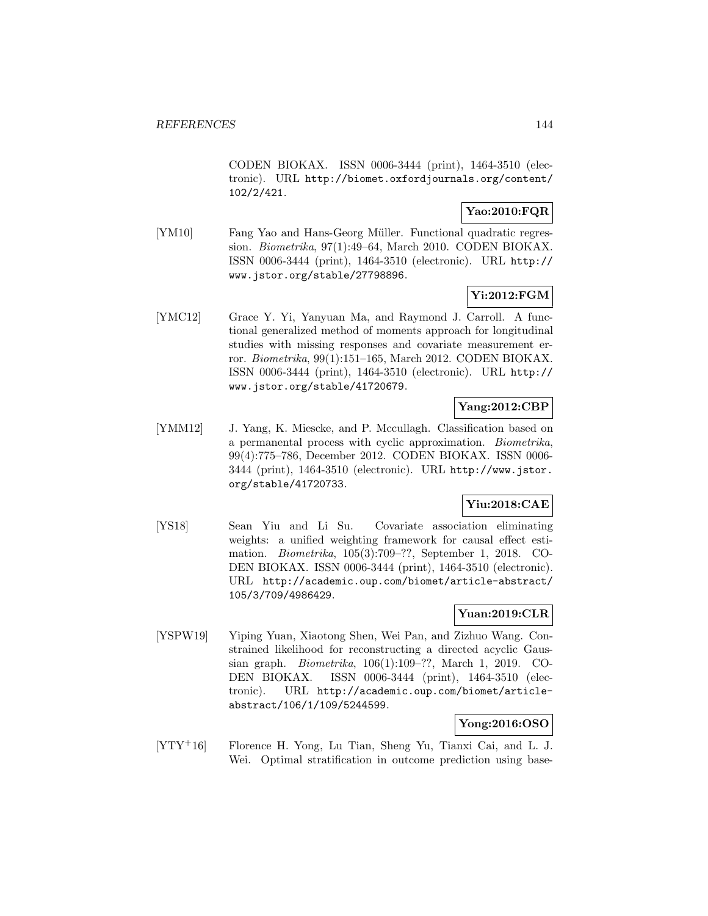CODEN BIOKAX. ISSN 0006-3444 (print), 1464-3510 (electronic). URL http://biomet.oxfordjournals.org/content/ 102/2/421.

## **Yao:2010:FQR**

[YM10] Fang Yao and Hans-Georg Müller. Functional quadratic regression. Biometrika, 97(1):49–64, March 2010. CODEN BIOKAX. ISSN 0006-3444 (print), 1464-3510 (electronic). URL http:// www.jstor.org/stable/27798896.

# **Yi:2012:FGM**

[YMC12] Grace Y. Yi, Yanyuan Ma, and Raymond J. Carroll. A functional generalized method of moments approach for longitudinal studies with missing responses and covariate measurement error. Biometrika, 99(1):151–165, March 2012. CODEN BIOKAX. ISSN 0006-3444 (print), 1464-3510 (electronic). URL http:// www.jstor.org/stable/41720679.

# **Yang:2012:CBP**

[YMM12] J. Yang, K. Miescke, and P. Mccullagh. Classification based on a permanental process with cyclic approximation. Biometrika, 99(4):775–786, December 2012. CODEN BIOKAX. ISSN 0006- 3444 (print), 1464-3510 (electronic). URL http://www.jstor. org/stable/41720733.

# **Yiu:2018:CAE**

[YS18] Sean Yiu and Li Su. Covariate association eliminating weights: a unified weighting framework for causal effect estimation. Biometrika, 105(3):709–??, September 1, 2018. CO-DEN BIOKAX. ISSN 0006-3444 (print), 1464-3510 (electronic). URL http://academic.oup.com/biomet/article-abstract/ 105/3/709/4986429.

# **Yuan:2019:CLR**

[YSPW19] Yiping Yuan, Xiaotong Shen, Wei Pan, and Zizhuo Wang. Constrained likelihood for reconstructing a directed acyclic Gaussian graph. Biometrika, 106(1):109–??, March 1, 2019. CO-DEN BIOKAX. ISSN 0006-3444 (print), 1464-3510 (electronic). URL http://academic.oup.com/biomet/articleabstract/106/1/109/5244599.

## **Yong:2016:OSO**

[YTY<sup>+</sup>16] Florence H. Yong, Lu Tian, Sheng Yu, Tianxi Cai, and L. J. Wei. Optimal stratification in outcome prediction using base-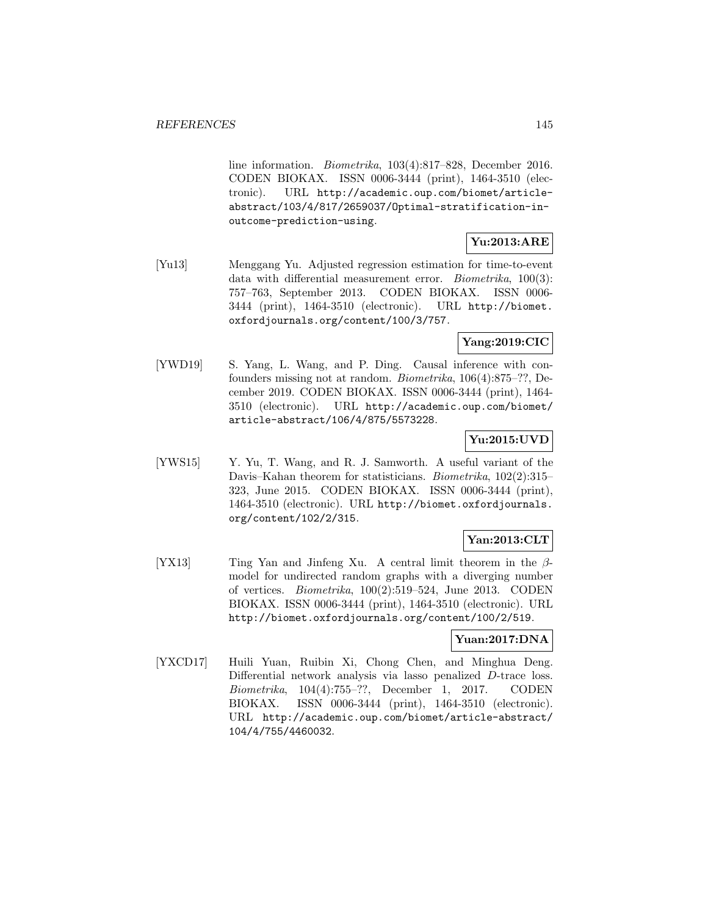line information. Biometrika, 103(4):817–828, December 2016. CODEN BIOKAX. ISSN 0006-3444 (print), 1464-3510 (electronic). URL http://academic.oup.com/biomet/articleabstract/103/4/817/2659037/Optimal-stratification-inoutcome-prediction-using.

# **Yu:2013:ARE**

[Yu13] Menggang Yu. Adjusted regression estimation for time-to-event data with differential measurement error. *Biometrika*,  $100(3)$ : 757–763, September 2013. CODEN BIOKAX. ISSN 0006- 3444 (print), 1464-3510 (electronic). URL http://biomet. oxfordjournals.org/content/100/3/757.

## **Yang:2019:CIC**

[YWD19] S. Yang, L. Wang, and P. Ding. Causal inference with confounders missing not at random. Biometrika, 106(4):875–??, December 2019. CODEN BIOKAX. ISSN 0006-3444 (print), 1464- 3510 (electronic). URL http://academic.oup.com/biomet/ article-abstract/106/4/875/5573228.

## **Yu:2015:UVD**

[YWS15] Y. Yu, T. Wang, and R. J. Samworth. A useful variant of the Davis–Kahan theorem for statisticians. *Biometrika*, 102(2):315– 323, June 2015. CODEN BIOKAX. ISSN 0006-3444 (print), 1464-3510 (electronic). URL http://biomet.oxfordjournals. org/content/102/2/315.

## **Yan:2013:CLT**

[YX13] Ting Yan and Jinfeng Xu. A central limit theorem in the βmodel for undirected random graphs with a diverging number of vertices. Biometrika, 100(2):519–524, June 2013. CODEN BIOKAX. ISSN 0006-3444 (print), 1464-3510 (electronic). URL http://biomet.oxfordjournals.org/content/100/2/519.

## **Yuan:2017:DNA**

[YXCD17] Huili Yuan, Ruibin Xi, Chong Chen, and Minghua Deng. Differential network analysis via lasso penalized D-trace loss. Biometrika, 104(4):755–??, December 1, 2017. CODEN BIOKAX. ISSN 0006-3444 (print), 1464-3510 (electronic). URL http://academic.oup.com/biomet/article-abstract/ 104/4/755/4460032.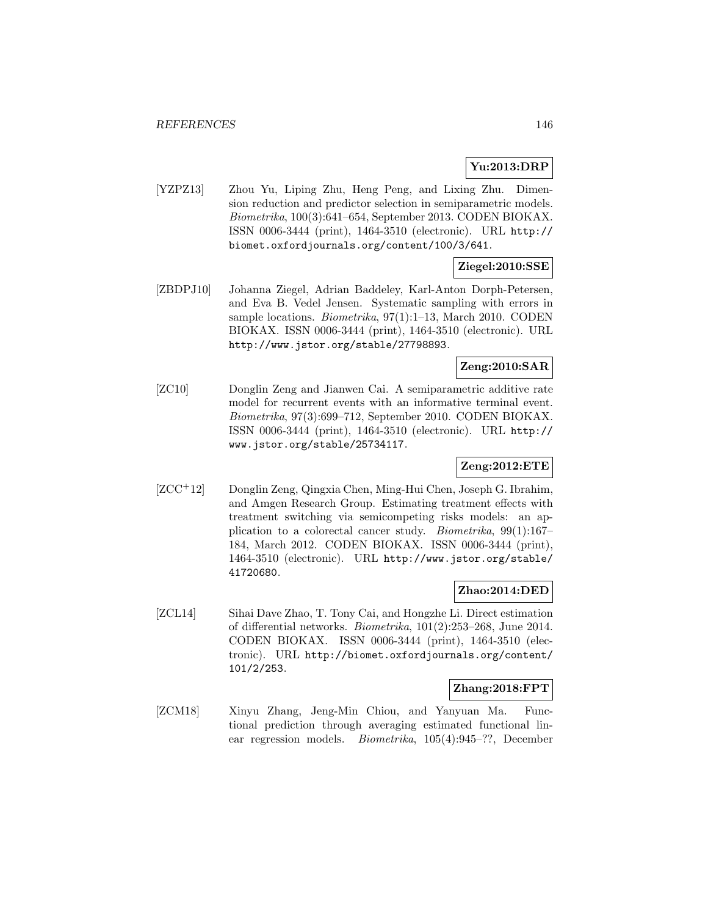# **Yu:2013:DRP**

[YZPZ13] Zhou Yu, Liping Zhu, Heng Peng, and Lixing Zhu. Dimension reduction and predictor selection in semiparametric models. Biometrika, 100(3):641–654, September 2013. CODEN BIOKAX. ISSN 0006-3444 (print), 1464-3510 (electronic). URL http:// biomet.oxfordjournals.org/content/100/3/641.

# **Ziegel:2010:SSE**

[ZBDPJ10] Johanna Ziegel, Adrian Baddeley, Karl-Anton Dorph-Petersen, and Eva B. Vedel Jensen. Systematic sampling with errors in sample locations. *Biometrika*, 97(1):1-13, March 2010. CODEN BIOKAX. ISSN 0006-3444 (print), 1464-3510 (electronic). URL http://www.jstor.org/stable/27798893.

## **Zeng:2010:SAR**

[ZC10] Donglin Zeng and Jianwen Cai. A semiparametric additive rate model for recurrent events with an informative terminal event. Biometrika, 97(3):699–712, September 2010. CODEN BIOKAX. ISSN 0006-3444 (print), 1464-3510 (electronic). URL http:// www.jstor.org/stable/25734117.

### **Zeng:2012:ETE**

[ZCC<sup>+</sup>12] Donglin Zeng, Qingxia Chen, Ming-Hui Chen, Joseph G. Ibrahim, and Amgen Research Group. Estimating treatment effects with treatment switching via semicompeting risks models: an application to a colorectal cancer study. Biometrika, 99(1):167– 184, March 2012. CODEN BIOKAX. ISSN 0006-3444 (print), 1464-3510 (electronic). URL http://www.jstor.org/stable/ 41720680.

# **Zhao:2014:DED**

[ZCL14] Sihai Dave Zhao, T. Tony Cai, and Hongzhe Li. Direct estimation of differential networks. Biometrika, 101(2):253–268, June 2014. CODEN BIOKAX. ISSN 0006-3444 (print), 1464-3510 (electronic). URL http://biomet.oxfordjournals.org/content/ 101/2/253.

# **Zhang:2018:FPT**

[ZCM18] Xinyu Zhang, Jeng-Min Chiou, and Yanyuan Ma. Functional prediction through averaging estimated functional linear regression models. Biometrika, 105(4):945–??, December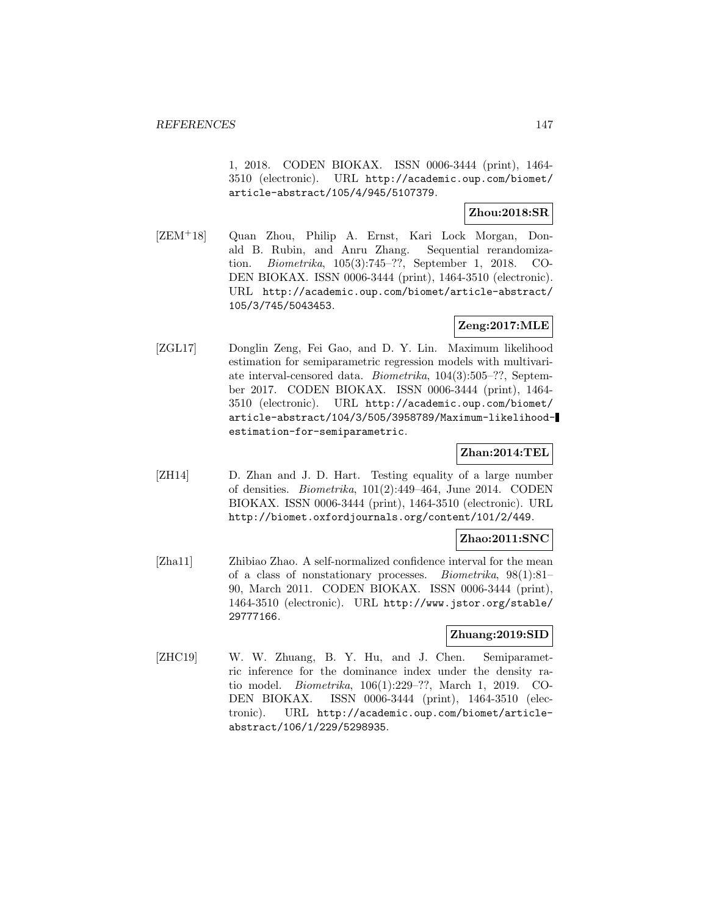1, 2018. CODEN BIOKAX. ISSN 0006-3444 (print), 1464- 3510 (electronic). URL http://academic.oup.com/biomet/ article-abstract/105/4/945/5107379.

## **Zhou:2018:SR**

[ZEM<sup>+</sup>18] Quan Zhou, Philip A. Ernst, Kari Lock Morgan, Donald B. Rubin, and Anru Zhang. Sequential rerandomization. Biometrika, 105(3):745–??, September 1, 2018. CO-DEN BIOKAX. ISSN 0006-3444 (print), 1464-3510 (electronic). URL http://academic.oup.com/biomet/article-abstract/ 105/3/745/5043453.

## **Zeng:2017:MLE**

[ZGL17] Donglin Zeng, Fei Gao, and D. Y. Lin. Maximum likelihood estimation for semiparametric regression models with multivariate interval-censored data. Biometrika, 104(3):505–??, September 2017. CODEN BIOKAX. ISSN 0006-3444 (print), 1464- 3510 (electronic). URL http://academic.oup.com/biomet/ article-abstract/104/3/505/3958789/Maximum-likelihoodestimation-for-semiparametric.

## **Zhan:2014:TEL**

[ZH14] D. Zhan and J. D. Hart. Testing equality of a large number of densities. Biometrika, 101(2):449–464, June 2014. CODEN BIOKAX. ISSN 0006-3444 (print), 1464-3510 (electronic). URL http://biomet.oxfordjournals.org/content/101/2/449.

### **Zhao:2011:SNC**

[Zha11] Zhibiao Zhao. A self-normalized confidence interval for the mean of a class of nonstationary processes. Biometrika, 98(1):81– 90, March 2011. CODEN BIOKAX. ISSN 0006-3444 (print), 1464-3510 (electronic). URL http://www.jstor.org/stable/ 29777166.

### **Zhuang:2019:SID**

[ZHC19] W. W. Zhuang, B. Y. Hu, and J. Chen. Semiparametric inference for the dominance index under the density ratio model. Biometrika, 106(1):229–??, March 1, 2019. CO-DEN BIOKAX. ISSN 0006-3444 (print), 1464-3510 (electronic). URL http://academic.oup.com/biomet/articleabstract/106/1/229/5298935.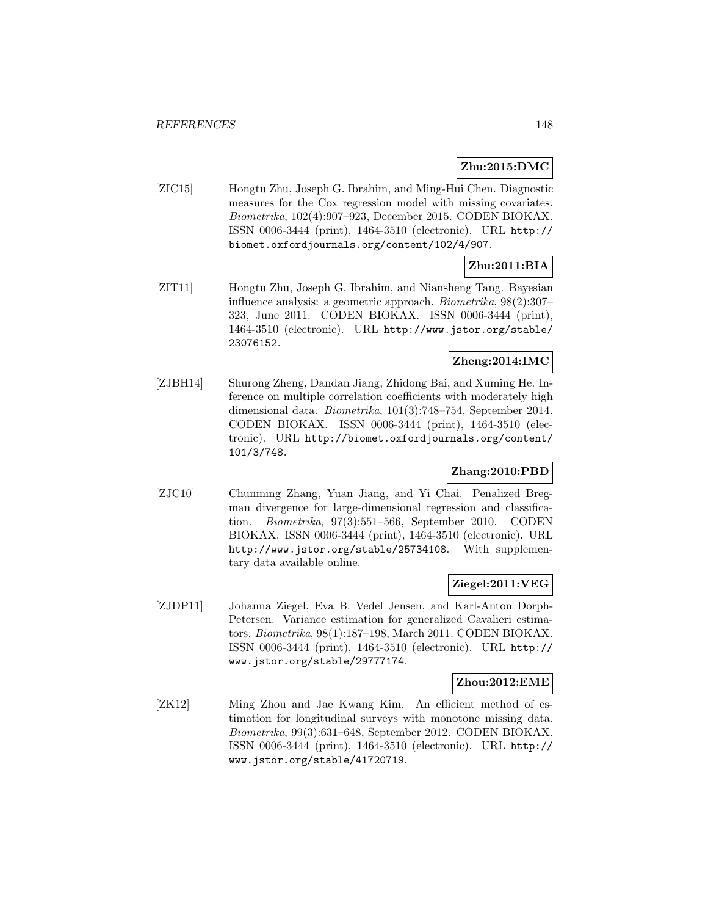### **Zhu:2015:DMC**

[ZIC15] Hongtu Zhu, Joseph G. Ibrahim, and Ming-Hui Chen. Diagnostic measures for the Cox regression model with missing covariates. Biometrika, 102(4):907–923, December 2015. CODEN BIOKAX. ISSN 0006-3444 (print), 1464-3510 (electronic). URL http:// biomet.oxfordjournals.org/content/102/4/907.

# **Zhu:2011:BIA**

[ZIT11] Hongtu Zhu, Joseph G. Ibrahim, and Niansheng Tang. Bayesian influence analysis: a geometric approach. Biometrika, 98(2):307– 323, June 2011. CODEN BIOKAX. ISSN 0006-3444 (print), 1464-3510 (electronic). URL http://www.jstor.org/stable/ 23076152.

# **Zheng:2014:IMC**

[ZJBH14] Shurong Zheng, Dandan Jiang, Zhidong Bai, and Xuming He. Inference on multiple correlation coefficients with moderately high dimensional data. Biometrika, 101(3):748–754, September 2014. CODEN BIOKAX. ISSN 0006-3444 (print), 1464-3510 (electronic). URL http://biomet.oxfordjournals.org/content/ 101/3/748.

## **Zhang:2010:PBD**

[ZJC10] Chunming Zhang, Yuan Jiang, and Yi Chai. Penalized Bregman divergence for large-dimensional regression and classification. Biometrika, 97(3):551–566, September 2010. CODEN BIOKAX. ISSN 0006-3444 (print), 1464-3510 (electronic). URL http://www.jstor.org/stable/25734108. With supplementary data available online.

### **Ziegel:2011:VEG**

[ZJDP11] Johanna Ziegel, Eva B. Vedel Jensen, and Karl-Anton Dorph-Petersen. Variance estimation for generalized Cavalieri estimators. Biometrika, 98(1):187–198, March 2011. CODEN BIOKAX. ISSN 0006-3444 (print), 1464-3510 (electronic). URL http:// www.jstor.org/stable/29777174.

#### **Zhou:2012:EME**

[ZK12] Ming Zhou and Jae Kwang Kim. An efficient method of estimation for longitudinal surveys with monotone missing data. Biometrika, 99(3):631–648, September 2012. CODEN BIOKAX. ISSN 0006-3444 (print), 1464-3510 (electronic). URL http:// www.jstor.org/stable/41720719.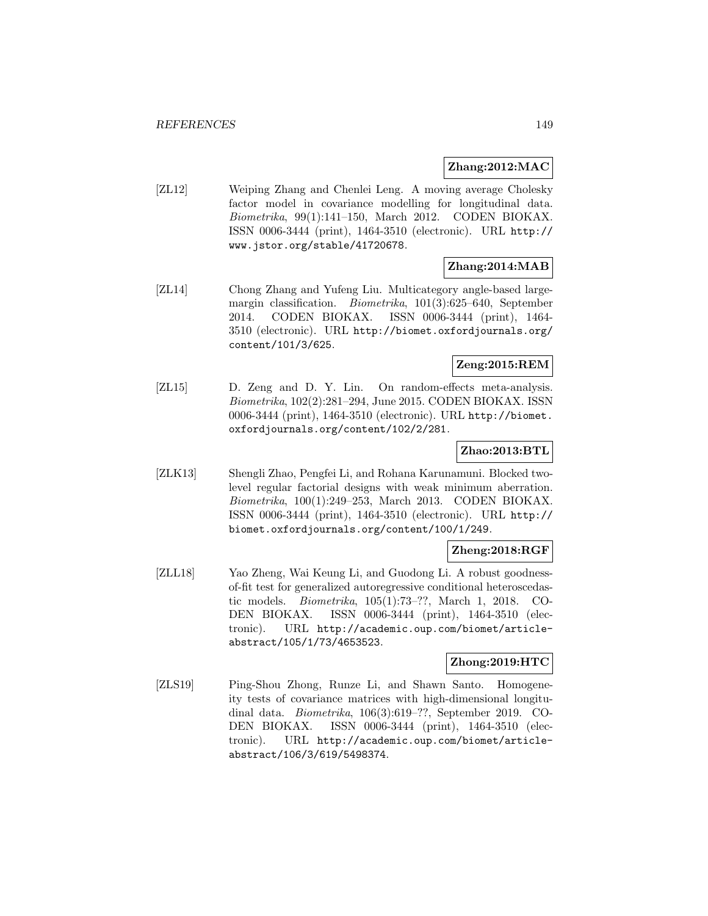### **Zhang:2012:MAC**

[ZL12] Weiping Zhang and Chenlei Leng. A moving average Cholesky factor model in covariance modelling for longitudinal data. Biometrika, 99(1):141–150, March 2012. CODEN BIOKAX. ISSN 0006-3444 (print), 1464-3510 (electronic). URL http:// www.jstor.org/stable/41720678.

# **Zhang:2014:MAB**

[ZL14] Chong Zhang and Yufeng Liu. Multicategory angle-based largemargin classification. Biometrika, 101(3):625–640, September 2014. CODEN BIOKAX. ISSN 0006-3444 (print), 1464- 3510 (electronic). URL http://biomet.oxfordjournals.org/ content/101/3/625.

## **Zeng:2015:REM**

[ZL15] D. Zeng and D. Y. Lin. On random-effects meta-analysis. Biometrika, 102(2):281–294, June 2015. CODEN BIOKAX. ISSN 0006-3444 (print), 1464-3510 (electronic). URL http://biomet. oxfordjournals.org/content/102/2/281.

### **Zhao:2013:BTL**

[ZLK13] Shengli Zhao, Pengfei Li, and Rohana Karunamuni. Blocked twolevel regular factorial designs with weak minimum aberration. Biometrika, 100(1):249–253, March 2013. CODEN BIOKAX. ISSN 0006-3444 (print), 1464-3510 (electronic). URL http:// biomet.oxfordjournals.org/content/100/1/249.

## **Zheng:2018:RGF**

[ZLL18] Yao Zheng, Wai Keung Li, and Guodong Li. A robust goodnessof-fit test for generalized autoregressive conditional heteroscedastic models. Biometrika, 105(1):73–??, March 1, 2018. CO-DEN BIOKAX. ISSN 0006-3444 (print), 1464-3510 (electronic). URL http://academic.oup.com/biomet/articleabstract/105/1/73/4653523.

### **Zhong:2019:HTC**

[ZLS19] Ping-Shou Zhong, Runze Li, and Shawn Santo. Homogeneity tests of covariance matrices with high-dimensional longitudinal data. Biometrika, 106(3):619–??, September 2019. CO-DEN BIOKAX. ISSN 0006-3444 (print), 1464-3510 (electronic). URL http://academic.oup.com/biomet/articleabstract/106/3/619/5498374.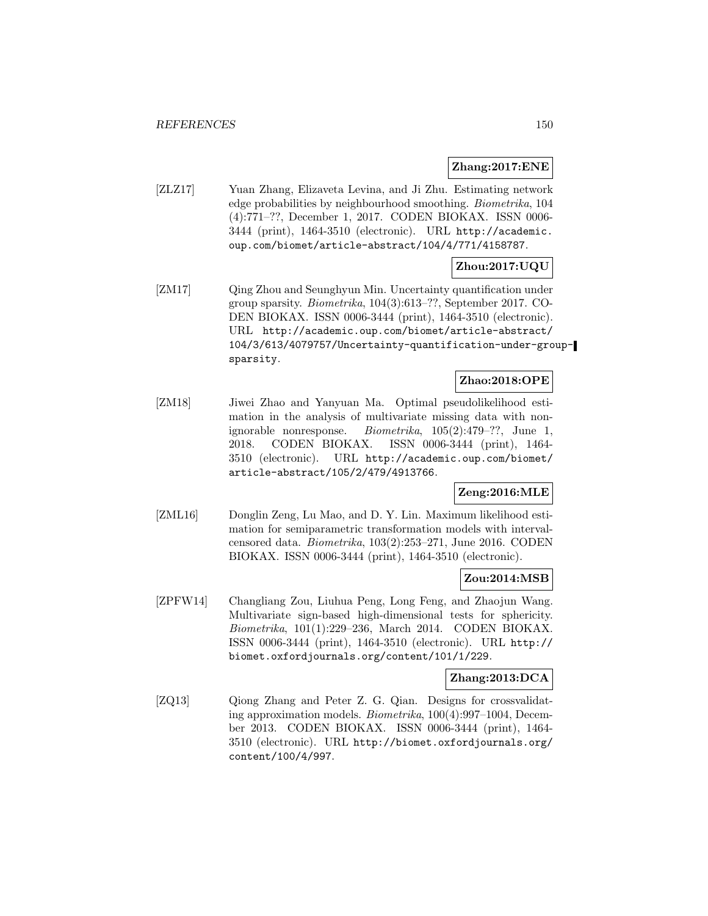### **Zhang:2017:ENE**

[ZLZ17] Yuan Zhang, Elizaveta Levina, and Ji Zhu. Estimating network edge probabilities by neighbourhood smoothing. *Biometrika*, 104 (4):771–??, December 1, 2017. CODEN BIOKAX. ISSN 0006- 3444 (print), 1464-3510 (electronic). URL http://academic. oup.com/biomet/article-abstract/104/4/771/4158787.

# **Zhou:2017:UQU**

[ZM17] Qing Zhou and Seunghyun Min. Uncertainty quantification under group sparsity. Biometrika, 104(3):613–??, September 2017. CO-DEN BIOKAX. ISSN 0006-3444 (print), 1464-3510 (electronic). URL http://academic.oup.com/biomet/article-abstract/ 104/3/613/4079757/Uncertainty-quantification-under-groupsparsity.

## **Zhao:2018:OPE**

[ZM18] Jiwei Zhao and Yanyuan Ma. Optimal pseudolikelihood estimation in the analysis of multivariate missing data with nonignorable nonresponse. Biometrika, 105(2):479–??, June 1, 2018. CODEN BIOKAX. ISSN 0006-3444 (print), 1464- 3510 (electronic). URL http://academic.oup.com/biomet/ article-abstract/105/2/479/4913766.

# **Zeng:2016:MLE**

[ZML16] Donglin Zeng, Lu Mao, and D. Y. Lin. Maximum likelihood estimation for semiparametric transformation models with intervalcensored data. Biometrika, 103(2):253–271, June 2016. CODEN BIOKAX. ISSN 0006-3444 (print), 1464-3510 (electronic).

## **Zou:2014:MSB**

[ZPFW14] Changliang Zou, Liuhua Peng, Long Feng, and Zhaojun Wang. Multivariate sign-based high-dimensional tests for sphericity. Biometrika, 101(1):229–236, March 2014. CODEN BIOKAX. ISSN 0006-3444 (print), 1464-3510 (electronic). URL http:// biomet.oxfordjournals.org/content/101/1/229.

## **Zhang:2013:DCA**

[ZQ13] Qiong Zhang and Peter Z. G. Qian. Designs for crossvalidating approximation models. Biometrika, 100(4):997–1004, December 2013. CODEN BIOKAX. ISSN 0006-3444 (print), 1464- 3510 (electronic). URL http://biomet.oxfordjournals.org/ content/100/4/997.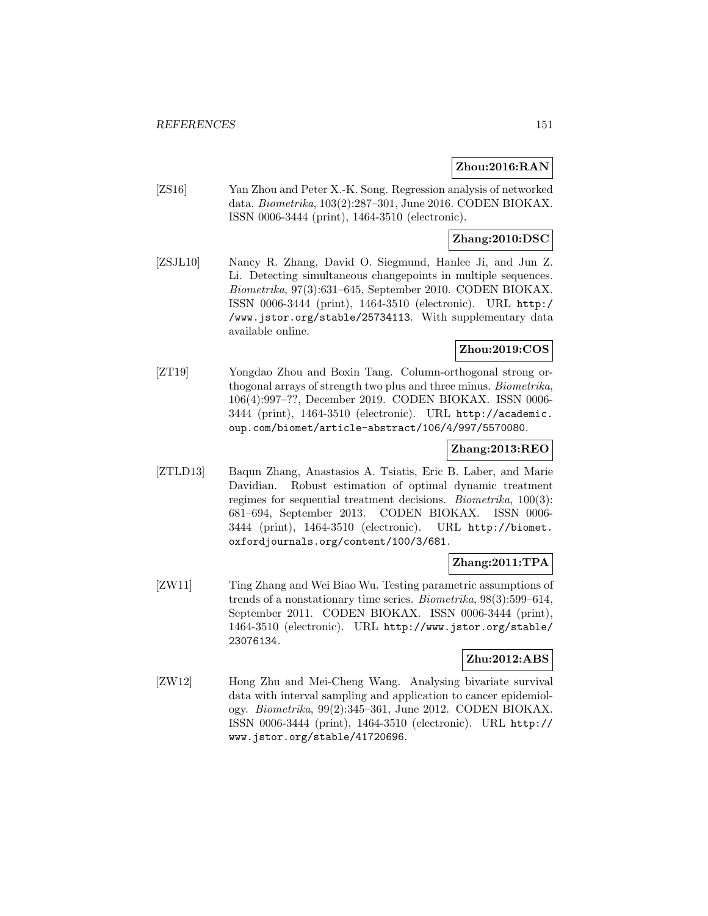## **Zhou:2016:RAN**

[ZS16] Yan Zhou and Peter X.-K. Song. Regression analysis of networked data. Biometrika, 103(2):287–301, June 2016. CODEN BIOKAX. ISSN 0006-3444 (print), 1464-3510 (electronic).

# **Zhang:2010:DSC**

[ZSJL10] Nancy R. Zhang, David O. Siegmund, Hanlee Ji, and Jun Z. Li. Detecting simultaneous changepoints in multiple sequences. Biometrika, 97(3):631–645, September 2010. CODEN BIOKAX. ISSN 0006-3444 (print), 1464-3510 (electronic). URL http:/ /www.jstor.org/stable/25734113. With supplementary data available online.

# **Zhou:2019:COS**

[ZT19] Yongdao Zhou and Boxin Tang. Column-orthogonal strong orthogonal arrays of strength two plus and three minus. Biometrika, 106(4):997–??, December 2019. CODEN BIOKAX. ISSN 0006- 3444 (print), 1464-3510 (electronic). URL http://academic. oup.com/biomet/article-abstract/106/4/997/5570080.

## **Zhang:2013:REO**

[ZTLD13] Baqun Zhang, Anastasios A. Tsiatis, Eric B. Laber, and Marie Davidian. Robust estimation of optimal dynamic treatment regimes for sequential treatment decisions. Biometrika, 100(3): 681–694, September 2013. CODEN BIOKAX. ISSN 0006- 3444 (print), 1464-3510 (electronic). URL http://biomet. oxfordjournals.org/content/100/3/681.

## **Zhang:2011:TPA**

[ZW11] Ting Zhang and Wei Biao Wu. Testing parametric assumptions of trends of a nonstationary time series. Biometrika, 98(3):599–614, September 2011. CODEN BIOKAX. ISSN 0006-3444 (print), 1464-3510 (electronic). URL http://www.jstor.org/stable/ 23076134.

## **Zhu:2012:ABS**

[ZW12] Hong Zhu and Mei-Cheng Wang. Analysing bivariate survival data with interval sampling and application to cancer epidemiology. Biometrika, 99(2):345–361, June 2012. CODEN BIOKAX. ISSN 0006-3444 (print), 1464-3510 (electronic). URL http:// www.jstor.org/stable/41720696.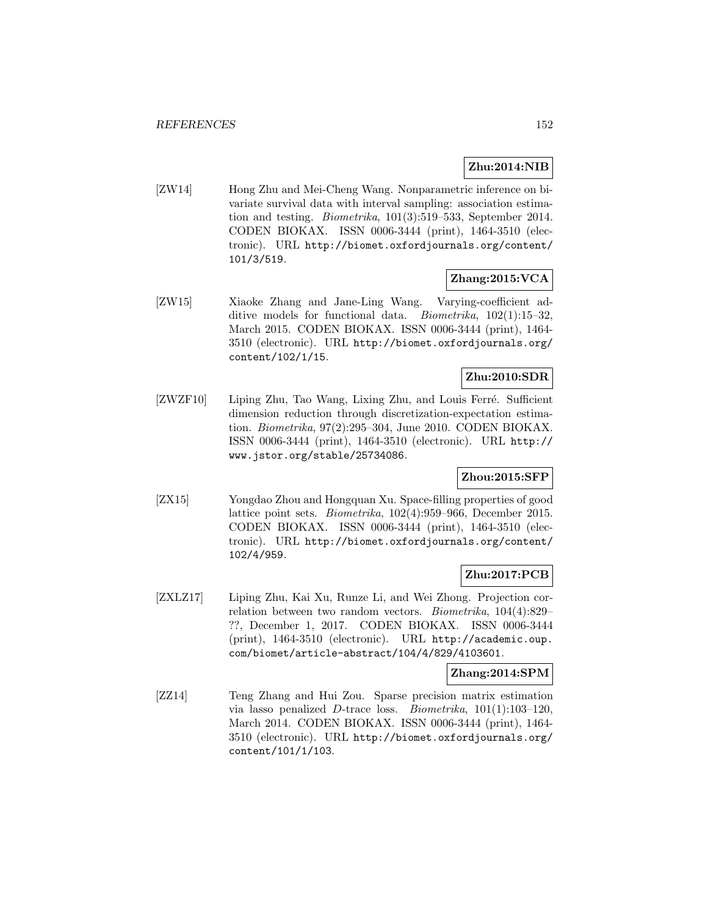# **Zhu:2014:NIB**

[ZW14] Hong Zhu and Mei-Cheng Wang. Nonparametric inference on bivariate survival data with interval sampling: association estimation and testing. Biometrika, 101(3):519–533, September 2014. CODEN BIOKAX. ISSN 0006-3444 (print), 1464-3510 (electronic). URL http://biomet.oxfordjournals.org/content/ 101/3/519.

# **Zhang:2015:VCA**

[ZW15] Xiaoke Zhang and Jane-Ling Wang. Varying-coefficient additive models for functional data. Biometrika, 102(1):15–32, March 2015. CODEN BIOKAX. ISSN 0006-3444 (print), 1464- 3510 (electronic). URL http://biomet.oxfordjournals.org/ content/102/1/15.

# **Zhu:2010:SDR**

[ZWZF10] Liping Zhu, Tao Wang, Lixing Zhu, and Louis Ferré. Sufficient dimension reduction through discretization-expectation estimation. Biometrika, 97(2):295–304, June 2010. CODEN BIOKAX. ISSN 0006-3444 (print), 1464-3510 (electronic). URL http:// www.jstor.org/stable/25734086.

# **Zhou:2015:SFP**

[ZX15] Yongdao Zhou and Hongquan Xu. Space-filling properties of good lattice point sets. Biometrika, 102(4):959–966, December 2015. CODEN BIOKAX. ISSN 0006-3444 (print), 1464-3510 (electronic). URL http://biomet.oxfordjournals.org/content/ 102/4/959.

## **Zhu:2017:PCB**

[ZXLZ17] Liping Zhu, Kai Xu, Runze Li, and Wei Zhong. Projection correlation between two random vectors. Biometrika, 104(4):829– ??, December 1, 2017. CODEN BIOKAX. ISSN 0006-3444 (print), 1464-3510 (electronic). URL http://academic.oup. com/biomet/article-abstract/104/4/829/4103601.

### **Zhang:2014:SPM**

[ZZ14] Teng Zhang and Hui Zou. Sparse precision matrix estimation via lasso penalized  $D$ -trace loss. *Biometrika*,  $101(1):103-120$ , March 2014. CODEN BIOKAX. ISSN 0006-3444 (print), 1464- 3510 (electronic). URL http://biomet.oxfordjournals.org/ content/101/1/103.